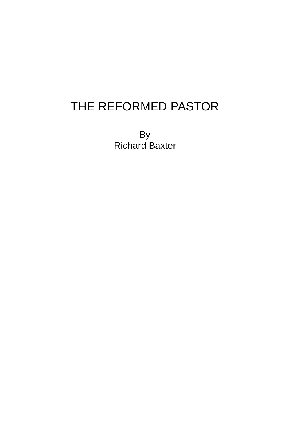# THE REFORMED PASTOR

By Richard Baxter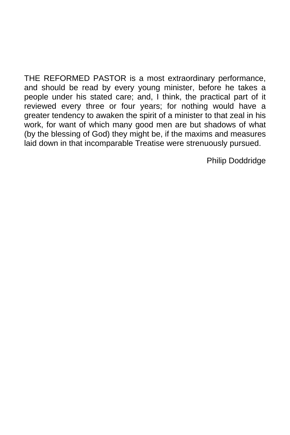THE REFORMED PASTOR is a most extraordinary performance, and should be read by every young minister, before he takes a people under his stated care; and, I think, the practical part of it reviewed every three or four years; for nothing would have a greater tendency to awaken the spirit of a minister to that zeal in his work, for want of which many good men are but shadows of what (by the blessing of God) they might be, if the maxims and measures laid down in that incomparable Treatise were strenuously pursued.

Philip Doddridge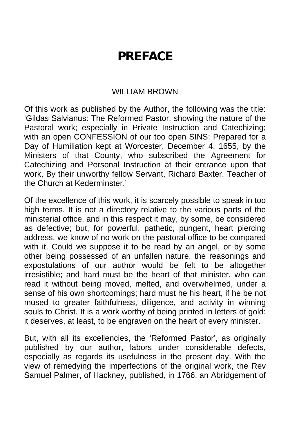## **PREFACE**

#### WILLIAM BROWN

Of this work as published by the Author, the following was the title: 'Gildas Salvianus: The Reformed Pastor, showing the nature of the Pastoral work; especially in Private Instruction and Catechizing; with an open CONFESSION of our too open SINS: Prepared for a Day of Humiliation kept at Worcester, December 4, 1655, by the Ministers of that County, who subscribed the Agreement for Catechizing and Personal Instruction at their entrance upon that work, By their unworthy fellow Servant, Richard Baxter, Teacher of the Church at Kederminster.'

Of the excellence of this work, it is scarcely possible to speak in too high terms. It is not a directory relative to the various parts of the ministerial office, and in this respect it may, by some, be considered as defective; but, for powerful, pathetic, pungent, heart piercing address, we know of no work on the pastoral office to be compared with it. Could we suppose it to be read by an angel, or by some other being possessed of an unfallen nature, the reasonings and expostulations of our author would be felt to be altogether irresistible; and hard must be the heart of that minister, who can read it without being moved, melted, and overwhelmed, under a sense of his own shortcomings; hard must he his heart, if he be not mused to greater faithfulness, diligence, and activity in winning souls to Christ. It is a work worthy of being printed in letters of gold: it deserves, at least, to be engraven on the heart of every minister.

But, with all its excellencies, the 'Reformed Pastor', as originally published by our author, labors under considerable defects, especially as regards its usefulness in the present day. With the view of remedying the imperfections of the original work, the Rev Samuel Palmer, of Hackney, published, in 1766, an Abridgement of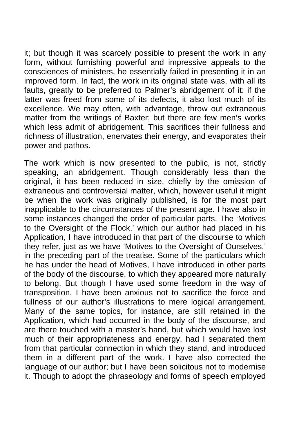it; but though it was scarcely possible to present the work in any form, without furnishing powerful and impressive appeals to the consciences of ministers, he essentially failed in presenting it in an improved form. In fact, the work in its original state was, with all its faults, greatly to be preferred to Palmer's abridgement of it: if the latter was freed from some of its defects, it also lost much of its excellence. We may often, with advantage, throw out extraneous matter from the writings of Baxter; but there are few men's works which less admit of abridgement. This sacrifices their fullness and richness of illustration, enervates their energy, and evaporates their power and pathos.

The work which is now presented to the public, is not, strictly speaking, an abridgement. Though considerably less than the original, it has been reduced in size, chiefly by the omission of extraneous and controversial matter, which, however useful it might be when the work was originally published, is for the most part inapplicable to the circumstances of the present age. I have also in some instances changed the order of particular parts. The 'Motives to the Oversight of the Flock,' which our author had placed in his Application, I have introduced in that part of the discourse to which they refer, just as we have 'Motives to the Oversight of Ourselves,' in the preceding part of the treatise. Some of the particulars which he has under the head of Motives, I have introduced in other parts of the body of the discourse, to which they appeared more naturally to belong. But though I have used some freedom in the way of transposition, I have been anxious not to sacrifice the force and fullness of our author's illustrations to mere logical arrangement. Many of the same topics, for instance, are still retained in the Application, which had occurred in the body of the discourse, and are there touched with a master's hand, but which would have lost much of their appropriateness and energy, had I separated them from that particular connection in which they stand, and introduced them in a different part of the work. I have also corrected the language of our author; but I have been solicitous not to modernise it. Though to adopt the phraseology and forms of speech employed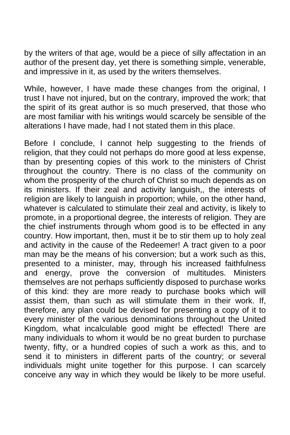by the writers of that age, would be a piece of silly affectation in an author of the present day, yet there is something simple, venerable, and impressive in it, as used by the writers themselves.

While, however, I have made these changes from the original, I trust I have not injured, but on the contrary, improved the work; that the spirit of its great author is so much preserved, that those who are most familiar with his writings would scarcely be sensible of the alterations I have made, had I not stated them in this place.

Before I conclude, I cannot help suggesting to the friends of religion, that they could not perhaps do more good at less expense, than by presenting copies of this work to the ministers of Christ throughout the country. There is no class of the community on whom the prosperity of the church of Christ so much depends as on its ministers. If their zeal and activity languish,, the interests of religion are likely to languish in proportion; while, on the other hand, whatever is calculated to stimulate their zeal and activity, is likely to promote, in a proportional degree, the interests of religion. They are the chief instruments through whom good is to be effected in any country. How important, then, must it be to stir them up to holy zeal and activity in the cause of the Redeemer! A tract given to a poor man may be the means of his conversion; but a work such as this, presented to a minister, may, through his increased faithfulness and energy, prove the conversion of multitudes. Ministers themselves are not perhaps sufficiently disposed to purchase works of this kind: they are more ready to purchase books which will assist them, than such as will stimulate them in their work. If, therefore, any plan could be devised for presenting a copy of it to every minister of the various denominations throughout the United Kingdom, what incalculable good might be effected! There are many individuals to whom it would be no great burden to purchase twenty, fifty, or a hundred copies of such a work as this, and to send it to ministers in different parts of the country; or several individuals might unite together for this purpose. I can scarcely conceive any way in which they would be likely to be more useful.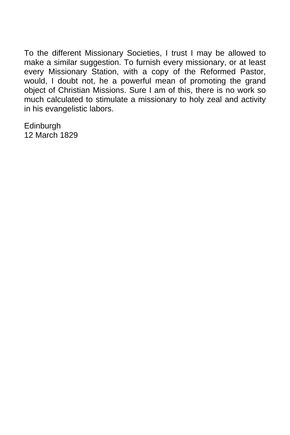To the different Missionary Societies, I trust I may be allowed to make a similar suggestion. To furnish every missionary, or at least every Missionary Station, with a copy of the Reformed Pastor, would, I doubt not, he a powerful mean of promoting the grand object of Christian Missions. Sure I am of this, there is no work so much calculated to stimulate a missionary to holy zeal and activity in his evangelistic labors.

**Edinburgh** 12 March 1829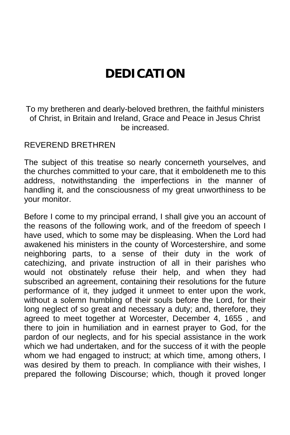## **DEDICATION**

To my bretheren and dearly-beloved brethren, the faithful ministers of Christ, in Britain and Ireland, Grace and Peace in Jesus Christ be increased.

#### REVEREND BRETHREN

The subject of this treatise so nearly concerneth yourselves, and the churches committed to your care, that it emboldeneth me to this address, notwithstanding the imperfections in the manner of handling it, and the consciousness of my great unworthiness to be your monitor.

Before I come to my principal errand, I shall give you an account of the reasons of the following work, and of the freedom of speech I have used, which to some may be displeasing. When the Lord had awakened his ministers in the county of Worcestershire, and some neighboring parts, to a sense of their duty in the work of catechizing, and private instruction of all in their parishes who would not obstinately refuse their help, and when they had subscribed an agreement, containing their resolutions for the future performance of it, they judged it unmeet to enter upon the work, without a solemn humbling of their souls before the Lord, for their long neglect of so great and necessary a duty; and, therefore, they agreed to meet together at Worcester, December 4, 1655 , and there to join in humiliation and in earnest prayer to God, for the pardon of our neglects, and for his special assistance in the work which we had undertaken, and for the success of it with the people whom we had engaged to instruct; at which time, among others, I was desired by them to preach. In compliance with their wishes, I prepared the following Discourse; which, though it proved longer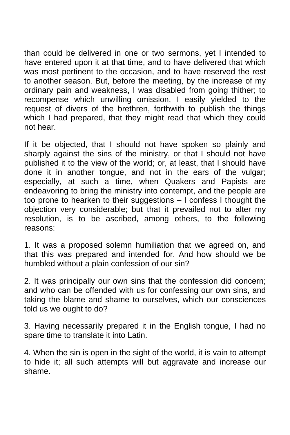than could be delivered in one or two sermons, yet I intended to have entered upon it at that time, and to have delivered that which was most pertinent to the occasion, and to have reserved the rest to another season. But, before the meeting, by the increase of my ordinary pain and weakness, I was disabled from going thither; to recompense which unwilling omission, I easily yielded to the request of divers of the brethren, forthwith to publish the things which I had prepared, that they might read that which they could not hear.

If it be objected, that I should not have spoken so plainly and sharply against the sins of the ministry, or that I should not have published it to the view of the world; or, at least, that I should have done it in another tongue, and not in the ears of the vulgar; especially, at such a time, when Quakers and Papists are endeavoring to bring the ministry into contempt, and the people are too prone to hearken to their suggestions – I confess I thought the objection very considerable; but that it prevailed not to alter my resolution, is to be ascribed, among others, to the following reasons:

1. It was a proposed solemn humiliation that we agreed on, and that this was prepared and intended for. And how should we be humbled without a plain confession of our sin?

2. It was principally our own sins that the confession did concern; and who can be offended with us for confessing our own sins, and taking the blame and shame to ourselves, which our consciences told us we ought to do?

3. Having necessarily prepared it in the English tongue, I had no spare time to translate it into Latin.

4. When the sin is open in the sight of the world, it is vain to attempt to hide it; all such attempts will but aggravate and increase our shame.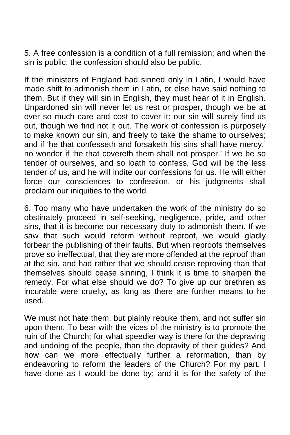5. A free confession is a condition of a full remission; and when the sin is public, the confession should also be public.

If the ministers of England had sinned only in Latin, I would have made shift to admonish them in Latin, or else have said nothing to them. But if they will sin in English, they must hear of it in English. Unpardoned sin will never let us rest or prosper, though we be at ever so much care and cost to cover it: our sin will surely find us out, though we find not it out. The work of confession is purposely to make known our sin, and freely to take the shame to ourselves; and if 'he that confesseth and forsaketh his sins shall have mercy,' no wonder if 'he that covereth them shall not prosper.' If we be so tender of ourselves, and so loath to confess, God will be the less tender of us, and he will indite our confessions for us. He will either force our consciences to confession, or his judgments shall proclaim our iniquities to the world.

6. Too many who have undertaken the work of the ministry do so obstinately proceed in self-seeking, negligence, pride, and other sins, that it is become our necessary duty to admonish them. If we saw that such would reform without reproof, we would gladly forbear the publishing of their faults. But when reproofs themselves prove so ineffectual, that they are more offended at the reproof than at the sin, and had rather that we should cease reproving than that themselves should cease sinning, I think it is time to sharpen the remedy. For what else should we do? To give up our brethren as incurable were cruelty, as long as there are further means to he used.

We must not hate them, but plainly rebuke them, and not suffer sin upon them. To bear with the vices of the ministry is to promote the ruin of the Church; for what speedier way is there for the depraving and undoing of the people, than the depravity of their guides? And how can we more effectually further a reformation, than by endeavoring to reform the leaders of the Church? For my part, I have done as I would be done by; and it is for the safety of the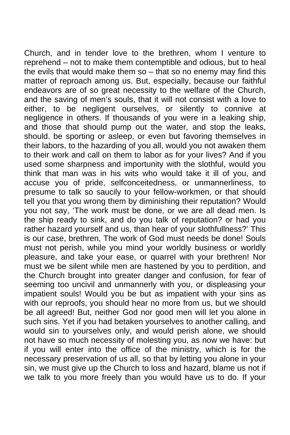Church, and in tender love to the brethren, whom I venture to reprehend – not to make them contemptible and odious, but to heal the evils that would make them so – that so no enemy may find this matter of reproach among us. But, especially, because our faithful endeavors are of so great necessity to the welfare of the Church, and the saving of men's souls, that it will not consist with a love to either, to be negligent ourselves, or silently to connive at negligence in others. If thousands of you were in a leaking ship, and those that should pump out the water, and stop the leaks, should. be sporting or asleep, or even but favoring themselves in their labors, to the hazarding of you all, would you not awaken them to their work and call on them to labor as for your lives? And if you used some sharpness and importunity with the slothful, would you think that man was in his wits who would take it ill of you, and accuse you of pride, selfconceitedness, or unmannerliness, to presume to talk so saucily to your fellow-workmen, or that should tell you that you wrong them by diminishing their reputation? Would you not say, 'The work must be done, or we are all dead men. Is the ship ready to sink, and do you talk of reputation? or had you rather hazard yourself and us, than hear of your slothfullness?' This is our case, brethren, The work of God must needs be done! Souls must not perish, while you mind your worldly business or worldly pleasure, and take your ease, or quarrel with your brethren! Nor must we be silent while men are hastened by you to perdition, and the Church brought into greater danger and confusion, for fear of seeming too uncivil and unmannerly with you, or displeasing your impatient souls! Would you be but as impatient with your sins as with our reproofs, you should hear no more from us, but we should be all agreed! But, neither God nor good men will let you alone in such sins. Yet if you had betaken yourselves to another calling, and would sin to yourselves only, and would perish alone, we should not have so much necessity of molesting you, as now we have: but if you will enter into the office of the ministry, which is for the necessary preservation of us all, so that by letting you alone in your sin, we must give up the Church to loss and hazard, blame us not if we talk to you more freely than you would have us to do. If your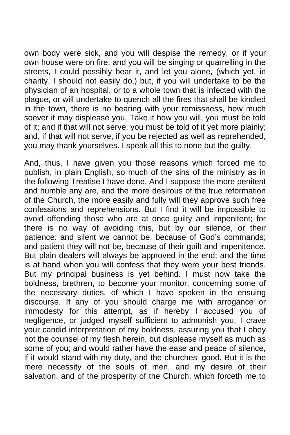own body were sick, and you will despise the remedy, or if your own house were on fire, and you will be singing or quarrelling in the streets, I could possibly bear it, and let you alone, (which yet, in charity, I should not easily do,) but, if you will undertake to be the physician of an hospital, or to a whole town that is infected with the plague, or will undertake to quench all the fires that shall be kindled in the town, there is no bearing with your remissness, how much soever it may displease you. Take it how you will, you must be told of it; and if that will not serve, you must be told of it yet more plainly; and, if that will not serve, if you be rejected as well as reprehended, you may thank yourselves. I speak all this to none but the guilty.

And, thus, I have given you those reasons which forced me to publish, in plain English, so much of the sins of the ministry as in the following Treatise I have done. And I suppose the more penitent and humble any are, and the more desirous of the true reformation of the Church, the more easily and fully will they approve such free confessions and reprehensions. But I find it will be impossible to avoid offending those who are at once guilty and impenitent; for there is no way of avoiding this, but by our silence, or their patience: and silent we cannot be, because of God's commands; and patient they will not be, because of their guilt and impenitence. But plain dealers will always be approved in the end; and the time is at hand when you will confess that they were your best friends. But my principal business is yet behind. I must now take the boldness, brethren, to become your monitor, concerning some of the necessary duties, of which I have spoken in the ensuing discourse. If any of you should charge me with arrogance or immodesty for this attempt, as if hereby I accused you of negligence, or judged myself sufficient to admonish you, I crave your candid interpretation of my boldness, assuring you that I obey not the counsel of my flesh herein, but displease myself as much as some of you; and would rather have the ease and peace of silence, if it would stand with my duty, and the churches' good. But it is the mere necessity of the souls of men, and my desire of their salvation, and of the prosperity of the Church, which forceth me to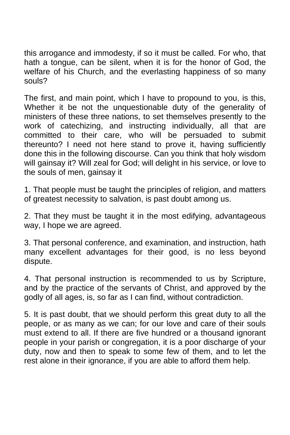this arrogance and immodesty, if so it must be called. For who, that hath a tongue, can be silent, when it is for the honor of God, the welfare of his Church, and the everlasting happiness of so many souls?

The first, and main point, which I have to propound to you, is this, Whether it be not the unquestionable duty of the generality of ministers of these three nations, to set themselves presently to the work of catechizing, and instructing individually, all that are committed to their care, who will be persuaded to submit thereunto? I need not here stand to prove it, having sufficiently done this in the following discourse. Can you think that holy wisdom will gainsay it? Will zeal for God; will delight in his service, or love to the souls of men, gainsay it

1. That people must be taught the principles of religion, and matters of greatest necessity to salvation, is past doubt among us.

2. That they must be taught it in the most edifying, advantageous way, I hope we are agreed.

3. That personal conference, and examination, and instruction, hath many excellent advantages for their good, is no less beyond dispute.

4. That personal instruction is recommended to us by Scripture, and by the practice of the servants of Christ, and approved by the godly of all ages, is, so far as I can find, without contradiction.

5. It is past doubt, that we should perform this great duty to all the people, or as many as we can; for our love and care of their souls must extend to all. If there are five hundred or a thousand ignorant people in your parish or congregation, it is a poor discharge of your duty, now and then to speak to some few of them, and to let the rest alone in their ignorance, if you are able to afford them help.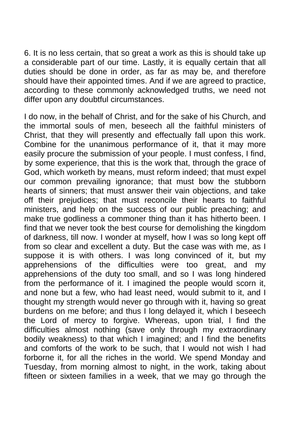6. It is no less certain, that so great a work as this is should take up a considerable part of our time. Lastly, it is equally certain that all duties should be done in order, as far as may be, and therefore should have their appointed times. And if we are agreed to practice, according to these commonly acknowledged truths, we need not differ upon any doubtful circumstances.

I do now, in the behalf of Christ, and for the sake of his Church, and the immortal souls of men, beseech all the faithful ministers of Christ, that they will presently and effectually fall upon this work. Combine for the unanimous performance of it, that it may more easily procure the submission of your people. I must confess, I find, by some experience, that this is the work that, through the grace of God, which worketh by means, must reform indeed; that must expel our common prevailing ignorance; that must bow the stubborn hearts of sinners; that must answer their vain objections, and take off their prejudices; that must reconcile their hearts to faithful ministers, and help on the success of our public preaching; and make true godliness a commoner thing than it has hitherto been. I find that we never took the best course for demolishing the kingdom of darkness, till now. I wonder at myself, how I was so long kept off from so clear and excellent a duty. But the case was with me, as I suppose it is with others. I was long convinced of it, but my apprehensions of the difficulties were too great, and my apprehensions of the duty too small, and so I was long hindered from the performance of it. I imagined the people would scorn it, and none but a few, who had least need, would submit to it, and I thought my strength would never go through with it, having so great burdens on me before; and thus I long delayed it, which I beseech the Lord of mercy to forgive. Whereas, upon trial, I find the difficulties almost nothing (save only through my extraordinary bodily weakness) to that which I imagined; and I find the benefits and comforts of the work to be such, that I would not wish I had forborne it, for all the riches in the world. We spend Monday and Tuesday, from morning almost to night, in the work, taking about fifteen or sixteen families in a week, that we may go through the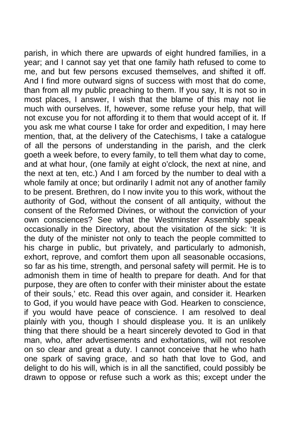parish, in which there are upwards of eight hundred families, in a year; and I cannot say yet that one family hath refused to come to me, and but few persons excused themselves, and shifted it off. And I find more outward signs of success with most that do come, than from all my public preaching to them. If you say, It is not so in most places, I answer, I wish that the blame of this may not lie much with ourselves. If, however, some refuse your help, that will not excuse you for not affording it to them that would accept of it. If you ask me what course I take for order and expedition, I may here mention, that, at the delivery of the Catechisms, I take a catalogue of all the persons of understanding in the parish, and the clerk goeth a week before, to every family, to tell them what day to come, and at what hour, (one family at eight o'clock, the next at nine, and the next at ten, etc.) And I am forced by the number to deal with a whole family at once; but ordinarily I admit not any of another family to be present. Brethren, do I now invite you to this work, without the authority of God, without the consent of all antiquity, without the consent of the Reformed Divines, or without the conviction of your own consciences? See what the Westminster Assembly speak occasionally in the Directory, about the visitation of the sick: 'It is the duty of the minister not only to teach the people committed to his charge in public, but privately, and particularly to admonish, exhort, reprove, and comfort them upon all seasonable occasions, so far as his time, strength, and personal safety will permit. He is to admonish them in time of health to prepare for death. And for that purpose, they are often to confer with their minister about the estate of their souls,' etc. Read this over again, and consider it. Hearken to God, if you would have peace with God. Hearken to conscience, if you would have peace of conscience. I am resolved to deal plainly with you, though I should displease you. It is an unlikely thing that there should be a heart sincerely devoted to God in that man, who, after advertisements and exhortations, will not resolve on so clear and great a duty. I cannot conceive that he who hath one spark of saving grace, and so hath that love to God, and delight to do his will, which is in all the sanctified, could possibly be drawn to oppose or refuse such a work as this; except under the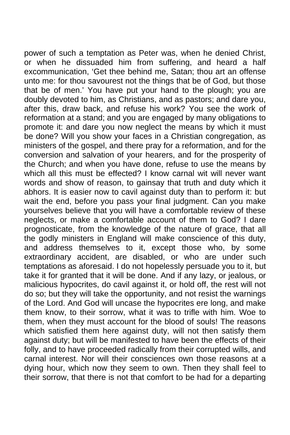power of such a temptation as Peter was, when he denied Christ, or when he dissuaded him from suffering, and heard a half excommunication, 'Get thee behind me, Satan; thou art an offense unto me: for thou savourest not the things that be of God, but those that be of men.' You have put your hand to the plough; you are doubly devoted to him, as Christians, and as pastors; and dare you, after this, draw back, and refuse his work? You see the work of reformation at a stand; and you are engaged by many obligations to promote it: and dare you now neglect the means by which it must be done? Will you show your faces in a Christian congregation, as ministers of the gospel, and there pray for a reformation, and for the conversion and salvation of your hearers, and for the prosperity of the Church; and when you have done, refuse to use the means by which all this must be effected? I know carnal wit will never want words and show of reason, to gainsay that truth and duty which it abhors. It is easier now to cavil against duty than to perform it: but wait the end, before you pass your final judgment. Can you make yourselves believe that you will have a comfortable review of these neglects, or make a comfortable account of them to God? I dare prognosticate, from the knowledge of the nature of grace, that all the godly ministers in England will make conscience of this duty, and address themselves to it, except those who, by some extraordinary accident, are disabled, or who are under such temptations as aforesaid. I do not hopelessly persuade you to it, but take it for granted that it will be done. And if any lazy, or jealous, or malicious hypocrites, do cavil against it, or hold off, the rest will not do so; but they will take the opportunity, and not resist the warnings of the Lord. And God will uncase the hypocrites ere long, and make them know, to their sorrow, what it was to trifle with him. Woe to them, when they must account for the blood of souls! The reasons which satisfied them here against duty, will not then satisfy them against duty; but will be manifested to have been the effects of their folly, and to have proceeded radically from their corrupted wills, and carnal interest. Nor will their consciences own those reasons at a dying hour, which now they seem to own. Then they shall feel to their sorrow, that there is not that comfort to be had for a departing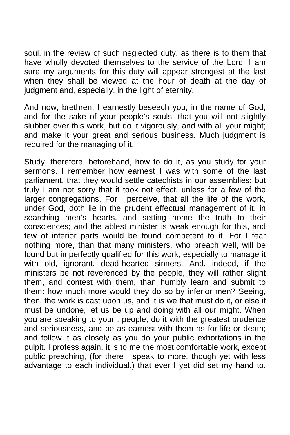soul, in the review of such neglected duty, as there is to them that have wholly devoted themselves to the service of the Lord. I am sure my arguments for this duty will appear strongest at the last when they shall be viewed at the hour of death at the day of judgment and, especially, in the light of eternity.

And now, brethren, I earnestly beseech you, in the name of God, and for the sake of your people's souls, that you will not slightly slubber over this work, but do it vigorously, and with all your might; and make it your great and serious business. Much judgment is required for the managing of it.

Study, therefore, beforehand, how to do it, as you study for your sermons. I remember how earnest I was with some of the last parliament, that they would settle catechists in our assemblies; but truly I am not sorry that it took not effect, unless for a few of the larger congregations. For I perceive, that all the life of the work, under God, doth lie in the prudent effectual management of it, in searching men's hearts, and setting home the truth to their consciences; and the ablest minister is weak enough for this, and few of inferior parts would be found competent to it. For I fear nothing more, than that many ministers, who preach well, will be found but imperfectly qualified for this work, especially to manage it with old, ignorant, dead-hearted sinners. And, indeed, if the ministers be not reverenced by the people, they will rather slight them, and contest with them, than humbly learn and submit to them: how much more would they do so by inferior men? Seeing, then, the work is cast upon us, and it is we that must do it, or else it must be undone, let us be up and doing with all our might. When you are speaking to your . people, do it with the greatest prudence and seriousness, and be as earnest with them as for life or death; and follow it as closely as you do your public exhortations in the pulpit. I profess again, it is to me the most comfortable work, except public preaching, (for there I speak to more, though yet with less advantage to each individual,) that ever I yet did set my hand to.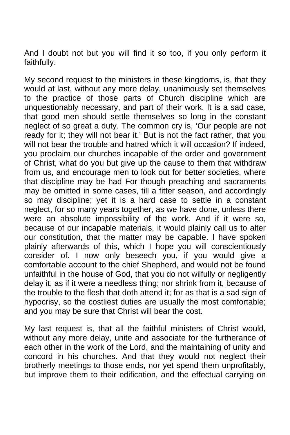And I doubt not but you will find it so too, if you only perform it faithfully.

My second request to the ministers in these kingdoms, is, that they would at last, without any more delay, unanimously set themselves to the practice of those parts of Church discipline which are unquestionably necessary, and part of their work. It is a sad case, that good men should settle themselves so long in the constant neglect of so great a duty. The common cry is, 'Our people are not ready for it; they will not bear it.' But is not the fact rather, that you will not bear the trouble and hatred which it will occasion? If indeed, you proclaim our churches incapable of the order and government of Christ, what do you but give up the cause to them that withdraw from us, and encourage men to look out for better societies, where that discipline may be had For though preaching and sacraments may be omitted in some cases, till a fitter season, and accordingly so may discipline; yet it is a hard case to settle in a constant neglect, for so many years together, as we have done, unless there were an absolute impossibility of the work. And if it were so, because of our incapable materials, it would plainly call us to alter our constitution, that the matter may be capable. I have spoken plainly afterwards of this, which I hope you will conscientiously consider of. I now only beseech you, if you would give a comfortable account to the chief Shepherd, and would not be found unfaithful in the house of God, that you do not wilfully or negligently delay it, as if it were a needless thing; nor shrink from it, because of the trouble to the flesh that doth attend it; for as that is a sad sign of hypocrisy, so the costliest duties are usually the most comfortable; and you may be sure that Christ will bear the cost.

My last request is, that all the faithful ministers of Christ would, without any more delay, unite and associate for the furtherance of each other in the work of the Lord, and the maintaining of unity and concord in his churches. And that they would not neglect their brotherly meetings to those ends, nor yet spend them unprofitably, but improve them to their edification, and the effectual carrying on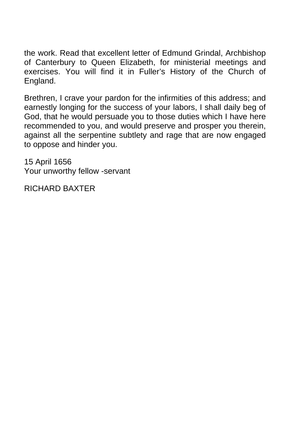the work. Read that excellent letter of Edmund Grindal, Archbishop of Canterbury to Queen Elizabeth, for ministerial meetings and exercises. You will find it in Fuller's History of the Church of England.

Brethren, I crave your pardon for the infirmities of this address; and earnestly longing for the success of your labors, I shall daily beg of God, that he would persuade you to those duties which I have here recommended to you, and would preserve and prosper you therein, against all the serpentine subtlety and rage that are now engaged to oppose and hinder you.

15 April 1656 Your unworthy fellow -servant

RICHARD BAXTER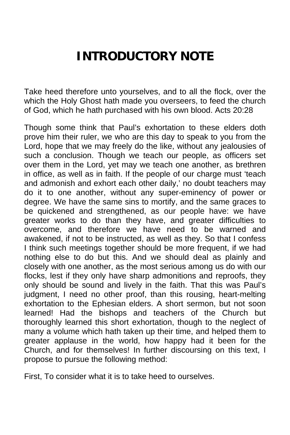## **INTRODUCTORY NOTE**

Take heed therefore unto yourselves, and to all the flock, over the which the Holy Ghost hath made you overseers, to feed the church of God, which he hath purchased with his own blood. Acts 20:28

Though some think that Paul's exhortation to these elders doth prove him their ruler, we who are this day to speak to you from the Lord, hope that we may freely do the like, without any jealousies of such a conclusion. Though we teach our people, as officers set over them in the Lord, yet may we teach one another, as brethren in office, as well as in faith. If the people of our charge must 'teach and admonish and exhort each other daily,' no doubt teachers may do it to one another, without any super-eminency of power or degree. We have the same sins to mortify, and the same graces to be quickened and strengthened, as our people have: we have greater works to do than they have, and greater difficulties to overcome, and therefore we have need to be warned and awakened, if not to be instructed, as well as they. So that I confess I think such meetings together should be more frequent, if we had nothing else to do but this. And we should deal as plainly and closely with one another, as the most serious among us do with our flocks, lest if they only have sharp admonitions and reproofs, they only should be sound and lively in the faith. That this was Paul's judgment, I need no other proof, than this rousing, heart-melting exhortation to the Ephesian elders. A short sermon, but not soon learned! Had the bishops and teachers of the Church but thoroughly learned this short exhortation, though to the neglect of many a volume which hath taken up their time, and helped them to greater applause in the world, how happy had it been for the Church, and for themselves! In further discoursing on this text, I propose to pursue the following method:

First, To consider what it is to take heed to ourselves.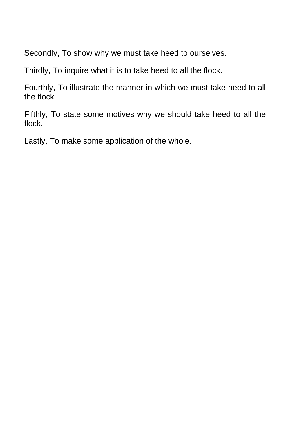Secondly, To show why we must take heed to ourselves.

Thirdly, To inquire what it is to take heed to all the flock.

Fourthly, To illustrate the manner in which we must take heed to all the flock.

Fifthly, To state some motives why we should take heed to all the flock.

Lastly, To make some application of the whole.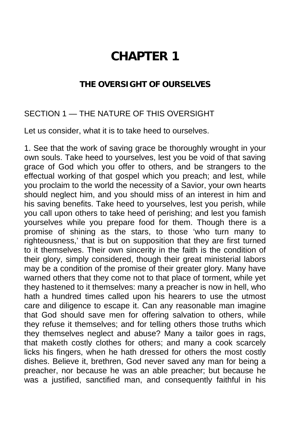### **CHAPTER 1**

### **THE OVERSIGHT OF OURSELVES**

#### SECTION 1 — THE NATURE OF THIS OVERSIGHT

Let us consider, what it is to take heed to ourselves.

1. See that the work of saving grace be thoroughly wrought in your own souls. Take heed to yourselves, lest you be void of that saving grace of God which you offer to others, and be strangers to the effectual working of that gospel which you preach; and lest, while you proclaim to the world the necessity of a Savior, your own hearts should neglect him, and you should miss of an interest in him and his saving benefits. Take heed to yourselves, lest you perish, while you call upon others to take heed of perishing; and lest you famish yourselves while you prepare food for them. Though there is a promise of shining as the stars, to those 'who turn many to righteousness,' that is but on supposition that they are first turned to it themselves. Their own sincerity in the faith is the condition of their glory, simply considered, though their great ministerial labors may be a condition of the promise of their greater glory. Many have warned others that they come not to that place of torment, while yet they hastened to it themselves: many a preacher is now in hell, who hath a hundred times called upon his hearers to use the utmost care and diligence to escape it. Can any reasonable man imagine that God should save men for offering salvation to others, while they refuse it themselves; and for telling others those truths which they themselves neglect and abuse? Many a tailor goes in rags, that maketh costly clothes for others; and many a cook scarcely licks his fingers, when he hath dressed for others the most costly dishes. Believe it, brethren, God never saved any man for being a preacher, nor because he was an able preacher; but because he was a justified, sanctified man, and consequently faithful in his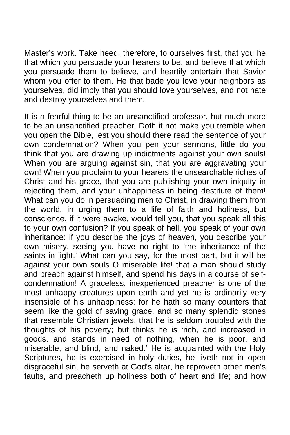Master's work. Take heed, therefore, to ourselves first, that you he that which you persuade your hearers to be, and believe that which you persuade them to believe, and heartily entertain that Savior whom you offer to them. He that bade you love your neighbors as yourselves, did imply that you should love yourselves, and not hate and destroy yourselves and them.

It is a fearful thing to be an unsanctified professor, hut much more to be an unsanctified preacher. Doth it not make you tremble when you open the Bible, lest you should there read the sentence of your own condemnation? When you pen your sermons, little do you think that you are drawing up indictments against your own souls! When you are arguing against sin, that you are aggravating your own! When you proclaim to your hearers the unsearchable riches of Christ and his grace, that you are publishing your own iniquity in rejecting them, and your unhappiness in being destitute of them! What can you do in persuading men to Christ, in drawing them from the world, in urging them to a life of faith and holiness, but conscience, if it were awake, would tell you, that you speak all this to your own confusion? If you speak of hell, you speak of your own inheritance: if you describe the joys of heaven, you describe your own misery, seeing you have no right to 'the inheritance of the saints in light.' What can you say, for the most part, but it will be against your own souls O miserable life! that a man should study and preach against himself, and spend his days in a course of selfcondemnation! A graceless, inexperienced preacher is one of the most unhappy creatures upon earth and yet he is ordinarily very insensible of his unhappiness; for he hath so many counters that seem like the gold of saving grace, and so many splendid stones that resemble Christian jewels, that he is seldom troubled with the thoughts of his poverty; but thinks he is 'rich, and increased in goods, and stands in need of nothing, when he is poor, and miserable, and blind, and naked.' He is acquainted with the Holy Scriptures, he is exercised in holy duties, he liveth not in open disgraceful sin, he serveth at God's altar, he reproveth other men's faults, and preacheth up holiness both of heart and life; and how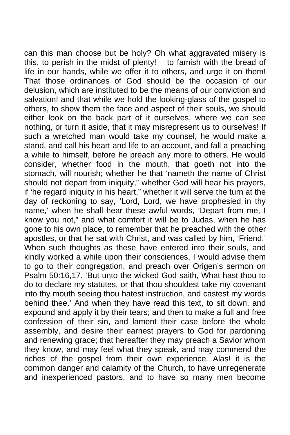can this man choose but be holy? Oh what aggravated misery is this, to perish in the midst of plenty! – to famish with the bread of life in our hands, while we offer it to others, and urge it on them! That those ordinances of God should be the occasion of our delusion, which are instituted to be the means of our conviction and salvation! and that while we hold the looking-glass of the gospel to others, to show them the face and aspect of their souls, we should either look on the back part of it ourselves, where we can see nothing, or turn it aside, that it may misrepresent us to ourselves! If such a wretched man would take my counsel, he would make a stand, and call his heart and life to an account, and fall a preaching a while to himself, before he preach any more to others. He would consider, whether food in the mouth, that goeth not into the stomach, will nourish; whether he that 'nameth the name of Christ should not depart from iniquity," whether God will hear his prayers, if 'he regard iniquity in his heart," whether it will serve the turn at the day of reckoning to say, 'Lord, Lord, we have prophesied in thy name,' when he shall hear these awful words, 'Depart from me, I know you not," and what comfort it will be to Judas, when he has gone to his own place, to remember that he preached with the other apostles, or that he sat with Christ, and was called by him, 'Friend.' When such thoughts as these have entered into their souls, and kindly worked a while upon their consciences, I would advise them to go to their congregation, and preach over Origen's sermon on Psalm 50:16,17. 'But unto the wicked God saith, What hast thou to do to declare my statutes, or that thou shouldest take my covenant into thy mouth seeing thou hatest instruction, and castest my words behind thee.' And when they have read this text, to sit down, and expound and apply it by their tears; and then to make a full and free confession of their sin, and lament their case before the whole assembly, and desire their earnest prayers to God for pardoning and renewing grace; that hereafter they may preach a Savior whom they know, and may feel what they speak, and may commend the riches of the gospel from their own experience. Alas! it is the common danger and calamity of the Church, to have unregenerate and inexperienced pastors, and to have so many men become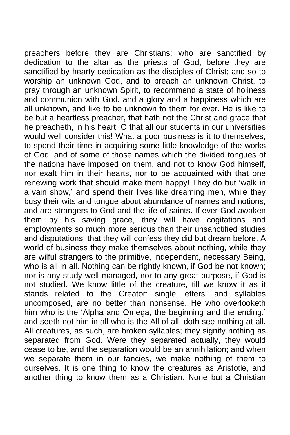preachers before they are Christians; who are sanctified by dedication to the altar as the priests of God, before they are sanctified by hearty dedication as the disciples of Christ; and so to worship an unknown God, and to preach an unknown Christ, to pray through an unknown Spirit, to recommend a state of holiness and communion with God, and a glory and a happiness which are all unknown, and like to be unknown to them for ever. He is like to be but a heartless preacher, that hath not the Christ and grace that he preacheth, in his heart. O that all our students in our universities would well consider this! What a poor business is it to themselves, to spend their time in acquiring some little knowledge of the works of God, and of some of those names which the divided tongues of the nations have imposed on them, and not to know God himself, nor exalt him in their hearts, nor to be acquainted with that one renewing work that should make them happy! They do but 'walk in a vain show,' and spend their lives like dreaming men, while they busy their wits and tongue about abundance of names and notions, and are strangers to God and the life of saints. If ever God awaken them by his saving grace, they will have cogitations and employments so much more serious than their unsanctified studies and disputations, that they will confess they did but dream before. A world of business they make themselves about nothing, while they are wilful strangers to the primitive, independent, necessary Being, who is all in all. Nothing can be rightly known, if God be not known; nor is any study well managed, nor to any great purpose, if God is not studied. We know little of the creature, till we know it as it stands related to the Creator: single letters, and syllables uncomposed, are no better than nonsense. He who overlooketh him who is the 'Alpha and Omega, the beginning and the ending,' and seeth not him in all who is the All of all, doth see nothing at all. All creatures, as such, are broken syllables; they signify nothing as separated from God. Were they separated actually, they would cease to be, and the separation would be an annihilation; and when we separate them in our fancies, we make nothing of them to ourselves. It is one thing to know the creatures as Aristotle, and another thing to know them as a Christian. None but a Christian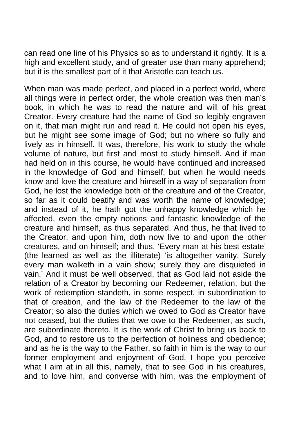can read one line of his Physics so as to understand it rightly. It is a high and excellent study, and of greater use than many apprehend; but it is the smallest part of it that Aristotle can teach us.

When man was made perfect, and placed in a perfect world, where all things were in perfect order, the whole creation was then man's book, in which he was to read the nature and will of his great Creator. Every creature had the name of God so legibly engraven on it, that man might run and read it. He could not open his eyes, but he might see some image of God; but no where so fully and lively as in himself. It was, therefore, his work to study the whole volume of nature, but first and most to study himself. And if man had held on in this course, he would have continued and increased in the knowledge of God and himself; but when he would needs know and love the creature and himself in a way of separation from God, he lost the knowledge both of the creature and of the Creator, so far as it could beatify and was worth the name of knowledge; and instead of it, he hath got the unhappy knowledge which he affected, even the empty notions and fantastic knowledge of the creature and himself, as thus separated. And thus, he that lived to the Creator, and upon him, doth now live to and upon the other creatures, and on himself; and thus, 'Every man at his best estate' (the learned as well as the illiterate) 'is altogether vanity. Surely every man walketh in a vain show; surely they are disquieted in vain.' And it must be well observed, that as God laid not aside the relation of a Creator by becoming our Redeemer, relation, but the work of redemption standeth, in some respect, in subordination to that of creation, and the law of the Redeemer to the law of the Creator; so also the duties which we owed to God as Creator have not ceased, but the duties that we owe to the Redeemer, as such, are subordinate thereto. It is the work of Christ to bring us back to God, and to restore us to the perfection of holiness and obedience; and as he is the way to the Father, so faith in him is the way to our former employment and enjoyment of God. I hope you perceive what I aim at in all this, namely, that to see God in his creatures, and to love him, and converse with him, was the employment of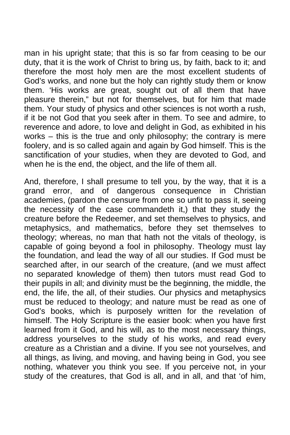man in his upright state; that this is so far from ceasing to be our duty, that it is the work of Christ to bring us, by faith, back to it; and therefore the most holy men are the most excellent students of God's works, and none but the holy can rightly study them or know them. 'His works are great, sought out of all them that have pleasure therein," but not for themselves, but for him that made them. Your study of physics and other sciences is not worth a rush, if it be not God that you seek after in them. To see and admire, to reverence and adore, to love and delight in God, as exhibited in his works – this is the true and only philosophy; the contrary is mere foolery, and is so called again and again by God himself. This is the sanctification of your studies, when they are devoted to God, and when he is the end, the object, and the life of them all.

And, therefore, I shall presume to tell you, by the way, that it is a grand error, and of dangerous consequence in Christian academies, (pardon the censure from one so unfit to pass it, seeing the necessity of the case commandeth it,) that they study the creature before the Redeemer, and set themselves to physics, and metaphysics, and mathematics, before they set themselves to theology; whereas, no man that hath not the vitals of theology, is capable of going beyond a fool in philosophy. Theology must lay the foundation, and lead the way of all our studies. If God must be searched after, in our search of the creature, (and we must affect no separated knowledge of them) then tutors must read God to their pupils in all; and divinity must be the beginning, the middle, the end, the life, the all, of their studies. Our physics and metaphysics must be reduced to theology; and nature must be read as one of God's books, which is purposely written for the revelation of himself. The Holy Scripture is the easier book: when you have first learned from it God, and his will, as to the most necessary things, address yourselves to the study of his works, and read every creature as a Christian and a divine. If you see not yourselves, and all things, as living, and moving, and having being in God, you see nothing, whatever you think you see. If you perceive not, in your study of the creatures, that God is all, and in all, and that 'of him,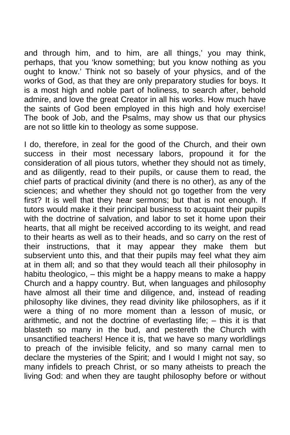and through him, and to him, are all things,' you may think, perhaps, that you 'know something; but you know nothing as you ought to know.' Think not so basely of your physics, and of the works of God, as that they are only preparatory studies for boys. It is a most high and noble part of holiness, to search after, behold admire, and love the great Creator in all his works. How much have the saints of God been employed in this high and holy exercise! The book of Job, and the Psalms, may show us that our physics are not so little kin to theology as some suppose.

I do, therefore, in zeal for the good of the Church, and their own success in their most necessary labors, propound it for the consideration of all pious tutors, whether they should not as timely, and as diligently, read to their pupils, or cause them to read, the chief parts of practical divinity (and there is no other), as any of the sciences; and whether they should not go together from the very first? It is well that they hear sermons; but that is not enough. If tutors would make it their principal business to acquaint their pupils with the doctrine of salvation, and labor to set it home upon their hearts, that all might be received according to its weight, and read to their hearts as well as to their heads, and so carry on the rest of their instructions, that it may appear they make them but subservient unto this, and that their pupils may feel what they aim at in them all; and so that they would teach all their philosophy in habitu theologico, – this might be a happy means to make a happy Church and a happy country. But, when languages and philosophy have almost all their time and diligence, and, instead of reading philosophy like divines, they read divinity like philosophers, as if it were a thing of no more moment than a lesson of music, or arithmetic, and not the doctrine of everlasting life; – this it is that blasteth so many in the bud, and pestereth the Church with unsanctified teachers! Hence it is, that we have so many worldlings to preach of the invisible felicity, and so many carnal men to declare the mysteries of the Spirit; and I would I might not say, so many infidels to preach Christ, or so many atheists to preach the living God: and when they are taught philosophy before or without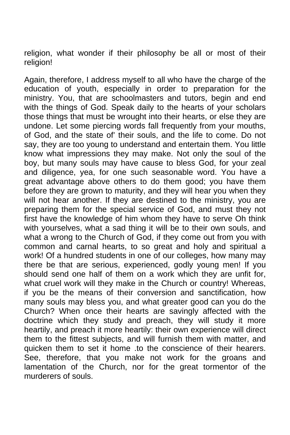religion, what wonder if their philosophy be all or most of their religion!

Again, therefore, I address myself to all who have the charge of the education of youth, especially in order to preparation for the ministry. You, that are schoolmasters and tutors, begin and end with the things of God. Speak daily to the hearts of your scholars those things that must be wrought into their hearts, or else they are undone. Let some piercing words fall frequently from your mouths, of God, and the state of' their souls, and the life to come. Do not say, they are too young to understand and entertain them. You little know what impressions they may make. Not only the soul of the boy, but many souls may have cause to bless God, for your zeal and diligence, yea, for one such seasonable word. You have a great advantage above others to do them good; you have them before they are grown to maturity, and they will hear you when they will not hear another. If they are destined to the ministry, you are preparing them for the special service of God, and must they not first have the knowledge of him whom they have to serve Oh think with yourselves, what a sad thing it will be to their own souls, and what a wrong to the Church of God, if they come out from you with common and carnal hearts, to so great and holy and spiritual a work! Of a hundred students in one of our colleges, how many may there be that are serious, experienced, godly young men! If you should send one half of them on a work which they are unfit for, what cruel work will they make in the Church or country! Whereas, if you be the means of their conversion and sanctification, how many souls may bless you, and what greater good can you do the Church? When once their hearts are savingly affected with the doctrine which they study and preach, they will study it more heartily, and preach it more heartily: their own experience will direct them to the fittest subjects, and will furnish them with matter, and quicken them to set it home .to the conscience of their hearers. See, therefore, that you make not work for the groans and lamentation of the Church, nor for the great tormentor of the murderers of souls.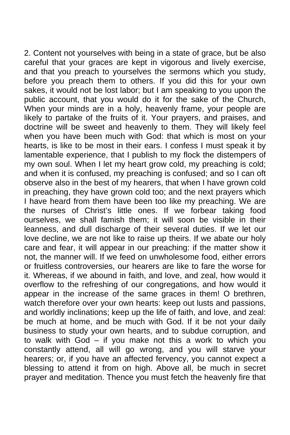2. Content not yourselves with being in a state of grace, but be also careful that your graces are kept in vigorous and lively exercise, and that you preach to yourselves the sermons which you study, before you preach them to others. If you did this for your own sakes, it would not be lost labor; but I am speaking to you upon the public account, that you would do it for the sake of the Church, When your minds are in a holy, heavenly frame, your people are likely to partake of the fruits of it. Your prayers, and praises, and doctrine will be sweet and heavenly to them. They will likely feel when you have been much with God: that which is most on your hearts, is like to be most in their ears. I confess I must speak it by lamentable experience, that I publish to my flock the distempers of my own soul. When I let my heart grow cold, my preaching is cold; and when it is confused, my preaching is confused; and so I can oft observe also in the best of my hearers, that when I have grown cold in preaching, they have grown cold too; and the next prayers which I have heard from them have been too like my preaching. We are the nurses of Christ's little ones. If we forbear taking food ourselves, we shall famish them; it will soon be visible in their leanness, and dull discharge of their several duties. If we let our love decline, we are not like to raise up theirs. If we abate our holy care and fear, it will appear in our preaching: if the matter show it not, the manner will. If we feed on unwholesome food, either errors or fruitless controversies, our hearers are like to fare the worse for it. Whereas, if we abound in faith, and love, and zeal, how would it overflow to the refreshing of our congregations, and how would it appear in the increase of the same graces in them! O brethren, watch therefore over your own hearts: keep out lusts and passions, and worldly inclinations; keep up the life of faith, and love, and zeal: be much at home, and be much with God. If it be not your daily business to study your own hearts, and to subdue corruption, and to walk with God – if you make not this a work to which you constantly attend, all will go wrong, and you will starve your hearers; or, if you have an affected fervency, you cannot expect a blessing to attend it from on high. Above all, be much in secret prayer and meditation. Thence you must fetch the heavenly fire that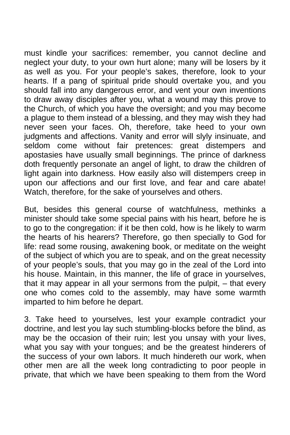must kindle your sacrifices: remember, you cannot decline and neglect your duty, to your own hurt alone; many will be losers by it as well as you. For your people's sakes, therefore, look to your hearts. If a pang of spiritual pride should overtake you, and you should fall into any dangerous error, and vent your own inventions to draw away disciples after you, what a wound may this prove to the Church, of which you have the oversight; and you may become a plague to them instead of a blessing, and they may wish they had never seen your faces. Oh, therefore, take heed to your own judgments and affections. Vanity and error will slyly insinuate, and seldom come without fair pretences: great distempers and apostasies have usually small beginnings. The prince of darkness doth frequently personate an angel of light, to draw the children of light again into darkness. How easily also will distempers creep in upon our affections and our first love, and fear and care abate! Watch, therefore, for the sake of yourselves and others.

But, besides this general course of watchfulness, methinks a minister should take some special pains with his heart, before he is to go to the congregation: if it be then cold, how is he likely to warm the hearts of his hearers? Therefore, go then specially to God for life: read some rousing, awakening book, or meditate on the weight of the subject of which you are to speak, and on the great necessity of your people's souls, that you may go in the zeal of the Lord into his house. Maintain, in this manner, the life of grace in yourselves, that it may appear in all your sermons from the pulpit, – that every one who comes cold to the assembly, may have some warmth imparted to him before he depart.

3. Take heed to yourselves, lest your example contradict your doctrine, and lest you lay such stumbling-blocks before the blind, as may be the occasion of their ruin; lest you unsay with your lives, what you say with your tongues; and be the greatest hinderers of the success of your own labors. It much hindereth our work, when other men are all the week long contradicting to poor people in private, that which we have been speaking to them from the Word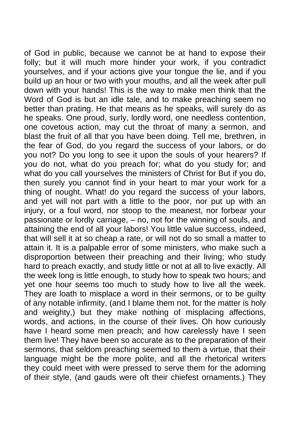of God in public, because we cannot be at hand to expose their folly; but it will much more hinder your work, if you contradict yourselves, and if your actions give your tongue the lie, and if you build up an hour or two with your mouths, and all the week after pull down with your hands! This is the way to make men think that the Word of God is but an idle tale, and to make preaching seem no better than prating. He that means as he speaks, will surely do as he speaks. One proud, surly, lordly word, one needless contention, one covetous action, may cut the throat of many a sermon, and blast the fruit of all that you have been doing. Tell me, brethren, in the fear of God, do you regard the success of your labors, or do you not? Do you long to see it upon the souls of your hearers? If you do not, what do you preach for; what do you study for; and what do you call yourselves the ministers of Christ for But if you do, then surely you cannot find in your heart to mar your work for a thing of nought. What! do you regard the success of your labors, and yet will not part with a little to the poor, nor put up with an injury, or a foul word, nor stoop to the meanest, nor forbear your passionate or lordly carriage, – no, not for the winning of souls, and attaining the end of all your labors! You little value success, indeed, that will sell it at so cheap a rate, or will not do so small a matter to attain it. It is a palpable error of some ministers, who make such a disproportion between their preaching and their living; who study hard to preach exactly, and study little or not at all to live exactly. All the week long is little enough, to study how to speak two hours; and yet one hour seems too much to study how to live all the week. They are loath to misplace a word in their sermons, or to be guilty of any notable infirmity, (and I blame them not, for the matter is holy and weighty,) but they make nothing of misplacing affections, words, and actions, in the course of their lives. Oh how curiously have I heard some men preach; and how carelessly have I seen them live! They have been so accurate as to the preparation of their sermons, that seldom preaching seemed to them a virtue, that their language might be the more polite, and all the rhetorical writers they could meet with were pressed to serve them for the adorning of their style, (and gauds were oft their chiefest ornaments.) They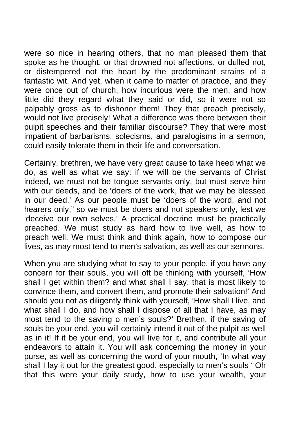were so nice in hearing others, that no man pleased them that spoke as he thought, or that drowned not affections, or dulled not, or distempered not the heart by the predominant strains of a fantastic wit. And yet, when it came to matter of practice, and they were once out of church, how incurious were the men, and how little did they regard what they said or did, so it were not so palpably gross as to dishonor them! They that preach precisely, would not live precisely! What a difference was there between their pulpit speeches and their familiar discourse? They that were most impatient of barbarisms, solecisms, and paralogisms in a sermon, could easily tolerate them in their life and conversation.

Certainly, brethren, we have very great cause to take heed what we do, as well as what we say: if we will be the servants of Christ indeed, we must not be tongue servants only, but must serve him with our deeds, and be 'doers of the work, that we may be blessed in our deed.' As our people must be 'doers of the word, and not hearers only," so we must be doers and not speakers only, lest we 'deceive our own selves.' A practical doctrine must be practically preached. We must study as hard how to live well, as how to preach well. We must think and think again, how to compose our lives, as may most tend to men's salvation, as well as our sermons.

When you are studying what to say to your people, if you have any concern for their souls, you will oft be thinking with yourself, 'How shall I get within them? and what shall I say, that is most likely to convince them, and convert them, and promote their salvation!' And should you not as diligently think with yourself, 'How shall I live, and what shall I do, and how shall I dispose of all that I have, as may most tend to the saving o men's souls?' Brethen, if the saving of souls be your end, you will certainly intend it out of the pulpit as well as in it! If it be your end, you will live for it, and contribute all your endeavors to attain it. You will ask concerning the money in your purse, as well as concerning the word of your mouth, 'In what way shall I lay it out for the greatest good, especially to men's souls ' Oh that this were your daily study, how to use your wealth, your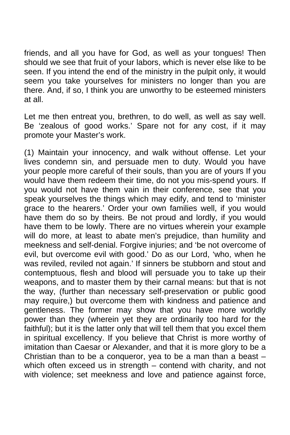friends, and all you have for God, as well as your tongues! Then should we see that fruit of your labors, which is never else like to be seen. If you intend the end of the ministry in the pulpit only, it would seem you take yourselves for ministers no longer than you are there. And, if so, I think you are unworthy to be esteemed ministers at all.

Let me then entreat you, brethren, to do well, as well as say well. Be 'zealous of good works.' Spare not for any cost, if it may promote your Master's work.

(1) Maintain your innocency, and walk without offense. Let your lives condemn sin, and persuade men to duty. Would you have your people more careful of their souls, than you are of yours If you would have them redeem their time, do not you mis-spend yours. If you would not have them vain in their conference, see that you speak yourselves the things which may edify, and tend to 'minister grace to the hearers.' Order your own families well, if you would have them do so by theirs. Be not proud and lordly, if you would have them to be lowly. There are no virtues wherein your example will do more, at least to abate men's prejudice, than humility and meekness and self-denial. Forgive injuries; and 'be not overcome of evil, but overcome evil with good.' Do as our Lord, 'who, when he was reviled, reviled not again.' If sinners be stubborn and stout and contemptuous, flesh and blood will persuade you to take up their weapons, and to master them by their carnal means: but that is not the way, (further than necessary self-preservation or public good may require,) but overcome them with kindness and patience and gentleness. The former may show that you have more worldly power than they (wherein yet they are ordinarily too hard for the faithful); but it is the latter only that will tell them that you excel them in spiritual excellency. If you believe that Christ is more worthy of imitation than Caesar or Alexander, and that it is more glory to be a Christian than to be a conqueror, yea to be a man than a beast  $$ which often exceed us in strength – contend with charity, and not with violence; set meekness and love and patience against force,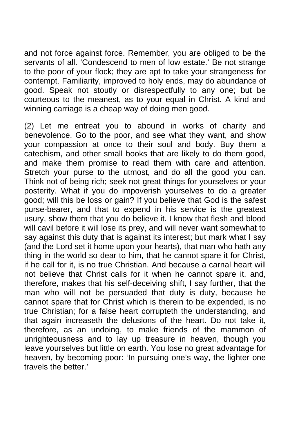and not force against force. Remember, you are obliged to be the servants of all. 'Condescend to men of low estate.' Be not strange to the poor of your flock; they are apt to take your strangeness for contempt. Familiarity, improved to holy ends, may do abundance of good. Speak not stoutly or disrespectfully to any one; but be courteous to the meanest, as to your equal in Christ. A kind and winning carriage is a cheap way of doing men good.

(2) Let me entreat you to abound in works of charity and benevolence. Go to the poor, and see what they want, and show your compassion at once to their soul and body. Buy them a catechism, and other small books that are likely to do them good, and make them promise to read them with care and attention. Stretch your purse to the utmost, and do all the good you can. Think not of being rich; seek not great things for yourselves or your posterity. What if you do impoverish yourselves to do a greater good; will this be loss or gain? If you believe that God is the safest purse-bearer, and that to expend in his service is the greatest usury, show them that you do believe it. I know that flesh and blood will cavil before it will lose its prey, and will never want somewhat to say against this duty that is against its interest; but mark what I say (and the Lord set it home upon your hearts), that man who hath any thing in the world so dear to him, that he cannot spare it for Christ, if he call for it, is no true Christian. And because a carnal heart will not believe that Christ calls for it when he cannot spare it, and, therefore, makes that his self-deceiving shift, I say further, that the man who will not be persuaded that duty is duty, because he cannot spare that for Christ which is therein to be expended, is no true Christian; for a false heart corrupteth the understanding, and that again increaseth the delusions of the heart. Do not take it, therefore, as an undoing, to make friends of the mammon of unrighteousness and to lay up treasure in heaven, though you leave yourselves but little on earth. You lose no great advantage for heaven, by becoming poor: 'In pursuing one's way, the lighter one travels the better.'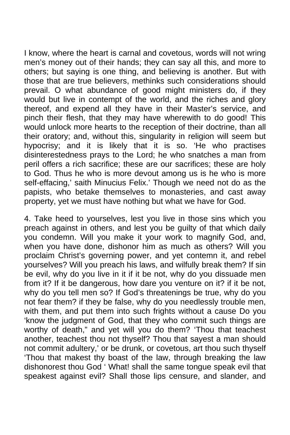I know, where the heart is carnal and covetous, words will not wring men's money out of their hands; they can say all this, and more to others; but saying is one thing, and believing is another. But with those that are true believers, methinks such considerations should prevail. O what abundance of good might ministers do, if they would but live in contempt of the world, and the riches and glory thereof, and expend all they have in their Master's service, and pinch their flesh, that they may have wherewith to do good! This would unlock more hearts to the reception of their doctrine, than all their oratory; and, without this, singularity in religion will seem but hypocrisy; and it is likely that it is so. 'He who practises disinterestedness prays to the Lord; he who snatches a man from peril offers a rich sacrifice; these are our sacrifices; these are holy to God. Thus he who is more devout among us is he who is more self-effacing,' saith Minucius Felix.' Though we need not do as the papists, who betake themselves to monasteries, and cast away property, yet we must have nothing but what we have for God.

4. Take heed to yourselves, lest you live in those sins which you preach against in others, and lest you be guilty of that which daily you condemn. Will you make it your work to magnify God, and, when you have done, dishonor him as much as others? Will you proclaim Christ's governing power, and yet contemn it, and rebel yourselves? Will you preach his laws, and wilfully break them? If sin be evil, why do you live in it if it be not, why do you dissuade men from it? If it be dangerous, how dare you venture on it? if it be not, why do you tell men so? If God's threatenings be true, why do you not fear them? if they be false, why do you needlessly trouble men, with them, and put them into such frights without a cause Do you 'know the judgment of God, that they who commit such things are worthy of death," and yet will you do them? 'Thou that teachest another, teachest thou not thyself? Thou that sayest a man should not commit adultery,' or be drunk, or covetous, art thou such thyself 'Thou that makest thy boast of the law, through breaking the law dishonorest thou God ' What! shall the same tongue speak evil that speakest against evil? Shall those lips censure, and slander, and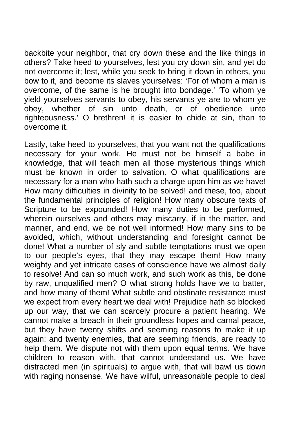backbite your neighbor, that cry down these and the like things in others? Take heed to yourselves, lest you cry down sin, and yet do not overcome it; lest, while you seek to bring it down in others, you bow to it, and become its slaves yourselves: 'For of whom a man is overcome, of the same is he brought into bondage.' 'To whom ye yield yourselves servants to obey, his servants ye are to whom ye obey, whether of sin unto death, or of obedience unto righteousness.' O brethren! it is easier to chide at sin, than to overcome it.

Lastly, take heed to yourselves, that you want not the qualifications necessary for your work. He must not be himself a babe in knowledge, that will teach men all those mysterious things which must be known in order to salvation. O what qualifications are necessary for a man who hath such a charge upon him as we have! How many difficulties in divinity to be solved! and these, too, about the fundamental principles of religion! How many obscure texts of Scripture to be expounded! How many duties to be performed, wherein ourselves and others may miscarry, if in the matter, and manner, and end, we be not well informed! How many sins to be avoided, which, without understanding and foresight cannot be done! What a number of sly and subtle temptations must we open to our people's eyes, that they may escape them! How many weighty and yet intricate cases of conscience have we almost daily to resolve! And can so much work, and such work as this, be done by raw, unqualified men? O what strong holds have we to batter, and how many of them! What subtle and obstinate resistance must we expect from every heart we deal with! Prejudice hath so blocked up our way, that we can scarcely procure a patient hearing. We cannot make a breach in their groundless hopes and carnal peace, but they have twenty shifts and seeming reasons to make it up again; and twenty enemies, that are seeming friends, are ready to help them. We dispute not with them upon equal terms. We have children to reason with, that cannot understand us. We have distracted men (in spirituals) to argue with, that will bawl us down with raging nonsense. We have wilful, unreasonable people to deal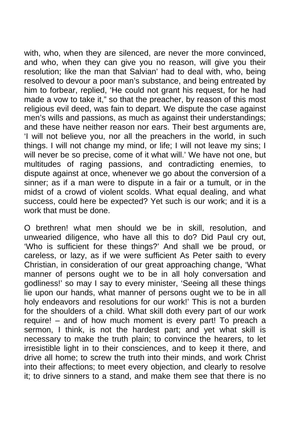with, who, when they are silenced, are never the more convinced, and who, when they can give you no reason, will give you their resolution; like the man that Salvian' had to deal with, who, being resolved to devour a poor man's substance, and being entreated by him to forbear, replied, 'He could not grant his request, for he had made a vow to take it," so that the preacher, by reason of this most religious evil deed, was fain to depart. We dispute the case against men's wills and passions, as much as against their understandings; and these have neither reason nor ears. Their best arguments are, 'I will not believe you, nor all the preachers in the world, in such things. I will not change my mind, or life; I will not leave my sins; I will never be so precise, come of it what will.' We have not one, but multitudes of raging passions, and contradicting enemies, to dispute against at once, whenever we go about the conversion of a sinner; as if a man were to dispute in a fair or a tumult, or in the midst of a crowd of violent scolds. What equal dealing, and what success, could here be expected? Yet such is our work; and it is a work that must be done.

O brethren! what men should we be in skill, resolution, and unwearied diligence, who have all this to do? Did Paul cry out, 'Who is sufficient for these things?' And shall we be proud, or careless, or lazy, as if we were sufficient As Peter saith to every Christian, in consideration of our great approaching change, 'What manner of persons ought we to be in all holy conversation and godliness!' so may I say to every minister, 'Seeing all these things lie upon our hands, what manner of persons ought we to be in all holy endeavors and resolutions for our work!' This is not a burden for the shoulders of a child. What skill doth every part of our work require! – and of how much moment is every part! To preach a sermon, I think, is not the hardest part; and yet what skill is necessary to make the truth plain; to convince the hearers, to let irresistible light in to their consciences, and to keep it there, and drive all home; to screw the truth into their minds, and work Christ into their affections; to meet every objection, and clearly to resolve it; to drive sinners to a stand, and make them see that there is no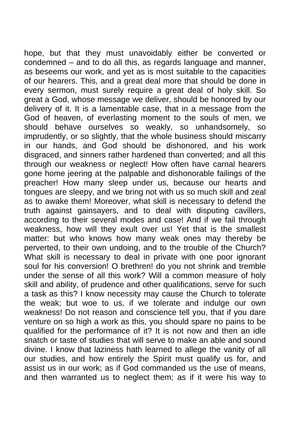hope, but that they must unavoidably either be converted or condemned – and to do all this, as regards language and manner, as beseems our work, and yet as is most suitable to the capacities of our hearers. This, and a great deal more that should be done in every sermon, must surely require a great deal of holy skill. So great a God, whose message we deliver, should be honored by our delivery of it. It is a lamentable case, that in a message from the God of heaven, of everlasting moment to the souls of men, we should behave ourselves so weakly, so unhandsomely, so imprudently, or so slightly, that the whole business should miscarry in our hands, and God should be dishonored, and his work disgraced, and sinners rather hardened than converted; and all this through our weakness or neglect! How often have carnal hearers gone home jeering at the palpable and dishonorable failings of the preacher! How many sleep under us, because our hearts and tongues are sleepy, and we bring not with us so much skill and zeal as to awake them! Moreover, what skill is necessary to defend the truth against gainsayers, and to deal with disputing cavillers, according to their several modes and case! And if we fail through weakness, how will they exult over us! Yet that is the smallest matter: but who knows how many weak ones may thereby be perverted, to their own undoing, and to the trouble of the Church? What skill is necessary to deal in private with one poor ignorant soul for his conversion! O brethren! do you not shrink and tremble under the sense of all this work? Will a common measure of holy skill and ability, of prudence and other qualifications, serve for such a task as this? I know necessity may cause the Church to tolerate the weak; but woe to us, if we tolerate and indulge our own weakness! Do not reason and conscience tell you, that if you dare venture on so high a work as this, you should spare no pains to be qualified for the performance of it? It is not now and then an idle snatch or taste of studies that will serve to make an able and sound divine. I know that laziness hath learned to allege the vanity of all our studies, and how entirely the Spirit must qualify us for, and assist us in our work; as if God commanded us the use of means, and then warranted us to neglect them; as if it were his way to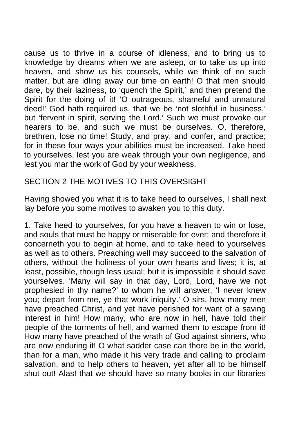cause us to thrive in a course of idleness, and to bring us to knowledge by dreams when we are asleep, or to take us up into heaven, and show us his counsels, while we think of no such matter, but are idling away our time on earth! O that men should dare, by their laziness, to 'quench the Spirit,' and then pretend the Spirit for the doing of it! 'O outrageous, shameful and unnatural deed!' God hath required us, that we be 'not slothful in business,' but 'fervent in spirit, serving the Lord.' Such we must provoke our hearers to be, and such we must be ourselves. O, therefore, brethren, lose no time! Study, and pray, and confer, and practice; for in these four ways your abilities must be increased. Take heed to yourselves, lest you are weak through your own negligence, and lest you mar the work of God by your weakness.

## SECTION 2 THE MOTIVES TO THIS OVERSIGHT

Having showed you what it is to take heed to ourselves, I shall next lay before you some motives to awaken you to this duty.

1. Take heed to yourselves, for you have a heaven to win or lose, and souls that must be happy or miserable for ever; and therefore it concerneth you to begin at home, and to take heed to yourselves as well as to others. Preaching well may succeed to the salvation of others, without the holiness of your own hearts and lives; it is, at least, possible, though less usual; but it is impossible it should save yourselves. 'Many will say in that day, Lord, Lord, have we not prophesied in thy name?' to whom he will answer, 'I never knew you; depart from me, ye that work iniquity.' O sirs, how many men have preached Christ, and yet have perished for want of a saving interest in him! How many, who are now in hell, have told their people of the torments of hell, and warned them to escape from it! How many have preached of the wrath of God against sinners, who are now enduring it! O what sadder case can there be in the world, than for a man, who made it his very trade and calling to proclaim salvation, and to help others to heaven, yet after all to be himself shut out! Alas! that we should have so many books in our libraries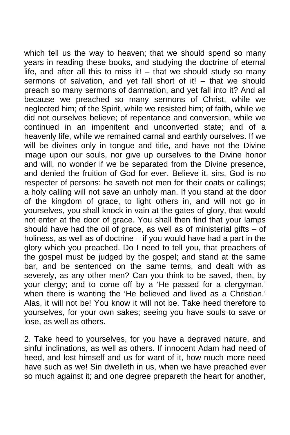which tell us the way to heaven; that we should spend so many years in reading these books, and studying the doctrine of eternal life, and after all this to miss it!  $-$  that we should study so many sermons of salvation, and yet fall short of it! – that we should preach so many sermons of damnation, and yet fall into it? And all because we preached so many sermons of Christ, while we neglected him; of the Spirit, while we resisted him; of faith, while we did not ourselves believe; of repentance and conversion, while we continued in an impenitent and unconverted state; and of a heavenly life, while we remained carnal and earthly ourselves. If we will be divines only in tongue and title, and have not the Divine image upon our souls, nor give up ourselves to the Divine honor and will, no wonder if we be separated from the Divine presence, and denied the fruition of God for ever. Believe it, sirs, God is no respecter of persons: he saveth not men for their coats or callings; a holy calling will not save an unholy man. If you stand at the door of the kingdom of grace, to light others in, and will not go in yourselves, you shall knock in vain at the gates of glory, that would not enter at the door of grace. You shall then find that your lamps should have had the oil of grace, as well as of ministerial gifts – of holiness, as well as of doctrine – if you would have had a part in the glory which you preached. Do I need to tell you, that preachers of the gospel must be judged by the gospel; and stand at the same bar, and be sentenced on the same terms, and dealt with as severely, as any other men? Can you think to be saved, then, by your clergy; and to come off by a 'He passed for a clergyman,' when there is wanting the 'He believed and lived as a Christian.' Alas, it will not be! You know it will not be. Take heed therefore to yourselves, for your own sakes; seeing you have souls to save or lose, as well as others.

2. Take heed to yourselves, for you have a depraved nature, and sinful inclinations, as well as others. If innocent Adam had need of heed, and lost himself and us for want of it, how much more need have such as we! Sin dwelleth in us, when we have preached ever so much against it; and one degree prepareth the heart for another,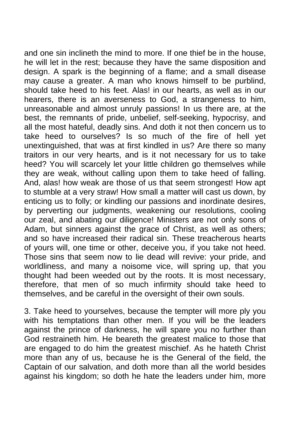and one sin inclineth the mind to more. If one thief be in the house, he will let in the rest; because they have the same disposition and design. A spark is the beginning of a flame; and a small disease may cause a greater. A man who knows himself to be purblind, should take heed to his feet. Alas! in our hearts, as well as in our hearers, there is an averseness to God, a strangeness to him, unreasonable and almost unruly passions! In us there are, at the best, the remnants of pride, unbelief, self-seeking, hypocrisy, and all the most hateful, deadly sins. And doth it not then concern us to take heed to ourselves? Is so much of the fire of hell yet unextinguished, that was at first kindled in us? Are there so many traitors in our very hearts, and is it not necessary for us to take heed? You will scarcely let your little children go themselves while they are weak, without calling upon them to take heed of falling. And, alas! how weak are those of us that seem strongest! How apt to stumble at a very straw! How small a matter will cast us down, by enticing us to folly; or kindling our passions and inordinate desires, by perverting our judgments, weakening our resolutions, cooling our zeal, and abating our diligence! Ministers are not only sons of Adam, but sinners against the grace of Christ, as well as others; and so have increased their radical sin. These treacherous hearts of yours will, one time or other, deceive you, if you take not heed. Those sins that seem now to lie dead will revive: your pride, and worldliness, and many a noisome vice, will spring up, that you thought had been weeded out by the roots. It is most necessary, therefore, that men of so much infirmity should take heed to themselves, and be careful in the oversight of their own souls.

3. Take heed to yourselves, because the tempter will more ply you with his temptations than other men. If you will be the leaders against the prince of darkness, he will spare you no further than God restraineth him. He beareth the greatest malice to those that are engaged to do him the greatest mischief. As he hateth Christ more than any of us, because he is the General of the field, the Captain of our salvation, and doth more than all the world besides against his kingdom; so doth he hate the leaders under him, more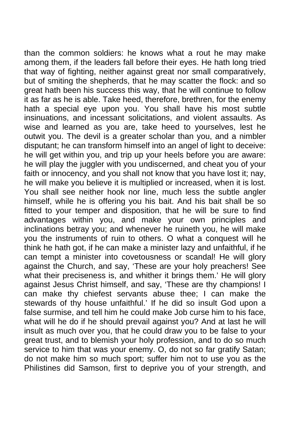than the common soldiers: he knows what a rout he may make among them, if the leaders fall before their eyes. He hath long tried that way of fighting, neither against great nor small comparatively, but of smiting the shepherds, that he may scatter the flock: and so great hath been his success this way, that he will continue to follow it as far as he is able. Take heed, therefore, brethren, for the enemy hath a special eye upon you. You shall have his most subtle insinuations, and incessant solicitations, and violent assaults. As wise and learned as you are, take heed to yourselves, lest he outwit you. The devil is a greater scholar than you, and a nimbler disputant; he can transform himself into an angel of light to deceive: he will get within you, and trip up your heels before you are aware: he will play the juggler with you undiscerned, and cheat you of your faith or innocency, and you shall not know that you have lost it; nay, he will make you believe it is multiplied or increased, when it is lost. You shall see neither hook nor line, much less the subtle angler himself, while he is offering you his bait. And his bait shall be so fitted to your temper and disposition, that he will be sure to find advantages within you, and make your own principles and inclinations betray you; and whenever he ruineth you, he will make you the instruments of ruin to others. O what a conquest will he think he hath got, if he can make a minister lazy and unfaithful, if he can tempt a minister into covetousness or scandal! He will glory against the Church, and say, 'These are your holy preachers! See what their preciseness is, and whither it brings them.' He will glory against Jesus Christ himself, and say, 'These are thy champions! I can make thy chiefest servants abuse thee; I can make the stewards of thy house unfaithful.' If he did so insult God upon a false surmise, and tell him he could make Job curse him to his face, what will he do if he should prevail against you? And at last he will insult as much over you, that he could draw you to be false to your great trust, and to blemish your holy profession, and to do so much service to him that was your enemy. O, do not so far gratify Satan; do not make him so much sport; suffer him not to use you as the Philistines did Samson, first to deprive you of your strength, and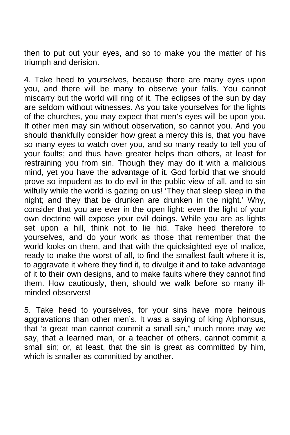then to put out your eyes, and so to make you the matter of his triumph and derision.

4. Take heed to yourselves, because there are many eyes upon you, and there will be many to observe your falls. You cannot miscarry but the world will ring of it. The eclipses of the sun by day are seldom without witnesses. As you take yourselves for the lights of the churches, you may expect that men's eyes will be upon you. If other men may sin without observation, so cannot you. And you should thankfully consider how great a mercy this is, that you have so many eyes to watch over you, and so many ready to tell you of your faults; and thus have greater helps than others, at least for restraining you from sin. Though they may do it with a malicious mind, yet you have the advantage of it. God forbid that we should prove so impudent as to do evil in the public view of all, and to sin wilfully while the world is gazing on us! 'They that sleep sleep in the night; and they that be drunken are drunken in the night.' Why, consider that you are ever in the open light: even the light of your own doctrine will expose your evil doings. While you are as lights set upon a hill, think not to lie hid. Take heed therefore to yourselves, and do your work as those that remember that the world looks on them, and that with the quicksighted eye of malice, ready to make the worst of all, to find the smallest fault where it is, to aggravate it where they find it, to divulge it and to take advantage of it to their own designs, and to make faults where they cannot find them. How cautiously, then, should we walk before so many illminded observers!

5. Take heed to yourselves, for your sins have more heinous aggravations than other men's. It was a saying of king Alphonsus, that 'a great man cannot commit a small sin," much more may we say, that a learned man, or a teacher of others, cannot commit a small sin; or, at least, that the sin is great as committed by him, which is smaller as committed by another.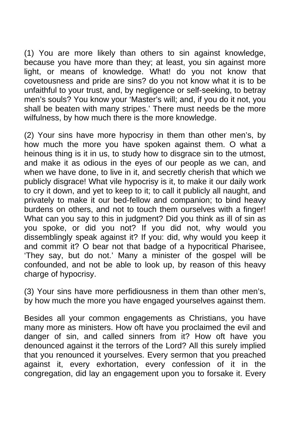(1) You are more likely than others to sin against knowledge, because you have more than they; at least, you sin against more light, or means of knowledge. What! do you not know that covetousness and pride are sins? do you not know what it is to be unfaithful to your trust, and, by negligence or self-seeking, to betray men's souls? You know your 'Master's will; and, if you do it not, you shall be beaten with many stripes.' There must needs be the more wilfulness, by how much there is the more knowledge.

(2) Your sins have more hypocrisy in them than other men's, by how much the more you have spoken against them. O what a heinous thing is it in us, to study how to disgrace sin to the utmost, and make it as odious in the eyes of our people as we can, and when we have done, to live in it, and secretly cherish that which we publicly disgrace! What vile hypocrisy is it, to make it our daily work to cry it down, and yet to keep to it; to call it publicly all naught, and privately to make it our bed-fellow and companion; to bind heavy burdens on others, and not to touch them ourselves with a finger! What can you say to this in judgment? Did you think as ill of sin as you spoke, or did you not? If you did not, why would you dissemblingly speak against it? If you: did, why would you keep it and commit it? O bear not that badge of a hypocritical Pharisee, 'They say, but do not.' Many a minister of the gospel will be confounded, and not be able to look up, by reason of this heavy charge of hypocrisy.

(3) Your sins have more perfidiousness in them than other men's, by how much the more you have engaged yourselves against them.

Besides all your common engagements as Christians, you have many more as ministers. How oft have you proclaimed the evil and danger of sin, and called sinners from it? How oft have you denounced against it the terrors of the Lord? All this surely implied that you renounced it yourselves. Every sermon that you preached against it, every exhortation, every confession of it in the congregation, did lay an engagement upon you to forsake it. Every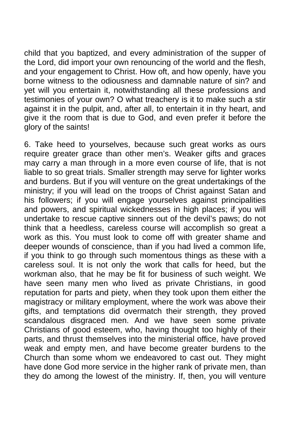child that you baptized, and every administration of the supper of the Lord, did import your own renouncing of the world and the flesh, and your engagement to Christ. How oft, and how openly, have you borne witness to the odiousness and damnable nature of sin? and yet will you entertain it, notwithstanding all these professions and testimonies of your own? O what treachery is it to make such a stir against it in the pulpit, and, after all, to entertain it in thy heart, and give it the room that is due to God, and even prefer it before the glory of the saints!

6. Take heed to yourselves, because such great works as ours require greater grace than other men's. Weaker gifts and graces may carry a man through in a more even course of life, that is not liable to so great trials. Smaller strength may serve for lighter works and burdens. But if you will venture on the great undertakings of the ministry; if you will lead on the troops of Christ against Satan and his followers; if you will engage yourselves against principalities and powers, and spiritual wickednesses in high places; if you will undertake to rescue captive sinners out of the devil's paws; do not think that a heedless, careless course will accomplish so great a work as this. You must look to come off with greater shame and deeper wounds of conscience, than if you had lived a common life, if you think to go through such momentous things as these with a careless soul. It is not only the work that calls for heed, but the workman also, that he may be fit for business of such weight. We have seen many men who lived as private Christians, in good reputation for parts and piety, when they took upon them either the magistracy or military employment, where the work was above their gifts, and temptations did overmatch their strength, they proved scandalous disgraced men. And we have seen some private Christians of good esteem, who, having thought too highly of their parts, and thrust themselves into the ministerial office, have proved weak and empty men, and have become greater burdens to the Church than some whom we endeavored to cast out. They might have done God more service in the higher rank of private men, than they do among the lowest of the ministry. If, then, you will venture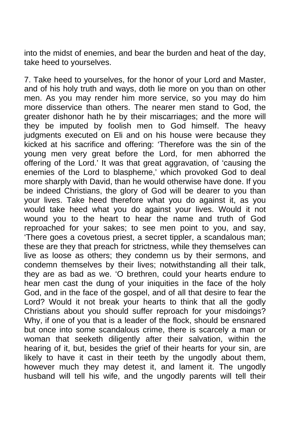into the midst of enemies, and bear the burden and heat of the day, take heed to yourselves.

7. Take heed to yourselves, for the honor of your Lord and Master, and of his holy truth and ways, doth lie more on you than on other men. As you may render him more service, so you may do him more disservice than others. The nearer men stand to God, the greater dishonor hath he by their miscarriages; and the more will they be imputed by foolish men to God himself. The heavy judgments executed on Eli and on his house were because they kicked at his sacrifice and offering: 'Therefore was the sin of the young men very great before the Lord, for men abhorred the offering of the Lord.' It was that great aggravation, of 'causing the enemies of the Lord to blaspheme,' which provoked God to deal more sharply with David, than he would otherwise have done. If you be indeed Christians, the glory of God will be dearer to you than your lives. Take heed therefore what you do against it, as you would take heed what you do against your lives. Would it not wound you to the heart to hear the name and truth of God reproached for your sakes; to see men point to you, and say, 'There goes a covetous priest, a secret tippler, a scandalous man; these are they that preach for strictness, while they themselves can live as loose as others; they condemn us by their sermons, and condemn themselves by their lives; notwithstanding all their talk, they are as bad as we. 'O brethren, could your hearts endure to hear men cast the dung of your iniquities in the face of the holy God, and in the face of the gospel, and of all that desire to fear the Lord? Would it not break your hearts to think that all the godly Christians about you should suffer reproach for your misdoings? Why, if one of you that is a leader of the flock, should be ensnared but once into some scandalous crime, there is scarcely a man or woman that seeketh diligently after their salvation, within the hearing of it, but, besides the grief of their hearts for your sin, are likely to have it cast in their teeth by the ungodly about them, however much they may detest it, and lament it. The ungodly husband will tell his wife, and the ungodly parents will tell their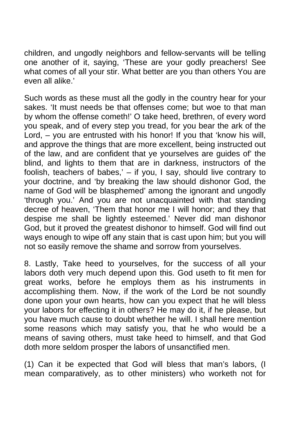children, and ungodly neighbors and fellow-servants will be telling one another of it, saying, 'These are your godly preachers! See what comes of all your stir. What better are you than others You are even all alike.'

Such words as these must all the godly in the country hear for your sakes. 'It must needs be that offenses come; but woe to that man by whom the offense cometh!' O take heed, brethren, of every word you speak, and of every step you tread, for you bear the ark of the Lord, – you are entrusted with his honor! If you that 'know his will, and approve the things that are more excellent, being instructed out of the law, and are confident that ye yourselves are guides of' the blind, and lights to them that are in darkness, instructors of the foolish, teachers of babes,' – if you, I say, should live contrary to your doctrine, and 'by breaking the law should dishonor God, the name of God will be blasphemed' among the ignorant and ungodly 'through you.' And you are not unacquainted with that standing decree of heaven, 'Them that honor me I will honor; and they that despise me shall be lightly esteemed.' Never did man dishonor God, but it proved the greatest dishonor to himself. God will find out ways enough to wipe off any stain that is cast upon him; but you will not so easily remove the shame and sorrow from yourselves.

8. Lastly, Take heed to yourselves, for the success of all your labors doth very much depend upon this. God useth to fit men for great works, before he employs them as his instruments in accomplishing them. Now, if the work of the Lord be not soundly done upon your own hearts, how can you expect that he will bless your labors for effecting it in others? He may do it, if he please, but you have much cause to doubt whether he will. I shall here mention some reasons which may satisfy you, that he who would be a means of saving others, must take heed to himself, and that God doth more seldom prosper the labors of unsanctified men.

(1) Can it be expected that God will bless that man's labors, (I mean comparatively, as to other ministers) who worketh not for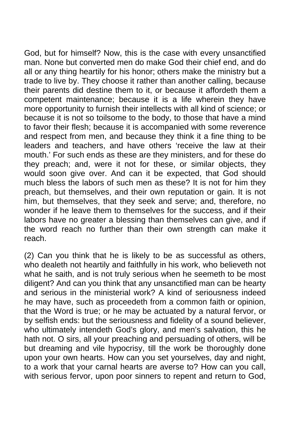God, but for himself? Now, this is the case with every unsanctified man. None but converted men do make God their chief end, and do all or any thing heartily for his honor; others make the ministry but a trade to live by. They choose it rather than another calling, because their parents did destine them to it, or because it affordeth them a competent maintenance; because it is a life wherein they have more opportunity to furnish their intellects with all kind of science; or because it is not so toilsome to the body, to those that have a mind to favor their flesh; because it is accompanied with some reverence and respect from men, and because they think it a fine thing to be leaders and teachers, and have others 'receive the law at their mouth.' For such ends as these are they ministers, and for these do they preach; and, were it not for these, or similar objects, they would soon give over. And can it be expected, that God should much bless the labors of such men as these? It is not for him they preach, but themselves, and their own reputation or gain. It is not him, but themselves, that they seek and serve; and, therefore, no wonder if he leave them to themselves for the success, and if their labors have no greater a blessing than themselves can give, and if the word reach no further than their own strength can make it reach.

(2) Can you think that he is likely to be as successful as others, who dealeth not heartily and faithfully in his work, who believeth not what he saith, and is not truly serious when he seemeth to be most diligent? And can you think that any unsanctified man can be hearty and serious in the ministerial work? A kind of seriousness indeed he may have, such as proceedeth from a common faith or opinion, that the Word is true; or he may be actuated by a natural fervor, or by selfish ends: but the seriousness and fidelity of a sound believer, who ultimately intendeth God's glory, and men's salvation, this he hath not. O sirs, all your preaching and persuading of others, will be but dreaming and vile hypocrisy, till the work be thoroughly done upon your own hearts. How can you set yourselves, day and night, to a work that your carnal hearts are averse to? How can you call, with serious fervor, upon poor sinners to repent and return to God,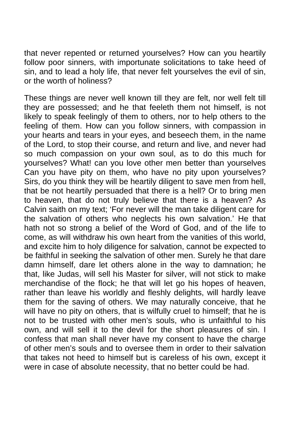that never repented or returned yourselves? How can you heartily follow poor sinners, with importunate solicitations to take heed of sin, and to lead a holy life, that never felt yourselves the evil of sin, or the worth of holiness?

These things are never well known till they are felt, nor well felt till they are possessed; and he that feeleth them not himself, is not likely to speak feelingly of them to others, nor to help others to the feeling of them. How can you follow sinners, with compassion in your hearts and tears in your eyes, and beseech them, in the name of the Lord, to stop their course, and return and live, and never had so much compassion on your own soul, as to do this much for yourselves? What! can you love other men better than yourselves Can you have pity on them, who have no pity upon yourselves? Sirs, do you think they will be heartily diligent to save men from hell, that be not heartily persuaded that there is a hell? Or to bring men to heaven, that do not truly believe that there is a heaven? As Calvin saith on my text; 'For never will the man take diligent care for the salvation of others who neglects his own salvation.' He that hath not so strong a belief of the Word of God, and of the life to come, as will withdraw his own heart from the vanities of this world, and excite him to holy diligence for salvation, cannot be expected to be faithful in seeking the salvation of other men. Surely he that dare damn himself, dare let others alone in the way to damnation; he that, like Judas, will sell his Master for silver, will not stick to make merchandise of the flock; he that will let go his hopes of heaven, rather than leave his worldly and fleshly delights, will hardly leave them for the saving of others. We may naturally conceive, that he will have no pity on others, that is wilfully cruel to himself; that he is not to be trusted with other men's souls, who is unfaithful to his own, and will sell it to the devil for the short pleasures of sin. I confess that man shall never have my consent to have the charge of other men's souls and to oversee them in order to their salvation that takes not heed to himself but is careless of his own, except it were in case of absolute necessity, that no better could be had.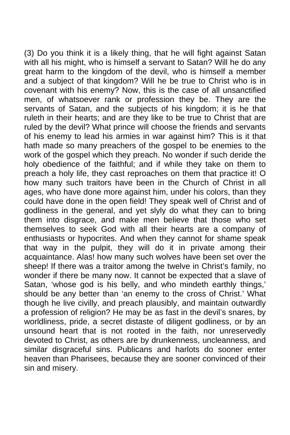(3) Do you think it is a likely thing, that he will fight against Satan with all his might, who is himself a servant to Satan? Will he do any great harm to the kingdom of the devil, who is himself a member and a subject of that kingdom? Will he be true to Christ who is in covenant with his enemy? Now, this is the case of all unsanctified men, of whatsoever rank or profession they be. They are the servants of Satan, and the subjects of his kingdom; it is he that ruleth in their hearts; and are they like to be true to Christ that are ruled by the devil? What prince will choose the friends and servants of his enemy to lead his armies in war against him? This is it that hath made so many preachers of the gospel to be enemies to the work of the gospel which they preach. No wonder if such deride the holy obedience of the faithful; and if while they take on them to preach a holy life, they cast reproaches on them that practice it! O how many such traitors have been in the Church of Christ in all ages, who have done more against him, under his colors, than they could have done in the open field! They speak well of Christ and of godliness in the general, and yet slyly do what they can to bring them into disgrace, and make men believe that those who set themselves to seek God with all their hearts are a company of enthusiasts or hypocrites. And when they cannot for shame speak that way in the pulpit, they will do it in private among their acquaintance. Alas! how many such wolves have been set over the sheep! If there was a traitor among the twelve in Christ's family, no wonder if there be many now. It cannot be expected that a slave of Satan, 'whose god is his belly, and who mindeth earthly things,' should be any better than 'an enemy to the cross of Christ.' What though he live civilly, and preach plausibly, and maintain outwardly a profession of religion? He may be as fast in the devil's snares, by worldliness, pride, a secret distaste of diligent godliness, or by an unsound heart that is not rooted in the faith, nor unreservedly devoted to Christ, as others are by drunkenness, uncleanness, and similar disgraceful sins. Publicans and harlots do sooner enter heaven than Pharisees, because they are sooner convinced of their sin and misery.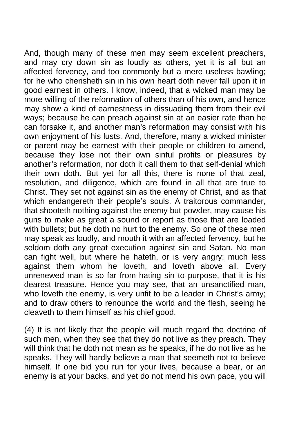And, though many of these men may seem excellent preachers, and may cry down sin as loudly as others, yet it is all but an affected fervency, and too commonly but a mere useless bawling; for he who cherisheth sin in his own heart doth never fall upon it in good earnest in others. I know, indeed, that a wicked man may be more willing of the reformation of others than of his own, and hence may show a kind of earnestness in dissuading them from their evil ways; because he can preach against sin at an easier rate than he can forsake it, and another man's reformation may consist with his own enjoyment of his lusts. And, therefore, many a wicked minister or parent may be earnest with their people or children to amend, because they lose not their own sinful profits or pleasures by another's reformation, nor doth it call them to that self-denial which their own doth. But yet for all this, there is none of that zeal, resolution, and diligence, which are found in all that are true to Christ. They set not against sin as the enemy of Christ, and as that which endangereth their people's souls. A traitorous commander, that shooteth nothing against the enemy but powder, may cause his guns to make as great a sound or report as those that are loaded with bullets; but he doth no hurt to the enemy. So one of these men may speak as loudly, and mouth it with an affected fervency, but he seldom doth any great execution against sin and Satan. No man can fight well, but where he hateth, or is very angry; much less against them whom he loveth, and loveth above all. Every unrenewed man is so far from hating sin to purpose, that it is his dearest treasure. Hence you may see, that an unsanctified man, who loveth the enemy, is very unfit to be a leader in Christ's army; and to draw others to renounce the world and the flesh, seeing he cleaveth to them himself as his chief good.

(4) It is not likely that the people will much regard the doctrine of such men, when they see that they do not live as they preach. They will think that he doth not mean as he speaks, if he do not live as he speaks. They will hardly believe a man that seemeth not to believe himself. If one bid you run for your lives, because a bear, or an enemy is at your backs, and yet do not mend his own pace, you will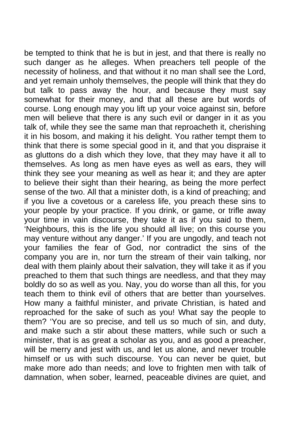be tempted to think that he is but in jest, and that there is really no such danger as he alleges. When preachers tell people of the necessity of holiness, and that without it no man shall see the Lord, and yet remain unholy themselves, the people will think that they do but talk to pass away the hour, and because they must say somewhat for their money, and that all these are but words of course. Long enough may you lift up your voice against sin, before men will believe that there is any such evil or danger in it as you talk of, while they see the same man that reproacheth it, cherishing it in his bosom, and making it his delight. You rather tempt them to think that there is some special good in it, and that you dispraise it as gluttons do a dish which they love, that they may have it all to themselves. As long as men have eyes as well as ears, they will think they see your meaning as well as hear it; and they are apter to believe their sight than their hearing, as being the more perfect sense of the two. All that a minister doth, is a kind of preaching; and if you live a covetous or a careless life, you preach these sins to your people by your practice. If you drink, or game, or trifle away your time in vain discourse, they take it as if you said to them, 'Neighbours, this is the life you should all live; on this course you may venture without any danger.' If you are ungodly, and teach not your families the fear of God, nor contradict the sins of the company you are in, nor turn the stream of their vain talking, nor deal with them plainly about their salvation, they will take it as if you preached to them that such things are needless, and that they may boldly do so as well as you. Nay, you do worse than all this, for you teach them to think evil of others that are better than yourselves. How many a faithful minister, and private Christian, is hated and reproached for the sake of such as you! What say the people to them? 'You are so precise, and tell us so much of sin, and duty, and make such a stir about these matters, while such or such a minister, that is as great a scholar as you, and as good a preacher, will be merry and jest with us, and let us alone, and never trouble himself or us with such discourse. You can never be quiet, but make more ado than needs; and love to frighten men with talk of damnation, when sober, learned, peaceable divines are quiet, and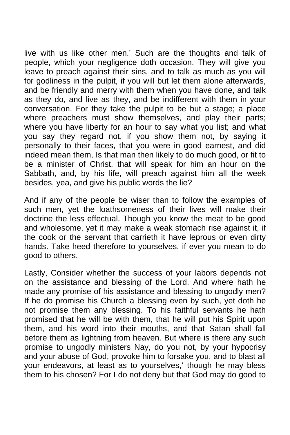live with us like other men.' Such are the thoughts and talk of people, which your negligence doth occasion. They will give you leave to preach against their sins, and to talk as much as you will for godliness in the pulpit, if you will but let them alone afterwards, and be friendly and merry with them when you have done, and talk as they do, and live as they, and be indifferent with them in your conversation. For they take the pulpit to be but a stage; a place where preachers must show themselves, and play their parts; where you have liberty for an hour to say what you list; and what you say they regard not, if you show them not, by saying it personally to their faces, that you were in good earnest, and did indeed mean them, Is that man then likely to do much good, or fit to be a minister of Christ, that will speak for him an hour on the Sabbath, and, by his life, will preach against him all the week besides, yea, and give his public words the lie?

And if any of the people be wiser than to follow the examples of such men, yet the loathsomeness of their lives will make their doctrine the less effectual. Though you know the meat to be good and wholesome, yet it may make a weak stomach rise against it, if the cook or the servant that carrieth it have leprous or even dirty hands. Take heed therefore to yourselves, if ever you mean to do good to others.

Lastly, Consider whether the success of your labors depends not on the assistance and blessing of the Lord. And where hath he made any promise of his assistance and blessing to ungodly men? If he do promise his Church a blessing even by such, yet doth he not promise them any blessing. To his faithful servants he hath promised that he will be with them, that he will put his Spirit upon them, and his word into their mouths, and that Satan shall fall before them as lightning from heaven. But where is there any such promise to ungodly ministers Nay, do you not, by your hypocrisy and your abuse of God, provoke him to forsake you, and to blast all your endeavors, at least as to yourselves,' though he may bless them to his chosen? For I do not deny but that God may do good to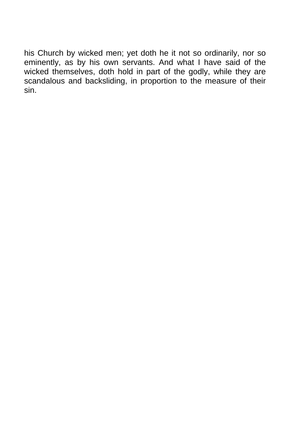his Church by wicked men; yet doth he it not so ordinarily, nor so eminently, as by his own servants. And what I have said of the wicked themselves, doth hold in part of the godly, while they are scandalous and backsliding, in proportion to the measure of their sin.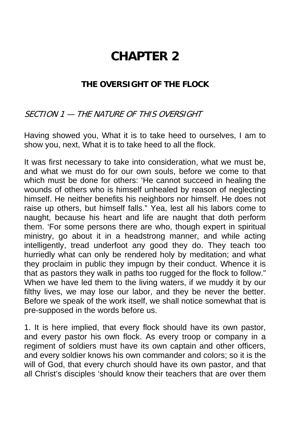## **CHAPTER 2**

## **THE OVERSIGHT OF THE FLOCK**

## SECTION 1 — THE NATURE OF THIS OVERSIGHT

Having showed you, What it is to take heed to ourselves, I am to show you, next, What it is to take heed to all the flock.

It was first necessary to take into consideration, what we must be, and what we must do for our own souls, before we come to that which must be done for others: 'He cannot succeed in healing the wounds of others who is himself unhealed by reason of neglecting himself. He neither benefits his neighbors nor himself. He does not raise up others, but himself falls." Yea, lest all his labors come to naught, because his heart and life are naught that doth perform them. 'For some persons there are who, though expert in spiritual ministry, go about it in a headstrong manner, and while acting intelligently, tread underfoot any good they do. They teach too hurriedly what can only be rendered holy by meditation; and what they proclaim in public they impugn by their conduct. Whence it is that as pastors they walk in paths too rugged for the flock to follow." When we have led them to the living waters, if we muddy it by our filthy lives, we may lose our labor, and they be never the better. Before we speak of the work itself, we shall notice somewhat that is pre-supposed in the words before us.

1. It is here implied, that every flock should have its own pastor, and every pastor his own flock. As every troop or company in a regiment of soldiers must have its own captain and other officers, and every soldier knows his own commander and colors; so it is the will of God, that every church should have its own pastor, and that all Christ's disciples 'should know their teachers that are over them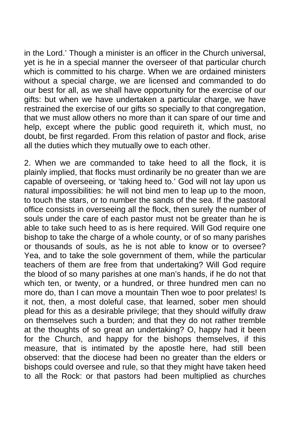in the Lord.' Though a minister is an officer in the Church universal, yet is he in a special manner the overseer of that particular church which is committed to his charge. When we are ordained ministers without a special charge, we are licensed and commanded to do our best for all, as we shall have opportunity for the exercise of our gifts: but when we have undertaken a particular charge, we have restrained the exercise of our gifts so specially to that congregation, that we must allow others no more than it can spare of our time and help, except where the public good requireth it, which must, no doubt, be first regarded. From this relation of pastor and flock, arise all the duties which they mutually owe to each other.

2. When we are commanded to take heed to all the flock, it is plainly implied, that flocks must ordinarily be no greater than we are capable of overseeing, or 'taking heed to.' God will not lay upon us natural impossibilities: he will not bind men to leap up to the moon, to touch the stars, or to number the sands of the sea. If the pastoral office consists in overseeing all the flock, then surely the number of souls under the care of each pastor must not be greater than he is able to take such heed to as is here required. Will God require one bishop to take the charge of a whole county, or of so many parishes or thousands of souls, as he is not able to know or to oversee? Yea, and to take the sole government of them, while the particular teachers of them are free from that undertaking? Will God require the blood of so many parishes at one man's hands, if he do not that which ten, or twenty, or a hundred, or three hundred men can no more do, than I can move a mountain Then woe to poor prelates! Is it not, then, a most doleful case, that learned, sober men should plead for this as a desirable privilege; that they should wilfully draw on themselves such a burden; and that they do not rather tremble at the thoughts of so great an undertaking? O, happy had it been for the Church, and happy for the bishops themselves, if this measure, that is intimated by the apostle here, had still been observed: that the diocese had been no greater than the elders or bishops could oversee and rule, so that they might have taken heed to all the Rock: or that pastors had been multiplied as churches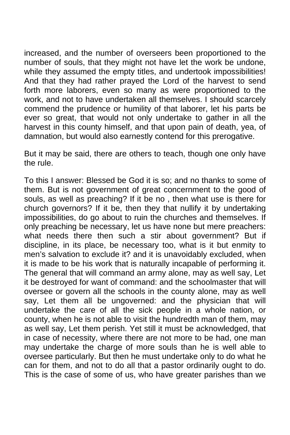increased, and the number of overseers been proportioned to the number of souls, that they might not have let the work be undone, while they assumed the empty titles, and undertook impossibilities! And that they had rather prayed the Lord of the harvest to send forth more laborers, even so many as were proportioned to the work, and not to have undertaken all themselves. I should scarcely commend the prudence or humility of that laborer, let his parts be ever so great, that would not only undertake to gather in all the harvest in this county himself, and that upon pain of death, yea, of damnation, but would also earnestly contend for this prerogative.

But it may be said, there are others to teach, though one only have the rule.

To this I answer: Blessed be God it is so; and no thanks to some of them. But is not government of great concernment to the good of souls, as well as preaching? If it be no , then what use is there for church governors? If it be, then they that nullify it by undertaking impossibilities, do go about to ruin the churches and themselves. If only preaching be necessary, let us have none but mere preachers: what needs there then such a stir about government? But if discipline, in its place, be necessary too, what is it but enmity to men's salvation to exclude it? and it is unavoidably excluded, when it is made to be his work that is naturally incapable of performing it. The general that will command an army alone, may as well say, Let it be destroyed for want of command: and the schoolmaster that will oversee or govern all the schools in the county alone, may as well say, Let them all be ungoverned: and the physician that will undertake the care of all the sick people in a whole nation, or county, when he is not able to visit the hundredth man of them, may as well say, Let them perish. Yet still it must be acknowledged, that in case of necessity, where there are not more to be had, one man may undertake the charge of more souls than he is well able to oversee particularly. But then he must undertake only to do what he can for them, and not to do all that a pastor ordinarily ought to do. This is the case of some of us, who have greater parishes than we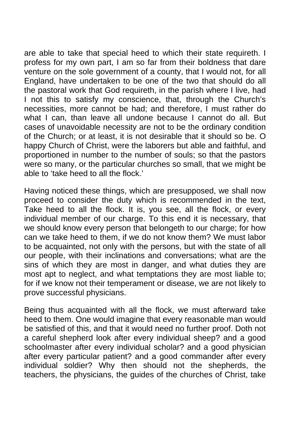are able to take that special heed to which their state requireth. I profess for my own part, I am so far from their boldness that dare venture on the sole government of a county, that I would not, for all England, have undertaken to be one of the two that should do all the pastoral work that God requireth, in the parish where I live, had I not this to satisfy my conscience, that, through the Church's necessities, more cannot be had; and therefore, I must rather do what I can, than leave all undone because I cannot do all. But cases of unavoidable necessity are not to be the ordinary condition of the Church; or at least, it is not desirable that it should so be. O happy Church of Christ, were the laborers but able and faithful, and proportioned in number to the number of souls; so that the pastors were so many, or the particular churches so small, that we might be able to 'take heed to all the flock.'

Having noticed these things, which are presupposed, we shall now proceed to consider the duty which is recommended in the text, Take heed to all the flock. It is, you see, all the flock, or every individual member of our charge. To this end it is necessary, that we should know every person that belongeth to our charge; for how can we take heed to them, if we do not know them? We must labor to be acquainted, not only with the persons, but with the state of all our people, with their inclinations and conversations; what are the sins of which they are most in danger, and what duties they are most apt to neglect, and what temptations they are most liable to; for if we know not their temperament or disease, we are not likely to prove successful physicians.

Being thus acquainted with all the flock, we must afterward take heed to them. One would imagine that every reasonable man would be satisfied of this, and that it would need no further proof. Doth not a careful shepherd look after every individual sheep? and a good schoolmaster after every individual scholar? and a good physician after every particular patient? and a good commander after every individual soldier? Why then should not the shepherds, the teachers, the physicians, the guides of the churches of Christ, take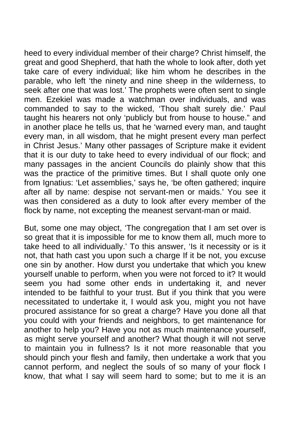heed to every individual member of their charge? Christ himself, the great and good Shepherd, that hath the whole to look after, doth yet take care of every individual; like him whom he describes in the parable, who left 'the ninety and nine sheep in the wilderness, to seek after one that was lost.' The prophets were often sent to single men. Ezekiel was made a watchman over individuals, and was commanded to say to the wicked, 'Thou shalt surely die.' Paul taught his hearers not only 'publicly but from house to house." and in another place he tells us, that he 'warned every man, and taught every man, in all wisdom, that he might present every man perfect in Christ Jesus.' Many other passages of Scripture make it evident that it is our duty to take heed to every individual of our flock; and many passages in the ancient Councils do plainly show that this was the practice of the primitive times. But I shall quote only one from Ignatius: 'Let assemblies,' says he, 'be often gathered; inquire after all by name: despise not servant-men or maids.' You see it was then considered as a duty to look after every member of the flock by name, not excepting the meanest servant-man or maid.

But, some one may object, 'The congregation that I am set over is so great that it is impossible for me to know them all, much more to take heed to all individually.' To this answer, 'Is it necessity or is it not, that hath cast you upon such a charge If it be not, you excuse one sin by another. How durst you undertake that which you knew yourself unable to perform, when you were not forced to it? It would seem you had some other ends in undertaking it, and never intended to be faithful to your trust. But if you think that you were necessitated to undertake it, I would ask you, might you not have procured assistance for so great a charge? Have you done all that you could with your friends and neighbors, to get maintenance for another to help you? Have you not as much maintenance yourself, as might serve yourself and another? What though it will not serve to maintain you in fullness? Is it not more reasonable that you should pinch your flesh and family, then undertake a work that you cannot perform, and neglect the souls of so many of your flock I know, that what I say will seem hard to some; but to me it is an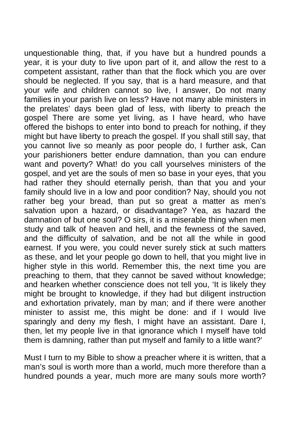unquestionable thing, that, if you have but a hundred pounds a year, it is your duty to live upon part of it, and allow the rest to a competent assistant, rather than that the flock which you are over should be neglected. If you say, that is a hard measure, and that your wife and children cannot so live, I answer, Do not many families in your parish live on less? Have not many able ministers in the prelates' days been glad of less, with liberty to preach the gospel There are some yet living, as I have heard, who have offered the bishops to enter into bond to preach for nothing, if they might but have liberty to preach the gospel. If you shall still say, that you cannot live so meanly as poor people do, I further ask, Can your parishioners better endure damnation, than you can endure want and poverty? What! do you call yourselves ministers of the gospel, and yet are the souls of men so base in your eyes, that you had rather they should eternally perish, than that you and your family should live in a low and poor condition? Nay, should you not rather beg your bread, than put so great a matter as men's salvation upon a hazard, or disadvantage? Yea, as hazard the damnation of but one soul? O sirs, it is a miserable thing when men study and talk of heaven and hell, and the fewness of the saved, and the difficulty of salvation, and be not all the while in good earnest. If you were, you could never surely stick at such matters as these, and let your people go down to hell, that you might live in higher style in this world. Remember this, the next time you are preaching to them, that they cannot be saved without knowledge; and hearken whether conscience does not tell you, 'It is likely they might be brought to knowledge, if they had but diligent instruction and exhortation privately, man by man; and if there were another minister to assist me, this might be done: and if I would live sparingly and deny my flesh, I might have an assistant. Dare I, then, let my people live in that ignorance which I myself have told them is damning, rather than put myself and family to a little want?'

Must I turn to my Bible to show a preacher where it is written, that a man's soul is worth more than a world, much more therefore than a hundred pounds a year, much more are many souls more worth?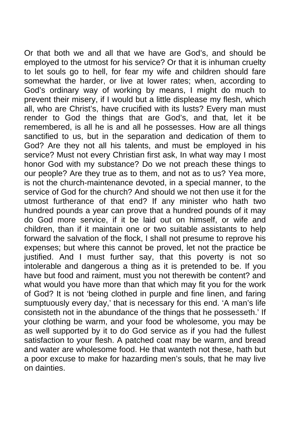Or that both we and all that we have are God's, and should be employed to the utmost for his service? Or that it is inhuman cruelty to let souls go to hell, for fear my wife and children should fare somewhat the harder, or live at lower rates; when, according to God's ordinary way of working by means, I might do much to prevent their misery, if I would but a little displease my flesh, which all, who are Christ's, have crucified with its lusts? Every man must render to God the things that are God's, and that, let it be remembered, is all he is and all he possesses. How are all things sanctified to us, but in the separation and dedication of them to God? Are they not all his talents, and must be employed in his service? Must not every Christian first ask, In what way may I most honor God with my substance? Do we not preach these things to our people? Are they true as to them, and not as to us? Yea more, is not the church-maintenance devoted, in a special manner, to the service of God for the church? And should we not then use it for the utmost furtherance of that end? If any minister who hath two hundred pounds a year can prove that a hundred pounds of it may do God more service, if it be laid out on himself, or wife and children, than if it maintain one or two suitable assistants to help forward the salvation of the flock, I shall not presume to reprove his expenses; but where this cannot be proved, let not the practice be justified. And I must further say, that this poverty is not so intolerable and dangerous a thing as it is pretended to be. If you have but food and raiment, must you not therewith be content? and what would you have more than that which may fit you for the work of God? It is not 'being clothed in purple and fine linen, and faring sumptuously every day,' that is necessary for this end. 'A man's life consisteth not in the abundance of the things that he possesseth.' If your clothing be warm, and your food be wholesome, you may be as well supported by it to do God service as if you had the fullest satisfaction to your flesh. A patched coat may be warm, and bread and water are wholesome food. He that wanteth not these, hath but a poor excuse to make for hazarding men's souls, that he may live on dainties.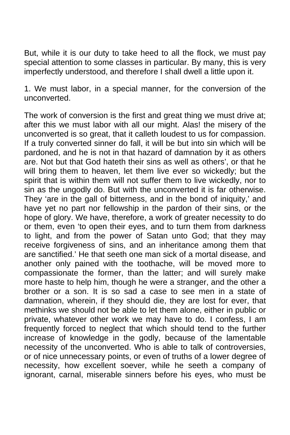But, while it is our duty to take heed to all the flock, we must pay special attention to some classes in particular. By many, this is very imperfectly understood, and therefore I shall dwell a little upon it.

1. We must labor, in a special manner, for the conversion of the unconverted.

The work of conversion is the first and great thing we must drive at; after this we must labor with all our might. Alas! the misery of the unconverted is so great, that it calleth loudest to us for compassion. If a truly converted sinner do fall, it will be but into sin which will be pardoned, and he is not in that hazard of damnation by it as others are. Not but that God hateth their sins as well as others', or that he will bring them to heaven, let them live ever so wickedly; but the spirit that is within them will not suffer them to live wickedly, nor to sin as the ungodly do. But with the unconverted it is far otherwise. They 'are in the gall of bitterness, and in the bond of iniquity,' and have yet no part nor fellowship in the pardon of their sins, or the hope of glory. We have, therefore, a work of greater necessity to do or them, even 'to open their eyes, and to turn them from darkness to light, and from the power of Satan unto God; that they may receive forgiveness of sins, and an inheritance among them that are sanctified.' He that seeth one man sick of a mortal disease, and another only pained with the toothache, will be moved more to compassionate the former, than the latter; and will surely make more haste to help him, though he were a stranger, and the other a brother or a son. It is so sad a case to see men in a state of damnation, wherein, if they should die, they are lost for ever, that methinks we should not be able to let them alone, either in public or private, whatever other work we may have to do. I confess, I am frequently forced to neglect that which should tend to the further increase of knowledge in the godly, because of the lamentable necessity of the unconverted. Who is able to talk of controversies, or of nice unnecessary points, or even of truths of a lower degree of necessity, how excellent soever, while he seeth a company of ignorant, carnal, miserable sinners before his eyes, who must be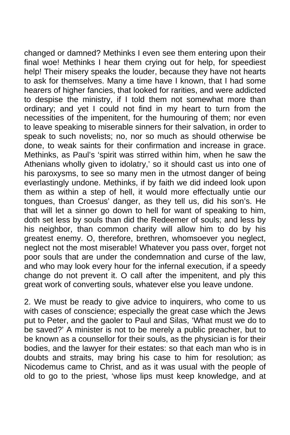changed or damned? Methinks I even see them entering upon their final woe! Methinks I hear them crying out for help, for speediest help! Their misery speaks the louder, because they have not hearts to ask for themselves. Many a time have I known, that I had some hearers of higher fancies, that looked for rarities, and were addicted to despise the ministry, if I told them not somewhat more than ordinary; and yet I could not find in my heart to turn from the necessities of the impenitent, for the humouring of them; nor even to leave speaking to miserable sinners for their salvation, in order to speak to such novelists; no, nor so much as should otherwise be done, to weak saints for their confirmation and increase in grace. Methinks, as Paul's 'spirit was stirred within him, when he saw the Athenians wholly given to idolatry,' so it should cast us into one of his paroxysms, to see so many men in the utmost danger of being everlastingly undone. Methinks, if by faith we did indeed look upon them as within a step of hell, it would more effectually untie our tongues, than Croesus' danger, as they tell us, did his son's. He that will let a sinner go down to hell for want of speaking to him, doth set less by souls than did the Redeemer of souls; and less by his neighbor, than common charity will allow him to do by his greatest enemy. O, therefore, brethren, whomsoever you neglect, neglect not the most miserable! Whatever you pass over, forget not poor souls that are under the condemnation and curse of the law, and who may look every hour for the infernal execution, if a speedy change do not prevent it. O call after the impenitent, and ply this great work of converting souls, whatever else you leave undone.

2. We must be ready to give advice to inquirers, who come to us with cases of conscience; especially the great case which the Jews put to Peter, and the gaoler to Paul and Silas, 'What must we do to be saved?' A minister is not to be merely a public preacher, but to be known as a counsellor for their souls, as the physician is for their bodies, and the lawyer for their estates: so that each man who is in doubts and straits, may bring his case to him for resolution; as Nicodemus came to Christ, and as it was usual with the people of old to go to the priest, 'whose lips must keep knowledge, and at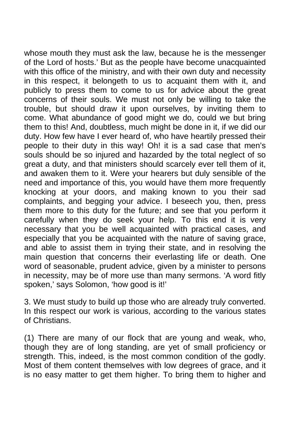whose mouth they must ask the law, because he is the messenger of the Lord of hosts.' But as the people have become unacquainted with this office of the ministry, and with their own duty and necessity in this respect, it belongeth to us to acquaint them with it, and publicly to press them to come to us for advice about the great concerns of their souls. We must not only be willing to take the trouble, but should draw it upon ourselves, by inviting them to come. What abundance of good might we do, could we but bring them to this! And, doubtless, much might be done in it, if we did our duty. How few have I ever heard of, who have heartily pressed their people to their duty in this way! Oh! it is a sad case that men's souls should be so injured and hazarded by the total neglect of so great a duty, and that ministers should scarcely ever tell them of it, and awaken them to it. Were your hearers but duly sensible of the need and importance of this, you would have them more frequently knocking at your doors, and making known to you their sad complaints, and begging your advice. I beseech you, then, press them more to this duty for the future; and see that you perform it carefully when they do seek your help. To this end it is very necessary that you be well acquainted with practical cases, and especially that you be acquainted with the nature of saving grace, and able to assist them in trying their state, and in resolving the main question that concerns their everlasting life or death. One word of seasonable, prudent advice, given by a minister to persons in necessity, may be of more use than many sermons. 'A word fitly spoken,' says Solomon, 'how good is it!'

3. We must study to build up those who are already truly converted. In this respect our work is various, according to the various states of Christians.

(1) There are many of our flock that are young and weak, who, though they are of long standing, are yet of small proficiency or strength. This, indeed, is the most common condition of the godly. Most of them content themselves with low degrees of grace, and it is no easy matter to get them higher. To bring them to higher and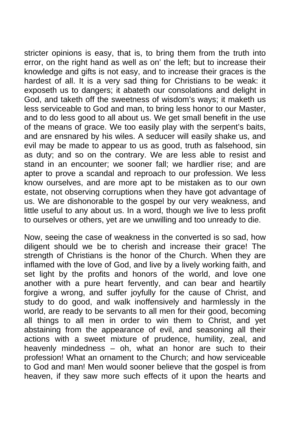stricter opinions is easy, that is, to bring them from the truth into error, on the right hand as well as on' the left; but to increase their knowledge and gifts is not easy, and to increase their graces is the hardest of all. It is a very sad thing for Christians to be weak: it exposeth us to dangers; it abateth our consolations and delight in God, and taketh off the sweetness of wisdom's ways; it maketh us less serviceable to God and man, to bring less honor to our Master, and to do less good to all about us. We get small benefit in the use of the means of grace. We too easily play with the serpent's baits, and are ensnared by his wiles. A seducer will easily shake us, and evil may be made to appear to us as good, truth as falsehood, sin as duty; and so on the contrary. We are less able to resist and stand in an encounter; we sooner fall; we hardlier rise; and are apter to prove a scandal and reproach to our profession. We less know ourselves, and are more apt to be mistaken as to our own estate, not observing corruptions when they have got advantage of us. We are dishonorable to the gospel by our very weakness, and little useful to any about us. In a word, though we live to less profit to ourselves or others, yet are we unwilling and too unready to die.

Now, seeing the case of weakness in the converted is so sad, how diligent should we be to cherish and increase their grace! The strength of Christians is the honor of the Church. When they are inflamed with the love of God, and live by a lively working faith, and set light by the profits and honors of the world, and love one another with a pure heart fervently, and can bear and heartily forgive a wrong, and suffer joyfully for the cause of Christ, and study to do good, and walk inoffensively and harmlessly in the world, are ready to be servants to all men for their good, becoming all things to all men in order to win them to Christ, and yet abstaining from the appearance of evil, and seasoning all their actions with a sweet mixture of prudence, humility, zeal, and heavenly mindedness – oh, what an honor are such to their profession! What an ornament to the Church; and how serviceable to God and man! Men would sooner believe that the gospel is from heaven, if they saw more such effects of it upon the hearts and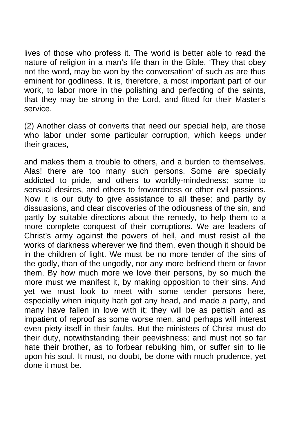lives of those who profess it. The world is better able to read the nature of religion in a man's life than in the Bible. 'They that obey not the word, may be won by the conversation' of such as are thus eminent for godliness. It is, therefore, a most important part of our work, to labor more in the polishing and perfecting of the saints, that they may be strong in the Lord, and fitted for their Master's service.

(2) Another class of converts that need our special help, are those who labor under some particular corruption, which keeps under their graces,

and makes them a trouble to others, and a burden to themselves. Alas! there are too many such persons. Some are specially addicted to pride, and others to worldly-mindedness; some to sensual desires, and others to frowardness or other evil passions. Now it is our duty to give assistance to all these; and partly by dissuasions, and clear discoveries of the odiousness of the sin, and partly by suitable directions about the remedy, to help them to a more complete conquest of their corruptions. We are leaders of Christ's army against the powers of hell, and must resist all the works of darkness wherever we find them, even though it should be in the children of light. We must be no more tender of the sins of the godly, than of the ungodly, nor any more befriend them or favor them. By how much more we love their persons, by so much the more must we manifest it, by making opposition to their sins. And yet we must look to meet with some tender persons here, especially when iniquity hath got any head, and made a party, and many have fallen in love with it; they will be as pettish and as impatient of reproof as some worse men, and perhaps will interest even piety itself in their faults. But the ministers of Christ must do their duty, notwithstanding their peevishness; and must not so far hate their brother, as to forbear rebuking him, or suffer sin to lie upon his soul. It must, no doubt, be done with much prudence, yet done it must be.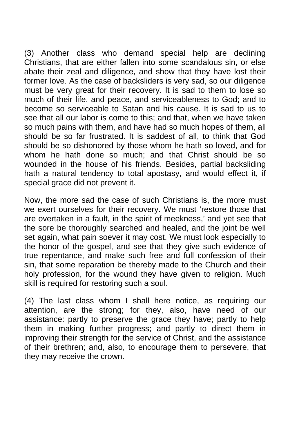(3) Another class who demand special help are declining Christians, that are either fallen into some scandalous sin, or else abate their zeal and diligence, and show that they have lost their former love. As the case of backsliders is very sad, so our diligence must be very great for their recovery. It is sad to them to lose so much of their life, and peace, and serviceableness to God; and to become so serviceable to Satan and his cause. It is sad to us to see that all our labor is come to this; and that, when we have taken so much pains with them, and have had so much hopes of them, all should be so far frustrated. It is saddest of all, to think that God should be so dishonored by those whom he hath so loved, and for whom he hath done so much; and that Christ should be so wounded in the house of his friends. Besides, partial backsliding hath a natural tendency to total apostasy, and would effect it, if special grace did not prevent it.

Now, the more sad the case of such Christians is, the more must we exert ourselves for their recovery. We must 'restore those that are overtaken in a fault, in the spirit of meekness,' and yet see that the sore be thoroughly searched and healed, and the joint be well set again, what pain soever it may cost. We must look especially to the honor of the gospel, and see that they give such evidence of true repentance, and make such free and full confession of their sin, that some reparation be thereby made to the Church and their holy profession, for the wound they have given to religion. Much skill is required for restoring such a soul.

(4) The last class whom I shall here notice, as requiring our attention, are the strong; for they, also, have need of our assistance: partly to preserve the grace they have; partly to help them in making further progress; and partly to direct them in improving their strength for the service of Christ, and the assistance of their brethren; and, also, to encourage them to persevere, that they may receive the crown.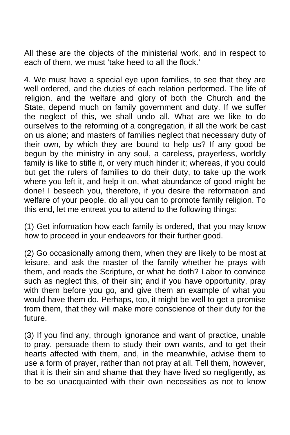All these are the objects of the ministerial work, and in respect to each of them, we must 'take heed to all the flock.'

4. We must have a special eye upon families, to see that they are well ordered, and the duties of each relation performed. The life of religion, and the welfare and glory of both the Church and the State, depend much on family government and duty. If we suffer the neglect of this, we shall undo all. What are we like to do ourselves to the reforming of a congregation, if all the work be cast on us alone; and masters of families neglect that necessary duty of their own, by which they are bound to help us? If any good be begun by the ministry in any soul, a careless, prayerless, worldly family is like to stifle it, or very much hinder it; whereas, if you could but get the rulers of families to do their duty, to take up the work where you left it, and help it on, what abundance of good might be done! I beseech you, therefore, if you desire the reformation and welfare of your people, do all you can to promote family religion. To this end, let me entreat you to attend to the following things:

(1) Get information how each family is ordered, that you may know how to proceed in your endeavors for their further good.

(2) Go occasionally among them, when they are likely to be most at leisure, and ask the master of the family whether he prays with them, and reads the Scripture, or what he doth? Labor to convince such as neglect this, of their sin; and if you have opportunity, pray with them before you go, and give them an example of what you would have them do. Perhaps, too, it might be well to get a promise from them, that they will make more conscience of their duty for the future.

(3) If you find any, through ignorance and want of practice, unable to pray, persuade them to study their own wants, and to get their hearts affected with them, and, in the meanwhile, advise them to use a form of prayer, rather than not pray at all. Tell them, however, that it is their sin and shame that they have lived so negligently, as to be so unacquainted with their own necessities as not to know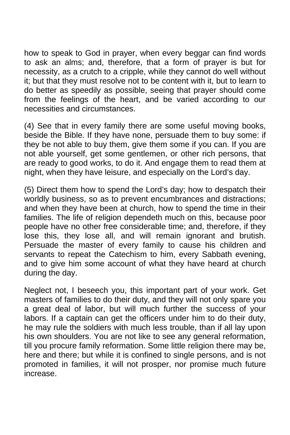how to speak to God in prayer, when every beggar can find words to ask an alms; and, therefore, that a form of prayer is but for necessity, as a crutch to a cripple, while they cannot do well without it; but that they must resolve not to be content with it, but to learn to do better as speedily as possible, seeing that prayer should come from the feelings of the heart, and be varied according to our necessities and circumstances.

(4) See that in every family there are some useful moving books, beside the Bible. If they have none, persuade them to buy some: if they be not able to buy them, give them some if you can. If you are not able yourself, get some gentlemen, or other rich persons, that are ready to good works, to do it. And engage them to read them at night, when they have leisure, and especially on the Lord's day.

(5) Direct them how to spend the Lord's day; how to despatch their worldly business, so as to prevent encumbrances and distractions; and when they have been at church, how to spend the time in their families. The life of religion dependeth much on this, because poor people have no other free considerable time; and, therefore, if they lose this, they lose all, and will remain ignorant and brutish. Persuade the master of every family to cause his children and servants to repeat the Catechism to him, every Sabbath evening, and to give him some account of what they have heard at church during the day.

Neglect not, I beseech you, this important part of your work. Get masters of families to do their duty, and they will not only spare you a great deal of labor, but will much further the success of your labors. If a captain can get the officers under him to do their duty, he may rule the soldiers with much less trouble, than if all lay upon his own shoulders. You are not like to see any general reformation, till you procure family reformation. Some little religion there may be, here and there; but while it is confined to single persons, and is not promoted in families, it will not prosper, nor promise much future increase.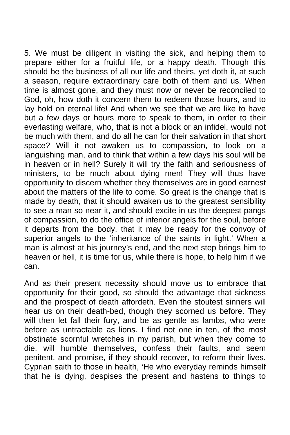5. We must be diligent in visiting the sick, and helping them to prepare either for a fruitful life, or a happy death. Though this should be the business of all our life and theirs, yet doth it, at such a season, require extraordinary care both of them and us. When time is almost gone, and they must now or never be reconciled to God, oh, how doth it concern them to redeem those hours, and to lay hold on eternal life! And when we see that we are like to have but a few days or hours more to speak to them, in order to their everlasting welfare, who, that is not a block or an infidel, would not be much with them, and do all he can for their salvation in that short space? Will it not awaken us to compassion, to look on a languishing man, and to think that within a few days his soul will be in heaven or in hell? Surely it will try the faith and seriousness of ministers, to be much about dying men! They will thus have opportunity to discern whether they themselves are in good earnest about the matters of the life to come. So great is the change that is made by death, that it should awaken us to the greatest sensibility to see a man so near it, and should excite in us the deepest pangs of compassion, to do the office of inferior angels for the soul, before it departs from the body, that it may be ready for the convoy of superior angels to the 'inheritance of the saints in light.' When a man is almost at his journey's end, and the next step brings him to heaven or hell, it is time for us, while there is hope, to help him if we can.

And as their present necessity should move us to embrace that opportunity for their good, so should the advantage that sickness and the prospect of death affordeth. Even the stoutest sinners will hear us on their death-bed, though they scorned us before. They will then let fall their fury, and be as gentle as lambs, who were before as untractable as lions. I find not one in ten, of the most obstinate scornful wretches in my parish, but when they come to die, will humble themselves, confess their faults, and seem penitent, and promise, if they should recover, to reform their lives. Cyprian saith to those in health, 'He who everyday reminds himself that he is dying, despises the present and hastens to things to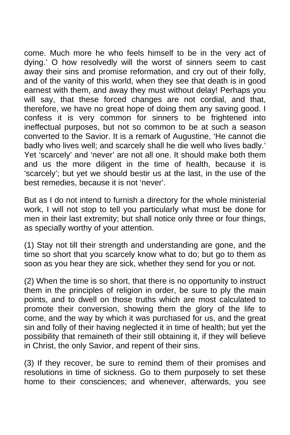come. Much more he who feels himself to be in the very act of dying.' O how resolvedly will the worst of sinners seem to cast away their sins and promise reformation, and cry out of their folly, and of the vanity of this world, when they see that death is in good earnest with them, and away they must without delay! Perhaps you will say, that these forced changes are not cordial, and that, therefore, we have no great hope of doing them any saving good. I confess it is very common for sinners to be frightened into ineffectual purposes, but not so common to be at such a season converted to the Savior. It is a remark of Augustine, 'He cannot die badly who lives well; and scarcely shall he die well who lives badly.' Yet 'scarcely' and 'never' are not all one. It should make both them and us the more diligent in the time of health, because it is 'scarcely'; but yet we should bestir us at the last, in the use of the best remedies, because it is not 'never'.

But as I do not intend to furnish a directory for the whole ministerial work, I will not stop to tell you particularly what must be done for men in their last extremity; but shall notice only three or four things, as specially worthy of your attention.

(1) Stay not till their strength and understanding are gone, and the time so short that you scarcely know what to do; but go to them as soon as you hear they are sick, whether they send for you or not.

(2) When the time is so short, that there is no opportunity to instruct them in the principles of religion in order, be sure to ply the main points, and to dwell on those truths which are most calculated to promote their conversion, showing them the glory of the life to come, and the way by which it was purchased for us, and the great sin and folly of their having neglected it in time of health; but yet the possibility that remaineth of their still obtaining it, if they will believe in Christ, the only Savior, and repent of their sins.

(3) If they recover, be sure to remind them of their promises and resolutions in time of sickness. Go to them purposely to set these home to their consciences; and whenever, afterwards, you see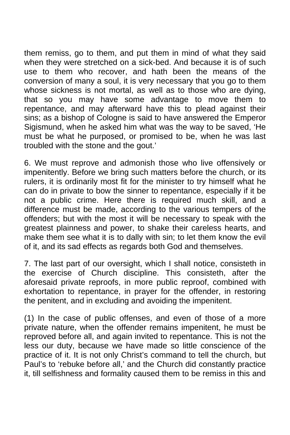them remiss, go to them, and put them in mind of what they said when they were stretched on a sick-bed. And because it is of such use to them who recover, and hath been the means of the conversion of many a soul, it is very necessary that you go to them whose sickness is not mortal, as well as to those who are dying, that so you may have some advantage to move them to repentance, and may afterward have this to plead against their sins; as a bishop of Cologne is said to have answered the Emperor Sigismund, when he asked him what was the way to be saved, 'He must be what he purposed, or promised to be, when he was last troubled with the stone and the gout.'

6. We must reprove and admonish those who live offensively or impenitently. Before we bring such matters before the church, or its rulers, it is ordinarily most fit for the minister to try himself what he can do in private to bow the sinner to repentance, especially if it be not a public crime. Here there is required much skill, and a difference must be made, according to the various tempers of the offenders; but with the most it will be necessary to speak with the greatest plainness and power, to shake their careless hearts, and make them see what it is to dally with sin; to let them know the evil of it, and its sad effects as regards both God and themselves.

7. The last part of our oversight, which I shall notice, consisteth in the exercise of Church discipline. This consisteth, after the aforesaid private reproofs, in more public reproof, combined with exhortation to repentance, in prayer for the offender, in restoring the penitent, and in excluding and avoiding the impenitent.

(1) In the case of public offenses, and even of those of a more private nature, when the offender remains impenitent, he must be reproved before all, and again invited to repentance. This is not the less our duty, because we have made so little conscience of the practice of it. It is not only Christ's command to tell the church, but Paul's to 'rebuke before all,' and the Church did constantly practice it, till selfishness and formality caused them to be remiss in this and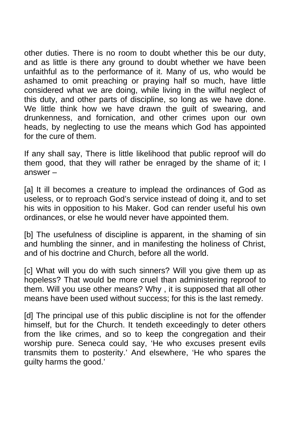other duties. There is no room to doubt whether this be our duty, and as little is there any ground to doubt whether we have been unfaithful as to the performance of it. Many of us, who would be ashamed to omit preaching or praying half so much, have little considered what we are doing, while living in the wilful neglect of this duty, and other parts of discipline, so long as we have done. We little think how we have drawn the guilt of swearing, and drunkenness, and fornication, and other crimes upon our own heads, by neglecting to use the means which God has appointed for the cure of them.

If any shall say, There is little likelihood that public reproof will do them good, that they will rather be enraged by the shame of it; I answer –

[a] It ill becomes a creature to implead the ordinances of God as useless, or to reproach God's service instead of doing it, and to set his wits in opposition to his Maker. God can render useful his own ordinances, or else he would never have appointed them.

[b] The usefulness of discipline is apparent, in the shaming of sin and humbling the sinner, and in manifesting the holiness of Christ, and of his doctrine and Church, before all the world.

[c] What will you do with such sinners? Will you give them up as hopeless? That would be more cruel than administering reproof to them. Will you use other means? Why , it is supposed that all other means have been used without success; for this is the last remedy.

[d] The principal use of this public discipline is not for the offender himself, but for the Church. It tendeth exceedingly to deter others from the like crimes, and so to keep the congregation and their worship pure. Seneca could say, 'He who excuses present evils transmits them to posterity.' And elsewhere, 'He who spares the guilty harms the good.'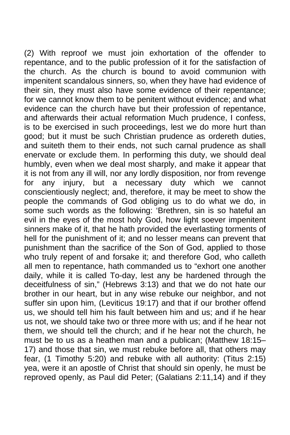(2) With reproof we must join exhortation of the offender to repentance, and to the public profession of it for the satisfaction of the church. As the church is bound to avoid communion with impenitent scandalous sinners, so, when they have had evidence of their sin, they must also have some evidence of their repentance; for we cannot know them to be penitent without evidence; and what evidence can the church have but their profession of repentance, and afterwards their actual reformation Much prudence, I confess, is to be exercised in such proceedings, lest we do more hurt than good; but it must be such Christian prudence as ordereth duties, and suiteth them to their ends, not such carnal prudence as shall enervate or exclude them. In performing this duty, we should deal humbly, even when we deal most sharply, and make it appear that it is not from any ill will, nor any lordly disposition, nor from revenge for any injury, but a necessary duty which we cannot conscientiously neglect; and, therefore, it may be meet to show the people the commands of God obliging us to do what we do, in some such words as the following: 'Brethren, sin is so hateful an evil in the eyes of the most holy God, how light soever impenitent sinners make of it, that he hath provided the everlasting torments of hell for the punishment of it; and no lesser means can prevent that punishment than the sacrifice of the Son of God, applied to those who truly repent of and forsake it; and therefore God, who calleth all men to repentance, hath commanded us to "exhort one another daily, while it is called To-day, lest any be hardened through the deceitfulness of sin," (Hebrews 3:13) and that we do not hate our brother in our heart, but in any wise rebuke our neighbor, and not suffer sin upon him, (Leviticus 19:17) and that if our brother offend us, we should tell him his fault between him and us; and if he hear us not, we should take two or three more with us; and if he hear not them, we should tell the church; and if he hear not the church, he must be to us as a heathen man and a publican; (Matthew 18:15– 17) and those that sin, we must rebuke before all, that others may fear, (1 Timothy 5:20) and rebuke with all authority: (Titus 2:15) yea, were it an apostle of Christ that should sin openly, he must be reproved openly, as Paul did Peter; (Galatians 2:11,14) and if they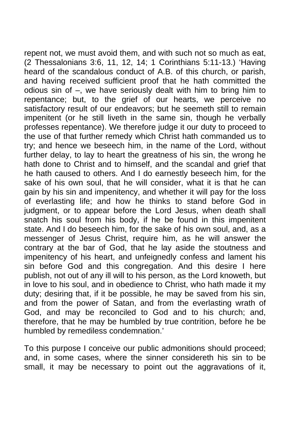repent not, we must avoid them, and with such not so much as eat, (2 Thessalonians 3:6, 11, 12, 14; 1 Corinthians 5:11-13.) 'Having heard of the scandalous conduct of A.B. of this church, or parish, and having received sufficient proof that he hath committed the odious sin of –, we have seriously dealt with him to bring him to repentance; but, to the grief of our hearts, we perceive no satisfactory result of our endeavors; but he seemeth still to remain impenitent (or he still liveth in the same sin, though he verbally professes repentance). We therefore judge it our duty to proceed to the use of that further remedy which Christ hath commanded us to try; and hence we beseech him, in the name of the Lord, without further delay, to lay to heart the greatness of his sin, the wrong he hath done to Christ and to himself, and the scandal and grief that he hath caused to others. And I do earnestly beseech him, for the sake of his own soul, that he will consider, what it is that he can gain by his sin and impenitency, and whether it will pay for the loss of everlasting life; and how he thinks to stand before God in judgment, or to appear before the Lord Jesus, when death shall snatch his soul from his body, if he be found in this impenitent state. And I do beseech him, for the sake of his own soul, and, as a messenger of Jesus Christ, require him, as he will answer the contrary at the bar of God, that he lay aside the stoutness and impenitency of his heart, and unfeignedly confess and lament his sin before God and this congregation. And this desire I here publish, not out of any ill will to his person, as the Lord knoweth, but in love to his soul, and in obedience to Christ, who hath made it my duty; desiring that, if it be possible, he may be saved from his sin, and from the power of Satan, and from the everlasting wrath of God, and may be reconciled to God and to his church; and, therefore, that he may be humbled by true contrition, before he be humbled by remediless condemnation.'

To this purpose I conceive our public admonitions should proceed; and, in some cases, where the sinner considereth his sin to be small, it may be necessary to point out the aggravations of it,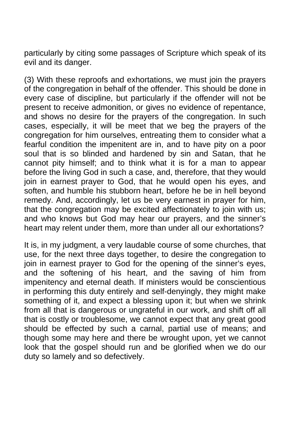particularly by citing some passages of Scripture which speak of its evil and its danger.

(3) With these reproofs and exhortations, we must join the prayers of the congregation in behalf of the offender. This should be done in every case of discipline, but particularly if the offender will not be present to receive admonition, or gives no evidence of repentance, and shows no desire for the prayers of the congregation. In such cases, especially, it will be meet that we beg the prayers of the congregation for him ourselves, entreating them to consider what a fearful condition the impenitent are in, and to have pity on a poor soul that is so blinded and hardened by sin and Satan, that he cannot pity himself; and to think what it is for a man to appear before the living God in such a case, and, therefore, that they would join in earnest prayer to God, that he would open his eyes, and soften, and humble his stubborn heart, before he be in hell beyond remedy. And, accordingly, let us be very earnest in prayer for him, that the congregation may be excited affectionately to join with us; and who knows but God may hear our prayers, and the sinner's heart may relent under them, more than under all our exhortations?

It is, in my judgment, a very laudable course of some churches, that use, for the next three days together, to desire the congregation to join in earnest prayer to God for the opening of the sinner's eyes, and the softening of his heart, and the saving of him from impenitency and eternal death. If ministers would be conscientious in performing this duty entirely and self-denyingly, they might make something of it, and expect a blessing upon it; but when we shrink from all that is dangerous or ungrateful in our work, and shift off all that is costly or troublesome, we cannot expect that any great good should be effected by such a carnal, partial use of means; and though some may here and there be wrought upon, yet we cannot look that the gospel should run and be glorified when we do our duty so lamely and so defectively.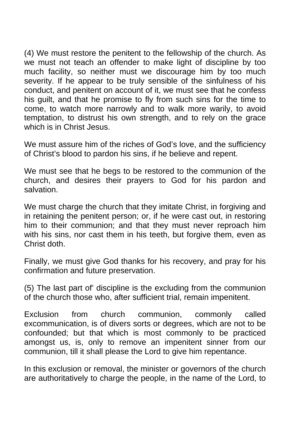(4) We must restore the penitent to the fellowship of the church. As we must not teach an offender to make light of discipline by too much facility, so neither must we discourage him by too much severity. If he appear to be truly sensible of the sinfulness of his conduct, and penitent on account of it, we must see that he confess his guilt, and that he promise to fly from such sins for the time to come, to watch more narrowly and to walk more warily, to avoid temptation, to distrust his own strength, and to rely on the grace which is in Christ Jesus.

We must assure him of the riches of God's love, and the sufficiency of Christ's blood to pardon his sins, if he believe and repent.

We must see that he begs to be restored to the communion of the church, and desires their prayers to God for his pardon and salvation.

We must charge the church that they imitate Christ, in forgiving and in retaining the penitent person; or, if he were cast out, in restoring him to their communion; and that they must never reproach him with his sins, nor cast them in his teeth, but forgive them, even as Christ doth.

Finally, we must give God thanks for his recovery, and pray for his confirmation and future preservation.

(5) The last part of' discipline is the excluding from the communion of the church those who, after sufficient trial, remain impenitent.

Exclusion from church communion, commonly called excommunication, is of divers sorts or degrees, which are not to be confounded; but that which is most commonly to be practiced amongst us, is, only to remove an impenitent sinner from our communion, till it shall please the Lord to give him repentance.

In this exclusion or removal, the minister or governors of the church are authoritatively to charge the people, in the name of the Lord, to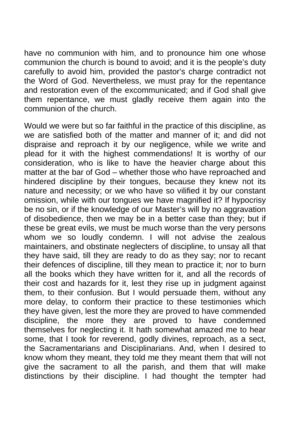have no communion with him, and to pronounce him one whose communion the church is bound to avoid; and it is the people's duty carefully to avoid him, provided the pastor's charge contradict not the Word of God. Nevertheless, we must pray for the repentance and restoration even of the excommunicated; and if God shall give them repentance, we must gladly receive them again into the communion of the church.

Would we were but so far faithful in the practice of this discipline, as we are satisfied both of the matter and manner of it; and did not dispraise and reproach it by our negligence, while we write and plead for it with the highest commendations! It is worthy of our consideration, who is like to have the heavier charge about this matter at the bar of God – whether those who have reproached and hindered discipline by their tongues, because they knew not its nature and necessity; or we who have so vilified it by our constant omission, while with our tongues we have magnified it? If hypocrisy be no sin, or if the knowledge of our Master's will by no aggravation of disobedience, then we may be in a better case than they; but if these be great evils, we must be much worse than the very persons whom we so loudly condemn. I will not advise the zealous maintainers, and obstinate neglecters of discipline, to unsay all that they have said, till they are ready to do as they say; nor to recant their defences of discipline, till they mean to practice it; nor to burn all the books which they have written for it, and all the records of their cost and hazards for it, lest they rise up in judgment against them, to their confusion. But I would persuade them, without any more delay, to conform their practice to these testimonies which they have given, lest the more they are proved to have commended discipline, the more they are proved to have condemned themselves for neglecting it. It hath somewhat amazed me to hear some, that I took for reverend, godly divines, reproach, as a sect, the Sacramentarians and Disciplinarians. And, when I desired to know whom they meant, they told me they meant them that will not give the sacrament to all the parish, and them that will make distinctions by their discipline. I had thought the tempter had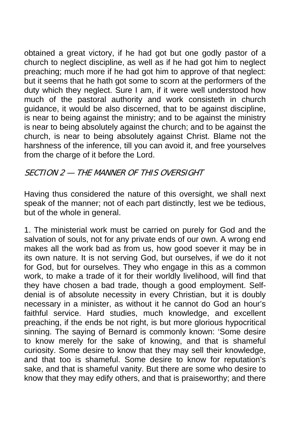obtained a great victory, if he had got but one godly pastor of a church to neglect discipline, as well as if he had got him to neglect preaching; much more if he had got him to approve of that neglect: but it seems that he hath got some to scorn at the performers of the duty which they neglect. Sure I am, if it were well understood how much of the pastoral authority and work consisteth in church guidance, it would be also discerned, that to be against discipline, is near to being against the ministry; and to be against the ministry is near to being absolutely against the church; and to be against the church, is near to being absolutely against Christ. Blame not the harshness of the inference, till you can avoid it, and free yourselves from the charge of it before the Lord.

### SECTION 2 — THE MANNER OF THIS OVERSIGHT

Having thus considered the nature of this oversight, we shall next speak of the manner; not of each part distinctly, lest we be tedious, but of the whole in general.

1. The ministerial work must be carried on purely for God and the salvation of souls, not for any private ends of our own. A wrong end makes all the work bad as from us, how good soever it may be in its own nature. It is not serving God, but ourselves, if we do it not for God, but for ourselves. They who engage in this as a common work, to make a trade of it for their worldly livelihood, will find that they have chosen a bad trade, though a good employment. Selfdenial is of absolute necessity in every Christian, but it is doubly necessary in a minister, as without it he cannot do God an hour's faithful service. Hard studies, much knowledge, and excellent preaching, if the ends be not right, is but more glorious hypocritical sinning. The saying of Bernard is commonly known: 'Some desire to know merely for the sake of knowing, and that is shameful curiosity. Some desire to know that they may sell their knowledge, and that too is shameful. Some desire to know for reputation's sake, and that is shameful vanity. But there are some who desire to know that they may edify others, and that is praiseworthy; and there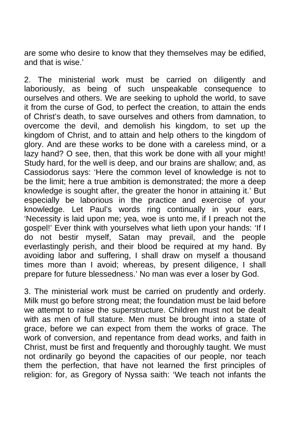are some who desire to know that they themselves may be edified, and that is wise.'

2. The ministerial work must be carried on diligently and laboriously, as being of such unspeakable consequence to ourselves and others. We are seeking to uphold the world, to save it from the curse of God, to perfect the creation, to attain the ends of Christ's death, to save ourselves and others from damnation, to overcome the devil, and demolish his kingdom, to set up the kingdom of Christ, and to attain and help others to the kingdom of glory. And are these works to be done with a careless mind, or a lazy hand? O see, then, that this work be done with all your might! Study hard, for the well is deep, and our brains are shallow; and, as Cassiodorus says: 'Here the common level of knowledge is not to be the limit; here a true ambition is demonstrated; the more a deep knowledge is sought after, the greater the honor in attaining it.' But especially be laborious in the practice and exercise of your knowledge. Let Paul's words ring continually in your ears, 'Necessity is laid upon me; yea, woe is unto me, if I preach not the gospel!' Ever think with yourselves what lieth upon your hands: 'If I do not bestir myself, Satan may prevail, and the people everlastingly perish, and their blood be required at my hand. By avoiding labor and suffering, I shall draw on myself a thousand times more than I avoid; whereas, by present diligence, I shall prepare for future blessedness.' No man was ever a loser by God.

3. The ministerial work must be carried on prudently and orderly. Milk must go before strong meat; the foundation must be laid before we attempt to raise the superstructure. Children must not be dealt with as men of full stature. Men must be brought into a state of grace, before we can expect from them the works of grace. The work of conversion, and repentance from dead works, and faith in Christ, must be first and frequently and thoroughly taught. We must not ordinarily go beyond the capacities of our people, nor teach them the perfection, that have not learned the first principles of religion: for, as Gregory of Nyssa saith: 'We teach not infants the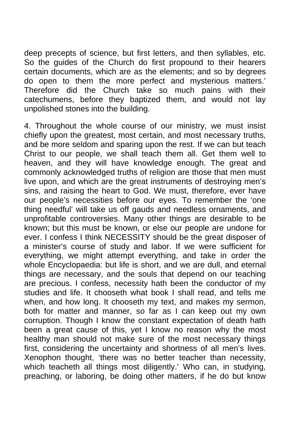deep precepts of science, but first letters, and then syllables, etc. So the guides of the Church do first propound to their hearers certain documents, which are as the elements; and so by degrees do open to them the more perfect and mysterious matters.' Therefore did the Church take so much pains with their catechumens, before they baptized them, and would not lay unpolished stones into the building.

4. Throughout the whole course of our ministry, we must insist chiefly upon the greatest, most certain, and most necessary truths, and be more seldom and sparing upon the rest. If we can but teach Christ to our people, we shall teach them all. Get them well to heaven, and they will have knowledge enough. The great and commonly acknowledged truths of religion are those that men must live upon, and which are the great instruments of destroying men's sins, and raising the heart to God. We must, therefore, ever have our people's necessities before our eyes. To remember the 'one thing needful' will take us off gauds and needless ornaments, and unprofitable controversies. Many other things are desirable to be known; but this must be known, or else our people are undone for ever. I confess I think NECESSITY should be the great disposer of a minister's course of study and labor. If we were sufficient for everything, we might attempt everything, and take in order the whole Encyclopaedia: but life is short, and we are dull, and eternal things are necessary, and the souls that depend on our teaching are precious. I confess, necessity hath been the conductor of my studies and life. It chooseth what book I shall read, and tells me when, and how long. It chooseth my text, and makes my sermon, both for matter and manner, so far as I can keep out my own corruption. Though I know the constant expectation of death hath been a great cause of this, yet I know no reason why the most healthy man should not make sure of the most necessary things first, considering the uncertainty and shortness of all men's lives. Xenophon thought, 'there was no better teacher than necessity, which teacheth all things most diligently.' Who can, in studying, preaching, or laboring, be doing other matters, if he do but know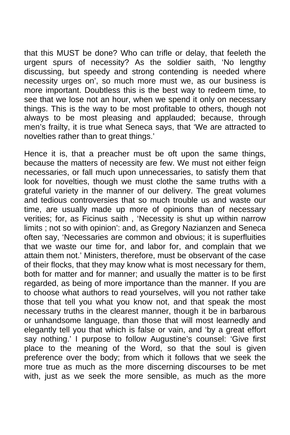that this MUST be done? Who can trifle or delay, that feeleth the urgent spurs of necessity? As the soldier saith, 'No lengthy discussing, but speedy and strong contending is needed where necessity urges on', so much more must we, as our business is more important. Doubtless this is the best way to redeem time, to see that we lose not an hour, when we spend it only on necessary things. This is the way to be most profitable to others, though not always to be most pleasing and applauded; because, through men's frailty, it is true what Seneca says, that 'We are attracted to novelties rather than to great things.'

Hence it is, that a preacher must be oft upon the same things, because the matters of necessity are few. We must not either feign necessaries, or fall much upon unnecessaries, to satisfy them that look for novelties, though we must clothe the same truths with a grateful variety in the manner of our delivery. The great volumes and tedious controversies that so much trouble us and waste our time, are usually made up more of opinions than of necessary verities; for, as Ficinus saith , 'Necessity is shut up within narrow limits ; not so with opinion': and, as Gregory Nazianzen and Seneca often say, 'Necessaries are common and obvious; it is superfluities that we waste our time for, and labor for, and complain that we attain them not.' Ministers, therefore, must be observant of the case of their flocks, that they may know what is most necessary for them, both for matter and for manner; and usually the matter is to be first regarded, as being of more importance than the manner. If you are to choose what authors to read yourselves, will you not rather take those that tell you what you know not, and that speak the most necessary truths in the clearest manner, though it be in barbarous or unhandsome language, than those that will most learnedly and elegantly tell you that which is false or vain, and 'by a great effort say nothing.' I purpose to follow Augustine's counsel: 'Give first place to the meaning of the Word, so that the soul is given preference over the body; from which it follows that we seek the more true as much as the more discerning discourses to be met with, just as we seek the more sensible, as much as the more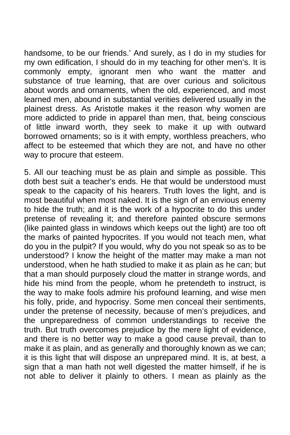handsome, to be our friends.' And surely, as I do in my studies for my own edification, I should do in my teaching for other men's. It is commonly empty, ignorant men who want the matter and substance of true learning, that are over curious and solicitous about words and ornaments, when the old, experienced, and most learned men, abound in substantial verities delivered usually in the plainest dress. As Aristotle makes it the reason why women are more addicted to pride in apparel than men, that, being conscious of little inward worth, they seek to make it up with outward borrowed ornaments; so is it with empty, worthless preachers, who affect to be esteemed that which they are not, and have no other way to procure that esteem.

5. All our teaching must be as plain and simple as possible. This doth best suit a teacher's ends. He that would be understood must speak to the capacity of his hearers. Truth loves the light. and is most beautiful when most naked. It is the sign of an envious enemy to hide the truth; and it is the work of a hypocrite to do this under pretense of revealing it; and therefore painted obscure sermons (like painted glass in windows which keeps out the light) are too oft the marks of painted hypocrites. If you would not teach men, what do you in the pulpit? If you would, why do you not speak so as to be understood? I know the height of the matter may make a man not understood, when he hath studied to make it as plain as he can; but that a man should purposely cloud the matter in strange words, and hide his mind from the people, whom he pretendeth to instruct, is the way to make fools admire his profound learning, and wise men his folly, pride, and hypocrisy. Some men conceal their sentiments, under the pretense of necessity, because of men's prejudices, and the unpreparedness of common understandings to receive the truth. But truth overcomes prejudice by the mere light of evidence, and there is no better way to make a good cause prevail, than to make it as plain, and as generally and thoroughly known as we can; it is this light that will dispose an unprepared mind. It is, at best, a sign that a man hath not well digested the matter himself, if he is not able to deliver it plainly to others. I mean as plainly as the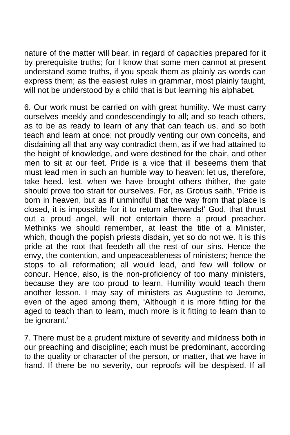nature of the matter will bear, in regard of capacities prepared for it by prerequisite truths; for I know that some men cannot at present understand some truths, if you speak them as plainly as words can express them; as the easiest rules in grammar, most plainly taught, will not be understood by a child that is but learning his alphabet.

6. Our work must be carried on with great humility. We must carry ourselves meekly and condescendingly to all; and so teach others, as to be as ready to learn of any that can teach us, and so both teach and learn at once; not proudly venting our own conceits, and disdaining all that any way contradict them, as if we had attained to the height of knowledge, and were destined for the chair, and other men to sit at our feet. Pride is a vice that ill beseems them that must lead men in such an humble way to heaven: let us, therefore, take heed, lest, when we have brought others thither, the gate should prove too strait for ourselves. For, as Grotius saith, 'Pride is born in heaven, but as if unmindful that the way from that place is closed, it is impossible for it to return afterwards!' God, that thrust out a proud angel, will not entertain there a proud preacher. Methinks we should remember, at least the title of a Minister, which, though the popish priests disdain, yet so do not we. It is this pride at the root that feedeth all the rest of our sins. Hence the envy, the contention, and unpeaceableness of ministers; hence the stops to all reformation; all would lead, and few will follow or concur. Hence, also, is the non-proficiency of too many ministers, because they are too proud to learn. Humility would teach them another lesson. I may say of ministers as Augustine to Jerome, even of the aged among them, 'Although it is more fitting for the aged to teach than to learn, much more is it fitting to learn than to be ignorant.'

7. There must be a prudent mixture of severity and mildness both in our preaching and discipline; each must be predominant, according to the quality or character of the person, or matter, that we have in hand. If there be no severity, our reproofs will be despised. If all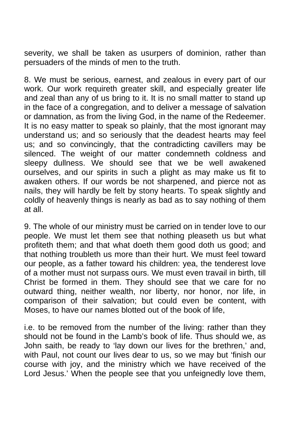severity, we shall be taken as usurpers of dominion, rather than persuaders of the minds of men to the truth.

8. We must be serious, earnest, and zealous in every part of our work. Our work requireth greater skill, and especially greater life and zeal than any of us bring to it. It is no small matter to stand up in the face of a congregation, and to deliver a message of salvation or damnation, as from the living God, in the name of the Redeemer. It is no easy matter to speak so plainly, that the most ignorant may understand us; and so seriously that the deadest hearts may feel us; and so convincingly, that the contradicting cavillers may be silenced. The weight of our matter condemneth coldness and sleepy dullness. We should see that we be well awakened ourselves, and our spirits in such a plight as may make us fit to awaken others. If our words be not sharpened, and pierce not as nails, they will hardly be felt by stony hearts. To speak slightly and coldly of heavenly things is nearly as bad as to say nothing of them at all.

9. The whole of our ministry must be carried on in tender love to our people. We must let them see that nothing pleaseth us but what profiteth them; and that what doeth them good doth us good; and that nothing troubleth us more than their hurt. We must feel toward our people, as a father toward his children: yea, the tenderest love of a mother must not surpass ours. We must even travail in birth, till Christ be formed in them. They should see that we care for no outward thing, neither wealth, nor liberty, nor honor, nor life, in comparison of their salvation; but could even be content, with Moses, to have our names blotted out of the book of life,

i.e. to be removed from the number of the living: rather than they should not be found in the Lamb's book of life. Thus should we, as John saith, be ready to 'lay down our lives for the brethren,' and, with Paul, not count our lives dear to us, so we may but 'finish our course with joy, and the ministry which we have received of the Lord Jesus.' When the people see that you unfeignedly love them,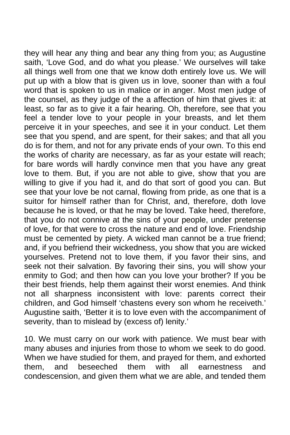they will hear any thing and bear any thing from you; as Augustine saith, 'Love God, and do what you please.' We ourselves will take all things well from one that we know doth entirely love us. We will put up with a blow that is given us in love, sooner than with a foul word that is spoken to us in malice or in anger. Most men judge of the counsel, as they judge of the a affection of him that gives it: at least, so far as to give it a fair hearing. Oh, therefore, see that you feel a tender love to your people in your breasts, and let them perceive it in your speeches, and see it in your conduct. Let them see that you spend, and are spent, for their sakes; and that all you do is for them, and not for any private ends of your own. To this end the works of charity are necessary, as far as your estate will reach; for bare words will hardly convince men that you have any great love to them. But, if you are not able to give, show that you are willing to give if you had it, and do that sort of good you can. But see that your love be not carnal, flowing from pride, as one that is a suitor for himself rather than for Christ, and, therefore, doth love because he is loved, or that he may be loved. Take heed, therefore, that you do not connive at the sins of your people, under pretense of love, for that were to cross the nature and end of love. Friendship must be cemented by piety. A wicked man cannot be a true friend; and, if you befriend their wickedness, you show that you are wicked yourselves. Pretend not to love them, if you favor their sins, and seek not their salvation. By favoring their sins, you will show your enmity to God; and then how can you love your brother? If you be their best friends, help them against their worst enemies. And think not all sharpness inconsistent with love: parents correct their children, and God himself 'chastens every son whom he receiveth.' Augustine saith, 'Better it is to love even with the accompaniment of severity, than to mislead by (excess of) lenity.'

10. We must carry on our work with patience. We must bear with many abuses and injuries from those to whom we seek to do good. When we have studied for them, and prayed for them, and exhorted them, and beseeched them with all earnestness and condescension, and given them what we are able, and tended them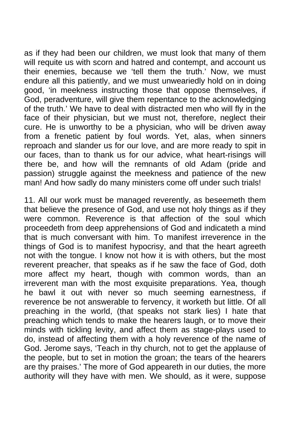as if they had been our children, we must look that many of them will requite us with scorn and hatred and contempt, and account us their enemies, because we 'tell them the truth.' Now, we must endure all this patiently, and we must unweariedly hold on in doing good, 'in meekness instructing those that oppose themselves, if God, peradventure, will give them repentance to the acknowledging of the truth.' We have to deal with distracted men who will fly in the face of their physician, but we must not, therefore, neglect their cure. He is unworthy to be a physician, who will be driven away from a frenetic patient by foul words. Yet, alas, when sinners reproach and slander us for our love, and are more ready to spit in our faces, than to thank us for our advice, what heart-risings will there be, and how will the remnants of old Adam (pride and passion) struggle against the meekness and patience of the new man! And how sadly do many ministers come off under such trials!

11. All our work must be managed reverently, as beseemeth them that believe the presence of God, and use not holy things as if they were common. Reverence is that affection of the soul which proceedeth from deep apprehensions of God and indicateth a mind that is much conversant with him. To manifest irreverence in the things of God is to manifest hypocrisy, and that the heart agreeth not with the tongue. I know not how it is with others, but the most reverent preacher, that speaks as if he saw the face of God, doth more affect my heart, though with common words, than an irreverent man with the most exquisite preparations. Yea, though he bawl it out with never so much seeming earnestness, if reverence be not answerable to fervency, it worketh but little. Of all preaching in the world, (that speaks not stark lies) I hate that preaching which tends to make the hearers laugh, or to move their minds with tickling levity, and affect them as stage-plays used to do, instead of affecting them with a holy reverence of the name of God. Jerome says, 'Teach in thy church, not to get the applause of the people, but to set in motion the groan; the tears of the hearers are thy praises.' The more of God appeareth in our duties, the more authority will they have with men. We should, as it were, suppose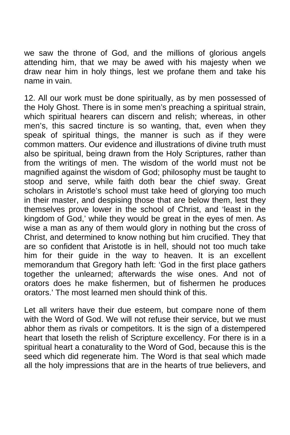we saw the throne of God, and the millions of glorious angels attending him, that we may be awed with his majesty when we draw near him in holy things, lest we profane them and take his name in vain.

12. All our work must be done spiritually, as by men possessed of the Holy Ghost. There is in some men's preaching a spiritual strain, which spiritual hearers can discern and relish; whereas, in other men's, this sacred tincture is so wanting, that, even when they speak of spiritual things, the manner is such as if they were common matters. Our evidence and illustrations of divine truth must also be spiritual, being drawn from the Holy Scriptures, rather than from the writings of men. The wisdom of the world must not be magnified against the wisdom of God; philosophy must be taught to stoop and serve, while faith doth bear the chief sway. Great scholars in Aristotle's school must take heed of glorying too much in their master, and despising those that are below them, lest they themselves prove lower in the school of Christ, and 'least in the kingdom of God,' while they would be great in the eyes of men. As wise a man as any of them would glory in nothing but the cross of Christ, and determined to know nothing but him crucified. They that are so confident that Aristotle is in hell, should not too much take him for their guide in the way to heaven. It is an excellent memorandum that Gregory hath left: 'God in the first place gathers together the unlearned; afterwards the wise ones. And not of orators does he make fishermen, but of fishermen he produces orators.' The most learned men should think of this.

Let all writers have their due esteem, but compare none of them with the Word of God. We will not refuse their service, but we must abhor them as rivals or competitors. It is the sign of a distempered heart that loseth the relish of Scripture excellency. For there is in a spiritual heart a conaturality to the Word of God, because this is the seed which did regenerate him. The Word is that seal which made all the holy impressions that are in the hearts of true believers, and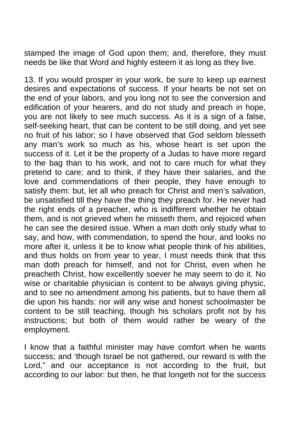stamped the image of God upon them; and, therefore, they must needs be like that Word and highly esteem it as long as they live.

13. If you would prosper in your work, be sure to keep up earnest desires and expectations of success. If your hearts be not set on the end of your labors, and you long not to see the conversion and edification of your hearers, and do not study and preach in hope, you are not likely to see much success. As it is a sign of a false, self-seeking heart, that can be content to be still doing, and yet see no fruit of his labor; so I have observed that God seldom blesseth any man's work so much as his, whose heart is set upon the success of it. Let it be the property of a Judas to have more regard to the bag than to his work, and not to care much for what they pretend to care; and to think, if they have their salaries, and the love and commendations of their people, they have enough to satisfy them: but, let all who preach for Christ and men's salvation, be unsatisfied till they have the thing they preach for. He never had the right ends of a preacher, who is indifferent whether he obtain them, and is not grieved when he misseth them, and rejoiced when he can see the desired issue. When a man doth only study what to say, and how, with commendation, to spend the hour, and looks no more after it, unless it be to know what people think of his abilities, and thus holds on from year to year, I must needs think that this man doth preach for himself, and not for Christ, even when he preacheth Christ, how excellently soever he may seem to do it. No wise or charitable physician is content to be always giving physic, and to see no amendment among his patients, but to have them all die upon his hands: nor will any wise and honest schoolmaster be content to be still teaching, though his scholars profit not by his instructions; but both of them would rather be weary of the employment.

I know that a faithful minister may have comfort when he wants success; and 'though Israel be not gathered, our reward is with the Lord," and our acceptance is not according to the fruit, but according to our labor: but then, he that longeth not for the success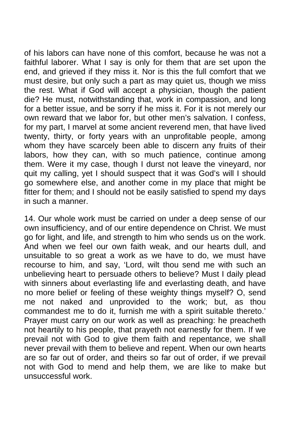of his labors can have none of this comfort, because he was not a faithful laborer. What I say is only for them that are set upon the end, and grieved if they miss it. Nor is this the full comfort that we must desire, but only such a part as may quiet us, though we miss the rest. What if God will accept a physician, though the patient die? He must, notwithstanding that, work in compassion, and long for a better issue, and be sorry if he miss it. For it is not merely our own reward that we labor for, but other men's salvation. I confess, for my part, I marvel at some ancient reverend men, that have lived twenty, thirty, or forty years with an unprofitable people, among whom they have scarcely been able to discern any fruits of their labors, how they can, with so much patience, continue among them. Were it my case, though I durst not leave the vineyard, nor quit my calling, yet I should suspect that it was God's will I should go somewhere else, and another come in my place that might be fitter for them; and I should not be easily satisfied to spend my days in such a manner.

14. Our whole work must be carried on under a deep sense of our own insufficiency, and of our entire dependence on Christ. We must go for light, and life, and strength to him who sends us on the work. And when we feel our own faith weak, and our hearts dull, and unsuitable to so great a work as we have to do, we must have recourse to him, and say, 'Lord, wilt thou send me with such an unbelieving heart to persuade others to believe? Must I daily plead with sinners about everlasting life and everlasting death, and have no more belief or feeling of these weighty things myself? O, send me not naked and unprovided to the work; but, as thou commandest me to do it, furnish me with a spirit suitable thereto.' Prayer must carry on our work as well as preaching: he preacheth not heartily to his people, that prayeth not earnestly for them. If we prevail not with God to give them faith and repentance, we shall never prevail with them to believe and repent. When our own hearts are so far out of order, and theirs so far out of order, if we prevail not with God to mend and help them, we are like to make but unsuccessful work.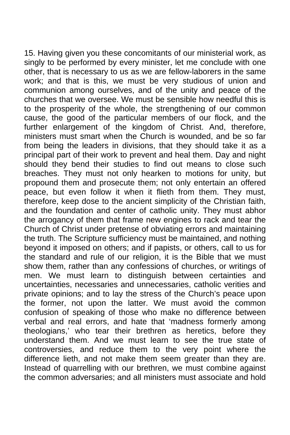15. Having given you these concomitants of our ministerial work, as singly to be performed by every minister, let me conclude with one other, that is necessary to us as we are fellow-laborers in the same work; and that is this, we must be very studious of union and communion among ourselves, and of the unity and peace of the churches that we oversee. We must be sensible how needful this is to the prosperity of the whole, the strengthening of our common cause, the good of the particular members of our flock, and the further enlargement of the kingdom of Christ. And, therefore, ministers must smart when the Church is wounded, and be so far from being the leaders in divisions, that they should take it as a principal part of their work to prevent and heal them. Day and night should they bend their studies to find out means to close such breaches. They must not only hearken to motions for unity, but propound them and prosecute them; not only entertain an offered peace, but even follow it when it flieth from them. They must, therefore, keep dose to the ancient simplicity of the Christian faith, and the foundation and center of catholic unity. They must abhor the arrogancy of them that frame new engines to rack and tear the Church of Christ under pretense of obviating errors and maintaining the truth. The Scripture sufficiency must be maintained, and nothing beyond it imposed on others; and if papists, or others, call to us for the standard and rule of our religion, it is the Bible that we must show them, rather than any confessions of churches, or writings of men. We must learn to distinguish between certainties and uncertainties, necessaries and unnecessaries, catholic verities and private opinions; and to lay the stress of the Church's peace upon the former, not upon the latter. We must avoid the common confusion of speaking of those who make no difference between verbal and real errors, and hate that 'madness formerly among theologians,' who tear their brethren as heretics, before they understand them. And we must learn to see the true state of controversies, and reduce them to the very point where the difference lieth, and not make them seem greater than they are. Instead of quarrelling with our brethren, we must combine against the common adversaries; and all ministers must associate and hold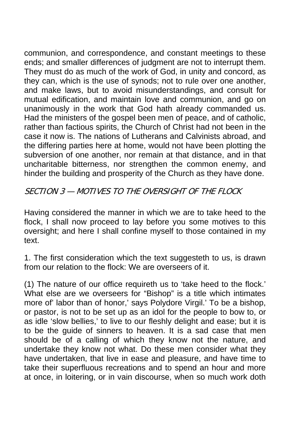communion, and correspondence, and constant meetings to these ends; and smaller differences of judgment are not to interrupt them. They must do as much of the work of God, in unity and concord, as they can, which is the use of synods; not to rule over one another, and make laws, but to avoid misunderstandings, and consult for mutual edification, and maintain love and communion, and go on unanimously in the work that God hath already commanded us. Had the ministers of the gospel been men of peace, and of catholic, rather than factious spirits, the Church of Christ had not been in the case it now is. The nations of Lutherans and Calvinists abroad, and the differing parties here at home, would not have been plotting the subversion of one another, nor remain at that distance, and in that uncharitable bitterness, nor strengthen the common enemy, and hinder the building and prosperity of the Church as they have done.

## SECTION 3 — MOTIVES TO THE OVERSIGHT OF THE FLOCK

Having considered the manner in which we are to take heed to the flock, I shall now proceed to lay before you some motives to this oversight; and here I shall confine myself to those contained in my text.

1. The first consideration which the text suggesteth to us, is drawn from our relation to the flock: We are overseers of it.

(1) The nature of our office requireth us to 'take heed to the flock.' What else are we overseers for "Bishop" is a title which intimates more of' labor than of honor,' says Polydore Virgil.' To be a bishop, or pastor, is not to be set up as an idol for the people to bow to, or as idle 'slow bellies,' to live to our fleshly delight and ease; but it is to be the guide of sinners to heaven. It is a sad case that men should be of a calling of which they know not the nature, and undertake they know not what. Do these men consider what they have undertaken, that live in ease and pleasure, and have time to take their superfluous recreations and to spend an hour and more at once, in loitering, or in vain discourse, when so much work doth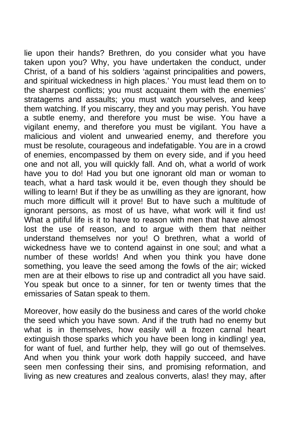lie upon their hands? Brethren, do you consider what you have taken upon you? Why, you have undertaken the conduct, under Christ, of a band of his soldiers 'against principalities and powers, and spiritual wickedness in high places.' You must lead them on to the sharpest conflicts; you must acquaint them with the enemies' stratagems and assaults; you must watch yourselves, and keep them watching. If you miscarry, they and you may perish. You have a subtle enemy, and therefore you must be wise. You have a vigilant enemy, and therefore you must be vigilant. You have a malicious and violent and unwearied enemy, and therefore you must be resolute, courageous and indefatigable. You are in a crowd of enemies, encompassed by them on every side, and if you heed one and not all, you will quickly fall. And oh, what a world of work have you to do! Had you but one ignorant old man or woman to teach, what a hard task would it be, even though they should be willing to learn! But if they be as unwilling as they are ignorant, how much more difficult will it prove! But to have such a multitude of ignorant persons, as most of us have, what work will it find us! What a pitiful life is it to have to reason with men that have almost lost the use of reason, and to argue with them that neither understand themselves nor you! O brethren, what a world of wickedness have we to contend against in one soul; and what a number of these worlds! And when you think you have done something, you leave the seed among the fowls of the air; wicked men are at their elbows to rise up and contradict all you have said. You speak but once to a sinner, for ten or twenty times that the emissaries of Satan speak to them.

Moreover, how easily do the business and cares of the world choke the seed which you have sown. And if the truth had no enemy but what is in themselves, how easily will a frozen carnal heart extinguish those sparks which you have been long in kindling! yea, for want of fuel, and further help, they will go out of themselves. And when you think your work doth happily succeed, and have seen men confessing their sins, and promising reformation, and living as new creatures and zealous converts, alas! they may, after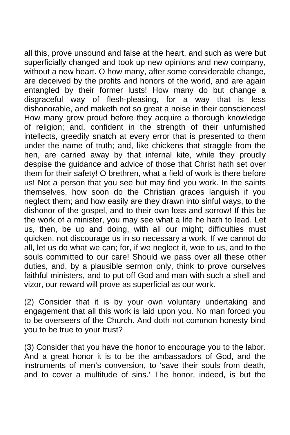all this, prove unsound and false at the heart, and such as were but superficially changed and took up new opinions and new company, without a new heart. O how many, after some considerable change, are deceived by the profits and honors of the world, and are again entangled by their former lusts! How many do but change a disgraceful way of flesh-pleasing, for a way that is less dishonorable, and maketh not so great a noise in their consciences! How many grow proud before they acquire a thorough knowledge of religion; and, confident in the strength of their unfurnished intellects, greedily snatch at every error that is presented to them under the name of truth; and, like chickens that straggle from the hen, are carried away by that infernal kite, while they proudly despise the guidance and advice of those that Christ hath set over them for their safety! O brethren, what a field of work is there before us! Not a person that you see but may find you work. In the saints themselves, how soon do the Christian graces languish if you neglect them; and how easily are they drawn into sinful ways, to the dishonor of the gospel, and to their own loss and sorrow! If this be the work of a minister, you may see what a life he hath to lead. Let us, then, be up and doing, with all our might; difficulties must quicken, not discourage us in so necessary a work. If we cannot do all, let us do what we can; for, if we neglect it, woe to us, and to the souls committed to our care! Should we pass over all these other duties, and, by a plausible sermon only, think to prove ourselves faithful ministers, and to put off God and man with such a shell and vizor, our reward will prove as superficial as our work.

(2) Consider that it is by your own voluntary undertaking and engagement that all this work is laid upon you. No man forced you to be overseers of the Church. And doth not common honesty bind you to be true to your trust?

(3) Consider that you have the honor to encourage you to the labor. And a great honor it is to be the ambassadors of God, and the instruments of men's conversion, to 'save their souls from death, and to cover a multitude of sins.' The honor, indeed, is but the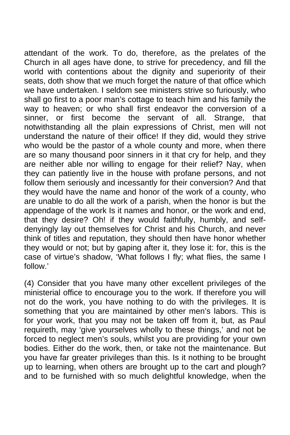attendant of the work. To do, therefore, as the prelates of the Church in all ages have done, to strive for precedency, and fill the world with contentions about the dignity and superiority of their seats, doth show that we much forget the nature of that office which we have undertaken. I seldom see ministers strive so furiously, who shall go first to a poor man's cottage to teach him and his family the way to heaven; or who shall first endeavor the conversion of a sinner, or first become the servant of all. Strange, that notwithstanding all the plain expressions of Christ, men will not understand the nature of their office! If they did, would they strive who would be the pastor of a whole county and more, when there are so many thousand poor sinners in it that cry for help, and they are neither able nor willing to engage for their relief? Nay, when they can patiently live in the house with profane persons, and not follow them seriously and incessantly for their conversion? And that they would have the name and honor of the work of a county, who are unable to do all the work of a parish, when the honor is but the appendage of the work Is it names and honor, or the work and end, that they desire? Oh! if they would faithfully, humbly, and selfdenyingly lay out themselves for Christ and his Church, and never think of titles and reputation, they should then have honor whether they would or not; but by gaping after it, they lose it: for, this is the case of virtue's shadow, 'What follows I fly; what flies, the same I follow.'

(4) Consider that you have many other excellent privileges of the ministerial office to encourage you to the work. If therefore you will not do the work, you have nothing to do with the privileges. It is something that you are maintained by other men's labors. This is for your work, that you may not be taken off from it, but, as Paul requireth, may 'give yourselves wholly to these things,' and not be forced to neglect men's souls, whilst you are providing for your own bodies. Either do the work, then, or take not the maintenance. But you have far greater privileges than this. Is it nothing to be brought up to learning, when others are brought up to the cart and plough? and to be furnished with so much delightful knowledge, when the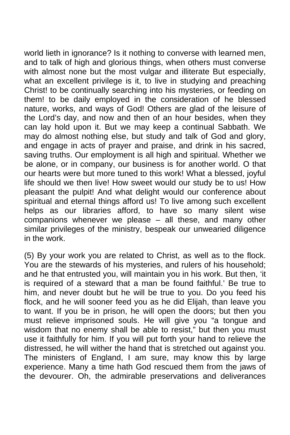world lieth in ignorance? Is it nothing to converse with learned men, and to talk of high and glorious things, when others must converse with almost none but the most vulgar and illiterate But especially, what an excellent privilege is it, to live in studying and preaching Christ! to be continually searching into his mysteries, or feeding on them! to be daily employed in the consideration of he blessed nature, works, and ways of God! Others are glad of the leisure of the Lord's day, and now and then of an hour besides, when they can lay hold upon it. But we may keep a continual Sabbath. We may do almost nothing else, but study and talk of God and glory, and engage in acts of prayer and praise, and drink in his sacred, saving truths. Our employment is all high and spiritual. Whether we be alone, or in company, our business is for another world. O that our hearts were but more tuned to this work! What a blessed, joyful life should we then live! How sweet would our study be to us! How pleasant the pulpit! And what delight would our conference about spiritual and eternal things afford us! To live among such excellent helps as our libraries afford, to have so many silent wise companions whenever we please – all these, and many other similar privileges of the ministry, bespeak our unwearied diligence in the work.

(5) By your work you are related to Christ, as well as to the flock. You are the stewards of his mysteries, and rulers of his household; and he that entrusted you, will maintain you in his work. But then, 'it is required of a steward that a man be found faithful.' Be true to him, and never doubt but he will be true to you. Do you feed his flock, and he will sooner feed you as he did Elijah, than leave you to want. If you be in prison, he will open the doors; but then you must relieve imprisoned souls. He will give you "a tongue and wisdom that no enemy shall be able to resist," but then you must use it faithfully for him. If you will put forth your hand to relieve the distressed, he will wither the hand that is stretched out against you. The ministers of England, I am sure, may know this by large experience. Many a time hath God rescued them from the jaws of the devourer. Oh, the admirable preservations and deliverances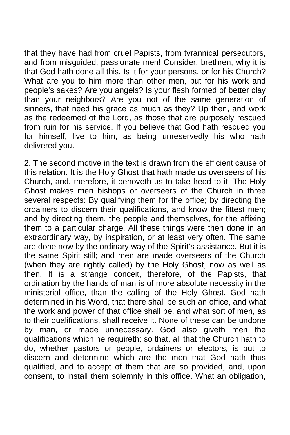that they have had from cruel Papists, from tyrannical persecutors, and from misguided, passionate men! Consider, brethren, why it is that God hath done all this. Is it for your persons, or for his Church? What are you to him more than other men, but for his work and people's sakes? Are you angels? Is your flesh formed of better clay than your neighbors? Are you not of the same generation of sinners, that need his grace as much as they? Up then, and work as the redeemed of the Lord, as those that are purposely rescued from ruin for his service. If you believe that God hath rescued you for himself, live to him, as being unreservedly his who hath delivered you.

2. The second motive in the text is drawn from the efficient cause of this relation. It is the Holy Ghost that hath made us overseers of his Church, and, therefore, it behoveth us to take heed to it. The Holy Ghost makes men bishops or overseers of the Church in three several respects: By qualifying them for the office; by directing the ordainers to discern their qualifications, and know the fittest men; and by directing them, the people and themselves, for the affixing them to a particular charge. All these things were then done in an extraordinary way, by inspiration, or at least very often. The same are done now by the ordinary way of the Spirit's assistance. But it is the same Spirit still; and men are made overseers of the Church (when they are rightly called) by the Holy Ghost, now as well as then. It is a strange conceit, therefore, of the Papists, that ordination by the hands of man is of more absolute necessity in the ministerial office, than the calling of the Holy Ghost. God hath determined in his Word, that there shall be such an office, and what the work and power of that office shall be, and what sort of men, as to their qualifications, shall receive it. None of these can be undone by man, or made unnecessary. God also giveth men the qualifications which he requireth; so that, all that the Church hath to do, whether pastors or people, ordainers or electors, is but to discern and determine which are the men that God hath thus qualified, and to accept of them that are so provided, and, upon consent, to install them solemnly in this office. What an obligation,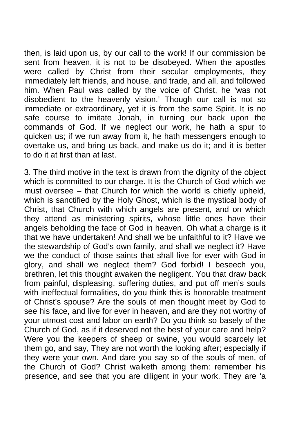then, is laid upon us, by our call to the work! If our commission be sent from heaven, it is not to be disobeyed. When the apostles were called by Christ from their secular employments, they immediately left friends, and house, and trade, and all, and followed him. When Paul was called by the voice of Christ, he 'was not disobedient to the heavenly vision.' Though our call is not so immediate or extraordinary, yet it is from the same Spirit. It is no safe course to imitate Jonah, in turning our back upon the commands of God. If we neglect our work, he hath a spur to quicken us; if we run away from it, he hath messengers enough to overtake us, and bring us back, and make us do it; and it is better to do it at first than at last.

3. The third motive in the text is drawn from the dignity of the object which is committed to our charge. It is the Church of God which we must oversee – that Church for which the world is chiefly upheld, which is sanctified by the Holy Ghost, which is the mystical body of Christ, that Church with which angels are present, and on which they attend as ministering spirits, whose little ones have their angels beholding the face of God in heaven. Oh what a charge is it that we have undertaken! And shall we be unfaithful to it? Have we the stewardship of God's own family, and shall we neglect it? Have we the conduct of those saints that shall live for ever with God in glory, and shall we neglect them? God forbid! I beseech you, brethren, let this thought awaken the negligent. You that draw back from painful, displeasing, suffering duties, and put off men's souls with ineffectual formalities, do you think this is honorable treatment of Christ's spouse? Are the souls of men thought meet by God to see his face, and live for ever in heaven, and are they not worthy of your utmost cost and labor on earth? Do you think so basely of the Church of God, as if it deserved not the best of your care and help? Were you the keepers of sheep or swine, you would scarcely let them go, and say, They are not worth the looking after; especially if they were your own. And dare you say so of the souls of men, of the Church of God? Christ walketh among them: remember his presence, and see that you are diligent in your work. They are 'a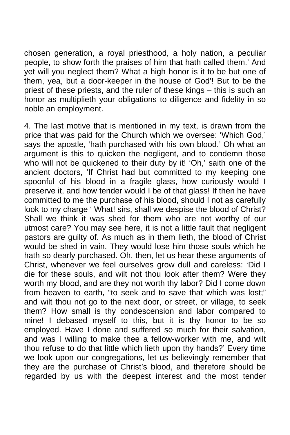chosen generation, a royal priesthood, a holy nation, a peculiar people, to show forth the praises of him that hath called them.' And yet will you neglect them? What a high honor is it to be but one of them, yea, but a door-keeper in the house of God'! But to be the priest of these priests, and the ruler of these kings – this is such an honor as multiplieth your obligations to diligence and fidelity in so noble an employment.

4. The last motive that is mentioned in my text, is drawn from the price that was paid for the Church which we oversee: 'Which God,' says the apostle, 'hath purchased with his own blood.' Oh what an argument is this to quicken the negligent, and to condemn those who will not be quickened to their duty by it! 'Oh,' saith one of the ancient doctors, 'If Christ had but committed to my keeping one spoonful of his blood in a fragile glass, how curiously would I preserve it, and how tender would I be of that glass! If then he have committed to me the purchase of his blood, should I not as carefully look to my charge ' What! sirs, shall we despise the blood of Christ? Shall we think it was shed for them who are not worthy of our utmost care? You may see here, it is not a little fault that negligent pastors are guilty of. As much as in them lieth, the blood of Christ would be shed in vain. They would lose him those souls which he hath so dearly purchased. Oh, then, let us hear these arguments of Christ, whenever we feel ourselves grow dull and careless: 'Did I die for these souls, and wilt not thou look after them? Were they worth my blood, and are they not worth thy labor? Did I come down from heaven to earth, "to seek and to save that which was lost;" and wilt thou not go to the next door, or street, or village, to seek them? How small is thy condescension and labor compared to mine! I debased myself to this, but it is thy honor to be so employed. Have I done and suffered so much for their salvation, and was I willing to make thee a fellow-worker with me, and wilt thou refuse to do that little which lieth upon thy hands?' Every time we look upon our congregations, let us believingly remember that they are the purchase of Christ's blood, and therefore should be regarded by us with the deepest interest and the most tender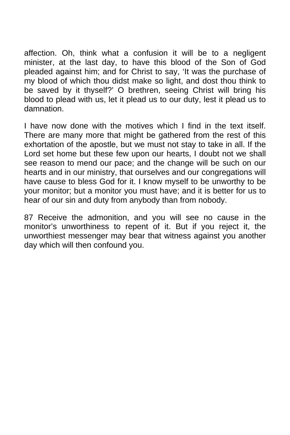affection. Oh, think what a confusion it will be to a negligent minister, at the last day, to have this blood of the Son of God pleaded against him; and for Christ to say, 'It was the purchase of my blood of which thou didst make so light, and dost thou think to be saved by it thyself?' O brethren, seeing Christ will bring his blood to plead with us, let it plead us to our duty, lest it plead us to damnation.

I have now done with the motives which I find in the text itself. There are many more that might be gathered from the rest of this exhortation of the apostle, but we must not stay to take in all. If the Lord set home but these few upon our hearts, I doubt not we shall see reason to mend our pace; and the change will be such on our hearts and in our ministry, that ourselves and our congregations will have cause to bless God for it. I know myself to be unworthy to be your monitor; but a monitor you must have; and it is better for us to hear of our sin and duty from anybody than from nobody.

87 Receive the admonition, and you will see no cause in the monitor's unworthiness to repent of it. But if you reject it, the unworthiest messenger may bear that witness against you another day which will then confound you.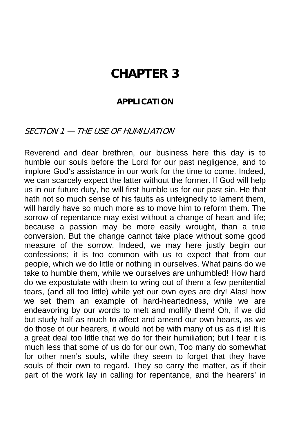# **CHAPTER 3**

### **APPLICATION**

#### SECTION 1 — THE USE OF HUMILIATION

Reverend and dear brethren, our business here this day is to humble our souls before the Lord for our past negligence, and to implore God's assistance in our work for the time to come. Indeed, we can scarcely expect the latter without the former. If God will help us in our future duty, he will first humble us for our past sin. He that hath not so much sense of his faults as unfeignedly to lament them, will hardly have so much more as to move him to reform them. The sorrow of repentance may exist without a change of heart and life; because a passion may be more easily wrought, than a true conversion. But the change cannot take place without some good measure of the sorrow. Indeed, we may here justly begin our confessions; it is too common with us to expect that from our people, which we do little or nothing in ourselves. What pains do we take to humble them, while we ourselves are unhumbled! How hard do we expostulate with them to wring out of them a few penitential tears, (and all too little) while yet our own eyes are dry! Alas! how we set them an example of hard-heartedness, while we are endeavoring by our words to melt and mollify them! Oh, if we did but study half as much to affect and amend our own hearts, as we do those of our hearers, it would not be with many of us as it is! It is a great deal too little that we do for their humiliation; but I fear it is much less that some of us do for our own, Too many do somewhat for other men's souls, while they seem to forget that they have souls of their own to regard. They so carry the matter, as if their part of the work lay in calling for repentance, and the hearers' in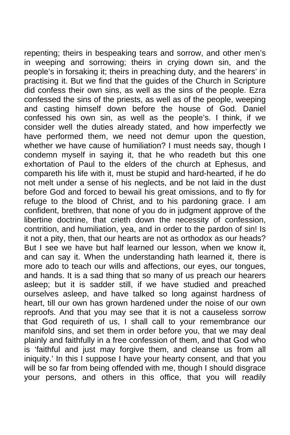repenting; theirs in bespeaking tears and sorrow, and other men's in weeping and sorrowing; theirs in crying down sin, and the people's in forsaking it; theirs in preaching duty, and the hearers' in practising it. But we find that the guides of the Church in Scripture did confess their own sins, as well as the sins of the people. Ezra confessed the sins of the priests, as well as of the people, weeping and casting himself down before the house of God. Daniel confessed his own sin, as well as the people's. I think, if we consider well the duties already stated, and how imperfectly we have performed them, we need not demur upon the question, whether we have cause of humiliation? I must needs say, though I condemn myself in saying it, that he who readeth but this one exhortation of Paul to the elders of the church at Ephesus, and compareth his life with it, must be stupid and hard-hearted, if he do not melt under a sense of his neglects, and be not laid in the dust before God and forced to bewail his great omissions, and to fly for refuge to the blood of Christ, and to his pardoning grace. I am confident, brethren, that none of you do in judgment approve of the libertine doctrine, that crieth down the necessity of confession, contrition, and humiliation, yea, and in order to the pardon of sin! Is it not a pity, then, that our hearts are not as orthodox as our heads? But I see we have but half learned our lesson, when we know it, and can say it. When the understanding hath learned it, there is more ado to teach our wills and affections, our eyes, our tongues, and hands. It is a sad thing that so many of us preach our hearers asleep; but it is sadder still, if we have studied and preached ourselves asleep, and have talked so long against hardness of heart, till our own has grown hardened under the noise of our own reproofs. And that you may see that it is not a causeless sorrow that God requireth of us, I shall call to your remembrance our manifold sins, and set them in order before you, that we may deal plainly and faithfully in a free confession of them, and that God who is 'faithful and just may forgive them, and cleanse us from all iniquity.' In this I suppose I have your hearty consent, and that you will be so far from being offended with me, though I should disgrace your persons, and others in this office, that you will readily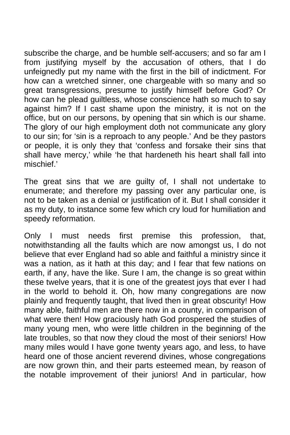subscribe the charge, and be humble self-accusers; and so far am I from justifying myself by the accusation of others, that I do unfeignedly put my name with the first in the bill of indictment. For how can a wretched sinner, one chargeable with so many and so great transgressions, presume to justify himself before God? Or how can he plead guiltless, whose conscience hath so much to say against him? If I cast shame upon the ministry, it is not on the office, but on our persons, by opening that sin which is our shame. The glory of our high employment doth not communicate any glory to our sin; for 'sin is a reproach to any people.' And be they pastors or people, it is only they that 'confess and forsake their sins that shall have mercy,' while 'he that hardeneth his heart shall fall into mischief.'

The great sins that we are guilty of, I shall not undertake to enumerate; and therefore my passing over any particular one, is not to be taken as a denial or justification of it. But I shall consider it as my duty, to instance some few which cry loud for humiliation and speedy reformation.

Only I must needs first premise this profession, that, notwithstanding all the faults which are now amongst us, I do not believe that ever England had so able and faithful a ministry since it was a nation, as it hath at this day; and I fear that few nations on earth, if any, have the like. Sure I am, the change is so great within these twelve years, that it is one of the greatest joys that ever I had in the world to behold it. Oh, how many congregations are now plainly and frequently taught, that lived then in great obscurity! How many able, faithful men are there now in a county, in comparison of what were then! How graciously hath God prospered the studies of many young men, who were little children in the beginning of the late troubles, so that now they cloud the most of their seniors! How many miles would I have gone twenty years ago, and less, to have heard one of those ancient reverend divines, whose congregations are now grown thin, and their parts esteemed mean, by reason of the notable improvement of their juniors! And in particular, how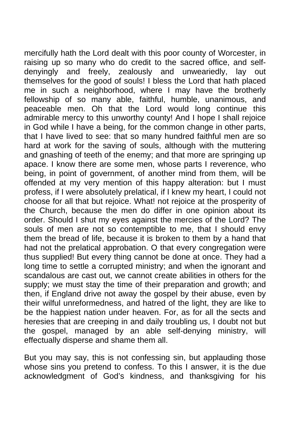mercifully hath the Lord dealt with this poor county of Worcester, in raising up so many who do credit to the sacred office, and selfdenyingly and freely, zealously and unweariedly, lay out themselves for the good of souls! I bless the Lord that hath placed me in such a neighborhood, where I may have the brotherly fellowship of so many able, faithful, humble, unanimous, and peaceable men. Oh that the Lord would long continue this admirable mercy to this unworthy county! And I hope I shall rejoice in God while I have a being, for the common change in other parts, that I have lived to see: that so many hundred faithful men are so hard at work for the saving of souls, although with the muttering and gnashing of teeth of the enemy; and that more are springing up apace. I know there are some men, whose parts I reverence, who being, in point of government, of another mind from them, will be offended at my very mention of this happy alteration: but I must profess, if I were absolutely prelatical, if I knew my heart, I could not choose for all that but rejoice. What! not rejoice at the prosperity of the Church, because the men do differ in one opinion about its order. Should I shut my eyes against the mercies of the Lord? The souls of men are not so contemptible to me, that I should envy them the bread of life, because it is broken to them by a hand that had not the prelatical approbation. O that every congregation were thus supplied! But every thing cannot be done at once. They had a long time to settle a corrupted ministry; and when the ignorant and scandalous are cast out, we cannot create abilities in others for the supply; we must stay the time of their preparation and growth; and then, if England drive not away the gospel by their abuse, even by their wilful unreformedness, and hatred of the light, they are like to be the happiest nation under heaven. For, as for all the sects and heresies that are creeping in and daily troubling us, I doubt not but the gospel, managed by an able self-denying ministry, will effectually disperse and shame them all.

But you may say, this is not confessing sin, but applauding those whose sins you pretend to confess. To this I answer, it is the due acknowledgment of God's kindness, and thanksgiving for his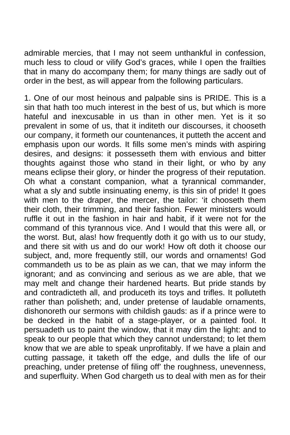admirable mercies, that I may not seem unthankful in confession, much less to cloud or vilify God's graces, while I open the frailties that in many do accompany them; for many things are sadly out of order in the best, as will appear from the following particulars.

1. One of our most heinous and palpable sins is PRIDE. This is a sin that hath too much interest in the best of us, but which is more hateful and inexcusable in us than in other men. Yet is it so prevalent in some of us, that it inditeth our discourses, it chooseth our company, it formeth our countenances, it putteth the accent and emphasis upon our words. It fills some men's minds with aspiring desires, and designs: it possesseth them with envious and bitter thoughts against those who stand in their light, or who by any means eclipse their glory, or hinder the progress of their reputation. Oh what a constant companion, what a tyrannical commander, what a sly and subtle insinuating enemy, is this sin of pride! It goes with men to the draper, the mercer, the tailor: 'it chooseth them their cloth, their trimming, and their fashion. Fewer ministers would ruffle it out in the fashion in hair and habit, if it were not for the command of this tyrannous vice. And I would that this were all, or the worst. But, alas! how frequently doth it go with us to our study, and there sit with us and do our work! How oft doth it choose our subject, and, more frequently still, our words and ornaments! God commandeth us to be as plain as we can, that we may inform the ignorant; and as convincing and serious as we are able, that we may melt and change their hardened hearts. But pride stands by and contradicteth all, and produceth its toys and trifles. It polluteth rather than polisheth; and, under pretense of laudable ornaments, dishonoreth our sermons with childish gauds: as if a prince were to be decked in the habit of a stage-player, or a painted fool. It persuadeth us to paint the window, that it may dim the light: and to speak to our people that which they cannot understand; to let them know that we are able to speak unprofitably. If we have a plain and cutting passage, it taketh off the edge, and dulls the life of our preaching, under pretense of filing off' the roughness, unevenness, and superfluity. When God chargeth us to deal with men as for their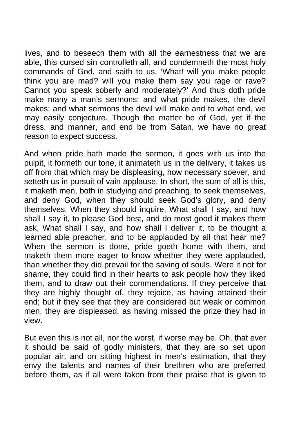lives, and to beseech them with all the earnestness that we are able, this cursed sin controlleth all, and condemneth the most holy commands of God, and saith to us, 'What! will you make people think you are mad? will you make them say you rage or rave? Cannot you speak soberly and moderately?' And thus doth pride make many a man's sermons; and what pride makes, the devil makes; and what sermons the devil will make and to what end, we may easily conjecture. Though the matter be of God, yet if the dress, and manner, and end be from Satan, we have no great reason to expect success.

And when pride hath made the sermon, it goes with us into the pulpit, it formeth our tone, it animateth us in the delivery, it takes us off from that which may be displeasing, how necessary soever, and setteth us in pursuit of vain applause. In short, the sum of all is this, it maketh men, both in studying and preaching, to seek themselves, and deny God, when they should seek God's glory, and deny themselves. When they should inquire, What shall I say, and how shall I say it, to please God best, and do most good it makes them ask, What shall I say, and how shall I deliver it, to be thought a learned able preacher, and to be applauded by all that hear me? When the sermon is done, pride goeth home with them, and maketh them more eager to know whether they were applauded, than whether they did prevail for the saving of souls. Were it not for shame, they could find in their hearts to ask people how they liked them, and to draw out their commendations. If they perceive that they are highly thought of, they rejoice, as having attained their end; but if they see that they are considered but weak or common men, they are displeased, as having missed the prize they had in view.

But even this is not all, nor the worst, if worse may be. Oh, that ever it should be said of godly ministers, that they are so set upon popular air, and on sitting highest in men's estimation, that they envy the talents and names of their brethren who are preferred before them, as if all were taken from their praise that is given to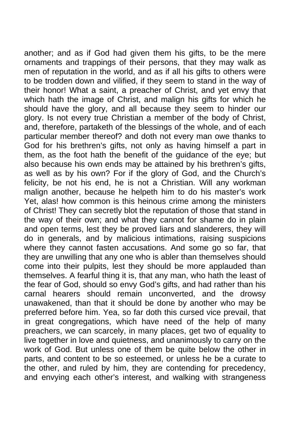another; and as if God had given them his gifts, to be the mere ornaments and trappings of their persons, that they may walk as men of reputation in the world, and as if all his gifts to others were to be trodden down and vilified, if they seem to stand in the way of their honor! What a saint, a preacher of Christ, and yet envy that which hath the image of Christ, and malign his gifts for which he should have the glory, and all because they seem to hinder our glory. Is not every true Christian a member of the body of Christ, and, therefore, partaketh of the blessings of the whole, and of each particular member thereof? and doth not every man owe thanks to God for his brethren's gifts, not only as having himself a part in them, as the foot hath the benefit of the guidance of the eye; but also because his own ends may be attained by his brethren's gifts, as well as by his own? For if the glory of God, and the Church's felicity, be not his end, he is not a Christian. Will any workman malign another, because he helpeth him to do his master's work Yet, alas! how common is this heinous crime among the ministers of Christ! They can secretly blot the reputation of those that stand in the way of their own; and what they cannot for shame do in plain and open terms, lest they be proved liars and slanderers, they will do in generals, and by malicious intimations, raising suspicions where they cannot fasten accusations. And some go so far, that they are unwilling that any one who is abler than themselves should come into their pulpits, lest they should be more applauded than themselves. A fearful thing it is, that any man, who hath the least of the fear of God, should so envy God's gifts, and had rather than his carnal hearers should remain unconverted, and the drowsy unawakened, than that it should be done by another who may be preferred before him. Yea, so far doth this cursed vice prevail, that in great congregations, which have need of the help of many preachers, we can scarcely, in many places, get two of equality to live together in love and quietness, and unanimously to carry on the work of God. But unless one of them be quite below the other in parts, and content to be so esteemed, or unless he be a curate to the other, and ruled by him, they are contending for precedency, and envying each other's interest, and walking with strangeness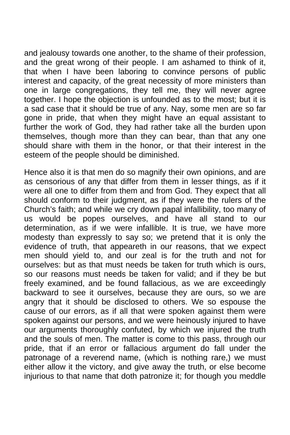and jealousy towards one another, to the shame of their profession, and the great wrong of their people. I am ashamed to think of it, that when I have been laboring to convince persons of public interest and capacity, of the great necessity of more ministers than one in large congregations, they tell me, they will never agree together. I hope the objection is unfounded as to the most; but it is a sad case that it should be true of any. Nay, some men are so far gone in pride, that when they might have an equal assistant to further the work of God, they had rather take all the burden upon themselves, though more than they can bear, than that any one should share with them in the honor, or that their interest in the esteem of the people should be diminished.

Hence also it is that men do so magnify their own opinions, and are as censorious of any that differ from them in lesser things, as if it were all one to differ from them and from God. They expect that all should conform to their judgment, as if they were the rulers of the Church's faith; and while we cry down papal infallibility, too many of us would be popes ourselves, and have all stand to our determination, as if we were infallible. It is true, we have more modesty than expressly to say so; we pretend that it is only the evidence of truth, that appeareth in our reasons, that we expect men should yield to, and our zeal is for the truth and not for ourselves: but as that must needs be taken for truth which is ours, so our reasons must needs be taken for valid; and if they be but freely examined, and be found fallacious, as we are exceedingly backward to see it ourselves, because they are ours, so we are angry that it should be disclosed to others. We so espouse the cause of our errors, as if all that were spoken against them were spoken against our persons, and we were heinously injured to have our arguments thoroughly confuted, by which we injured the truth and the souls of men. The matter is come to this pass, through our pride, that if an error or fallacious argument do fall under the patronage of a reverend name, (which is nothing rare,) we must either allow it the victory, and give away the truth, or else become injurious to that name that doth patronize it; for though you meddle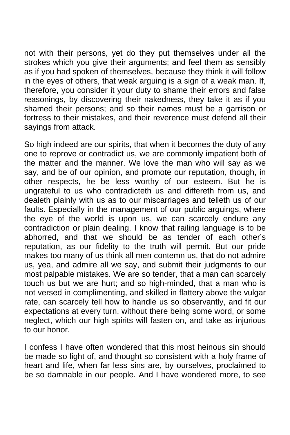not with their persons, yet do they put themselves under all the strokes which you give their arguments; and feel them as sensibly as if you had spoken of themselves, because they think it will follow in the eyes of others, that weak arguing is a sign of a weak man. If, therefore, you consider it your duty to shame their errors and false reasonings, by discovering their nakedness, they take it as if you shamed their persons; and so their names must be a garrison or fortress to their mistakes, and their reverence must defend all their sayings from attack.

So high indeed are our spirits, that when it becomes the duty of any one to reprove or contradict us, we are commonly impatient both of the matter and the manner. We love the man who will say as we say, and be of our opinion, and promote our reputation, though, in other respects, he be less worthy of our esteem. But he is ungrateful to us who contradicteth us and differeth from us, and dealeth plainly with us as to our miscarriages and telleth us of our faults. Especially in the management of our public arguings, where the eye of the world is upon us, we can scarcely endure any contradiction or plain dealing. I know that railing language is to be abhorred, and that we should be as tender of each other's reputation, as our fidelity to the truth will permit. But our pride makes too many of us think all men contemn us, that do not admire us, yea, and admire all we say, and submit their judgments to our most palpable mistakes. We are so tender, that a man can scarcely touch us but we are hurt; and so high-minded, that a man who is not versed in complimenting, and skilled in flattery above the vulgar rate, can scarcely tell how to handle us so observantly, and fit our expectations at every turn, without there being some word, or some neglect, which our high spirits will fasten on, and take as injurious to our honor.

I confess I have often wondered that this most heinous sin should be made so light of, and thought so consistent with a holy frame of heart and life, when far less sins are, by ourselves, proclaimed to be so damnable in our people. And I have wondered more, to see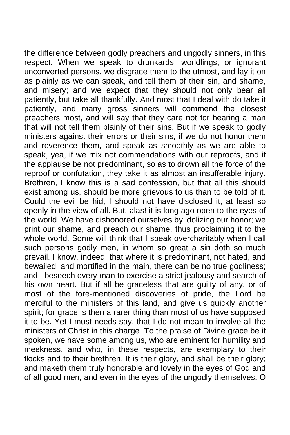the difference between godly preachers and ungodly sinners, in this respect. When we speak to drunkards, worldlings, or ignorant unconverted persons, we disgrace them to the utmost, and lay it on as plainly as we can speak, and tell them of their sin, and shame, and misery; and we expect that they should not only bear all patiently, but take all thankfully. And most that I deal with do take it patiently, and many gross sinners will commend the closest preachers most, and will say that they care not for hearing a man that will not tell them plainly of their sins. But if we speak to godly ministers against their errors or their sins, if we do not honor them and reverence them, and speak as smoothly as we are able to speak, yea, if we mix not commendations with our reproofs, and if the applause be not predominant, so as to drown all the force of the reproof or confutation, they take it as almost an insufferable injury. Brethren, I know this is a sad confession, but that all this should exist among us, should be more grievous to us than to be told of it. Could the evil be hid, I should not have disclosed it, at least so openly in the view of all. But, alas! it is long ago open to the eyes of the world. We have dishonored ourselves by idolizing our honor; we print our shame, and preach our shame, thus proclaiming it to the whole world. Some will think that I speak overcharitably when I call such persons godly men, in whom so great a sin doth so much prevail. I know, indeed, that where it is predominant, not hated, and bewailed, and mortified in the main, there can be no true godliness; and I beseech every man to exercise a strict jealousy and search of his own heart. But if all be graceless that are guilty of any, or of most of the fore-mentioned discoveries of pride, the Lord be merciful to the ministers of this land, and give us quickly another spirit; for grace is then a rarer thing than most of us have supposed it to be. Yet I must needs say, that I do not mean to involve all the ministers of Christ in this charge. To the praise of Divine grace be it spoken, we have some among us, who are eminent for humility and meekness, and who, in these respects, are exemplary to their flocks and to their brethren. It is their glory, and shall be their glory; and maketh them truly honorable and lovely in the eyes of God and of all good men, and even in the eyes of the ungodly themselves. O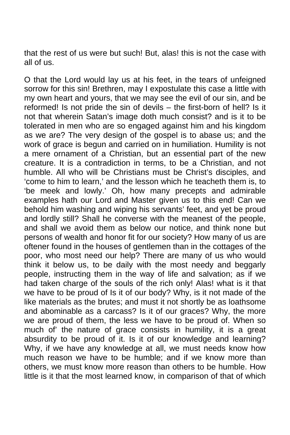that the rest of us were but such! But, alas! this is not the case with all of us.

O that the Lord would lay us at his feet, in the tears of unfeigned sorrow for this sin! Brethren, may I expostulate this case a little with my own heart and yours, that we may see the evil of our sin, and be reformed! Is not pride the sin of devils – the first-born of hell? Is it not that wherein Satan's image doth much consist? and is it to be tolerated in men who are so engaged against him and his kingdom as we are? The very design of the gospel is to abase us; and the work of grace is begun and carried on in humiliation. Humility is not a mere ornament of a Christian, but an essential part of the new creature. It is a contradiction in terms, to be a Christian, and not humble. All who will be Christians must be Christ's disciples, and 'come to him to learn,' and the lesson which he teacheth them is, to 'be meek and lowly.' Oh, how many precepts and admirable examples hath our Lord and Master given us to this end! Can we behold him washing and wiping his servants' feet, and yet be proud and lordly still? Shall he converse with the meanest of the people, and shall we avoid them as below our notice, and think none but persons of wealth and honor fit for our society? How many of us are oftener found in the houses of gentlemen than in the cottages of the poor, who most need our help? There are many of us who would think it below us, to be daily with the most needy and beggarly people, instructing them in the way of life and salvation; as if we had taken charge of the souls of the rich only! Alas! what is it that we have to be proud of Is it of our body? Why, is it not made of the like materials as the brutes; and must it not shortly be as loathsome and abominable as a carcass? Is it of our graces? Why, the more we are proud of them, the less we have to be proud of. When so much of' the nature of grace consists in humility, it is a great absurdity to be proud of it. Is it of our knowledge and learning? Why, if we have any knowledge at all, we must needs know how much reason we have to be humble; and if we know more than others, we must know more reason than others to be humble. How little is it that the most learned know, in comparison of that of which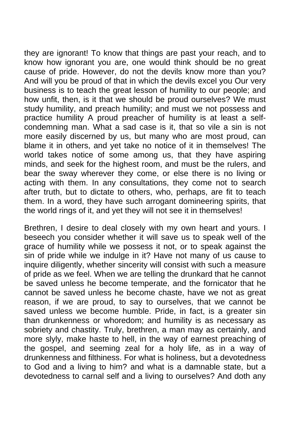they are ignorant! To know that things are past your reach, and to know how ignorant you are, one would think should be no great cause of pride. However, do not the devils know more than you? And will you be proud of that in which the devils excel you Our very business is to teach the great lesson of humility to our people; and how unfit, then, is it that we should be proud ourselves? We must study humility, and preach humility; and must we not possess and practice humility A proud preacher of humility is at least a selfcondemning man. What a sad case is it, that so vile a sin is not more easily discerned by us, but many who are most proud, can blame it in others, and yet take no notice of it in themselves! The world takes notice of some among us, that they have aspiring minds, and seek for the highest room, and must be the rulers, and bear the sway wherever they come, or else there is no living or acting with them. In any consultations, they come not to search after truth, but to dictate to others, who, perhaps, are fit to teach them. In a word, they have such arrogant domineering spirits, that the world rings of it, and yet they will not see it in themselves!

Brethren, I desire to deal closely with my own heart and yours. I beseech you consider whether it will save us to speak well of the grace of humility while we possess it not, or to speak against the sin of pride while we indulge in it? Have not many of us cause to inquire diligently, whether sincerity will consist with such a measure of pride as we feel. When we are telling the drunkard that he cannot be saved unless he become temperate, and the fornicator that he cannot be saved unless he become chaste, have we not as great reason, if we are proud, to say to ourselves, that we cannot be saved unless we become humble. Pride, in fact, is a greater sin than drunkenness or whoredom; and humility is as necessary as sobriety and chastity. Truly, brethren, a man may as certainly, and more slyly, make haste to hell, in the way of earnest preaching of the gospel, and seeming zeal for a holy life, as in a way of drunkenness and filthiness. For what is holiness, but a devotedness to God and a living to him? and what is a damnable state, but a devotedness to carnal self and a living to ourselves? And doth any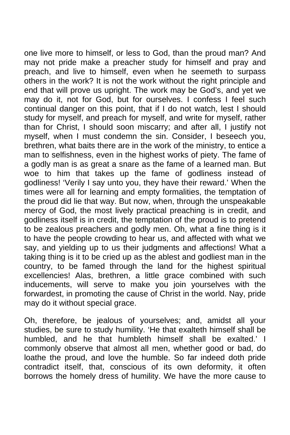one live more to himself, or less to God, than the proud man? And may not pride make a preacher study for himself and pray and preach, and live to himself, even when he seemeth to surpass others in the work? It is not the work without the right principle and end that will prove us upright. The work may be God's, and yet we may do it, not for God, but for ourselves. I confess I feel such continual danger on this point, that if I do not watch, lest I should study for myself, and preach for myself, and write for myself, rather than for Christ, I should soon miscarry; and after all, I justify not myself, when I must condemn the sin. Consider, I beseech you, brethren, what baits there are in the work of the ministry, to entice a man to selfishness, even in the highest works of piety. The fame of a godly man is as great a snare as the fame of a learned man. But woe to him that takes up the fame of godliness instead of godliness! 'Verily I say unto you, they have their reward.' When the times were all for learning and empty formalities, the temptation of the proud did lie that way. But now, when, through the unspeakable mercy of God, the most lively practical preaching is in credit, and godliness itself is in credit, the temptation of the proud is to pretend to be zealous preachers and godly men. Oh, what a fine thing is it to have the people crowding to hear us, and affected with what we say, and yielding up to us their judgments and affections! What a taking thing is it to be cried up as the ablest and godliest man in the country, to be famed through the land for the highest spiritual excellencies! Alas, brethren, a little grace combined with such inducements, will serve to make you join yourselves with the forwardest, in promoting the cause of Christ in the world. Nay, pride may do it without special grace.

Oh, therefore, be jealous of yourselves; and, amidst all your studies, be sure to study humility. 'He that exalteth himself shall be humbled, and he that humbleth himself shall be exalted.' I commonly observe that almost all men, whether good or bad, do loathe the proud, and love the humble. So far indeed doth pride contradict itself, that, conscious of its own deformity, it often borrows the homely dress of humility. We have the more cause to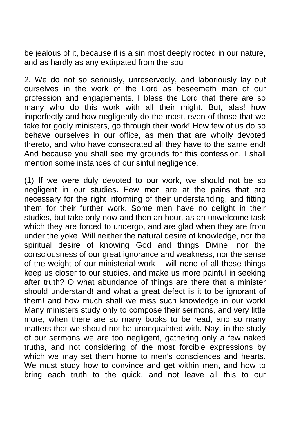be jealous of it, because it is a sin most deeply rooted in our nature, and as hardly as any extirpated from the soul.

2. We do not so seriously, unreservedly, and laboriously lay out ourselves in the work of the Lord as beseemeth men of our profession and engagements. I bless the Lord that there are so many who do this work with all their might. But, alas! how imperfectly and how negligently do the most, even of those that we take for godly ministers, go through their work! How few of us do so behave ourselves in our office, as men that are wholly devoted thereto, and who have consecrated all they have to the same end! And because you shall see my grounds for this confession, I shall mention some instances of our sinful negligence.

(1) If we were duly devoted to our work, we should not be so negligent in our studies. Few men are at the pains that are necessary for the right informing of their understanding, and fitting them for their further work. Some men have no delight in their studies, but take only now and then an hour, as an unwelcome task which they are forced to undergo, and are glad when they are from under the yoke. Will neither the natural desire of knowledge, nor the spiritual desire of knowing God and things Divine, nor the consciousness of our great ignorance and weakness, nor the sense of the weight of our ministerial work – will none of all these things keep us closer to our studies, and make us more painful in seeking after truth? O what abundance of things are there that a minister should understand! and what a great defect is it to be ignorant of them! and how much shall we miss such knowledge in our work! Many ministers study only to compose their sermons, and very little more, when there are so many books to be read, and so many matters that we should not be unacquainted with. Nay, in the study of our sermons we are too negligent, gathering only a few naked truths, and not considering of the most forcible expressions by which we may set them home to men's consciences and hearts. We must study how to convince and get within men, and how to bring each truth to the quick, and not leave all this to our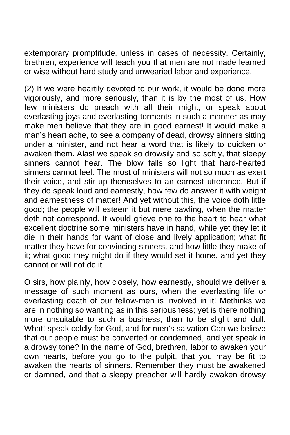extemporary promptitude, unless in cases of necessity. Certainly, brethren, experience will teach you that men are not made learned or wise without hard study and unwearied labor and experience.

(2) If we were heartily devoted to our work, it would be done more vigorously, and more seriously, than it is by the most of us. How few ministers do preach with all their might, or speak about everlasting joys and everlasting torments in such a manner as may make men believe that they are in good earnest! It would make a man's heart ache, to see a company of dead, drowsy sinners sitting under a minister, and not hear a word that is likely to quicken or awaken them. Alas! we speak so drowsily and so softly, that sleepy sinners cannot hear. The blow falls so light that hard-hearted sinners cannot feel. The most of ministers will not so much as exert their voice, and stir up themselves to an earnest utterance. But if they do speak loud and earnestly, how few do answer it with weight and earnestness of matter! And yet without this, the voice doth little good; the people will esteem it but mere bawling, when the matter doth not correspond. It would grieve one to the heart to hear what excellent doctrine some ministers have in hand, while yet they let it die in their hands for want of close and lively application; what fit matter they have for convincing sinners, and how little they make of it; what good they might do if they would set it home, and yet they cannot or will not do it.

O sirs, how plainly, how closely, how earnestly, should we deliver a message of such moment as ours, when the everlasting life or everlasting death of our fellow-men is involved in it! Methinks we are in nothing so wanting as in this seriousness; yet is there nothing more unsuitable to such a business, than to be slight and dull. What! speak coldly for God, and for men's salvation Can we believe that our people must be converted or condemned, and yet speak in a drowsy tone? In the name of God, brethren, labor to awaken your own hearts, before you go to the pulpit, that you may be fit to awaken the hearts of sinners. Remember they must be awakened or damned, and that a sleepy preacher will hardly awaken drowsy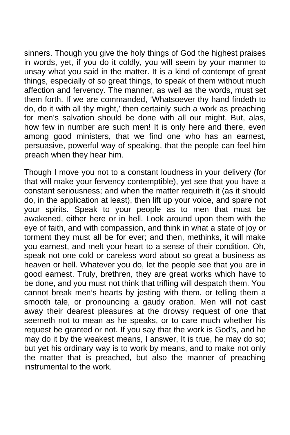sinners. Though you give the holy things of God the highest praises in words, yet, if you do it coldly, you will seem by your manner to unsay what you said in the matter. It is a kind of contempt of great things, especially of so great things, to speak of them without much affection and fervency. The manner, as well as the words, must set them forth. If we are commanded, 'Whatsoever thy hand findeth to do, do it with all thy might,' then certainly such a work as preaching for men's salvation should be done with all our might. But, alas, how few in number are such men! It is only here and there, even among good ministers, that we find one who has an earnest, persuasive, powerful way of speaking, that the people can feel him preach when they hear him.

Though I move you not to a constant loudness in your delivery (for that will make your fervency contemptible), yet see that you have a constant seriousness; and when the matter requireth it (as it should do, in the application at least), then lift up your voice, and spare not your spirits. Speak to your people as to men that must be awakened, either here or in hell. Look around upon them with the eye of faith, and with compassion, and think in what a state of joy or torment they must all be for ever; and then, methinks, it will make you earnest, and melt your heart to a sense of their condition. Oh, speak not one cold or careless word about so great a business as heaven or hell. Whatever you do, let the people see that you are in good earnest. Truly, brethren, they are great works which have to be done, and you must not think that trifling will despatch them. You cannot break men's hearts by jesting with them, or telling them a smooth tale, or pronouncing a gaudy oration. Men will not cast away their dearest pleasures at the drowsy request of one that seemeth not to mean as he speaks, or to care much whether his request be granted or not. If you say that the work is God's, and he may do it by the weakest means, I answer, It is true, he may do so; but yet his ordinary way is to work by means, and to make not only the matter that is preached, but also the manner of preaching instrumental to the work.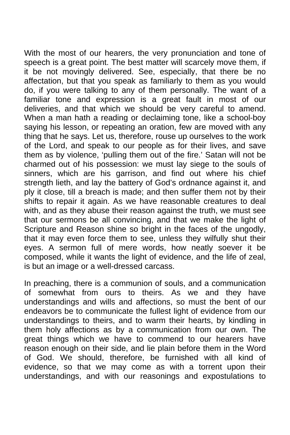With the most of our hearers, the very pronunciation and tone of speech is a great point. The best matter will scarcely move them, if it be not movingly delivered. See, especially, that there be no affectation, but that you speak as familiarly to them as you would do, if you were talking to any of them personally. The want of a familiar tone and expression is a great fault in most of our deliveries, and that which we should be very careful to amend. When a man hath a reading or declaiming tone, like a school-boy saying his lesson, or repeating an oration, few are moved with any thing that he says. Let us, therefore, rouse up ourselves to the work of the Lord, and speak to our people as for their lives, and save them as by violence, 'pulling them out of the fire.' Satan will not be charmed out of his possession: we must lay siege to the souls of sinners, which are his garrison, and find out where his chief strength lieth, and lay the battery of God's ordnance against it, and ply it close, till a breach is made; and then suffer them not by their shifts to repair it again. As we have reasonable creatures to deal with, and as they abuse their reason against the truth, we must see that our sermons be all convincing, and that we make the light of Scripture and Reason shine so bright in the faces of the ungodly, that it may even force them to see, unless they wilfully shut their eyes. A sermon full of mere words, how neatly soever it be composed, while it wants the light of evidence, and the life of zeal, is but an image or a well-dressed carcass.

In preaching, there is a communion of souls, and a communication of somewhat from ours to theirs. As we and they have understandings and wills and affections, so must the bent of our endeavors be to communicate the fullest light of evidence from our understandings to theirs, and to warm their hearts, by kindling in them holy affections as by a communication from our own. The great things which we have to commend to our hearers have reason enough on their side, and lie plain before them in the Word of God. We should, therefore, be furnished with all kind of evidence, so that we may come as with a torrent upon their understandings, and with our reasonings and expostulations to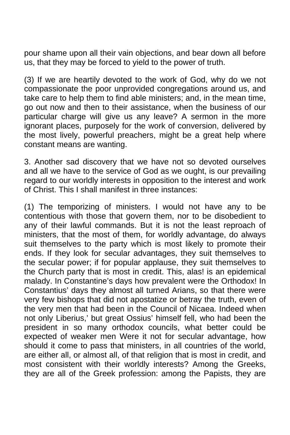pour shame upon all their vain objections, and bear down all before us, that they may be forced to yield to the power of truth.

(3) If we are heartily devoted to the work of God, why do we not compassionate the poor unprovided congregations around us, and take care to help them to find able ministers; and, in the mean time, go out now and then to their assistance, when the business of our particular charge will give us any leave? A sermon in the more ignorant places, purposely for the work of conversion, delivered by the most lively, powerful preachers, might be a great help where constant means are wanting.

3. Another sad discovery that we have not so devoted ourselves and all we have to the service of God as we ought, is our prevailing regard to our worldly interests in opposition to the interest and work of Christ. This I shall manifest in three instances:

(1) The temporizing of ministers. I would not have any to be contentious with those that govern them, nor to be disobedient to any of their lawful commands. But it is not the least reproach of ministers, that the most of them, for worldly advantage, do always suit themselves to the party which is most likely to promote their ends. If they look for secular advantages, they suit themselves to the secular power; if for popular applause, they suit themselves to the Church party that is most in credit. This, alas! is an epidemical malady. In Constantine's days how prevalent were the Orthodox! In Constantius' days they almost all turned Arians, so that there were very few bishops that did not apostatize or betray the truth, even of the very men that had been in the Council of Nicaea. Indeed when not only Liberius,' but great Ossius' himself fell, who had been the president in so many orthodox councils, what better could be expected of weaker men Were it not for secular advantage, how should it come to pass that ministers, in all countries of the world, are either all, or almost all, of that religion that is most in credit, and most consistent with their worldly interests? Among the Greeks, they are all of the Greek profession: among the Papists, they are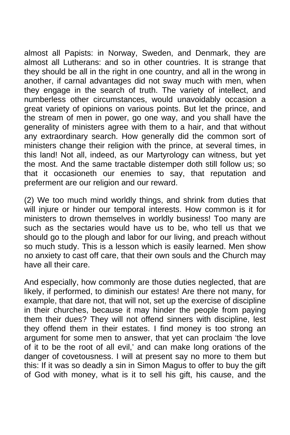almost all Papists: in Norway, Sweden, and Denmark, they are almost all Lutherans: and so in other countries. It is strange that they should be all in the right in one country, and all in the wrong in another, if carnal advantages did not sway much with men, when they engage in the search of truth. The variety of intellect, and numberless other circumstances, would unavoidably occasion a great variety of opinions on various points. But let the prince, and the stream of men in power, go one way, and you shall have the generality of ministers agree with them to a hair, and that without any extraordinary search. How generally did the common sort of ministers change their religion with the prince, at several times, in this land! Not all, indeed, as our Martyrology can witness, but yet the most. And the same tractable distemper doth still follow us; so that it occasioneth our enemies to say, that reputation and preferment are our religion and our reward.

(2) We too much mind worldly things, and shrink from duties that will injure or hinder our temporal interests. How common is it for ministers to drown themselves in worldly business! Too many are such as the sectaries would have us to be, who tell us that we should go to the plough and labor for our living, and preach without so much study. This is a lesson which is easily learned. Men show no anxiety to cast off care, that their own souls and the Church may have all their care.

And especially, how commonly are those duties neglected, that are likely, if performed, to diminish our estates! Are there not many, for example, that dare not, that will not, set up the exercise of discipline in their churches, because it may hinder the people from paying them their dues? They will not offend sinners with discipline, lest they offend them in their estates. I find money is too strong an argument for some men to answer, that yet can proclaim 'the love of it to be the root of all evil,' and can make long orations of the danger of covetousness. I will at present say no more to them but this: If it was so deadly a sin in Simon Magus to offer to buy the gift of God with money, what is it to sell his gift, his cause, and the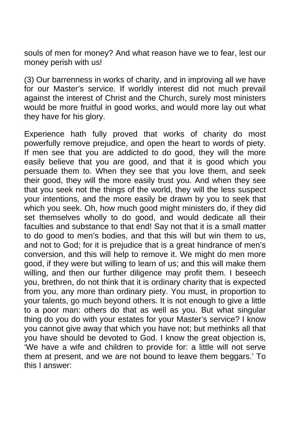souls of men for money? And what reason have we to fear, lest our money perish with us!

(3) Our barrenness in works of charity, and in improving all we have for our Master's service. If worldly interest did not much prevail against the interest of Christ and the Church, surely most ministers would be more fruitful in good works, and would more lay out what they have for his glory.

Experience hath fully proved that works of charity do most powerfully remove prejudice, and open the heart to words of piety. If men see that you are addicted to do good, they will the more easily believe that you are good, and that it is good which you persuade them to. When they see that you love them, and seek their good, they will the more easily trust you. And when they see that you seek not the things of the world, they will the less suspect your intentions, and the more easily be drawn by you to seek that which you seek. Oh, how much good might ministers do, if they did set themselves wholly to do good, and would dedicate all their faculties and substance to that end! Say not that it is a small matter to do good to men's bodies, and that this will but win them to us, and not to God; for it is prejudice that is a great hindrance of men's conversion, and this will help to remove it. We might do men more good, if they were but willing to learn of us; and this will make them willing, and then our further diligence may profit them. I beseech you, brethren, do not think that it is ordinary charity that is expected from you, any more than ordinary piety. You must, in proportion to your talents, go much beyond others. It is not enough to give a little to a poor man: others do that as well as you. But what singular thing do you do with your estates for your Master's service? I know you cannot give away that which you have not; but methinks all that you have should be devoted to God. I know the great objection is, 'We have a wife and children to provide for: a little will not serve them at present, and we are not bound to leave them beggars.' To this I answer: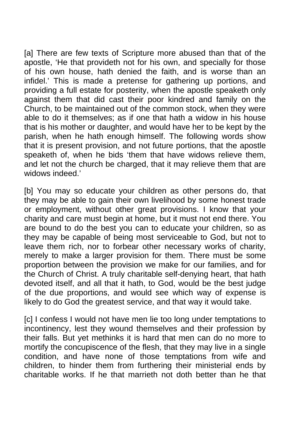[a] There are few texts of Scripture more abused than that of the apostle, 'He that provideth not for his own, and specially for those of his own house, hath denied the faith, and is worse than an infidel.' This is made a pretense for gathering up portions, and providing a full estate for posterity, when the apostle speaketh only against them that did cast their poor kindred and family on the Church, to be maintained out of the common stock, when they were able to do it themselves; as if one that hath a widow in his house that is his mother or daughter, and would have her to be kept by the parish, when he hath enough himself. The following words show that it is present provision, and not future portions, that the apostle speaketh of, when he bids 'them that have widows relieve them, and let not the church be charged, that it may relieve them that are widows indeed.'

[b] You may so educate your children as other persons do, that they may be able to gain their own livelihood by some honest trade or employment, without other great provisions. I know that your charity and care must begin at home, but it must not end there. You are bound to do the best you can to educate your children, so as they may be capable of being most serviceable to God, but not to leave them rich, nor to forbear other necessary works of charity, merely to make a larger provision for them. There must be some proportion between the provision we make for our families, and for the Church of Christ. A truly charitable self-denying heart, that hath devoted itself, and all that it hath, to God, would be the best judge of the due proportions, and would see which way of expense is likely to do God the greatest service, and that way it would take.

[c] I confess I would not have men lie too long under temptations to incontinency, lest they wound themselves and their profession by their falls. But yet methinks it is hard that men can do no more to mortify the concupiscence of the flesh, that they may live in a single condition, and have none of those temptations from wife and children, to hinder them from furthering their ministerial ends by charitable works. If he that marrieth not doth better than he that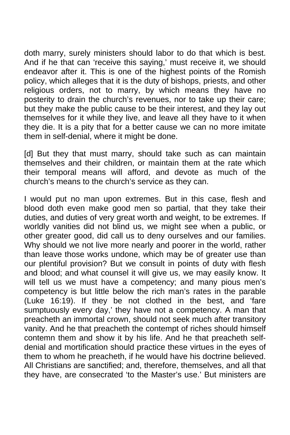doth marry, surely ministers should labor to do that which is best. And if he that can 'receive this saying,' must receive it, we should endeavor after it. This is one of the highest points of the Romish policy, which alleges that it is the duty of bishops, priests, and other religious orders, not to marry, by which means they have no posterity to drain the church's revenues, nor to take up their care; but they make the public cause to be their interest, and they lay out themselves for it while they live, and leave all they have to it when they die. It is a pity that for a better cause we can no more imitate them in self-denial, where it might be done.

[d] But they that must marry, should take such as can maintain themselves and their children, or maintain them at the rate which their temporal means will afford, and devote as much of the church's means to the church's service as they can.

I would put no man upon extremes. But in this case, flesh and blood doth even make good men so partial, that they take their duties, and duties of very great worth and weight, to be extremes. If worldly vanities did not blind us, we might see when a public, or other greater good, did call us to deny ourselves and our families. Why should we not live more nearly and poorer in the world, rather than leave those works undone, which may be of greater use than our plentiful provision? But we consult in points of duty with flesh and blood; and what counsel it will give us, we may easily know. It will tell us we must have a competency; and many pious men's competency is but little below the rich man's rates in the parable (Luke 16:19). If they be not clothed in the best, and 'fare sumptuously every day,' they have not a competency. A man that preacheth an immortal crown, should not seek much after transitory vanity. And he that preacheth the contempt of riches should himself contemn them and show it by his life. And he that preacheth selfdenial and mortification should practice these virtues in the eyes of them to whom he preacheth, if he would have his doctrine believed. All Christians are sanctified; and, therefore, themselves, and all that they have, are consecrated 'to the Master's use.' But ministers are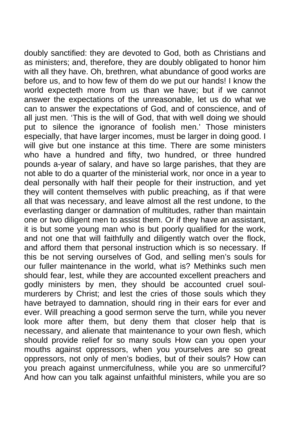doubly sanctified: they are devoted to God, both as Christians and as ministers; and, therefore, they are doubly obligated to honor him with all they have. Oh, brethren, what abundance of good works are before us, and to how few of them do we put our hands! I know the world expecteth more from us than we have; but if we cannot answer the expectations of the unreasonable, let us do what we can to answer the expectations of God, and of conscience, and of all just men. 'This is the will of God, that with well doing we should put to silence the ignorance of foolish men.' Those ministers especially, that have larger incomes, must be larger in doing good. I will give but one instance at this time. There are some ministers who have a hundred and fifty, two hundred, or three hundred pounds a-year of salary, and have so large parishes, that they are not able to do a quarter of the ministerial work, nor once in a year to deal personally with half their people for their instruction, and yet they will content themselves with public preaching, as if that were all that was necessary, and leave almost all the rest undone, to the everlasting danger or damnation of multitudes, rather than maintain one or two diligent men to assist them. Or if they have an assistant, it is but some young man who is but poorly qualified for the work, and not one that will faithfully and diligently watch over the flock, and afford them that personal instruction which is so necessary. If this be not serving ourselves of God, and selling men's souls for our fuller maintenance in the world, what is? Methinks such men should fear, lest, while they are accounted excellent preachers and godly ministers by men, they should be accounted cruel soulmurderers by Christ; and lest the cries of those souls which they have betrayed to damnation, should ring in their ears for ever and ever. Will preaching a good sermon serve the turn, while you never look more after them, but deny them that closer help that is necessary, and alienate that maintenance to your own flesh, which should provide relief for so many souls How can you open your mouths against oppressors, when you yourselves are so great oppressors, not only of men's bodies, but of their souls? How can you preach against unmercifulness, while you are so unmerciful? And how can you talk against unfaithful ministers, while you are so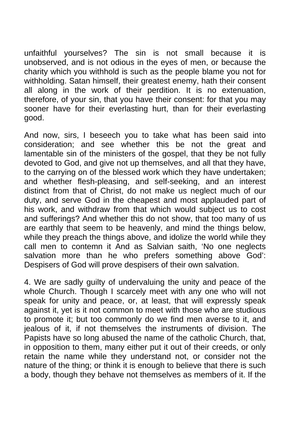unfaithful yourselves? The sin is not small because it is unobserved, and is not odious in the eyes of men, or because the charity which you withhold is such as the people blame you not for withholding. Satan himself, their greatest enemy, hath their consent all along in the work of their perdition. It is no extenuation, therefore, of your sin, that you have their consent: for that you may sooner have for their everlasting hurt, than for their everlasting good.

And now, sirs, I beseech you to take what has been said into consideration; and see whether this be not the great and lamentable sin of the ministers of the gospel, that they be not fully devoted to God, and give not up themselves, and all that they have, to the carrying on of the blessed work which they have undertaken; and whether flesh-pleasing, and self-seeking, and an interest distinct from that of Christ, do not make us neglect much of our duty, and serve God in the cheapest and most applauded part of his work, and withdraw from that which would subject us to cost and sufferings? And whether this do not show, that too many of us are earthly that seem to be heavenly, and mind the things below, while they preach the things above, and idolize the world while they call men to contemn it And as Salvian saith, 'No one neglects salvation more than he who prefers something above God': Despisers of God will prove despisers of their own salvation.

4. We are sadly guilty of undervaluing the unity and peace of the whole Church. Though I scarcely meet with any one who will not speak for unity and peace, or, at least, that will expressly speak against it, yet is it not common to meet with those who are studious to promote it; but too commonly do we find men averse to it, and jealous of it, if not themselves the instruments of division. The Papists have so long abused the name of the catholic Church, that, in opposition to them, many either put it out of their creeds, or only retain the name while they understand not, or consider not the nature of the thing; or think it is enough to believe that there is such a body, though they behave not themselves as members of it. If the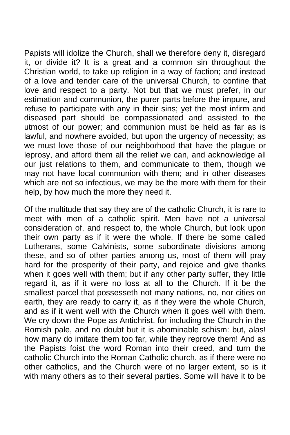Papists will idolize the Church, shall we therefore deny it, disregard it, or divide it? It is a great and a common sin throughout the Christian world, to take up religion in a way of faction; and instead of a love and tender care of the universal Church, to confine that love and respect to a party. Not but that we must prefer, in our estimation and communion, the purer parts before the impure, and refuse to participate with any in their sins; yet the most infirm and diseased part should be compassionated and assisted to the utmost of our power; and communion must be held as far as is lawful, and nowhere avoided, but upon the urgency of necessity; as we must love those of our neighborhood that have the plague or leprosy, and afford them all the relief we can, and acknowledge all our just relations to them, and communicate to them, though we may not have local communion with them; and in other diseases which are not so infectious, we may be the more with them for their help, by how much the more they need it.

Of the multitude that say they are of the catholic Church, it is rare to meet with men of a catholic spirit. Men have not a universal consideration of, and respect to, the whole Church, but look upon their own party as if it were the whole. If there be some called Lutherans, some Calvinists, some subordinate divisions among these, and so of other parties among us, most of them will pray hard for the prosperity of their party, and rejoice and give thanks when it goes well with them; but if any other party suffer, they little regard it, as if it were no loss at all to the Church. If it be the smallest parcel that possesseth not many nations, no, nor cities on earth, they are ready to carry it, as if they were the whole Church, and as if it went well with the Church when it goes well with them. We cry down the Pope as Antichrist, for including the Church in the Romish pale, and no doubt but it is abominable schism: but, alas! how many do imitate them too far, while they reprove them! And as the Papists foist the word Roman into their creed, and turn the catholic Church into the Roman Catholic church, as if there were no other catholics, and the Church were of no larger extent, so is it with many others as to their several parties. Some will have it to be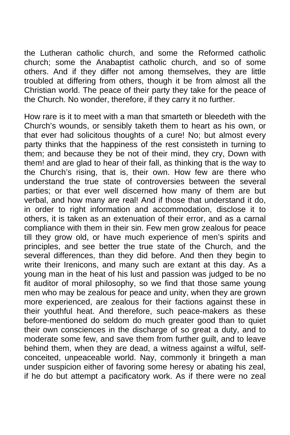the Lutheran catholic church, and some the Reformed catholic church; some the Anabaptist catholic church, and so of some others. And if they differ not among themselves, they are little troubled at differing from others, though it be from almost all the Christian world. The peace of their party they take for the peace of the Church. No wonder, therefore, if they carry it no further.

How rare is it to meet with a man that smarteth or bleedeth with the Church's wounds, or sensibly taketh them to heart as his own, or that ever had solicitous thoughts of a cure! No; but almost every party thinks that the happiness of the rest consisteth in turning to them; and because they be not of their mind, they cry, Down with them! and are glad to hear of their fall, as thinking that is the way to the Church's rising, that is, their own. How few are there who understand the true state of controversies between the several parties; or that ever well discerned how many of them are but verbal, and how many are real! And if those that understand it do, in order to right information and accommodation, disclose it to others, it is taken as an extenuation of their error, and as a carnal compliance with them in their sin. Few men grow zealous for peace till they grow old, or have much experience of men's spirits and principles, and see better the true state of the Church, and the several differences, than they did before. And then they begin to write their Irenicons, and many such are extant at this day. As a young man in the heat of his lust and passion was judged to be no fit auditor of moral philosophy, so we find that those same young men who may be zealous for peace and unity, when they are grown more experienced, are zealous for their factions against these in their youthful heat. And therefore, such peace-makers as these before-mentioned do seldom do much greater good than to quiet their own consciences in the discharge of so great a duty, and to moderate some few, and save them from further guilt, and to leave behind them, when they are dead, a witness against a wilful, selfconceited, unpeaceable world. Nay, commonly it bringeth a man under suspicion either of favoring some heresy or abating his zeal, if he do but attempt a pacificatory work. As if there were no zeal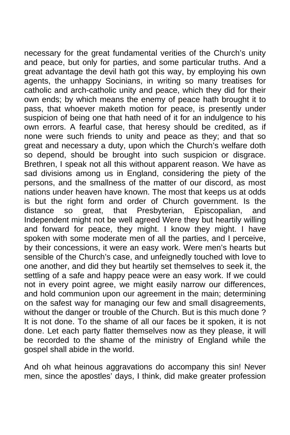necessary for the great fundamental verities of the Church's unity and peace, but only for parties, and some particular truths. And a great advantage the devil hath got this way, by employing his own agents, the unhappy Socinians, in writing so many treatises for catholic and arch-catholic unity and peace, which they did for their own ends; by which means the enemy of peace hath brought it to pass, that whoever maketh motion for peace, is presently under suspicion of being one that hath need of it for an indulgence to his own errors. A fearful case, that heresy should be credited, as if none were such friends to unity and peace as they; and that so great and necessary a duty, upon which the Church's welfare doth so depend, should be brought into such suspicion or disgrace. Brethren, I speak not all this without apparent reason. We have as sad divisions among us in England, considering the piety of the persons, and the smallness of the matter of our discord, as most nations under heaven have known. The most that keeps us at odds is but the right form and order of Church government. Is the distance so great, that Presbyterian, Episcopalian, and Independent might not be well agreed Were they but heartily willing and forward for peace, they might. I know they might. I have spoken with some moderate men of all the parties, and I perceive, by their concessions, it were an easy work. Were men's hearts but sensible of the Church's case, and unfeignedly touched with love to one another, and did they but heartily set themselves to seek it, the settling of a safe and happy peace were an easy work. If we could not in every point agree, we might easily narrow our differences, and hold communion upon our agreement in the main; determining on the safest way for managing our few and small disagreements, without the danger or trouble of the Church. But is this much done ? It is not done. To the shame of all our faces be it spoken, it is not done. Let each party flatter themselves now as they please, it will be recorded to the shame of the ministry of England while the gospel shall abide in the world.

And oh what heinous aggravations do accompany this sin! Never men, since the apostles' days, I think, did make greater profession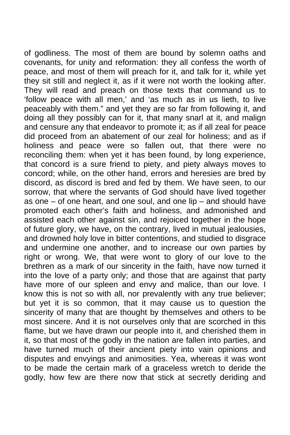of godliness. The most of them are bound by solemn oaths and covenants, for unity and reformation: they all confess the worth of peace, and most of them will preach for it, and talk for it, while yet they sit still and neglect it, as if it were not worth the looking after. They will read and preach on those texts that command us to 'follow peace with all men,' and 'as much as in us lieth, to live peaceably with them." and yet they are so far from following it, and doing all they possibly can for it, that many snarl at it, and malign and censure any that endeavor to promote it; as if all zeal for peace did proceed from an abatement of our zeal for holiness; and as if holiness and peace were so fallen out, that there were no reconciling them: when yet it has been found, by long experience, that concord is a sure friend to piety, and piety always moves to concord; while, on the other hand, errors and heresies are bred by discord, as discord is bred and fed by them. We have seen, to our sorrow, that where the servants of God should have lived together as one – of one heart, and one soul, and one lip – and should have promoted each other's faith and holiness, and admonished and assisted each other against sin, and rejoiced together in the hope of future glory, we have, on the contrary, lived in mutual jealousies, and drowned holy love in bitter contentions, and studied to disgrace and undermine one another, and to increase our own parties by right or wrong. We, that were wont to glory of our love to the brethren as a mark of our sincerity in the faith, have now turned it into the love of a party only; and those that are against that party have more of our spleen and envy and malice, than our love. I know this is not so with all, nor prevalently with any true believer; but yet it is so common, that it may cause us to question the sincerity of many that are thought by themselves and others to be most sincere. And it is not ourselves only that are scorched in this flame, but we have drawn our people into it, and cherished them in it, so that most of the godly in the nation are fallen into parties, and have turned much of their ancient piety into vain opinions and disputes and envyings and animosities. Yea, whereas it was wont to be made the certain mark of a graceless wretch to deride the godly, how few are there now that stick at secretly deriding and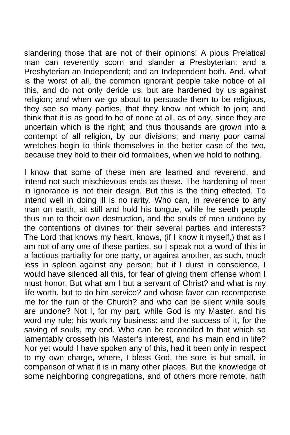slandering those that are not of their opinions! A pious Prelatical man can reverently scorn and slander a Presbyterian; and a Presbyterian an Independent; and an Independent both. And, what is the worst of all, the common ignorant people take notice of all this, and do not only deride us, but are hardened by us against religion; and when we go about to persuade them to be religious, they see so many parties, that they know not which to join; and think that it is as good to be of none at all, as of any, since they are uncertain which is the right; and thus thousands are grown into a contempt of all religion, by our divisions; and many poor carnal wretches begin to think themselves in the better case of the two, because they hold to their old formalities, when we hold to nothing.

I know that some of these men are learned and reverend, and intend not such mischievous ends as these. The hardening of men in ignorance is not their design. But this is the thing effected. To intend well in doing ill is no rarity. Who can, in reverence to any man on earth, sit still and hold his tongue, while he seeth people thus run to their own destruction, and the souls of men undone by the contentions of divines for their several parties and interests? The Lord that knows my heart, knows, (if I know it myself,) that as I am not of any one of these parties, so I speak not a word of this in a factious partiality for one party, or against another, as such, much less in spleen against any person; but if I durst in conscience, I would have silenced all this, for fear of giving them offense whom I must honor. But what am I but a servant of Christ? and what is my life worth, but to do him service? and whose favor can recompense me for the ruin of the Church? and who can be silent while souls are undone? Not I, for my part, while God is my Master, and his word my rule; his work my business; and the success of it, for the saving of souls, my end. Who can be reconciled to that which so lamentably crosseth his Master's interest, and his main end in life? Nor yet would I have spoken any of this, had it been only in respect to my own charge, where, I bless God, the sore is but small, in comparison of what it is in many other places. But the knowledge of some neighboring congregations, and of others more remote, hath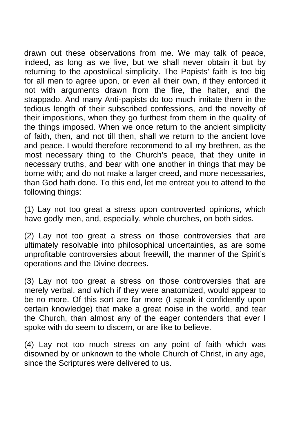drawn out these observations from me. We may talk of peace, indeed, as long as we live, but we shall never obtain it but by returning to the apostolical simplicity. The Papists' faith is too big for all men to agree upon, or even all their own, if they enforced it not with arguments drawn from the fire, the halter, and the strappado. And many Anti-papists do too much imitate them in the tedious length of their subscribed confessions, and the novelty of their impositions, when they go furthest from them in the quality of the things imposed. When we once return to the ancient simplicity of faith, then, and not till then, shall we return to the ancient love and peace. I would therefore recommend to all my brethren, as the most necessary thing to the Church's peace, that they unite in necessary truths, and bear with one another in things that may be borne with; and do not make a larger creed, and more necessaries, than God hath done. To this end, let me entreat you to attend to the following things:

(1) Lay not too great a stress upon controverted opinions, which have godly men, and, especially, whole churches, on both sides.

(2) Lay not too great a stress on those controversies that are ultimately resolvable into philosophical uncertainties, as are some unprofitable controversies about freewill, the manner of the Spirit's operations and the Divine decrees.

(3) Lay not too great a stress on those controversies that are merely verbal, and which if they were anatomized, would appear to be no more. Of this sort are far more (I speak it confidently upon certain knowledge) that make a great noise in the world, and tear the Church, than almost any of the eager contenders that ever I spoke with do seem to discern, or are like to believe.

(4) Lay not too much stress on any point of faith which was disowned by or unknown to the whole Church of Christ, in any age, since the Scriptures were delivered to us.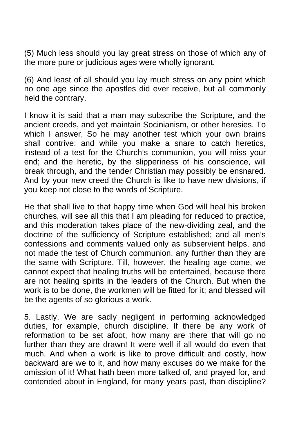(5) Much less should you lay great stress on those of which any of the more pure or judicious ages were wholly ignorant.

(6) And least of all should you lay much stress on any point which no one age since the apostles did ever receive, but all commonly held the contrary.

I know it is said that a man may subscribe the Scripture, and the ancient creeds, and yet maintain Socinianism, or other heresies. To which I answer, So he may another test which your own brains shall contrive: and while you make a snare to catch heretics, instead of a test for the Church's communion, you will miss your end; and the heretic, by the slipperiness of his conscience, will break through, and the tender Christian may possibly be ensnared. And by your new creed the Church is like to have new divisions, if you keep not close to the words of Scripture.

He that shall live to that happy time when God will heal his broken churches, will see all this that I am pleading for reduced to practice, and this moderation takes place of the new-dividing zeal, and the doctrine of the sufficiency of Scripture established; and all men's confessions and comments valued only as subservient helps, and not made the test of Church communion, any further than they are the same with Scripture. Till, however, the healing age come, we cannot expect that healing truths will be entertained, because there are not healing spirits in the leaders of the Church. But when the work is to be done, the workmen will be fitted for it; and blessed will be the agents of so glorious a work.

5. Lastly, We are sadly negligent in performing acknowledged duties, for example, church discipline. If there be any work of reformation to be set afoot, how many are there that will go no further than they are drawn! It were well if all would do even that much. And when a work is like to prove difficult and costly, how backward are we to it, and how many excuses do we make for the omission of it! What hath been more talked of, and prayed for, and contended about in England, for many years past, than discipline?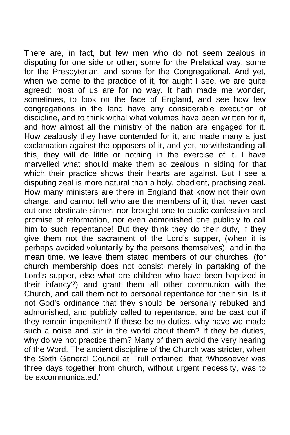There are, in fact, but few men who do not seem zealous in disputing for one side or other; some for the Prelatical way, some for the Presbyterian, and some for the Congregational. And yet, when we come to the practice of it, for aught I see, we are quite agreed: most of us are for no way. It hath made me wonder, sometimes, to look on the face of England, and see how few congregations in the land have any considerable execution of discipline, and to think withal what volumes have been written for it, and how almost all the ministry of the nation are engaged for it. How zealously they have contended for it, and made many a just exclamation against the opposers of it, and yet, notwithstanding all this, they will do little or nothing in the exercise of it. I have marvelled what should make them so zealous in siding for that which their practice shows their hearts are against. But I see a disputing zeal is more natural than a holy, obedient, practising zeal. How many ministers are there in England that know not their own charge, and cannot tell who are the members of it; that never cast out one obstinate sinner, nor brought one to public confession and promise of reformation, nor even admonished one publicly to call him to such repentance! But they think they do their duty, if they give them not the sacrament of the Lord's supper, (when it is perhaps avoided voluntarily by the persons themselves); and in the mean time, we leave them stated members of our churches, (for church membership does not consist merely in partaking of the Lord's supper, else what are children who have been baptized in their infancy?) and grant them all other communion with the Church, and call them not to personal repentance for their sin. Is it not God's ordinance that they should be personally rebuked and admonished, and publicly called to repentance, and be cast out if they remain impenitent? If these be no duties, why have we made such a noise and stir in the world about them? If they be duties, why do we not practice them? Many of them avoid the very hearing of the Word. The ancient discipline of the Church was stricter, when the Sixth General Council at Trull ordained, that 'Whosoever was three days together from church, without urgent necessity, was to be excommunicated.'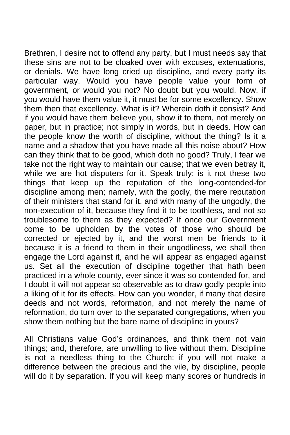Brethren, I desire not to offend any party, but I must needs say that these sins are not to be cloaked over with excuses, extenuations, or denials. We have long cried up discipline, and every party its particular way. Would you have people value your form of government, or would you not? No doubt but you would. Now, if you would have them value it, it must be for some excellency. Show them then that excellency. What is it? Wherein doth it consist? And if you would have them believe you, show it to them, not merely on paper, but in practice; not simply in words, but in deeds. How can the people know the worth of discipline, without the thing? Is it a name and a shadow that you have made all this noise about? How can they think that to be good, which doth no good? Truly, I fear we take not the right way to maintain our cause; that we even betray it, while we are hot disputers for it. Speak truly: is it not these two things that keep up the reputation of the long-contended-for discipline among men; namely, with the godly, the mere reputation of their ministers that stand for it, and with many of the ungodly, the non-execution of it, because they find it to be toothless, and not so troublesome to them as they expected? If once our Government come to be upholden by the votes of those who should be corrected or ejected by it, and the worst men be friends to it because it is a friend to them in their ungodliness, we shall then engage the Lord against it, and he will appear as engaged against us. Set all the execution of discipline together that hath been practiced in a whole county, ever since it was so contended for, and I doubt it will not appear so observable as to draw godly people into a liking of it for its effects. How can you wonder, if many that desire deeds and not words, reformation, and not merely the name of reformation, do turn over to the separated congregations, when you show them nothing but the bare name of discipline in yours?

All Christians value God's ordinances, and think them not vain things; and, therefore, are unwilling to live without them. Discipline is not a needless thing to the Church: if you will not make a difference between the precious and the vile, by discipline, people will do it by separation. If you will keep many scores or hundreds in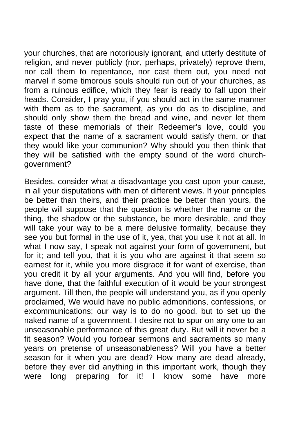your churches, that are notoriously ignorant, and utterly destitute of religion, and never publicly (nor, perhaps, privately) reprove them, nor call them to repentance, nor cast them out, you need not marvel if some timorous souls should run out of your churches, as from a ruinous edifice, which they fear is ready to fall upon their heads. Consider, I pray you, if you should act in the same manner with them as to the sacrament, as you do as to discipline, and should only show them the bread and wine, and never let them taste of these memorials of their Redeemer's love, could you expect that the name of a sacrament would satisfy them, or that they would like your communion? Why should you then think that they will be satisfied with the empty sound of the word churchgovernment?

Besides, consider what a disadvantage you cast upon your cause, in all your disputations with men of different views. If your principles be better than theirs, and their practice be better than yours, the people will suppose that the question is whether the name or the thing, the shadow or the substance, be more desirable, and they will take your way to be a mere delusive formality, because they see you but formal in the use of it, yea, that you use it not at all. In what I now say, I speak not against your form of government, but for it; and tell you, that it is you who are against it that seem so earnest for it, while you more disgrace it for want of exercise, than you credit it by all your arguments. And you will find, before you have done, that the faithful execution of it would be your strongest argument. Till then, the people will understand you, as if you openly proclaimed, We would have no public admonitions, confessions, or excommunications; our way is to do no good, but to set up the naked name of a government. I desire not to spur on any one to an unseasonable performance of this great duty. But will it never be a fit season? Would you forbear sermons and sacraments so many years on pretense of unseasonableness? Will you have a better season for it when you are dead? How many are dead already, before they ever did anything in this important work, though they were long preparing for it! I know some have more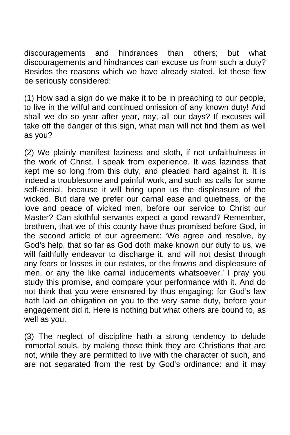discouragements and hindrances than others; but what discouragements and hindrances can excuse us from such a duty? Besides the reasons which we have already stated, let these few be seriously considered:

(1) How sad a sign do we make it to be in preaching to our people, to live in the wilful and continued omission of any known duty! And shall we do so year after year, nay, all our days? If excuses will take off the danger of this sign, what man will not find them as well as you?

(2) We plainly manifest laziness and sloth, if not unfaithulness in the work of Christ. I speak from experience. It was laziness that kept me so long from this duty, and pleaded hard against it. It is indeed a troublesome and painful work, and such as calls for some self-denial, because it will bring upon us the displeasure of the wicked. But dare we prefer our carnal ease and quietness, or the love and peace of wicked men, before our service to Christ our Master? Can slothful servants expect a good reward? Remember, brethren, that we of this county have thus promised before God, in the second article of our agreement: 'We agree and resolve, by God's help, that so far as God doth make known our duty to us, we will faithfully endeavor to discharge it, and will not desist through any fears or losses in our estates, or the frowns and displeasure of men, or any the like carnal inducements whatsoever.' I pray you study this promise, and compare your performance with it. And do not think that you were ensnared by thus engaging; for God's law hath laid an obligation on you to the very same duty, before your engagement did it. Here is nothing but what others are bound to, as well as you.

(3) The neglect of discipline hath a strong tendency to delude immortal souls, by making those think they are Christians that are not, while they are permitted to live with the character of such, and are not separated from the rest by God's ordinance: and it may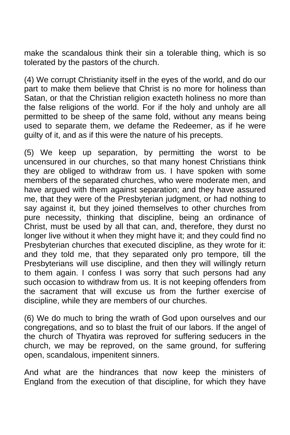make the scandalous think their sin a tolerable thing, which is so tolerated by the pastors of the church.

(4) We corrupt Christianity itself in the eyes of the world, and do our part to make them believe that Christ is no more for holiness than Satan, or that the Christian religion exacteth holiness no more than the false religions of the world. For if the holy and unholy are all permitted to be sheep of the same fold, without any means being used to separate them, we defame the Redeemer, as if he were guilty of it, and as if this were the nature of his precepts.

(5) We keep up separation, by permitting the worst to be uncensured in our churches, so that many honest Christians think they are obliged to withdraw from us. I have spoken with some members of the separated churches, who were moderate men, and have argued with them against separation; and they have assured me, that they were of the Presbyterian judgment, or had nothing to say against it, but they joined themselves to other churches from pure necessity, thinking that discipline, being an ordinance of Christ, must be used by all that can, and, therefore, they durst no longer live without it when they might have it; and they could find no Presbyterian churches that executed discipline, as they wrote for it: and they told me, that they separated only pro tempore, till the Presbyterians will use discipline, and then they will willingly return to them again. I confess I was sorry that such persons had any such occasion to withdraw from us. It is not keeping offenders from the sacrament that will excuse us from the further exercise of discipline, while they are members of our churches.

(6) We do much to bring the wrath of God upon ourselves and our congregations, and so to blast the fruit of our labors. If the angel of the church of Thyatira was reproved for suffering seducers in the church, we may be reproved, on the same ground, for suffering open, scandalous, impenitent sinners.

And what are the hindrances that now keep the ministers of England from the execution of that discipline, for which they have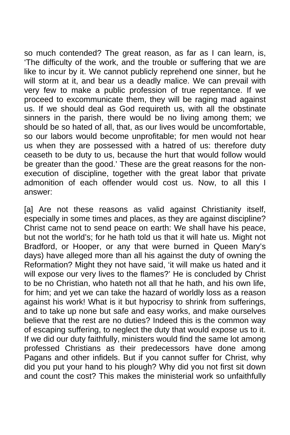so much contended? The great reason, as far as I can learn, is, 'The difficulty of the work, and the trouble or suffering that we are like to incur by it. We cannot publicly reprehend one sinner, but he will storm at it, and bear us a deadly malice. We can prevail with very few to make a public profession of true repentance. If we proceed to excommunicate them, they will be raging mad against us. If we should deal as God requireth us, with all the obstinate sinners in the parish, there would be no living among them; we should be so hated of all, that, as our lives would be uncomfortable, so our labors would become unprofitable; for men would not hear us when they are possessed with a hatred of us: therefore duty ceaseth to be duty to us, because the hurt that would follow would be greater than the good.' These are the great reasons for the nonexecution of discipline, together with the great labor that private admonition of each offender would cost us. Now, to all this I answer:

[a] Are not these reasons as valid against Christianity itself, especially in some times and places, as they are against discipline? Christ came not to send peace on earth: We shall have his peace, but not the world's; for he hath told us that it will hate us. Might not Bradford, or Hooper, or any that were burned in Queen Mary's days) have alleged more than all his against the duty of owning the Reformation? Might they not have said, 'it will make us hated and it will expose our very lives to the flames?' He is concluded by Christ to be no Christian, who hateth not all that he hath, and his own life, for him; and yet we can take the hazard of worldly loss as a reason against his work! What is it but hypocrisy to shrink from sufferings, and to take up none but safe and easy works, and make ourselves believe that the rest are no duties? Indeed this is the common way of escaping suffering, to neglect the duty that would expose us to it. If we did our duty faithfully, ministers would find the same lot among professed Christians as their predecessors have done among Pagans and other infidels. But if you cannot suffer for Christ, why did you put your hand to his plough? Why did you not first sit down and count the cost? This makes the ministerial work so unfaithfully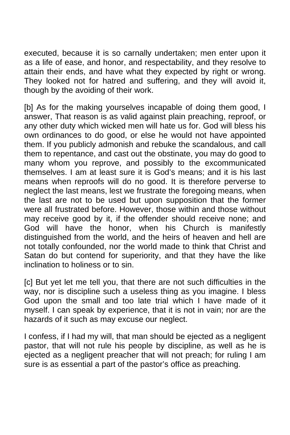executed, because it is so carnally undertaken; men enter upon it as a life of ease, and honor, and respectability, and they resolve to attain their ends, and have what they expected by right or wrong. They looked not for hatred and suffering, and they will avoid it, though by the avoiding of their work.

[b] As for the making yourselves incapable of doing them good, I answer, That reason is as valid against plain preaching, reproof, or any other duty which wicked men will hate us for. God will bless his own ordinances to do good, or else he would not have appointed them. If you publicly admonish and rebuke the scandalous, and call them to repentance, and cast out the obstinate, you may do good to many whom you reprove, and possibly to the excommunicated themselves. I am at least sure it is God's means; and it is his last means when reproofs will do no good. It is therefore perverse to neglect the last means, lest we frustrate the foregoing means, when the last are not to be used but upon supposition that the former were all frustrated before. However, those within and those without may receive good by it, if the offender should receive none; and God will have the honor, when his Church is manifestly distinguished from the world, and the heirs of heaven and hell are not totally confounded, nor the world made to think that Christ and Satan do but contend for superiority, and that they have the like inclination to holiness or to sin.

[c] But yet let me tell you, that there are not such difficulties in the way, nor is discipline such a useless thing as you imagine. I bless God upon the small and too late trial which I have made of it myself. I can speak by experience, that it is not in vain; nor are the hazards of it such as may excuse our neglect.

I confess, if I had my will, that man should be ejected as a negligent pastor, that will not rule his people by discipline, as well as he is ejected as a negligent preacher that will not preach; for ruling I am sure is as essential a part of the pastor's office as preaching.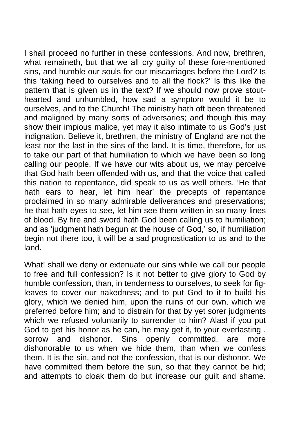I shall proceed no further in these confessions. And now, brethren, what remaineth, but that we all cry guilty of these fore-mentioned sins, and humble our souls for our miscarriages before the Lord? Is this 'taking heed to ourselves and to all the flock?' Is this like the pattern that is given us in the text? If we should now prove stouthearted and unhumbled, how sad a symptom would it be to ourselves, and to the Church! The ministry hath oft been threatened and maligned by many sorts of adversaries; and though this may show their impious malice, yet may it also intimate to us God's just indignation. Believe it, brethren, the ministry of England are not the least nor the last in the sins of the land. It is time, therefore, for us to take our part of that humiliation to which we have been so long calling our people. If we have our wits about us, we may perceive that God hath been offended with us, and that the voice that called this nation to repentance, did speak to us as well others. 'He that hath ears to hear, let him hear' the precepts of repentance proclaimed in so many admirable deliverances and preservations; he that hath eyes to see, let him see them written in so many lines of blood. By fire and sword hath God been calling us to humiliation; and as 'judgment hath begun at the house of God,' so, if humiliation begin not there too, it will be a sad prognostication to us and to the land.

What! shall we deny or extenuate our sins while we call our people to free and full confession? Is it not better to give glory to God by humble confession, than, in tenderness to ourselves, to seek for figleaves to cover our nakedness; and to put God to it to build his glory, which we denied him, upon the ruins of our own, which we preferred before him; and to distrain for that by yet sorer judgments which we refused voluntarily to surrender to him? Alas! if you put God to get his honor as he can, he may get it, to your everlasting . sorrow and dishonor. Sins openly committed, are more dishonorable to us when we hide them, than when we confess them. It is the sin, and not the confession, that is our dishonor. We have committed them before the sun, so that they cannot be hid; and attempts to cloak them do but increase our guilt and shame.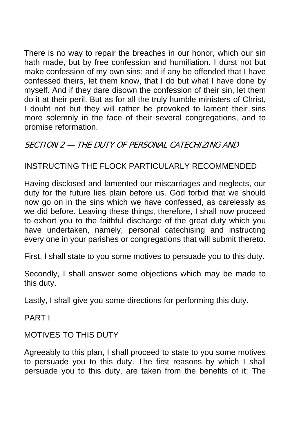There is no way to repair the breaches in our honor, which our sin hath made, but by free confession and humiliation. I durst not but make confession of my own sins: and if any be offended that I have confessed theirs, let them know, that I do but what I have done by myself. And if they dare disown the confession of their sin, let them do it at their peril. But as for all the truly humble ministers of Christ, I doubt not but they will rather be provoked to lament their sins more solemnly in the face of their several congregations, and to promise reformation.

## SECTION 2 — THE DUTY OF PERSONAL CATECHIZING AND

## INSTRUCTING THE FLOCK PARTICULARLY RECOMMENDED

Having disclosed and lamented our miscarriages and neglects, our duty for the future lies plain before us. God forbid that we should now go on in the sins which we have confessed, as carelessly as we did before. Leaving these things, therefore, I shall now proceed to exhort you to the faithful discharge of the great duty which you have undertaken, namely, personal catechising and instructing every one in your parishes or congregations that will submit thereto.

First, I shall state to you some motives to persuade you to this duty.

Secondly, I shall answer some objections which may be made to this duty.

Lastly, I shall give you some directions for performing this duty.

PART I

MOTIVES TO THIS DUTY

Agreeably to this plan, I shall proceed to state to you some motives to persuade you to this duty. The first reasons by which I shall persuade you to this duty, are taken from the benefits of it: The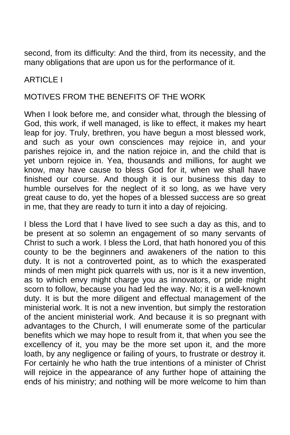second, from its difficulty: And the third, from its necessity, and the many obligations that are upon us for the performance of it.

## ARTICLE I

## MOTIVES FROM THE BENEFITS OF THE WORK

When I look before me, and consider what, through the blessing of God, this work, if well managed, is like to effect, it makes my heart leap for joy. Truly, brethren, you have begun a most blessed work, and such as your own consciences may rejoice in, and your parishes rejoice in, and the nation rejoice in, and the child that is yet unborn rejoice in. Yea, thousands and millions, for aught we know, may have cause to bless God for it, when we shall have finished our course. And though it is our business this day to humble ourselves for the neglect of it so long, as we have very great cause to do, yet the hopes of a blessed success are so great in me, that they are ready to turn it into a day of rejoicing.

I bless the Lord that I have lived to see such a day as this, and to be present at so solemn an engagement of so many servants of Christ to such a work. I bless the Lord, that hath honored you of this county to be the beginners and awakeners of the nation to this duty. It is not a controverted point, as to which the exasperated minds of men might pick quarrels with us, nor is it a new invention, as to which envy might charge you as innovators, or pride might scorn to follow, because you had led the way. No; it is a well-known duty. It is but the more diligent and effectual management of the ministerial work. It is not a new invention, but simply the restoration of the ancient ministerial work. And because it is so pregnant with advantages to the Church, I will enumerate some of the particular benefits which we may hope to result from it, that when you see the excellency of it, you may be the more set upon it, and the more loath, by any negligence or failing of yours, to frustrate or destroy it. For certainly he who hath the true intentions of a minister of Christ will rejoice in the appearance of any further hope of attaining the ends of his ministry; and nothing will be more welcome to him than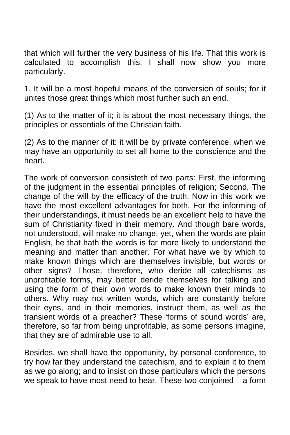that which will further the very business of his life. That this work is calculated to accomplish this, I shall now show you more particularly.

1. It will be a most hopeful means of the conversion of souls; for it unites those great things which most further such an end.

(1) As to the matter of it; it is about the most necessary things, the principles or essentials of the Christian faith.

(2) As to the manner of it: it will be by private conference, when we may have an opportunity to set all home to the conscience and the heart.

The work of conversion consisteth of two parts: First, the informing of the judgment in the essential principles of religion; Second, The change of the will by the efficacy of the truth. Now in this work we have the most excellent advantages for both. For the informing of their understandings, it must needs be an excellent help to have the sum of Christianity fixed in their memory. And though bare words, not understood, will make no change, yet, when the words are plain English, he that hath the words is far more likely to understand the meaning and matter than another. For what have we by which to make known things which are themselves invisible, but words or other signs? Those, therefore, who deride all catechisms as unprofitable forms, may better deride themselves for talking and using the form of their own words to make known their minds to others. Why may not written words, which are constantly before their eyes, and in their memories, instruct them, as well as the transient words of a preacher? These 'forms of sound words' are, therefore, so far from being unprofitable, as some persons imagine, that they are of admirable use to all.

Besides, we shall have the opportunity, by personal conference, to try how far they understand the catechism, and to explain it to them as we go along; and to insist on those particulars which the persons we speak to have most need to hear. These two conjoined – a form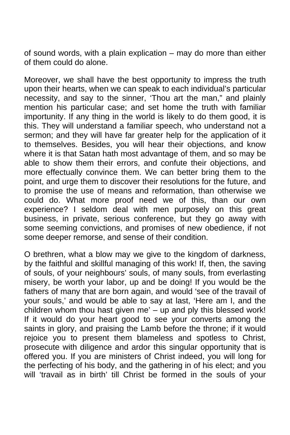of sound words, with a plain explication – may do more than either of them could do alone.

Moreover, we shall have the best opportunity to impress the truth upon their hearts, when we can speak to each individual's particular necessity, and say to the sinner, 'Thou art the man," and plainly mention his particular case; and set home the truth with familiar importunity. If any thing in the world is likely to do them good, it is this. They will understand a familiar speech, who understand not a sermon; and they will have far greater help for the application of it to themselves. Besides, you will hear their objections, and know where it is that Satan hath most advantage of them, and so may be able to show them their errors, and confute their objections, and more effectually convince them. We can better bring them to the point, and urge them to discover their resolutions for the future, and to promise the use of means and reformation, than otherwise we could do. What more proof need we of this, than our own experience? I seldom deal with men purposely on this great business, in private, serious conference, but they go away with some seeming convictions, and promises of new obedience, if not some deeper remorse, and sense of their condition.

O brethren, what a blow may we give to the kingdom of darkness, by the faithful and skillful managing of this work! If, then, the saving of souls, of your neighbours' souls, of many souls, from everlasting misery, be worth your labor, up and be doing! If you would be the fathers of many that are born again, and would 'see of the travail of your souls,' and would be able to say at last, 'Here am I, and the children whom thou hast given me' – up and ply this blessed work! If it would do your heart good to see your converts among the saints in glory, and praising the Lamb before the throne; if it would rejoice you to present them blameless and spotless to Christ, prosecute with diligence and ardor this singular opportunity that is offered you. If you are ministers of Christ indeed, you will long for the perfecting of his body, and the gathering in of his elect; and you will 'travail as in birth' till Christ be formed in the souls of your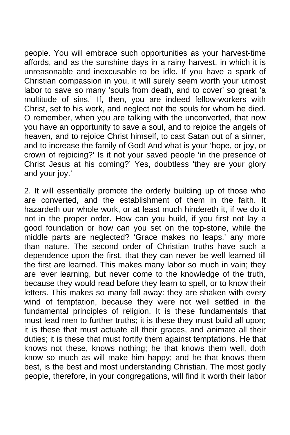people. You will embrace such opportunities as your harvest-time affords, and as the sunshine days in a rainy harvest, in which it is unreasonable and inexcusable to be idle. If you have a spark of Christian compassion in you, it will surely seem worth your utmost labor to save so many 'souls from death, and to cover' so great 'a multitude of sins.' If, then, you are indeed fellow-workers with Christ, set to his work, and neglect not the souls for whom he died. O remember, when you are talking with the unconverted, that now you have an opportunity to save a soul, and to rejoice the angels of heaven, and to rejoice Christ himself, to cast Satan out of a sinner, and to increase the family of God! And what is your 'hope, or joy, or crown of rejoicing?' Is it not your saved people 'in the presence of Christ Jesus at his coming?' Yes, doubtless 'they are your glory and your joy.'

2. It will essentially promote the orderly building up of those who are converted, and the establishment of them in the faith. It hazardeth our whole work, or at least much hindereth it, if we do it not in the proper order. How can you build, if you first not lay a good foundation or how can you set on the top-stone, while the middle parts are neglected? 'Grace makes no leaps,' any more than nature. The second order of Christian truths have such a dependence upon the first, that they can never be well learned till the first are learned. This makes many labor so much in vain; they are 'ever learning, but never come to the knowledge of the truth, because they would read before they learn to spell, or to know their letters. This makes so many fall away: they are shaken with every wind of temptation, because they were not well settled in the fundamental principles of religion. It is these fundamentals that must lead men to further truths; it is these they must build all upon; it is these that must actuate all their graces, and animate all their duties; it is these that must fortify them against temptations. He that knows not these, knows nothing; he that knows them well, doth know so much as will make him happy; and he that knows them best, is the best and most understanding Christian. The most godly people, therefore, in your congregations, will find it worth their labor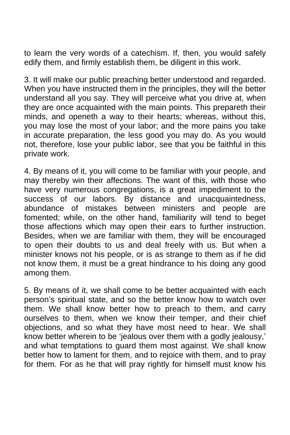to learn the very words of a catechism. If, then, you would safely edify them, and firmly establish them, be diligent in this work.

3. It will make our public preaching better understood and regarded. When you have instructed them in the principles, they will the better understand all you say. They will perceive what you drive at, when they are once acquainted with the main points. This prepareth their minds, and openeth a way to their hearts; whereas, without this, you may lose the most of your labor; and the more pains you take in accurate preparation, the less good you may do. As you would not, therefore, lose your public labor, see that you be faithful in this private work.

4. By means of it, you will come to be familiar with your people, and may thereby win their affections. The want of this, with those who have very numerous congregations, is a great impediment to the success of our labors. By distance and unacquaintedness, abundance of mistakes between ministers and people are fomented; while, on the other hand, familiarity will tend to beget those affections which may open their ears to further instruction. Besides, when we are familiar with them, they will be encouraged to open their doubts to us and deal freely with us. But when a minister knows not his people, or is as strange to them as if he did not know them, it must be a great hindrance to his doing any good among them.

5. By means of it, we shall come to be better acquainted with each person's spiritual state, and so the better know how to watch over them. We shall know better how to preach to them, and carry ourselves to them, when we know their temper, and their chief objections, and so what they have most need to hear. We shall know better wherein to be 'jealous over them with a godly jealousy,' and what temptations to guard them most against. We shall know better how to lament for them, and to rejoice with them, and to pray for them. For as he that will pray rightly for himself must know his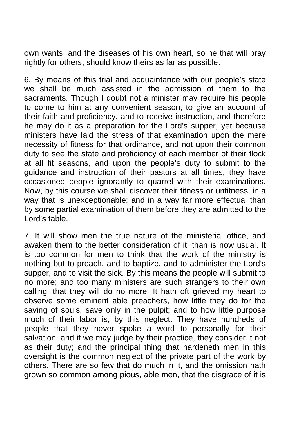own wants, and the diseases of his own heart, so he that will pray rightly for others, should know theirs as far as possible.

6. By means of this trial and acquaintance with our people's state we shall be much assisted in the admission of them to the sacraments. Though I doubt not a minister may require his people to come to him at any convenient season, to give an account of their faith and proficiency, and to receive instruction, and therefore he may do it as a preparation for the Lord's supper, yet because ministers have laid the stress of that examination upon the mere necessity of fitness for that ordinance, and not upon their common duty to see the state and proficiency of each member of their flock at all fit seasons, and upon the people's duty to submit to the guidance and instruction of their pastors at all times, they have occasioned people ignorantly to quarrel with their examinations. Now, by this course we shall discover their fitness or unfitness, in a way that is unexceptionable; and in a way far more effectual than by some partial examination of them before they are admitted to the Lord's table.

7. It will show men the true nature of the ministerial office, and awaken them to the better consideration of it, than is now usual. It is too common for men to think that the work of the ministry is nothing but to preach, and to baptize, and to administer the Lord's supper, and to visit the sick. By this means the people will submit to no more; and too many ministers are such strangers to their own calling, that they will do no more. It hath oft grieved my heart to observe some eminent able preachers, how little they do for the saving of souls, save only in the pulpit; and to how little purpose much of their labor is, by this neglect. They have hundreds of people that they never spoke a word to personally for their salvation; and if we may judge by their practice, they consider it not as their duty; and the principal thing that hardeneth men in this oversight is the common neglect of the private part of the work by others. There are so few that do much in it, and the omission hath grown so common among pious, able men, that the disgrace of it is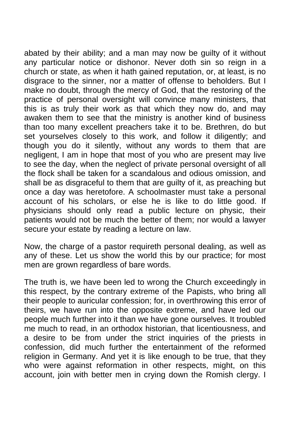abated by their ability; and a man may now be guilty of it without any particular notice or dishonor. Never doth sin so reign in a church or state, as when it hath gained reputation, or, at least, is no disgrace to the sinner, nor a matter of offense to beholders. But I make no doubt, through the mercy of God, that the restoring of the practice of personal oversight will convince many ministers, that this is as truly their work as that which they now do, and may awaken them to see that the ministry is another kind of business than too many excellent preachers take it to be. Brethren, do but set yourselves closely to this work, and follow it diligently; and though you do it silently, without any words to them that are negligent, I am in hope that most of you who are present may live to see the day, when the neglect of private personal oversight of all the flock shall be taken for a scandalous and odious omission, and shall be as disgraceful to them that are guilty of it, as preaching but once a day was heretofore. A schoolmaster must take a personal account of his scholars, or else he is like to do little good. If physicians should only read a public lecture on physic, their patients would not be much the better of them; nor would a lawyer secure your estate by reading a lecture on law.

Now, the charge of a pastor requireth personal dealing, as well as any of these. Let us show the world this by our practice; for most men are grown regardless of bare words.

The truth is, we have been led to wrong the Church exceedingly in this respect, by the contrary extreme of the Papists, who bring all their people to auricular confession; for, in overthrowing this error of theirs, we have run into the opposite extreme, and have led our people much further into it than we have gone ourselves. It troubled me much to read, in an orthodox historian, that licentiousness, and a desire to be from under the strict inquiries of the priests in confession, did much further the entertainment of the reformed religion in Germany. And yet it is like enough to be true, that they who were against reformation in other respects, might, on this account, join with better men in crying down the Romish clergy. I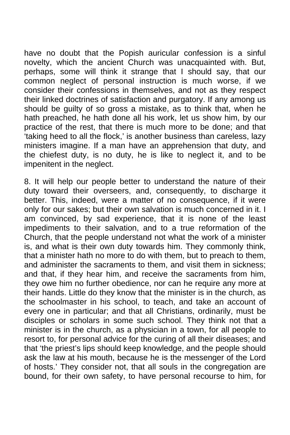have no doubt that the Popish auricular confession is a sinful novelty, which the ancient Church was unacquainted with. But, perhaps, some will think it strange that I should say, that our common neglect of personal instruction is much worse, if we consider their confessions in themselves, and not as they respect their linked doctrines of satisfaction and purgatory. If any among us should be guilty of so gross a mistake, as to think that, when he hath preached, he hath done all his work, let us show him, by our practice of the rest, that there is much more to be done; and that 'taking heed to all the flock,' is another business than careless, lazy ministers imagine. If a man have an apprehension that duty, and the chiefest duty, is no duty, he is like to neglect it, and to be impenitent in the neglect.

8. It will help our people better to understand the nature of their duty toward their overseers, and, consequently, to discharge it better. This, indeed, were a matter of no consequence, if it were only for our sakes; but their own salvation is much concerned in it. I am convinced, by sad experience, that it is none of the least impediments to their salvation, and to a true reformation of the Church, that the people understand not what the work of a minister is, and what is their own duty towards him. They commonly think, that a minister hath no more to do with them, but to preach to them, and administer the sacraments to them, and visit them in sickness; and that, if they hear him, and receive the sacraments from him, they owe him no further obedience, nor can he require any more at their hands. Little do they know that the minister is in the church, as the schoolmaster in his school, to teach, and take an account of every one in particular; and that all Christians, ordinarily, must be disciples or scholars in some such school. They think not that a minister is in the church, as a physician in a town, for all people to resort to, for personal advice for the curing of all their diseases; and that 'the priest's lips should keep knowledge, and the people should ask the law at his mouth, because he is the messenger of the Lord of hosts.' They consider not, that all souls in the congregation are bound, for their own safety, to have personal recourse to him, for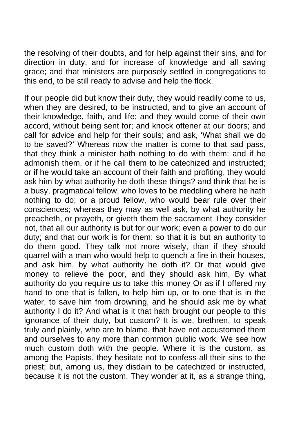the resolving of their doubts, and for help against their sins, and for direction in duty, and for increase of knowledge and all saving grace; and that ministers are purposely settled in congregations to this end, to be still ready to advise and help the flock.

If our people did but know their duty, they would readily come to us, when they are desired, to be instructed, and to give an account of their knowledge, faith, and life; and they would come of their own accord, without being sent for; and knock oftener at our doors; and call for advice and help for their souls; and ask, 'What shall we do to be saved?' Whereas now the matter is come to that sad pass, that they think a minister hath nothing to do with them: and if he admonish them, or if he call them to be catechized and instructed; or if he would take an account of their faith and profiting, they would ask him by what authority he doth these things? and think that he is a busy, pragmatical fellow, who loves to be meddling where he hath nothing to do; or a proud fellow, who would bear rule over their consciences; whereas they may as well ask, by what authority he preacheth, or prayeth, or giveth them the sacrament They consider not, that all our authority is but for our work; even a power to do our duty; and that our work is for them: so that it is but an authority to do them good. They talk not more wisely, than if they should quarrel with a man who would help to quench a fire in their houses, and ask him, by what authority he doth it? Or that would give money to relieve the poor, and they should ask him, By what authority do you require us to take this money Or as if I offered my hand to one that is fallen, to help him up, or to one that is in the water, to save him from drowning, and he should ask me by what authority I do it? And what is it that hath brought our people to this ignorance of their duty, but custom? It is we, brethren, to speak truly and plainly, who are to blame, that have not accustomed them and ourselves to any more than common public work. We see how much custom doth with the people. Where it is the custom, as among the Papists, they hesitate not to confess all their sins to the priest; but, among us, they disdain to be catechized or instructed, because it is not the custom. They wonder at it, as a strange thing,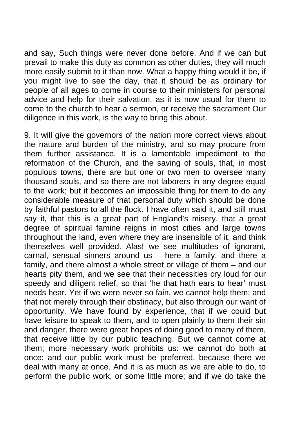and say, Such things were never done before. And if we can but prevail to make this duty as common as other duties, they will much more easily submit to it than now. What a happy thing would it be, if you might live to see the day, that it should be as ordinary for people of all ages to come in course to their ministers for personal advice and help for their salvation, as it is now usual for them to come to the church to hear a sermon, or receive the sacrament Our diligence in this work, is the way to bring this about.

9. It will give the governors of the nation more correct views about the nature and burden of the ministry, and so may procure from them further assistance. It is a lamentable impediment to the reformation of the Church, and the saving of souls, that, in most populous towns, there are but one or two men to oversee many thousand souls, and so there are not laborers in any degree equal to the work; but it becomes an impossible thing for them to do any considerable measure of that personal duty which should be done by faithful pastors to all the flock. I have often said it, and still must say it, that this is a great part of England's misery, that a great degree of spiritual famine reigns in most cities and large towns throughout the land, even where they are insensible of it, and think themselves well provided. Alas! we see multitudes of ignorant, carnal, sensual sinners around us – here a family, and there a family, and there almost a whole street or village of them – and our hearts pity them, and we see that their necessities cry loud for our speedy and diligent relief, so that 'he that hath ears to hear' must needs hear. Yet if we were never so fain, we cannot help them: and that not merely through their obstinacy, but also through our want of opportunity. We have found by experience, that if we could but have leisure to speak to them, and to open plainly to them their sin and danger, there were great hopes of doing good to many of them, that receive little by our public teaching. But we cannot come at them; more necessary work prohibits us: we cannot do both at once; and our public work must be preferred, because there we deal with many at once. And it is as much as we are able to do, to perform the public work, or some little more; and if we do take the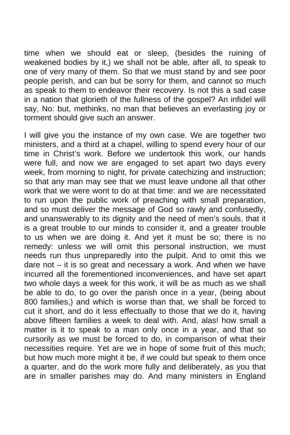time when we should eat or sleep, (besides the ruining of weakened bodies by it,) we shall not be able, after all, to speak to one of very many of them. So that we must stand by and see poor people perish, and can but be sorry for them, and cannot so much as speak to them to endeavor their recovery. Is not this a sad case in a nation that glorieth of the fullness of the gospel? An infidel will say, No: but, methinks, no man that believes an everlasting joy or torment should give such an answer.

I will give you the instance of my own case. We are together two ministers, and a third at a chapel, willing to spend every hour of our time in Christ's work. Before we undertook this work, our hands were full, and now we are engaged to set apart two days every week, from morning to night, for private catechizing and instruction; so that any man may see that we must leave undone all that other work that we were wont to do at that time: and we are necessitated to run upon the public work of preaching with small preparation, and so must deliver the message of God so rawly and confusedly, and unanswerably to its dignity and the need of men's souls, that it is a great trouble to our minds to consider it, and a greater trouble to us when we are doing it. And yet it must be so; there is no remedy: unless we will omit this personal instruction, we must needs run thus unpreparedly into the pulpit. And to omit this we dare not – it is so great and necessary a work. And when we have incurred all the forementioned inconveniences, and have set apart two whole days a week for this work, it will be as much as we shall be able to do, to go over the parish once in a year, (being about 800 families,) and which is worse than that, we shall be forced to cut it short, and do it less effectually to those that we do it, having above fifteen families a week to deal with. And, alas! how small a matter is it to speak to a man only once in a year, and that so cursorily as we must be forced to do, in comparison of what their necessities require. Yet are we in hope of some fruit of this much; but how much more might it be, if we could but speak to them once a quarter, and do the work more fully and deliberately, as you that are in smaller parishes may do. And many ministers in England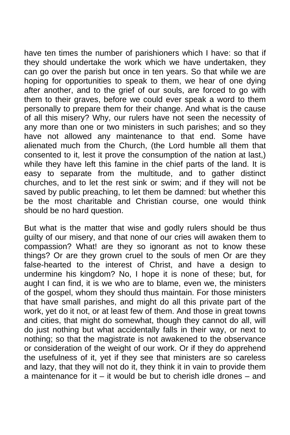have ten times the number of parishioners which I have: so that if they should undertake the work which we have undertaken, they can go over the parish but once in ten years. So that while we are hoping for opportunities to speak to them, we hear of one dying after another, and to the grief of our souls, are forced to go with them to their graves, before we could ever speak a word to them personally to prepare them for their change. And what is the cause of all this misery? Why, our rulers have not seen the necessity of any more than one or two ministers in such parishes; and so they have not allowed any maintenance to that end. Some have alienated much from the Church, (the Lord humble all them that consented to it, lest it prove the consumption of the nation at last,) while they have left this famine in the chief parts of the land. It is easy to separate from the multitude, and to gather distinct churches, and to let the rest sink or swim; and if they will not be saved by public preaching, to let them be damned: but whether this be the most charitable and Christian course, one would think should be no hard question.

But what is the matter that wise and godly rulers should be thus guilty of our misery, and that none of our cries will awaken them to compassion? What! are they so ignorant as not to know these things? Or are they grown cruel to the souls of men Or are they false-hearted to the interest of Christ, and have a design to undermine his kingdom? No, I hope it is none of these; but, for aught I can find, it is we who are to blame, even we, the ministers of the gospel, whom they should thus maintain. For those ministers that have small parishes, and might do all this private part of the work, yet do it not, or at least few of them. And those in great towns and cities, that might do somewhat, though they cannot do all, will do just nothing but what accidentally falls in their way, or next to nothing; so that the magistrate is not awakened to the observance or consideration of the weight of our work. Or if they do apprehend the usefulness of it, yet if they see that ministers are so careless and lazy, that they will not do it, they think it in vain to provide them a maintenance for it – it would be but to cherish idle drones – and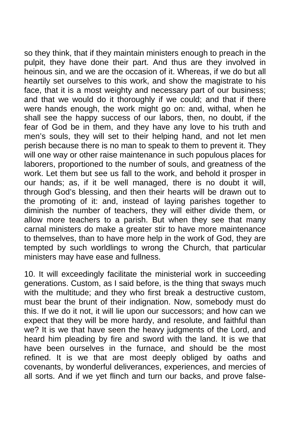so they think, that if they maintain ministers enough to preach in the pulpit, they have done their part. And thus are they involved in heinous sin, and we are the occasion of it. Whereas, if we do but all heartily set ourselves to this work, and show the magistrate to his face, that it is a most weighty and necessary part of our business; and that we would do it thoroughly if we could; and that if there which the manner of the work might go on: and, withal, when he shall see the happy success of our labors, then, no doubt, if the fear of God be in them, and they have any love to his truth and men's souls, they will set to their helping hand, and not let men perish because there is no man to speak to them to prevent it. They will one way or other raise maintenance in such populous places for laborers, proportioned to the number of souls, and greatness of the work. Let them but see us fall to the work, and behold it prosper in our hands; as, if it be well managed, there is no doubt it will, through God's blessing, and then their hearts will be drawn out to the promoting of it: and, instead of laying parishes together to diminish the number of teachers, they will either divide them, or allow more teachers to a parish. But when they see that many carnal ministers do make a greater stir to have more maintenance to themselves, than to have more help in the work of God, they are tempted by such worldlings to wrong the Church, that particular ministers may have ease and fullness.

10. It will exceedingly facilitate the ministerial work in succeeding generations. Custom, as I said before, is the thing that sways much with the multitude; and they who first break a destructive custom, must bear the brunt of their indignation. Now, somebody must do this. If we do it not, it will lie upon our successors; and how can we expect that they will be more hardy, and resolute, and faithful than we? It is we that have seen the heavy judgments of the Lord, and heard him pleading by fire and sword with the land. It is we that have been ourselves in the furnace, and should be the most refined. It is we that are most deeply obliged by oaths and covenants, by wonderful deliverances, experiences, and mercies of all sorts. And if we yet flinch and turn our backs, and prove false-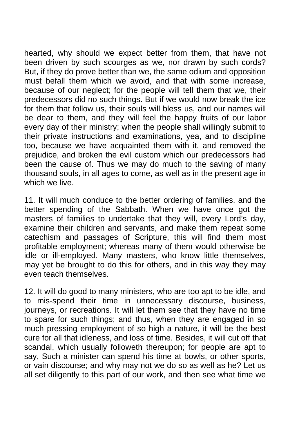hearted, why should we expect better from them, that have not been driven by such scourges as we, nor drawn by such cords? But, if they do prove better than we, the same odium and opposition must befall them which we avoid, and that with some increase, because of our neglect; for the people will tell them that we, their predecessors did no such things. But if we would now break the ice for them that follow us, their souls will bless us, and our names will be dear to them, and they will feel the happy fruits of our labor every day of their ministry; when the people shall willingly submit to their private instructions and examinations, yea, and to discipline too, because we have acquainted them with it, and removed the prejudice, and broken the evil custom which our predecessors had been the cause of. Thus we may do much to the saving of many thousand souls, in all ages to come, as well as in the present age in which we live.

11. It will much conduce to the better ordering of families, and the better spending of the Sabbath. When we have once got the masters of families to undertake that they will, every Lord's day, examine their children and servants, and make them repeat some catechism and passages of Scripture, this will find them most profitable employment; whereas many of them would otherwise be idle or ill-employed. Many masters, who know little themselves, may yet be brought to do this for others, and in this way they may even teach themselves.

12. It will do good to many ministers, who are too apt to be idle, and to mis-spend their time in unnecessary discourse, business, journeys, or recreations. It will let them see that they have no time to spare for such things; and thus, when they are engaged in so much pressing employment of so high a nature, it will be the best cure for all that idleness, and loss of time. Besides, it will cut off that scandal, which usually followeth thereupon; for people are apt to say, Such a minister can spend his time at bowls, or other sports, or vain discourse; and why may not we do so as well as he? Let us all set diligently to this part of our work, and then see what time we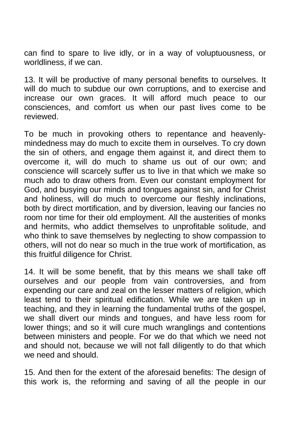can find to spare to live idly, or in a way of voluptuousness, or worldliness, if we can.

13. It will be productive of many personal benefits to ourselves. It will do much to subdue our own corruptions, and to exercise and increase our own graces. It will afford much peace to our consciences, and comfort us when our past lives come to be reviewed.

To be much in provoking others to repentance and heavenlymindedness may do much to excite them in ourselves. To cry down the sin of others, and engage them against it, and direct them to overcome it, will do much to shame us out of our own; and conscience will scarcely suffer us to live in that which we make so much ado to draw others from. Even our constant employment for God, and busying our minds and tongues against sin, and for Christ and holiness, will do much to overcome our fleshly inclinations, both by direct mortification, and by diversion, leaving our fancies no room nor time for their old employment. All the austerities of monks and hermits, who addict themselves to unprofitable solitude, and who think to save themselves by neglecting to show compassion to others, will not do near so much in the true work of mortification, as this fruitful diligence for Christ.

14. It will be some benefit, that by this means we shall take off ourselves and our people from vain controversies, and from expending our care and zeal on the lesser matters of religion, which least tend to their spiritual edification. While we are taken up in teaching, and they in learning the fundamental truths of the gospel, we shall divert our minds and tongues, and have less room for lower things; and so it will cure much wranglings and contentions between ministers and people. For we do that which we need not and should not, because we will not fall diligently to do that which we need and should.

15. And then for the extent of the aforesaid benefits: The design of this work is, the reforming and saving of all the people in our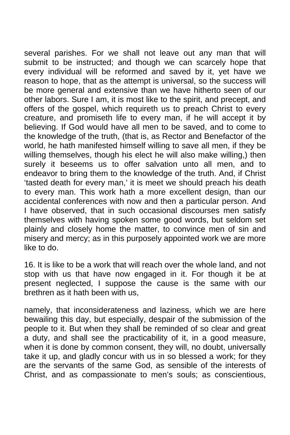several parishes. For we shall not leave out any man that will submit to be instructed; and though we can scarcely hope that every individual will be reformed and saved by it, yet have we reason to hope, that as the attempt is universal, so the success will be more general and extensive than we have hitherto seen of our other labors. Sure I am, it is most like to the spirit, and precept, and offers of the gospel, which requireth us to preach Christ to every creature, and promiseth life to every man, if he will accept it by believing. If God would have all men to be saved, and to come to the knowledge of the truth, (that is, as Rector and Benefactor of the world, he hath manifested himself willing to save all men, if they be willing themselves, though his elect he will also make willing,) then surely it beseems us to offer salvation unto all men, and to endeavor to bring them to the knowledge of the truth. And, if Christ 'tasted death for every man,' it is meet we should preach his death to every man. This work hath a more excellent design, than our accidental conferences with now and then a particular person. And I have observed, that in such occasional discourses men satisfy themselves with having spoken some good words, but seldom set plainly and closely home the matter, to convince men of sin and misery and mercy; as in this purposely appointed work we are more like to do.

16. It is like to be a work that will reach over the whole land, and not stop with us that have now engaged in it. For though it be at present neglected, I suppose the cause is the same with our brethren as it hath been with us,

namely, that inconsiderateness and laziness, which we are here bewailing this day, but especially, despair of the submission of the people to it. But when they shall be reminded of so clear and great a duty, and shall see the practicability of it, in a good measure, when it is done by common consent, they will, no doubt, universally take it up, and gladly concur with us in so blessed a work; for they are the servants of the same God, as sensible of the interests of Christ, and as compassionate to men's souls; as conscientious,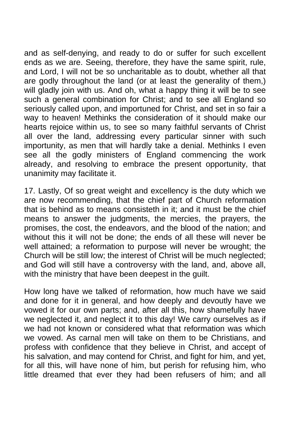and as self-denying, and ready to do or suffer for such excellent ends as we are. Seeing, therefore, they have the same spirit, rule, and Lord, I will not be so uncharitable as to doubt, whether all that are godly throughout the land (or at least the generality of them,) will gladly join with us. And oh, what a happy thing it will be to see such a general combination for Christ; and to see all England so seriously called upon, and importuned for Christ, and set in so fair a way to heaven! Methinks the consideration of it should make our hearts rejoice within us, to see so many faithful servants of Christ all over the land, addressing every particular sinner with such importunity, as men that will hardly take a denial. Methinks I even see all the godly ministers of England commencing the work already, and resolving to embrace the present opportunity, that unanimity may facilitate it.

17. Lastly, Of so great weight and excellency is the duty which we are now recommending, that the chief part of Church reformation that is behind as to means consisteth in it; and it must be the chief means to answer the judgments, the mercies, the prayers, the promises, the cost, the endeavors, and the blood of the nation; and without this it will not be done; the ends of all these will never be well attained; a reformation to purpose will never be wrought; the Church will be still low; the interest of Christ will be much neglected; and God will still have a controversy with the land, and, above all, with the ministry that have been deepest in the guilt.

How long have we talked of reformation, how much have we said and done for it in general, and how deeply and devoutly have we vowed it for our own parts; and, after all this, how shamefully have we neglected it, and neglect it to this day! We carry ourselves as if we had not known or considered what that reformation was which we vowed. As carnal men will take on them to be Christians, and profess with confidence that they believe in Christ, and accept of his salvation, and may contend for Christ, and fight for him, and yet, for all this, will have none of him, but perish for refusing him, who little dreamed that ever they had been refusers of him; and all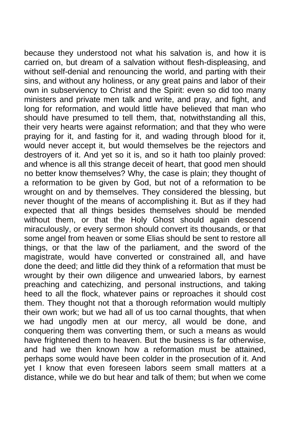because they understood not what his salvation is, and how it is carried on, but dream of a salvation without flesh-displeasing, and without self-denial and renouncing the world, and parting with their sins, and without any holiness, or any great pains and labor of their own in subserviency to Christ and the Spirit: even so did too many ministers and private men talk and write, and pray, and fight, and long for reformation, and would little have believed that man who should have presumed to tell them, that, notwithstanding all this, their very hearts were against reformation; and that they who were praying for it, and fasting for it, and wading through blood for it, would never accept it, but would themselves be the rejectors and destroyers of it. And yet so it is, and so it hath too plainly proved: and whence is all this strange deceit of heart, that good men should no better know themselves? Why, the case is plain; they thought of a reformation to be given by God, but not of a reformation to be wrought on and by themselves. They considered the blessing, but never thought of the means of accomplishing it. But as if they had expected that all things besides themselves should be mended without them, or that the Holy Ghost should again descend miraculously, or every sermon should convert its thousands, or that some angel from heaven or some Elias should be sent to restore all things, or that the law of the parliament, and the sword of the magistrate, would have converted or constrained all, and have done the deed; and little did they think of a reformation that must be wrought by their own diligence and unwearied labors, by earnest preaching and catechizing, and personal instructions, and taking heed to all the flock, whatever pains or reproaches it should cost them. They thought not that a thorough reformation would multiply their own work; but we had all of us too carnal thoughts, that when we had ungodly men at our mercy, all would be done, and conquering them was converting them, or such a means as would have frightened them to heaven. But the business is far otherwise, and had we then known how a reformation must be attained, perhaps some would have been colder in the prosecution of it. And yet I know that even foreseen labors seem small matters at a distance, while we do but hear and talk of them; but when we come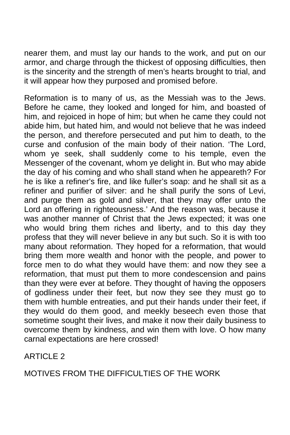nearer them, and must lay our hands to the work, and put on our armor, and charge through the thickest of opposing difficulties, then is the sincerity and the strength of men's hearts brought to trial, and it will appear how they purposed and promised before.

Reformation is to many of us, as the Messiah was to the Jews. Before he came, they looked and longed for him, and boasted of him, and rejoiced in hope of him; but when he came they could not abide him, but hated him, and would not believe that he was indeed the person, and therefore persecuted and put him to death, to the curse and confusion of the main body of their nation. 'The Lord, whom ye seek, shall suddenly come to his temple, even the Messenger of the covenant, whom ye delight in. But who may abide the day of his coming and who shall stand when he appeareth? For he is like a refiner's fire, and like fuller's soap: and he shall sit as a refiner and purifier of silver: and he shall purify the sons of Levi, and purge them as gold and silver, that they may offer unto the Lord an offering in righteousness.' And the reason was, because it was another manner of Christ that the Jews expected; it was one who would bring them riches and liberty, and to this day they profess that they will never believe in any but such. So it is with too many about reformation. They hoped for a reformation, that would bring them more wealth and honor with the people, and power to force men to do what they would have them: and now they see a reformation, that must put them to more condescension and pains than they were ever at before. They thought of having the opposers of godliness under their feet, but now they see they must go to them with humble entreaties, and put their hands under their feet, if they would do them good, and meekly beseech even those that sometime sought their lives, and make it now their daily business to overcome them by kindness, and win them with love. O how many carnal expectations are here crossed!

## ARTICLE 2

MOTIVES FROM THE DIFFICULTIES OF THE WORK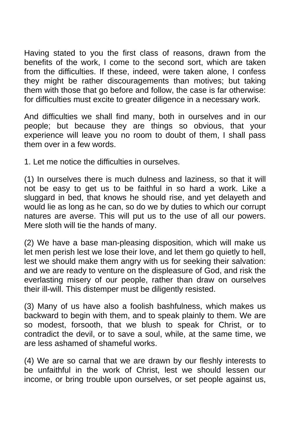Having stated to you the first class of reasons, drawn from the benefits of the work, I come to the second sort, which are taken from the difficulties. If these, indeed, were taken alone, I confess they might be rather discouragements than motives; but taking them with those that go before and follow, the case is far otherwise: for difficulties must excite to greater diligence in a necessary work.

And difficulties we shall find many, both in ourselves and in our people; but because they are things so obvious, that your experience will leave you no room to doubt of them, I shall pass them over in a few words.

1. Let me notice the difficulties in ourselves.

(1) In ourselves there is much dulness and laziness, so that it will not be easy to get us to be faithful in so hard a work. Like a sluggard in bed, that knows he should rise, and yet delayeth and would lie as long as he can, so do we by duties to which our corrupt natures are averse. This will put us to the use of all our powers. Mere sloth will tie the hands of many.

(2) We have a base man-pleasing disposition, which will make us let men perish lest we lose their love, and let them go quietly to hell, lest we should make them angry with us for seeking their salvation: and we are ready to venture on the displeasure of God, and risk the everlasting misery of our people, rather than draw on ourselves their ill-will. This distemper must be diligently resisted.

(3) Many of us have also a foolish bashfulness, which makes us backward to begin with them, and to speak plainly to them. We are so modest, forsooth, that we blush to speak for Christ, or to contradict the devil, or to save a soul, while, at the same time, we are less ashamed of shameful works.

(4) We are so carnal that we are drawn by our fleshly interests to be unfaithful in the work of Christ, lest we should lessen our income, or bring trouble upon ourselves, or set people against us,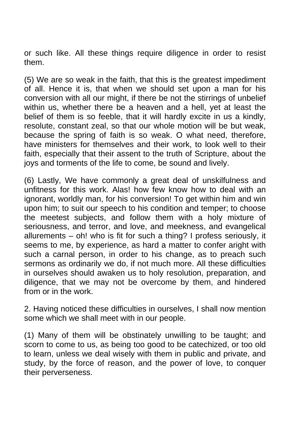or such like. All these things require diligence in order to resist them.

(5) We are so weak in the faith, that this is the greatest impediment of all. Hence it is, that when we should set upon a man for his conversion with all our might, if there be not the stirrings of unbelief within us, whether there be a heaven and a hell, yet at least the belief of them is so feeble, that it will hardly excite in us a kindly, resolute, constant zeal, so that our whole motion will be but weak, because the spring of faith is so weak. O what need, therefore, have ministers for themselves and their work, to look well to their faith, especially that their assent to the truth of Scripture, about the joys and torments of the life to come, be sound and lively.

(6) Lastly, We have commonly a great deal of unskilfulness and unfitness for this work. Alas! how few know how to deal with an ignorant, worldly man, for his conversion! To get within him and win upon him; to suit our speech to his condition and temper; to choose the meetest subjects, and follow them with a holy mixture of seriousness, and terror, and love, and meekness, and evangelical allurements – oh! who is fit for such a thing? I profess seriously, it seems to me, by experience, as hard a matter to confer aright with such a carnal person, in order to his change, as to preach such sermons as ordinarily we do, if not much more. All these difficulties in ourselves should awaken us to holy resolution, preparation, and diligence, that we may not be overcome by them, and hindered from or in the work.

2. Having noticed these difficulties in ourselves, I shall now mention some which we shall meet with in our people.

(1) Many of them will be obstinately unwilling to be taught; and scorn to come to us, as being too good to be catechized, or too old to learn, unless we deal wisely with them in public and private, and study, by the force of reason, and the power of love, to conquer their perverseness.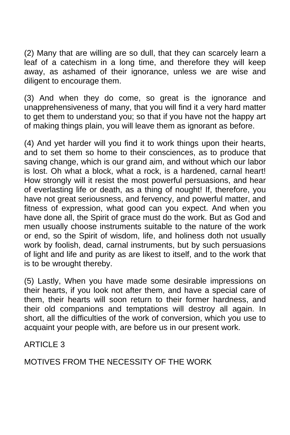(2) Many that are willing are so dull, that they can scarcely learn a leaf of a catechism in a long time, and therefore they will keep away, as ashamed of their ignorance, unless we are wise and diligent to encourage them.

(3) And when they do come, so great is the ignorance and unapprehensiveness of many, that you will find it a very hard matter to get them to understand you; so that if you have not the happy art of making things plain, you will leave them as ignorant as before.

(4) And yet harder will you find it to work things upon their hearts, and to set them so home to their consciences, as to produce that saving change, which is our grand aim, and without which our labor is lost. Oh what a block, what a rock, is a hardened, carnal heart! How strongly will it resist the most powerful persuasions, and hear of everlasting life or death, as a thing of nought! If, therefore, you have not great seriousness, and fervency, and powerful matter, and fitness of expression, what good can you expect. And when you have done all, the Spirit of grace must do the work. But as God and men usually choose instruments suitable to the nature of the work or end, so the Spirit of wisdom, life, and holiness doth not usually work by foolish, dead, carnal instruments, but by such persuasions of light and life and purity as are likest to itself, and to the work that is to be wrought thereby.

(5) Lastly, When you have made some desirable impressions on their hearts, if you look not after them, and have a special care of them, their hearts will soon return to their former hardness, and their old companions and temptations will destroy all again. In short, all the difficulties of the work of conversion, which you use to acquaint your people with, are before us in our present work.

ARTICLE 3

MOTIVES FROM THE NECESSITY OF THE WORK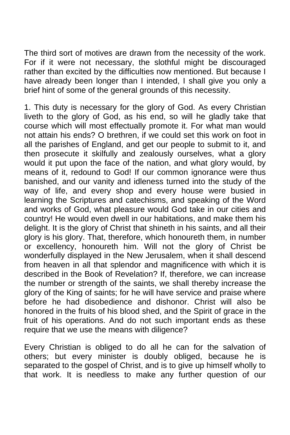The third sort of motives are drawn from the necessity of the work. For if it were not necessary, the slothful might be discouraged rather than excited by the difficulties now mentioned. But because I have already been longer than I intended, I shall give you only a brief hint of some of the general grounds of this necessity.

1. This duty is necessary for the glory of God. As every Christian liveth to the glory of God, as his end, so will he gladly take that course which will most effectually promote it. For what man would not attain his ends? O brethren, if we could set this work on foot in all the parishes of England, and get our people to submit to it, and then prosecute it skilfully and zealously ourselves, what a glory would it put upon the face of the nation, and what glory would, by means of it, redound to God! If our common ignorance were thus banished, and our vanity and idleness turned into the study of the way of life, and every shop and every house were busied in learning the Scriptures and catechisms, and speaking of the Word and works of God, what pleasure would God take in our cities and country! He would even dwell in our habitations, and make them his delight. It is the glory of Christ that shineth in his saints, and all their glory is his glory. That, therefore, which honoureth them, in number or excellency, honoureth him. Will not the glory of Christ be wonderfully displayed in the New Jerusalem, when it shall descend from heaven in all that splendor and magnificence with which it is described in the Book of Revelation? If, therefore, we can increase the number or strength of the saints, we shall thereby increase the glory of the King of saints; for he will have service and praise where before he had disobedience and dishonor. Christ will also be honored in the fruits of his blood shed, and the Spirit of grace in the fruit of his operations. And do not such important ends as these require that we use the means with diligence?

Every Christian is obliged to do all he can for the salvation of others; but every minister is doubly obliged, because he is separated to the gospel of Christ, and is to give up himself wholly to that work. It is needless to make any further question of our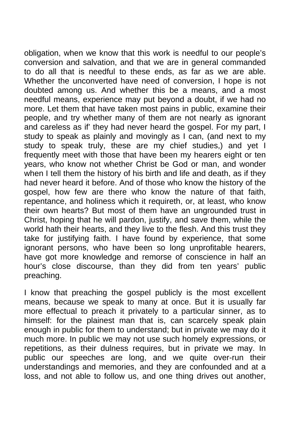obligation, when we know that this work is needful to our people's conversion and salvation, and that we are in general commanded to do all that is needful to these ends, as far as we are able. Whether the unconverted have need of conversion, I hope is not doubted among us. And whether this be a means, and a most needful means, experience may put beyond a doubt, if we had no more. Let them that have taken most pains in public, examine their people, and try whether many of them are not nearly as ignorant and careless as if' they had never heard the gospel. For my part, I study to speak as plainly and movingly as I can, (and next to my study to speak truly, these are my chief studies,) and yet I frequently meet with those that have been my hearers eight or ten years, who know not whether Christ be God or man, and wonder when I tell them the history of his birth and life and death, as if they had never heard it before. And of those who know the history of the gospel, how few are there who know the nature of that faith, repentance, and holiness which it requireth, or, at least, who know their own hearts? But most of them have an ungrounded trust in Christ, hoping that he will pardon, justify, and save them, while the world hath their hearts, and they live to the flesh. And this trust they take for justifying faith. I have found by experience, that some ignorant persons, who have been so long unprofitable hearers, have got more knowledge and remorse of conscience in half an hour's close discourse, than they did from ten years' public preaching.

I know that preaching the gospel publicly is the most excellent means, because we speak to many at once. But it is usually far more effectual to preach it privately to a particular sinner, as to himself: for the plainest man that is, can scarcely speak plain enough in public for them to understand; but in private we may do it much more. In public we may not use such homely expressions, or repetitions, as their dulness requires, but in private we may. In public our speeches are long, and we quite over-run their understandings and memories, and they are confounded and at a loss, and not able to follow us, and one thing drives out another,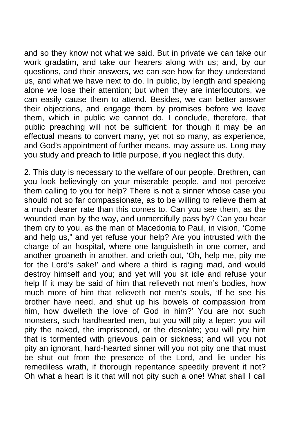and so they know not what we said. But in private we can take our work gradatim, and take our hearers along with us; and, by our questions, and their answers, we can see how far they understand us, and what we have next to do. In public, by length and speaking alone we lose their attention; but when they are interlocutors, we can easily cause them to attend. Besides, we can better answer their objections, and engage them by promises before we leave them, which in public we cannot do. I conclude, therefore, that public preaching will not be sufficient: for though it may be an effectual means to convert many, yet not so many, as experience, and God's appointment of further means, may assure us. Long may you study and preach to little purpose, if you neglect this duty.

2. This duty is necessary to the welfare of our people. Brethren, can you look believingly on your miserable people, and not perceive them calling to you for help? There is not a sinner whose case you should not so far compassionate, as to be willing to relieve them at a much dearer rate than this comes to. Can you see them, as the wounded man by the way, and unmercifully pass by? Can you hear them cry to you, as the man of Macedonia to Paul, in vision, 'Come and help us," and yet refuse your help? Are you intrusted with the charge of an hospital, where one languisheth in one corner, and another groaneth in another, and crieth out, 'Oh, help me, pity me for the Lord's sake!' and where a third is raging mad, and would destroy himself and you; and yet will you sit idle and refuse your help If it may be said of him that relieveth not men's bodies, how much more of him that relieveth not men's souls, 'If he see his brother have need, and shut up his bowels of compassion from him, how dwelleth the love of God in him?' You are not such monsters, such hardhearted men, but you will pity a leper; you will pity the naked, the imprisoned, or the desolate; you will pity him that is tormented with grievous pain or sickness; and will you not pity an ignorant, hard-hearted sinner will you not pity one that must be shut out from the presence of the Lord, and lie under his remediless wrath, if thorough repentance speedily prevent it not? Oh what a heart is it that will not pity such a one! What shall I call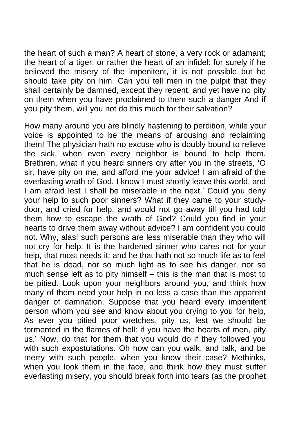the heart of such a man? A heart of stone, a very rock or adamant; the heart of a tiger; or rather the heart of an infidel: for surely if he believed the misery of the impenitent, it is not possible but he should take pity on him. Can you tell men in the pulpit that they shall certainly be damned, except they repent, and yet have no pity on them when you have proclaimed to them such a danger And if you pity them, will you not do this much for their salvation?

How many around you are blindly hastening to perdition, while your voice is appointed to be the means of arousing and reclaiming them! The physician hath no excuse who is doubly bound to relieve the sick, when even every neighbor is bound to help them. Brethren, what if you heard sinners cry after you in the streets, 'O sir, have pity on me, and afford me your advice! I am afraid of the everlasting wrath of God. I know I must shortly leave this world, and I am afraid lest I shall be miserable in the next.' Could you deny your help to such poor sinners? What if they came to your studydoor, and cried for help, and would not go away till you had told them how to escape the wrath of God? Could you find in your hearts to drive them away without advice? I am confident you could not. Why, alas! such persons are less miserable than they who will not cry for help. It is the hardened sinner who cares not for your help, that most needs it: and he that hath not so much life as to feel that he is dead, nor so much light as to see his danger, nor so much sense left as to pity himself – this is the man that is most to be pitied. Look upon your neighbors around you, and think how many of them need your help in no less a case than the apparent danger of damnation. Suppose that you heard every impenitent person whom you see and know about you crying to you for help, As ever you pitied poor wretches, pity us, lest we should be tormented in the flames of hell: if you have the hearts of men, pity us.' Now, do that for them that you would do if they followed you with such expostulations. Oh how can you walk, and talk, and be merry with such people, when you know their case? Methinks, when you look them in the face, and think how they must suffer everlasting misery, you should break forth into tears (as the prophet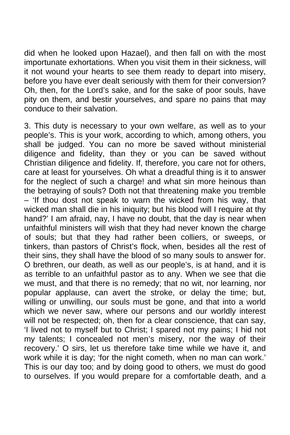did when he looked upon Hazael), and then fall on with the most importunate exhortations. When you visit them in their sickness, will it not wound your hearts to see them ready to depart into misery, before you have ever dealt seriously with them for their conversion? Oh, then, for the Lord's sake, and for the sake of poor souls, have pity on them, and bestir yourselves, and spare no pains that may conduce to their salvation.

3. This duty is necessary to your own welfare, as well as to your people's. This is your work, according to which, among others, you shall be judged. You can no more be saved without ministerial diligence and fidelity, than they or you can be saved without Christian diligence and fidelity. If, therefore, you care not for others, care at least for yourselves. Oh what a dreadful thing is it to answer for the neglect of such a charge! and what sin more heinous than the betraying of souls? Doth not that threatening make you tremble – 'If thou dost not speak to warn the wicked from his way, that wicked man shall die in his iniquity; but his blood will I require at thy hand?' I am afraid, nay, I have no doubt, that the day is near when unfaithful ministers will wish that they had never known the charge of souls; but that they had rather been colliers, or sweeps, or tinkers, than pastors of Christ's flock, when, besides all the rest of their sins, they shall have the blood of so many souls to answer for. O brethren, our death, as well as our people's, is at hand, and it is as terrible to an unfaithful pastor as to any. When we see that die we must, and that there is no remedy; that no wit, nor learning, nor popular applause, can avert the stroke, or delay the time; but, willing or unwilling, our souls must be gone, and that into a world which we never saw, where our persons and our worldly interest will not be respected; oh, then for a clear conscience, that can say, 'I lived not to myself but to Christ; I spared not my pains; I hid not my talents; I concealed not men's misery, nor the way of their recovery.' O sirs, let us therefore take time while we have it, and work while it is day; 'for the night cometh, when no man can work.' This is our day too; and by doing good to others, we must do good to ourselves. If you would prepare for a comfortable death, and a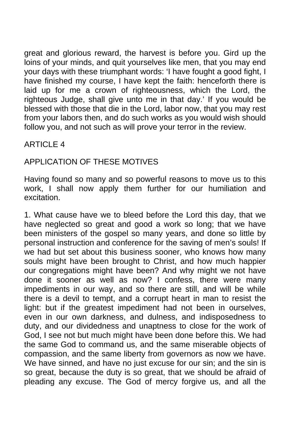great and glorious reward, the harvest is before you. Gird up the loins of your minds, and quit yourselves like men, that you may end your days with these triumphant words: 'I have fought a good fight, I have finished my course, I have kept the faith: henceforth there is laid up for me a crown of righteousness, which the Lord, the righteous Judge, shall give unto me in that day.' If you would be blessed with those that die in the Lord, labor now, that you may rest from your labors then, and do such works as you would wish should follow you, and not such as will prove your terror in the review.

## **ARTICLE 4**

## APPLICATION OF THESE MOTIVES

Having found so many and so powerful reasons to move us to this work, I shall now apply them further for our humiliation and excitation.

1. What cause have we to bleed before the Lord this day, that we have neglected so great and good a work so long; that we have been ministers of the gospel so many years, and done so little by personal instruction and conference for the saving of men's souls! If we had but set about this business sooner, who knows how many souls might have been brought to Christ, and how much happier our congregations might have been? And why might we not have done it sooner as well as now? I confess, there were many impediments in our way, and so there are still, and will be while there is a devil to tempt, and a corrupt heart in man to resist the light: but if the greatest impediment had not been in ourselves, even in our own darkness, and dulness, and indisposedness to duty, and our dividedness and unaptness to close for the work of God, I see not but much might have been done before this. We had the same God to command us, and the same miserable objects of compassion, and the same liberty from governors as now we have. We have sinned, and have no just excuse for our sin; and the sin is so great, because the duty is so great, that we should be afraid of pleading any excuse. The God of mercy forgive us, and all the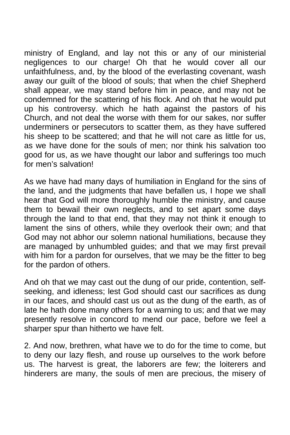ministry of England, and lay not this or any of our ministerial negligences to our charge! Oh that he would cover all our unfaithfulness, and, by the blood of the everlasting covenant, wash away our guilt of the blood of souls; that when the chief Shepherd shall appear, we may stand before him in peace, and may not be condemned for the scattering of his flock. And oh that he would put up his controversy. which he hath against the pastors of his Church, and not deal the worse with them for our sakes, nor suffer underminers or persecutors to scatter them, as they have suffered his sheep to be scattered; and that he will not care as little for us, as we have done for the souls of men; nor think his salvation too good for us, as we have thought our labor and sufferings too much for men's salvation!

As we have had many days of humiliation in England for the sins of the land, and the judgments that have befallen us, I hope we shall hear that God will more thoroughly humble the ministry, and cause them to bewail their own neglects, and to set apart some days through the land to that end, that they may not think it enough to lament the sins of others, while they overlook their own; and that God may not abhor our solemn national humiliations, because they are managed by unhumbled guides; and that we may first prevail with him for a pardon for ourselves, that we may be the fitter to beg for the pardon of others.

And oh that we may cast out the dung of our pride, contention, selfseeking, and idleness; lest God should cast our sacrifices as dung in our faces, and should cast us out as the dung of the earth, as of late he hath done many others for a warning to us; and that we may presently resolve in concord to mend our pace, before we feel a sharper spur than hitherto we have felt.

2. And now, brethren, what have we to do for the time to come, but to deny our lazy flesh, and rouse up ourselves to the work before us. The harvest is great, the laborers are few; the loiterers and hinderers are many, the souls of men are precious, the misery of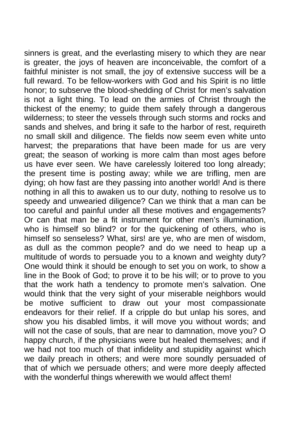sinners is great, and the everlasting misery to which they are near is greater, the joys of heaven are inconceivable, the comfort of a faithful minister is not small, the joy of extensive success will be a full reward. To be fellow-workers with God and his Spirit is no little honor; to subserve the blood-shedding of Christ for men's salvation is not a light thing. To lead on the armies of Christ through the thickest of the enemy; to guide them safely through a dangerous wilderness; to steer the vessels through such storms and rocks and sands and shelves, and bring it safe to the harbor of rest, requireth no small skill and diligence. The fields now seem even white unto harvest; the preparations that have been made for us are very great; the season of working is more calm than most ages before us have ever seen. We have carelessly loitered too long already; the present time is posting away; while we are trifling, men are dying; oh how fast are they passing into another world! And is there nothing in all this to awaken us to our duty, nothing to resolve us to speedy and unwearied diligence? Can we think that a man can be too careful and painful under all these motives and engagements? Or can that man be a fit instrument for other men's illumination, who is himself so blind? or for the quickening of others, who is himself so senseless? What, sirs! are ye, who are men of wisdom, as dull as the common people? and do we need to heap up a multitude of words to persuade you to a known and weighty duty? One would think it should be enough to set you on work, to show a line in the Book of God; to prove it to be his will; or to prove to you that the work hath a tendency to promote men's salvation. One would think that the very sight of your miserable neighbors would be motive sufficient to draw out your most compassionate endeavors for their relief. If a cripple do but unlap his sores, and show you his disabled limbs, it will move you without words; and will not the case of souls, that are near to damnation, move you? O happy church, if the physicians were but healed themselves; and if we had not too much of that infidelity and stupidity against which we daily preach in others; and were more soundly persuaded of that of which we persuade others; and were more deeply affected with the wonderful things wherewith we would affect them!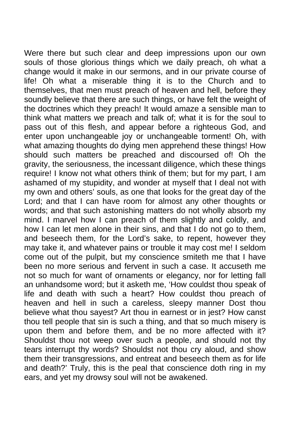Were there but such clear and deep impressions upon our own souls of those glorious things which we daily preach, oh what a change would it make in our sermons, and in our private course of life! Oh what a miserable thing it is to the Church and to themselves, that men must preach of heaven and hell, before they soundly believe that there are such things, or have felt the weight of the doctrines which they preach! It would amaze a sensible man to think what matters we preach and talk of; what it is for the soul to pass out of this flesh, and appear before a righteous God, and enter upon unchangeable joy or unchangeable torment! Oh, with what amazing thoughts do dying men apprehend these things! How should such matters be preached and discoursed of! Oh the gravity, the seriousness, the incessant diligence, which these things require! I know not what others think of them; but for my part, I am ashamed of my stupidity, and wonder at myself that I deal not with my own and others' souls, as one that looks for the great day of the Lord; and that I can have room for almost any other thoughts or words; and that such astonishing matters do not wholly absorb my mind. I marvel how I can preach of them slightly and coldly, and how I can let men alone in their sins, and that I do not go to them, and beseech them, for the Lord's sake, to repent, however they may take it, and whatever pains or trouble it may cost me! I seldom come out of the pulpit, but my conscience smiteth me that I have been no more serious and fervent in such a case. It accuseth me not so much for want of ornaments or elegancy, nor for letting fall an unhandsome word; but it asketh me, 'How couldst thou speak of life and death with such a heart? How couldst thou preach of heaven and hell in such a careless, sleepy manner Dost thou believe what thou sayest? Art thou in earnest or in jest? How canst thou tell people that sin is such a thing, and that so much misery is upon them and before them, and be no more affected with it? Shouldst thou not weep over such a people, and should not thy tears interrupt thy words? Shouldst not thou cry aloud, and show them their transgressions, and entreat and beseech them as for life and death?' Truly, this is the peal that conscience doth ring in my ears, and yet my drowsy soul will not be awakened.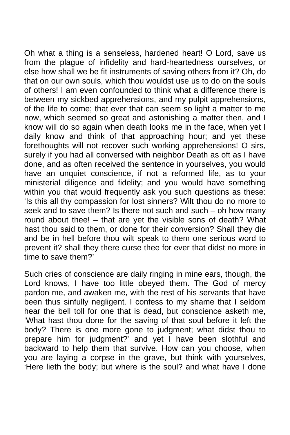Oh what a thing is a senseless, hardened heart! O Lord, save us from the plague of infidelity and hard-heartedness ourselves, or else how shall we be fit instruments of saving others from it? Oh, do that on our own souls, which thou wouldst use us to do on the souls of others! I am even confounded to think what a difference there is between my sickbed apprehensions, and my pulpit apprehensions, of the life to come; that ever that can seem so light a matter to me now, which seemed so great and astonishing a matter then, and I know will do so again when death looks me in the face, when yet I daily know and think of that approaching hour; and yet these forethoughts will not recover such working apprehensions! O sirs, surely if you had all conversed with neighbor Death as oft as I have done, and as often received the sentence in yourselves, you would have an unquiet conscience, if not a reformed life, as to your ministerial diligence and fidelity; and you would have something within you that would frequently ask you such questions as these: 'Is this all thy compassion for lost sinners? Wilt thou do no more to seek and to save them? Is there not such and such – oh how many round about thee! – that are yet the visible sons of death? What hast thou said to them, or done for their conversion? Shall they die and be in hell before thou wilt speak to them one serious word to prevent it? shall they there curse thee for ever that didst no more in time to save them?'

Such cries of conscience are daily ringing in mine ears, though, the Lord knows, I have too little obeyed them. The God of mercy pardon me, and awaken me, with the rest of his servants that have been thus sinfully negligent. I confess to my shame that I seldom hear the bell toll for one that is dead, but conscience asketh me, 'What hast thou done for the saving of that soul before it left the body? There is one more gone to judgment; what didst thou to prepare him for judgment?' and yet I have been slothful and backward to help them that survive. How can you choose, when you are laying a corpse in the grave, but think with yourselves, 'Here lieth the body; but where is the soul? and what have I done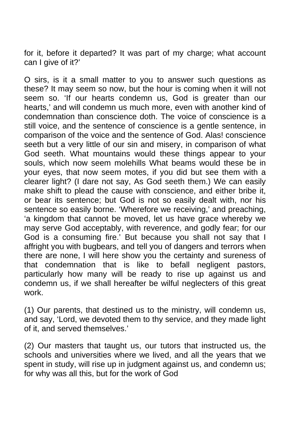for it, before it departed? It was part of my charge; what account can I give of it?'

O sirs, is it a small matter to you to answer such questions as these? It may seem so now, but the hour is coming when it will not seem so. 'If our hearts condemn us, God is greater than our hearts,' and will condemn us much more, even with another kind of condemnation than conscience doth. The voice of conscience is a still voice, and the sentence of conscience is a gentle sentence, in comparison of the voice and the sentence of God. Alas! conscience seeth but a very little of our sin and misery, in comparison of what God seeth. What mountains would these things appear to your souls, which now seem molehills What beams would these be in your eyes, that now seem motes, if you did but see them with a clearer light? (I dare not say, As God seeth them.) We can easily make shift to plead the cause with conscience, and either bribe it, or bear its sentence; but God is not so easily dealt with, nor his sentence so easily borne. 'Wherefore we receiving,' and preaching, 'a kingdom that cannot be moved, let us have grace whereby we may serve God acceptably, with reverence, and godly fear; for our God is a consuming fire.' But because you shall not say that I affright you with bugbears, and tell you of dangers and terrors when there are none, I will here show you the certainty and sureness of that condemnation that is like to befall negligent pastors, particularly how many will be ready to rise up against us and condemn us, if we shall hereafter be wilful neglecters of this great work.

(1) Our parents, that destined us to the ministry, will condemn us, and say, 'Lord, we devoted them to thy service, and they made light of it, and served themselves.'

(2) Our masters that taught us, our tutors that instructed us, the schools and universities where we lived, and all the years that we spent in study, will rise up in judgment against us, and condemn us; for why was all this, but for the work of God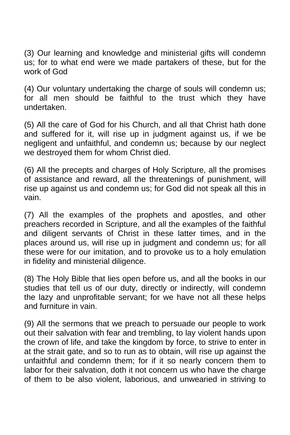(3) Our learning and knowledge and ministerial gifts will condemn us; for to what end were we made partakers of these, but for the work of God

(4) Our voluntary undertaking the charge of souls will condemn us; for all men should be faithful to the trust which they have undertaken.

(5) All the care of God for his Church, and all that Christ hath done and suffered for it, will rise up in judgment against us, if we be negligent and unfaithful, and condemn us; because by our neglect we destroyed them for whom Christ died.

(6) All the precepts and charges of Holy Scripture, all the promises of assistance and reward, all the threatenings of punishment, will rise up against us and condemn us; for God did not speak all this in vain.

(7) All the examples of the prophets and apostles, and other preachers recorded in Scripture, and all the examples of the faithful and diligent servants of Christ in these latter times, and in the places around us, will rise up in judgment and condemn us; for all these were for our imitation, and to provoke us to a holy emulation in fidelity and ministerial diligence.

(8) The Holy Bible that lies open before us, and all the books in our studies that tell us of our duty, directly or indirectly, will condemn the lazy and unprofitable servant; for we have not all these helps and furniture in vain.

(9) All the sermons that we preach to persuade our people to work out their salvation with fear and trembling, to lay violent hands upon the crown of life, and take the kingdom by force, to strive to enter in at the strait gate, and so to run as to obtain, will rise up against the unfaithful and condemn them; for if it so nearly concern them to labor for their salvation, doth it not concern us who have the charge of them to be also violent, laborious, and unwearied in striving to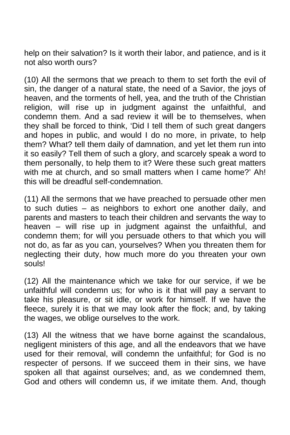help on their salvation? Is it worth their labor, and patience, and is it not also worth ours?

(10) All the sermons that we preach to them to set forth the evil of sin, the danger of a natural state, the need of a Savior, the joys of heaven, and the torments of hell, yea, and the truth of the Christian religion, will rise up in judgment against the unfaithful, and condemn them. And a sad review it will be to themselves, when they shall be forced to think, 'Did I tell them of such great dangers and hopes in public, and would I do no more, in private, to help them? What? tell them daily of damnation, and yet let them run into it so easily? Tell them of such a glory, and scarcely speak a word to them personally, to help them to it? Were these such great matters with me at church, and so small matters when I came home?' Ah! this will be dreadful self-condemnation.

(11) All the sermons that we have preached to persuade other men to such duties – as neighbors to exhort one another daily, and parents and masters to teach their children and servants the way to heaven – will rise up in judgment against the unfaithful, and condemn them; for will you persuade others to that which you will not do, as far as you can, yourselves? When you threaten them for neglecting their duty, how much more do you threaten your own souls!

(12) All the maintenance which we take for our service, if we be unfaithful will condemn us; for who is it that will pay a servant to take his pleasure, or sit idle, or work for himself. If we have the fleece, surely it is that we may look after the flock; and, by taking the wages, we oblige ourselves to the work.

(13) All the witness that we have borne against the scandalous, negligent ministers of this age, and all the endeavors that we have used for their removal, will condemn the unfaithful; for God is no respecter of persons. If we succeed them in their sins, we have spoken all that against ourselves; and, as we condemned them, God and others will condemn us, if we imitate them. And, though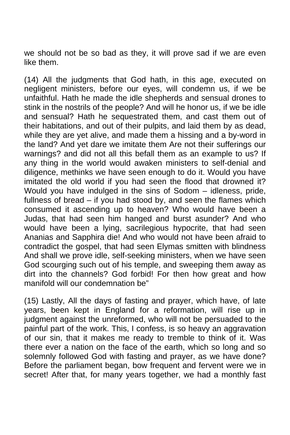we should not be so bad as they, it will prove sad if we are even like them.

(14) All the judgments that God hath, in this age, executed on negligent ministers, before our eyes, will condemn us, if we be unfaithful. Hath he made the idle shepherds and sensual drones to stink in the nostrils of the people? And will he honor us, if we be idle and sensual? Hath he sequestrated them, and cast them out of their habitations, and out of their pulpits, and laid them by as dead, while they are yet alive, and made them a hissing and a by-word in the land? And yet dare we imitate them Are not their sufferings our warnings? and did not all this befall them as an example to us? If any thing in the world would awaken ministers to self-denial and diligence, methinks we have seen enough to do it. Would you have imitated the old world if you had seen the flood that drowned it? Would you have indulged in the sins of Sodom – idleness, pride, fullness of bread – if you had stood by, and seen the flames which consumed it ascending up to heaven? Who would have been a Judas, that had seen him hanged and burst asunder? And who would have been a lying, sacrilegious hypocrite, that had seen Ananias and Sapphira die! And who would not have been afraid to contradict the gospel, that had seen Elymas smitten with blindness And shall we prove idle, self-seeking ministers, when we have seen God scourging such out of his temple, and sweeping them away as dirt into the channels? God forbid! For then how great and how manifold will our condemnation be"

(15) Lastly, All the days of fasting and prayer, which have, of late years, been kept in England for a reformation, will rise up in judgment against the unreformed, who will not be persuaded to the painful part of the work. This, I confess, is so heavy an aggravation of our sin, that it makes me ready to tremble to think of it. Was there ever a nation on the face of the earth, which so long and so solemnly followed God with fasting and prayer, as we have done? Before the parliament began, bow frequent and fervent were we in secret! After that, for many years together, we had a monthly fast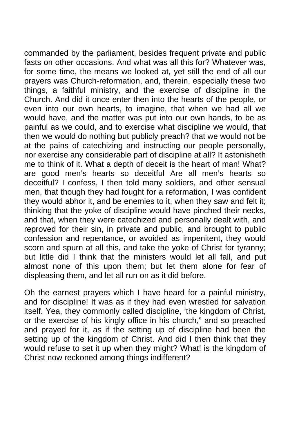commanded by the parliament, besides frequent private and public fasts on other occasions. And what was all this for? Whatever was, for some time, the means we looked at, yet still the end of all our prayers was Church-reformation, and, therein, especially these two things, a faithful ministry, and the exercise of discipline in the Church. And did it once enter then into the hearts of the people, or even into our own hearts, to imagine, that when we had all we would have, and the matter was put into our own hands, to be as painful as we could, and to exercise what discipline we would, that then we would do nothing but publicly preach? that we would not be at the pains of catechizing and instructing our people personally, nor exercise any considerable part of discipline at all? It astonisheth me to think of it. What a depth of deceit is the heart of man! What? are good men's hearts so deceitful Are all men's hearts so deceitful? I confess, I then told many soldiers, and other sensual men, that though they had fought for a reformation, I was confident they would abhor it, and be enemies to it, when they saw and felt it; thinking that the yoke of discipline would have pinched their necks, and that, when they were catechized and personally dealt with, and reproved for their sin, in private and public, and brought to public confession and repentance, or avoided as impenitent, they would scorn and spurn at all this, and take the yoke of Christ for tyranny; but little did I think that the ministers would let all fall, and put almost none of this upon them; but let them alone for fear of displeasing them, and let all run on as it did before.

Oh the earnest prayers which I have heard for a painful ministry, and for discipline! It was as if they had even wrestled for salvation itself. Yea, they commonly called discipline, 'the kingdom of Christ, or the exercise of his kingly office in his church," and so preached and prayed for it, as if the setting up of discipline had been the setting up of the kingdom of Christ. And did I then think that they would refuse to set it up when they might? What! is the kingdom of Christ now reckoned among things indifferent?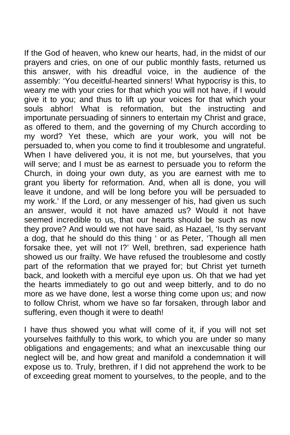If the God of heaven, who knew our hearts, had, in the midst of our prayers and cries, on one of our public monthly fasts, returned us this answer, with his dreadful voice, in the audience of the assembly: 'You deceitful-hearted sinners! What hypocrisy is this, to weary me with your cries for that which you will not have, if I would give it to you; and thus to lift up your voices for that which your souls abhor! What is reformation, but the instructing and importunate persuading of sinners to entertain my Christ and grace, as offered to them, and the governing of my Church according to my word? Yet these, which are your work, you will not be persuaded to, when you come to find it troublesome and ungrateful. When I have delivered you, it is not me, but yourselves, that you will serve; and I must be as earnest to persuade you to reform the Church, in doing your own duty, as you are earnest with me to grant you liberty for reformation. And, when all is done, you will leave it undone, and will be long before you will be persuaded to my work.' If the Lord, or any messenger of his, had given us such an answer, would it not have amazed us? Would it not have seemed incredible to us, that our hearts should be such as now they prove? And would we not have said, as Hazael, 'Is thy servant a dog, that he should do this thing ' or as Peter, 'Though all men forsake thee, yet will not I?' Well, brethren, sad experience hath showed us our frailty. We have refused the troublesome and costly part of the reformation that we prayed for; but Christ yet turneth back, and looketh with a merciful eye upon us. Oh that we had yet the hearts immediately to go out and weep bitterly, and to do no more as we have done, lest a worse thing come upon us; and now to follow Christ, whom we have so far forsaken, through labor and suffering, even though it were to death!

I have thus showed you what will come of it, if you will not set yourselves faithfully to this work, to which you are under so many obligations and engagements; and what an inexcusable thing our neglect will be, and how great and manifold a condemnation it will expose us to. Truly, brethren, if I did not apprehend the work to be of exceeding great moment to yourselves, to the people, and to the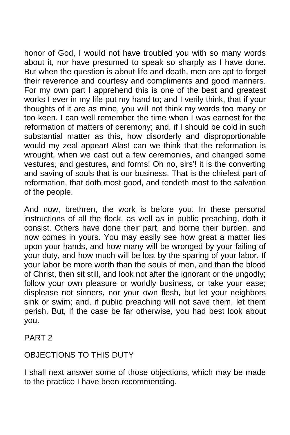honor of God, I would not have troubled you with so many words about it, nor have presumed to speak so sharply as I have done. But when the question is about life and death, men are apt to forget their reverence and courtesy and compliments and good manners. For my own part I apprehend this is one of the best and greatest works I ever in my life put my hand to; and I verily think, that if your thoughts of it are as mine, you will not think my words too many or too keen. I can well remember the time when I was earnest for the reformation of matters of ceremony; and, if I should be cold in such substantial matter as this, how disorderly and disproportionable would my zeal appear! Alas! can we think that the reformation is wrought, when we cast out a few ceremonies, and changed some vestures, and gestures, and forms! Oh no, sirs'! it is the converting and saving of souls that is our business. That is the chiefest part of reformation, that doth most good, and tendeth most to the salvation of the people.

And now, brethren, the work is before you. In these personal instructions of all the flock, as well as in public preaching, doth it consist. Others have done their part, and borne their burden, and now comes in yours. You may easily see how great a matter lies upon your hands, and how many will be wronged by your failing of your duty, and how much will be lost by the sparing of your labor. If your labor be more worth than the souls of men, and than the blood of Christ, then sit still, and look not after the ignorant or the ungodly; follow your own pleasure or worldly business, or take your ease; displease not sinners, nor your own flesh, but let your neighbors sink or swim; and, if public preaching will not save them, let them perish. But, if the case be far otherwise, you had best look about you.

PART 2

## OBJECTIONS TO THIS DUTY

I shall next answer some of those objections, which may be made to the practice I have been recommending.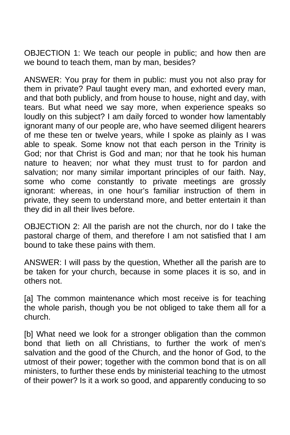OBJECTION 1: We teach our people in public; and how then are we bound to teach them, man by man, besides?

ANSWER: You pray for them in public: must you not also pray for them in private? Paul taught every man, and exhorted every man, and that both publicly, and from house to house, night and day, with tears. But what need we say more, when experience speaks so loudly on this subject? I am daily forced to wonder how lamentably ignorant many of our people are, who have seemed diligent hearers of me these ten or twelve years, while I spoke as plainly as I was able to speak. Some know not that each person in the Trinity is God; nor that Christ is God and man; nor that he took his human nature to heaven; nor what they must trust to for pardon and salvation; nor many similar important principles of our faith. Nay, some who come constantly to private meetings are grossly ignorant: whereas, in one hour's familiar instruction of them in private, they seem to understand more, and better entertain it than they did in all their lives before.

OBJECTION 2: All the parish are not the church, nor do I take the pastoral charge of them, and therefore I am not satisfied that I am bound to take these pains with them.

ANSWER: I will pass by the question, Whether all the parish are to be taken for your church, because in some places it is so, and in others not.

[a] The common maintenance which most receive is for teaching the whole parish, though you be not obliged to take them all for a church.

[b] What need we look for a stronger obligation than the common bond that lieth on all Christians, to further the work of men's salvation and the good of the Church, and the honor of God, to the utmost of their power; together with the common bond that is on all ministers, to further these ends by ministerial teaching to the utmost of their power? Is it a work so good, and apparently conducing to so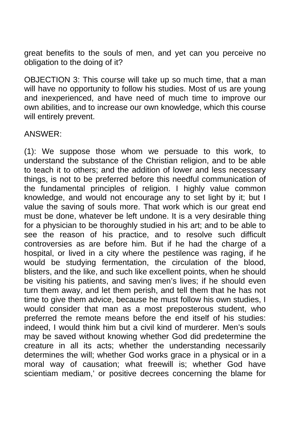great benefits to the souls of men, and yet can you perceive no obligation to the doing of it?

OBJECTION 3: This course will take up so much time, that a man will have no opportunity to follow his studies. Most of us are young and inexperienced, and have need of much time to improve our own abilities, and to increase our own knowledge, which this course will entirely prevent.

#### ANSWER:

(1): We suppose those whom we persuade to this work, to understand the substance of the Christian religion, and to be able to teach it to others; and the addition of lower and less necessary things, is not to be preferred before this needful communication of the fundamental principles of religion. I highly value common knowledge, and would not encourage any to set light by it; but I value the saving of souls more. That work which is our great end must be done, whatever be left undone. It is a very desirable thing for a physician to be thoroughly studied in his art; and to be able to see the reason of his practice, and to resolve such difficult controversies as are before him. But if he had the charge of a hospital, or lived in a city where the pestilence was raging, if he would be studying fermentation, the circulation of the blood, blisters, and the like, and such like excellent points, when he should be visiting his patients, and saving men's lives; if he should even turn them away, and let them perish, and tell them that he has not time to give them advice, because he must follow his own studies, I would consider that man as a most preposterous student, who preferred the remote means before the end itself of his studies: indeed, I would think him but a civil kind of murderer. Men's souls may be saved without knowing whether God did predetermine the creature in all its acts; whether the understanding necessarily determines the will; whether God works grace in a physical or in a moral way of causation; what freewill is; whether God have scientiam mediam,' or positive decrees concerning the blame for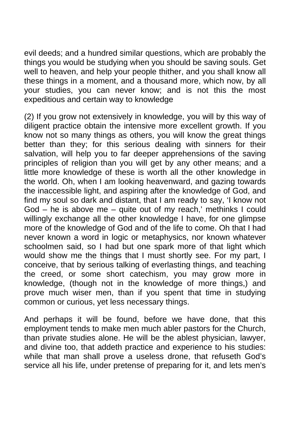evil deeds; and a hundred similar questions, which are probably the things you would be studying when you should be saving souls. Get well to heaven, and help your people thither, and you shall know all these things in a moment, and a thousand more, which now, by all your studies, you can never know; and is not this the most expeditious and certain way to knowledge

(2) If you grow not extensively in knowledge, you will by this way of diligent practice obtain the intensive more excellent growth. If you know not so many things as others, you will know the great things better than they; for this serious dealing with sinners for their salvation, will help you to far deeper apprehensions of the saving principles of religion than you will get by any other means; and a little more knowledge of these is worth all the other knowledge in the world. Oh, when I am looking heavenward, and gazing towards the inaccessible light, and aspiring after the knowledge of God, and find my soul so dark and distant, that I am ready to say, 'I know not God – he is above me – quite out of my reach,' methinks I could willingly exchange all the other knowledge I have, for one glimpse more of the knowledge of God and of the life to come. Oh that I had never known a word in logic or metaphysics, nor known whatever schoolmen said, so I had but one spark more of that light which would show me the things that I must shortly see. For my part, I conceive, that by serious talking of everlasting things, and teaching the creed, or some short catechism, you may grow more in knowledge, (though not in the knowledge of more things,) and prove much wiser men, than if you spent that time in studying common or curious, yet less necessary things.

And perhaps it will be found, before we have done, that this employment tends to make men much abler pastors for the Church, than private studies alone. He will be the ablest physician, lawyer, and divine too, that addeth practice and experience to his studies: while that man shall prove a useless drone, that refuseth God's service all his life, under pretense of preparing for it, and lets men's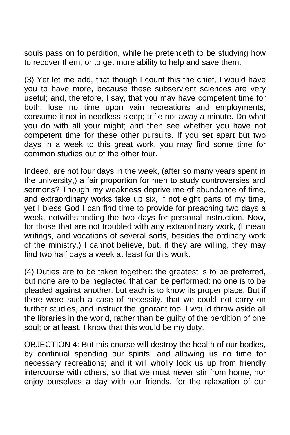souls pass on to perdition, while he pretendeth to be studying how to recover them, or to get more ability to help and save them.

(3) Yet let me add, that though I count this the chief, I would have you to have more, because these subservient sciences are very useful; and, therefore, I say, that you may have competent time for both, lose no time upon vain recreations and employments; consume it not in needless sleep; trifle not away a minute. Do what you do with all your might; and then see whether you have not competent time for these other pursuits. If you set apart but two days in a week to this great work, you may find some time for common studies out of the other four.

Indeed, are not four days in the week, (after so many years spent in the university,) a fair proportion for men to study controversies and sermons? Though my weakness deprive me of abundance of time, and extraordinary works take up six, if not eight parts of my time, yet I bless God I can find time to provide for preaching two days a week, notwithstanding the two days for personal instruction. Now, for those that are not troubled with any extraordinary work, (I mean writings, and vocations of several sorts, besides the ordinary work of the ministry,) I cannot believe, but, if they are willing, they may find two half days a week at least for this work.

(4) Duties are to be taken together: the greatest is to be preferred, but none are to be neglected that can be performed; no one is to be pleaded against another, but each is to know its proper place. But if there were such a case of necessity, that we could not carry on further studies, and instruct the ignorant too, I would throw aside all the libraries in the world, rather than be guilty of the perdition of one soul; or at least, I know that this would be my duty.

OBJECTION 4: But this course will destroy the health of our bodies, by continual spending our spirits, and allowing us no time for necessary recreations; and it will wholly lock us up from friendly intercourse with others, so that we must never stir from home, nor enjoy ourselves a day with our friends, for the relaxation of our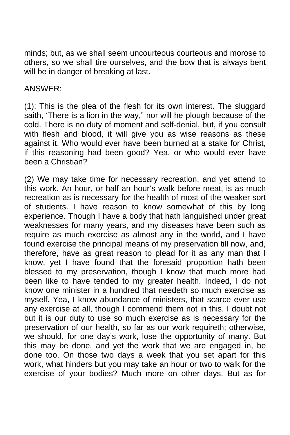minds; but, as we shall seem uncourteous courteous and morose to others, so we shall tire ourselves, and the bow that is always bent will be in danger of breaking at last.

ANSWER:

(1): This is the plea of the flesh for its own interest. The sluggard saith, 'There is a lion in the way," nor will he plough because of the cold. There is no duty of moment and self-denial, but, if you consult with flesh and blood, it will give you as wise reasons as these against it. Who would ever have been burned at a stake for Christ, if this reasoning had been good? Yea, or who would ever have been a Christian?

(2) We may take time for necessary recreation, and yet attend to this work. An hour, or half an hour's walk before meat, is as much recreation as is necessary for the health of most of the weaker sort of students. I have reason to know somewhat of this by long experience. Though I have a body that hath languished under great weaknesses for many years, and my diseases have been such as require as much exercise as almost any in the world, and I have found exercise the principal means of my preservation till now, and, therefore, have as great reason to plead for it as any man that I know, yet I have found that the foresaid proportion hath been blessed to my preservation, though I know that much more had been like to have tended to my greater health. Indeed, I do not know one minister in a hundred that needeth so much exercise as myself. Yea, I know abundance of ministers, that scarce ever use any exercise at all, though I commend them not in this. I doubt not but it is our duty to use so much exercise as is necessary for the preservation of our health, so far as our work requireth; otherwise, we should, for one day's work, lose the opportunity of many. But this may be done, and yet the work that we are engaged in, be done too. On those two days a week that you set apart for this work, what hinders but you may take an hour or two to walk for the exercise of your bodies? Much more on other days. But as for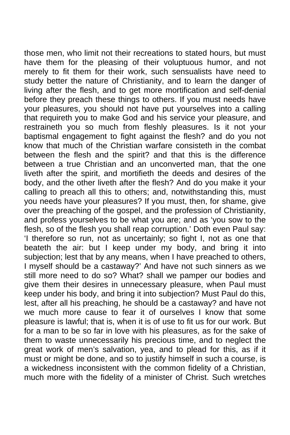those men, who limit not their recreations to stated hours, but must have them for the pleasing of their voluptuous humor, and not merely to fit them for their work, such sensualists have need to study better the nature of Christianity, and to learn the danger of living after the flesh, and to get more mortification and self-denial before they preach these things to others. If you must needs have your pleasures, you should not have put yourselves into a calling that requireth you to make God and his service your pleasure, and restraineth you so much from fleshly pleasures. Is it not your baptismal engagement to fight against the flesh? and do you not know that much of the Christian warfare consisteth in the combat between the flesh and the spirit? and that this is the difference between a true Christian and an unconverted man, that the one liveth after the spirit, and mortifieth the deeds and desires of the body, and the other liveth after the flesh? And do you make it your calling to preach all this to others; and, notwithstanding this, must you needs have your pleasures? If you must, then, for shame, give over the preaching of the gospel, and the profession of Christianity, and profess yourselves to be what you are; and as 'you sow to the flesh, so of the flesh you shall reap corruption.' Doth even Paul say: 'I therefore so run, not as uncertainly; so fight I, not as one that beateth the air: but I keep under my body, and bring it into subjection; lest that by any means, when I have preached to others, I myself should be a castaway?' And have not such sinners as we still more need to do so? What? shall we pamper our bodies and give them their desires in unnecessary pleasure, when Paul must keep under his body, and bring it into subjection? Must Paul do this, lest, after all his preaching, he should be a castaway? and have not we much more cause to fear it of ourselves I know that some pleasure is lawful; that is, when it is of use to fit us for our work. But for a man to be so far in love with his pleasures, as for the sake of them to waste unnecessarily his precious time, and to neglect the great work of men's salvation, yea, and to plead for this, as if it must or might be done, and so to justify himself in such a course, is a wickedness inconsistent with the common fidelity of a Christian, much more with the fidelity of a minister of Christ. Such wretches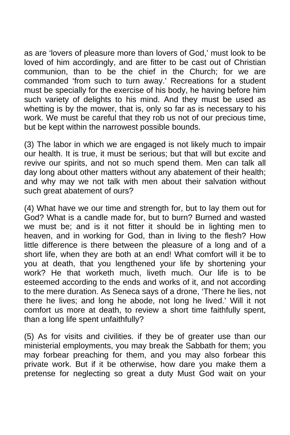as are 'lovers of pleasure more than lovers of God,' must look to be loved of him accordingly, and are fitter to be cast out of Christian communion, than to be the chief in the Church; for we are commanded 'from such to turn away.' Recreations for a student must be specially for the exercise of his body, he having before him such variety of delights to his mind. And they must be used as whetting is by the mower, that is, only so far as is necessary to his work. We must be careful that they rob us not of our precious time, but be kept within the narrowest possible bounds.

(3) The labor in which we are engaged is not likely much to impair our health. It is true, it must be serious; but that will but excite and revive our spirits, and not so much spend them. Men can talk all day long about other matters without any abatement of their health; and why may we not talk with men about their salvation without such great abatement of ours?

(4) What have we our time and strength for, but to lay them out for God? What is a candle made for, but to burn? Burned and wasted we must be; and is it not fitter it should be in lighting men to heaven, and in working for God, than in living to the flesh? How little difference is there between the pleasure of a long and of a short life, when they are both at an end! What comfort will it be to you at death, that you lengthened your life by shortening your work? He that worketh much, liveth much. Our life is to be esteemed according to the ends and works of it, and not according to the mere duration. As Seneca says of a drone, 'There he lies, not there he lives; and long he abode, not long he lived.' Will it not comfort us more at death, to review a short time faithfully spent, than a long life spent unfaithfully?

(5) As for visits and civilities. if they be of greater use than our ministerial employments, you may break the Sabbath for them; you may forbear preaching for them, and you may also forbear this private work. But if it be otherwise, how dare you make them a pretense for neglecting so great a duty Must God wait on your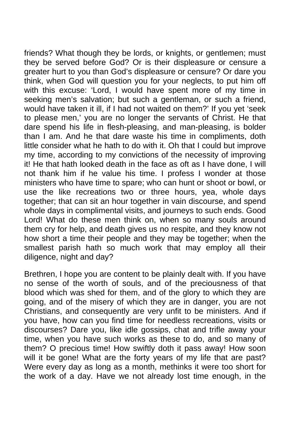friends? What though they be lords, or knights, or gentlemen; must they be served before God? Or is their displeasure or censure a greater hurt to you than God's displeasure or censure? Or dare you think, when God will question you for your neglects, to put him off with this excuse: 'Lord, I would have spent more of my time in seeking men's salvation; but such a gentleman, or such a friend, would have taken it ill, if I had not waited on them?' If you yet 'seek to please men,' you are no longer the servants of Christ. He that dare spend his life in flesh-pleasing, and man-pleasing, is bolder than I am. And he that dare waste his time in compliments, doth little consider what he hath to do with it. Oh that I could but improve my time, according to my convictions of the necessity of improving it! He that hath looked death in the face as oft as I have done, I will not thank him if he value his time. I profess I wonder at those ministers who have time to spare; who can hunt or shoot or bowl, or use the like recreations two or three hours, yea, whole days together; that can sit an hour together in vain discourse, and spend whole days in complimental visits, and journeys to such ends. Good Lord! What do these men think on, when so many souls around them cry for help, and death gives us no respite, and they know not how short a time their people and they may be together; when the smallest parish hath so much work that may employ all their diligence, night and day?

Brethren, I hope you are content to be plainly dealt with. If you have no sense of the worth of souls, and of the preciousness of that blood which was shed for them, and of the glory to which they are going, and of the misery of which they are in danger, you are not Christians, and consequently are very unfit to be ministers. And if you have, how can you find time for needless recreations, visits or discourses? Dare you, like idle gossips, chat and trifle away your time, when you have such works as these to do, and so many of them? O precious time! How swiftly doth it pass away! How soon will it be gone! What are the forty years of my life that are past? Were every day as long as a month, methinks it were too short for the work of a day. Have we not already lost time enough, in the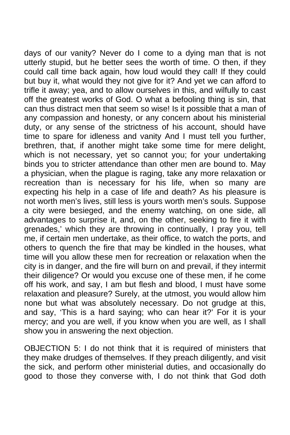days of our vanity? Never do I come to a dying man that is not utterly stupid, but he better sees the worth of time. O then, if they could call time back again, how loud would they call! If they could but buy it, what would they not give for it? And yet we can afford to trifle it away; yea, and to allow ourselves in this, and wilfully to cast off the greatest works of God. O what a befooling thing is sin, that can thus distract men that seem so wise! Is it possible that a man of any compassion and honesty, or any concern about his ministerial duty, or any sense of the strictness of his account, should have time to spare for idleness and vanity And I must tell you further, brethren, that, if another might take some time for mere delight, which is not necessary, yet so cannot you; for your undertaking binds you to stricter attendance than other men are bound to. May a physician, when the plague is raging, take any more relaxation or recreation than is necessary for his life, when so many are expecting his help in a case of life and death? As his pleasure is not worth men's lives, still less is yours worth men's souls. Suppose a city were besieged, and the enemy watching, on one side, all advantages to surprise it, and, on the other, seeking to fire it with grenades,' which they are throwing in continually, I pray you, tell me, if certain men undertake, as their office, to watch the ports, and others to quench the fire that may be kindled in the houses, what time will you allow these men for recreation or relaxation when the city is in danger, and the fire will burn on and prevail, if they intermit their diligence? Or would you excuse one of these men, if he come off his work, and say, I am but flesh and blood, I must have some relaxation and pleasure? Surely, at the utmost, you would allow him none but what was absolutely necessary. Do not grudge at this, and say, 'This is a hard saying; who can hear it?' For it is your mercy; and you are well, if you know when you are well, as I shall show you in answering the next objection.

OBJECTION 5: I do not think that it is required of ministers that they make drudges of themselves. If they preach diligently, and visit the sick, and perform other ministerial duties, and occasionally do good to those they converse with, I do not think that God doth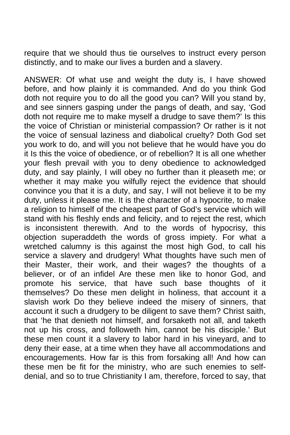require that we should thus tie ourselves to instruct every person distinctly, and to make our lives a burden and a slavery.

ANSWER: Of what use and weight the duty is, I have showed before, and how plainly it is commanded. And do you think God doth not require you to do all the good you can? Will you stand by, and see sinners gasping under the pangs of death, and say, 'God doth not require me to make myself a drudge to save them?' Is this the voice of Christian or ministerial compassion? Or rather is it not the voice of sensual laziness and diabolical cruelty? Doth God set you work to do, and will you not believe that he would have you do it Is this the voice of obedience, or of rebellion? It is all one whether your flesh prevail with you to deny obedience to acknowledged duty, and say plainly, I will obey no further than it pleaseth me; or whether it may make you wilfully reject the evidence that should convince you that it is a duty, and say, I will not believe it to be my duty, unless it please me. It is the character of a hypocrite, to make a religion to himself of the cheapest part of God's service which will stand with his fleshly ends and felicity, and to reject the rest, which is inconsistent therewith. And to the words of hypocrisy, this objection superaddeth the words of gross impiety. For what a wretched calumny is this against the most high God, to call his service a slavery and drudgery! What thoughts have such men of their Master, their work, and their wages? the thoughts of a believer, or of an infidel Are these men like to honor God, and promote his service, that have such base thoughts of it themselves? Do these men delight in holiness, that account it a slavish work Do they believe indeed the misery of sinners, that account it such a drudgery to be diligent to save them? Christ saith, that 'he that denieth not himself, and forsaketh not all, and taketh not up his cross, and followeth him, cannot be his disciple.' But these men count it a slavery to labor hard in his vineyard, and to deny their ease, at a time when they have all accommodations and encouragements. How far is this from forsaking all! And how can these men be fit for the ministry, who are such enemies to selfdenial, and so to true Christianity I am, therefore, forced to say, that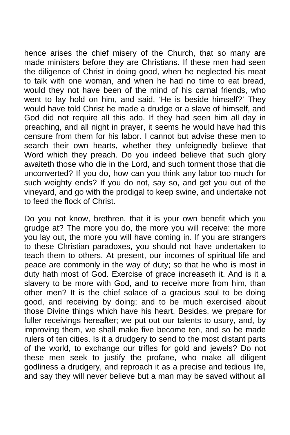hence arises the chief misery of the Church, that so many are made ministers before they are Christians. If these men had seen the diligence of Christ in doing good, when he neglected his meat to talk with one woman, and when he had no time to eat bread, would they not have been of the mind of his carnal friends, who went to lay hold on him, and said, 'He is beside himself?' They would have told Christ he made a drudge or a slave of himself, and God did not require all this ado. If they had seen him all day in preaching, and all night in prayer, it seems he would have had this censure from them for his labor. I cannot but advise these men to search their own hearts, whether they unfeignedly believe that Word which they preach. Do you indeed believe that such glory awaiteth those who die in the Lord, and such torment those that die unconverted? If you do, how can you think any labor too much for such weighty ends? If you do not, say so, and get you out of the vineyard, and go with the prodigal to keep swine, and undertake not to feed the flock of Christ.

Do you not know, brethren, that it is your own benefit which you grudge at? The more you do, the more you will receive: the more you lay out, the more you will have coming in. If you are strangers to these Christian paradoxes, you should not have undertaken to teach them to others. At present, our incomes of spiritual life and peace are commonly in the way of duty; so that he who is most in duty hath most of God. Exercise of grace increaseth it. And is it a slavery to be more with God, and to receive more from him, than other men? It is the chief solace of a gracious soul to be doing good, and receiving by doing; and to be much exercised about those Divine things which have his heart. Besides, we prepare for fuller receivings hereafter; we put out our talents to usury, and, by improving them, we shall make five become ten, and so be made rulers of ten cities. Is it a drudgery to send to the most distant parts of the world, to exchange our trifles for gold and jewels? Do not these men seek to justify the profane, who make all diligent godliness a drudgery, and reproach it as a precise and tedious life, and say they will never believe but a man may be saved without all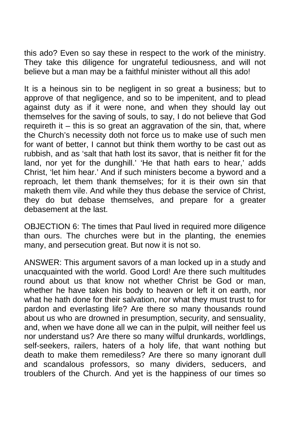this ado? Even so say these in respect to the work of the ministry. They take this diligence for ungrateful tediousness, and will not believe but a man may be a faithful minister without all this ado!

It is a heinous sin to be negligent in so great a business; but to approve of that negligence, and so to be impenitent, and to plead against duty as if it were none, and when they should lay out themselves for the saving of souls, to say, I do not believe that God requireth it – this is so great an aggravation of the sin, that, where the Church's necessity doth not force us to make use of such men for want of better, I cannot but think them worthy to be cast out as rubbish, and as 'salt that hath lost its savor, that is neither fit for the land, nor yet for the dunghill.' 'He that hath ears to hear,' adds Christ, 'let him hear.' And if such ministers become a byword and a reproach, let them thank themselves; for it is their own sin that maketh them vile. And while they thus debase the service of Christ, they do but debase themselves, and prepare for a greater debasement at the last.

OBJECTION 6: The times that Paul lived in required more diligence than ours. The churches were but in the planting, the enemies many, and persecution great. But now it is not so.

ANSWER: This argument savors of a man locked up in a study and unacquainted with the world. Good Lord! Are there such multitudes round about us that know not whether Christ be God or man, whether he have taken his body to heaven or left it on earth, nor what he hath done for their salvation, nor what they must trust to for pardon and everlasting life? Are there so many thousands round about us who are drowned in presumption, security, and sensuality, and, when we have done all we can in the pulpit, will neither feel us nor understand us? Are there so many wilful drunkards, worldlings, self-seekers, railers, haters of a holy life, that want nothing but death to make them remediless? Are there so many ignorant dull and scandalous professors, so many dividers, seducers, and troublers of the Church. And yet is the happiness of our times so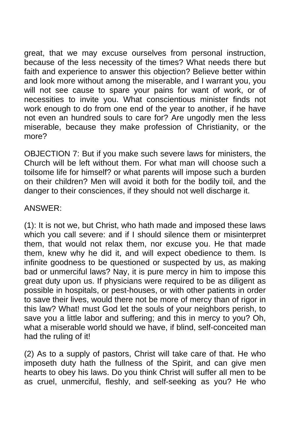great, that we may excuse ourselves from personal instruction, because of the less necessity of the times? What needs there but faith and experience to answer this objection? Believe better within and look more without among the miserable, and I warrant you, you will not see cause to spare your pains for want of work, or of necessities to invite you. What conscientious minister finds not work enough to do from one end of the year to another, if he have not even an hundred souls to care for? Are ungodly men the less miserable, because they make profession of Christianity, or the more?

OBJECTION 7: But if you make such severe laws for ministers, the Church will be left without them. For what man will choose such a toilsome life for himself? or what parents will impose such a burden on their children? Men will avoid it both for the bodily toil, and the danger to their consciences, if they should not well discharge it.

#### ANSWER:

(1): It is not we, but Christ, who hath made and imposed these laws which you call severe: and if I should silence them or misinterpret them, that would not relax them, nor excuse you. He that made them, knew why he did it, and will expect obedience to them. Is infinite goodness to be questioned or suspected by us, as making bad or unmerciful laws? Nay, it is pure mercy in him to impose this great duty upon us. If physicians were required to be as diligent as possible in hospitals, or pest-houses, or with other patients in order to save their lives, would there not be more of mercy than of rigor in this law? What! must God let the souls of your neighbors perish, to save you a little labor and suffering; and this in mercy to you? Oh, what a miserable world should we have, if blind, self-conceited man had the ruling of it!

(2) As to a supply of pastors, Christ will take care of that. He who imposeth duty hath the fullness of the Spirit, and can give men hearts to obey his laws. Do you think Christ will suffer all men to be as cruel, unmerciful, fleshly, and self-seeking as you? He who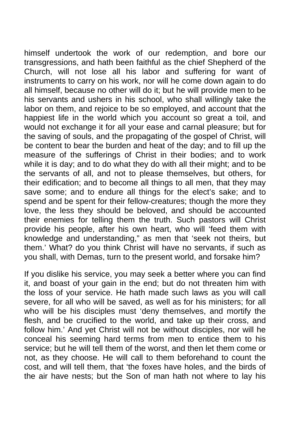himself undertook the work of our redemption, and bore our transgressions, and hath been faithful as the chief Shepherd of the Church, will not lose all his labor and suffering for want of instruments to carry on his work, nor will he come down again to do all himself, because no other will do it; but he will provide men to be his servants and ushers in his school, who shall willingly take the labor on them, and rejoice to be so employed, and account that the happiest life in the world which you account so great a toil, and would not exchange it for all your ease and carnal pleasure; but for the saving of souls, and the propagating of the gospel of Christ, will be content to bear the burden and heat of the day; and to fill up the measure of the sufferings of Christ in their bodies; and to work while it is day; and to do what they do with all their might; and to be the servants of all, and not to please themselves, but others, for their edification; and to become all things to all men, that they may save some; and to endure all things for the elect's sake; and to spend and be spent for their fellow-creatures; though the more they love, the less they should be beloved, and should be accounted their enemies for telling them the truth. Such pastors will Christ provide his people, after his own heart, who will 'feed them with knowledge and understanding," as men that 'seek not theirs, but them.' What? do you think Christ will have no servants, if such as you shall, with Demas, turn to the present world, and forsake him?

If you dislike his service, you may seek a better where you can find it, and boast of your gain in the end; but do not threaten him with the loss of your service. He hath made such laws as you will call severe, for all who will be saved, as well as for his ministers; for all who will be his disciples must 'deny themselves, and mortify the flesh, and be crucified to the world, and take up their cross, and follow him.' And yet Christ will not be without disciples, nor will he conceal his seeming hard terms from men to entice them to his service; but he will tell them of the worst, and then let them come or not, as they choose. He will call to them beforehand to count the cost, and will tell them, that 'the foxes have holes, and the birds of the air have nests; but the Son of man hath not where to lay his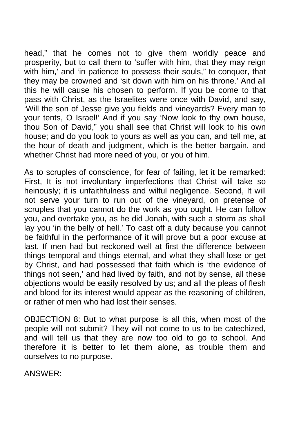head," that he comes not to give them worldly peace and prosperity, but to call them to 'suffer with him, that they may reign with him,' and 'in patience to possess their souls," to conquer, that they may be crowned and 'sit down with him on his throne.' And all this he will cause his chosen to perform. If you be come to that pass with Christ, as the Israelites were once with David, and say, 'Will the son of Jesse give you fields and vineyards? Every man to your tents, O Israel!' And if you say 'Now look to thy own house, thou Son of David," you shall see that Christ will look to his own house; and do you look to yours as well as you can, and tell me, at the hour of death and judgment, which is the better bargain, and whether Christ had more need of you, or you of him.

As to scruples of conscience, for fear of failing, let it be remarked: First, It is not involuntary imperfections that Christ will take so heinously; it is unfaithfulness and wilful negligence. Second, It will not serve your turn to run out of the vineyard, on pretense of scruples that you cannot do the work as you ought. He can follow you, and overtake you, as he did Jonah, with such a storm as shall lay you 'in the belly of hell.' To cast off a duty because you cannot be faithful in the performance of it will prove but a poor excuse at last. If men had but reckoned well at first the difference between things temporal and things eternal, and what they shall lose or get by Christ, and had possessed that faith which is 'the evidence of things not seen,' and had lived by faith, and not by sense, all these objections would be easily resolved by us; and all the pleas of flesh and blood for its interest would appear as the reasoning of children, or rather of men who had lost their senses.

OBJECTION 8: But to what purpose is all this, when most of the people will not submit? They will not come to us to be catechized, and will tell us that they are now too old to go to school. And therefore it is better to let them alone, as trouble them and ourselves to no purpose.

ANSWER: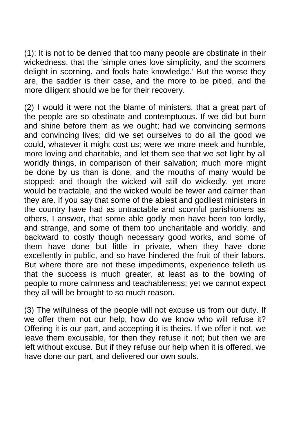(1): It is not to be denied that too many people are obstinate in their wickedness, that the 'simple ones love simplicity, and the scorners delight in scorning, and fools hate knowledge.' But the worse they are, the sadder is their case, and the more to be pitied, and the more diligent should we be for their recovery.

(2) I would it were not the blame of ministers, that a great part of the people are so obstinate and contemptuous. If we did but burn and shine before them as we ought; had we convincing sermons and convincing lives; did we set ourselves to do all the good we could, whatever it might cost us; were we more meek and humble, more loving and charitable, and let them see that we set light by all worldly things, in comparison of their salvation; much more might be done by us than is done, and the mouths of many would be stopped; and though the wicked will still do wickedly, yet more would be tractable, and the wicked would be fewer and calmer than they are. If you say that some of the ablest and godliest ministers in the country have had as untractable and scornful parishioners as others, I answer, that some able godly men have been too lordly, and strange, and some of them too uncharitable and worldly, and backward to costly though necessary good works, and some of them have done but little in private, when they have done excellently in public, and so have hindered the fruit of their labors. But where there are not these impediments, experience telleth us that the success is much greater, at least as to the bowing of people to more calmness and teachableness; yet we cannot expect they all will be brought to so much reason.

(3) The wilfulness of the people will not excuse us from our duty. If we offer them not our help, how do we know who will refuse it? Offering it is our part, and accepting it is theirs. If we offer it not, we leave them excusable, for then they refuse it not; but then we are left without excuse. But if they refuse our help when it is offered, we have done our part, and delivered our own souls.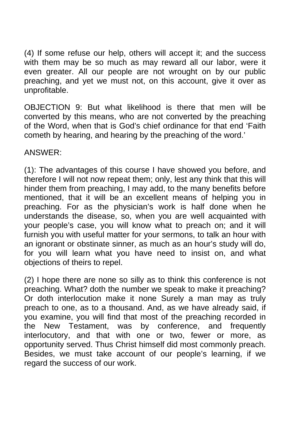(4) If some refuse our help, others will accept it; and the success with them may be so much as may reward all our labor, were it even greater. All our people are not wrought on by our public preaching, and yet we must not, on this account, give it over as unprofitable.

OBJECTION 9: But what likelihood is there that men will be converted by this means, who are not converted by the preaching of the Word, when that is God's chief ordinance for that end 'Faith cometh by hearing, and hearing by the preaching of the word.'

ANSWER:

(1): The advantages of this course I have showed you before, and therefore I will not now repeat them; only, lest any think that this will hinder them from preaching, I may add, to the many benefits before mentioned, that it will be an excellent means of helping you in preaching. For as the physician's work is half done when he understands the disease, so, when you are well acquainted with your people's case, you will know what to preach on; and it will furnish you with useful matter for your sermons, to talk an hour with an ignorant or obstinate sinner, as much as an hour's study will do, for you will learn what you have need to insist on, and what objections of theirs to repel.

(2) I hope there are none so silly as to think this conference is not preaching. What? doth the number we speak to make it preaching? Or doth interlocution make it none Surely a man may as truly preach to one, as to a thousand. And, as we have already said, if you examine, you will find that most of the preaching recorded in the New Testament, was by conference, and frequently interlocutory, and that with one or two, fewer or more, as opportunity served. Thus Christ himself did most commonly preach. Besides, we must take account of our people's learning, if we regard the success of our work.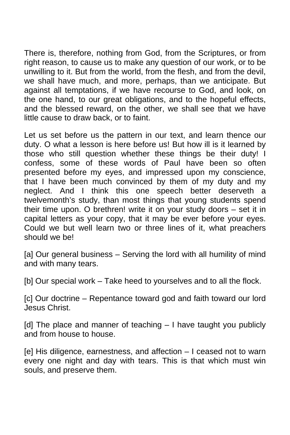There is, therefore, nothing from God, from the Scriptures, or from right reason, to cause us to make any question of our work, or to be unwilling to it. But from the world, from the flesh, and from the devil, we shall have much, and more, perhaps, than we anticipate. But against all temptations, if we have recourse to God, and look, on the one hand, to our great obligations, and to the hopeful effects, and the blessed reward, on the other, we shall see that we have little cause to draw back, or to faint.

Let us set before us the pattern in our text, and learn thence our duty. O what a lesson is here before us! But how ill is it learned by those who still question whether these things be their duty! I confess, some of these words of Paul have been so often presented before my eyes, and impressed upon my conscience, that I have been much convinced by them of my duty and my neglect. And I think this one speech better deserveth a twelvemonth's study, than most things that young students spend their time upon. O brethren! write it on your study doors – set it in capital letters as your copy, that it may be ever before your eyes. Could we but well learn two or three lines of it, what preachers should we be!

[a] Our general business – Serving the lord with all humility of mind and with many tears.

[b] Our special work – Take heed to yourselves and to all the flock.

[c] Our doctrine – Repentance toward god and faith toward our lord Jesus Christ.

[d] The place and manner of teaching – I have taught you publicly and from house to house.

[e] His diligence, earnestness, and affection – I ceased not to warn every one night and day with tears. This is that which must win souls, and preserve them.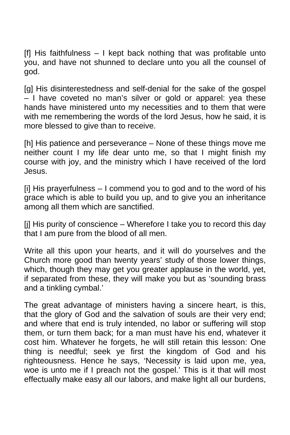[f] His faithfulness – I kept back nothing that was profitable unto you, and have not shunned to declare unto you all the counsel of god.

[g] His disinterestedness and self-denial for the sake of the gospel – I have coveted no man's silver or gold or apparel: yea these hands have ministered unto my necessities and to them that were with me remembering the words of the lord Jesus, how he said, it is more blessed to give than to receive.

[h] His patience and perseverance – None of these things move me neither count I my life dear unto me, so that I might finish my course with joy, and the ministry which I have received of the lord Jesus.

[i] His prayerfulness – I commend you to god and to the word of his grace which is able to build you up, and to give you an inheritance among all them which are sanctified.

[j] His purity of conscience – Wherefore I take you to record this day that I am pure from the blood of all men.

Write all this upon your hearts, and it will do yourselves and the Church more good than twenty years' study of those lower things, which, though they may get you greater applause in the world, yet, if separated from these, they will make you but as 'sounding brass and a tinkling cymbal.'

The great advantage of ministers having a sincere heart, is this, that the glory of God and the salvation of souls are their very end; and where that end is truly intended, no labor or suffering will stop them, or turn them back; for a man must have his end, whatever it cost him. Whatever he forgets, he will still retain this lesson: One thing is needful; seek ye first the kingdom of God and his righteousness. Hence he says, 'Necessity is laid upon me, yea, woe is unto me if I preach not the gospel.' This is it that will most effectually make easy all our labors, and make light all our burdens,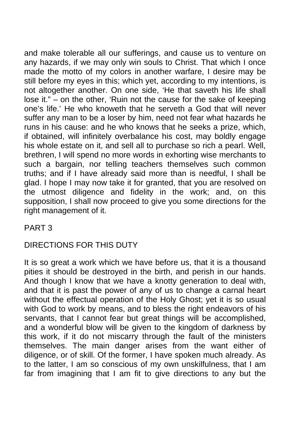and make tolerable all our sufferings, and cause us to venture on any hazards, if we may only win souls to Christ. That which I once made the motto of my colors in another warfare, I desire may be still before my eyes in this; which yet, according to my intentions, is not altogether another. On one side, 'He that saveth his life shall lose it." – on the other, 'Ruin not the cause for the sake of keeping one's life.' He who knoweth that he serveth a God that will never suffer any man to be a loser by him, need not fear what hazards he runs in his cause: and he who knows that he seeks a prize, which, if obtained, will infinitely overbalance his cost, may boldly engage his whole estate on it, and sell all to purchase so rich a pearl. Well, brethren, I will spend no more words in exhorting wise merchants to such a bargain, nor telling teachers themselves such common truths; and if I have already said more than is needful, I shall be glad. I hope I may now take it for granted, that you are resolved on the utmost diligence and fidelity in the work; and, on this supposition, I shall now proceed to give you some directions for the right management of it.

PART 3

# DIRECTIONS FOR THIS DUTY

It is so great a work which we have before us, that it is a thousand pities it should be destroyed in the birth, and perish in our hands. And though I know that we have a knotty generation to deal with, and that it is past the power of any of us to change a carnal heart without the effectual operation of the Holy Ghost; yet it is so usual with God to work by means, and to bless the right endeavors of his servants, that I cannot fear but great things will be accomplished, and a wonderful blow will be given to the kingdom of darkness by this work, if it do not miscarry through the fault of the ministers themselves. The main danger arises from the want either of diligence, or of skill. Of the former, I have spoken much already. As to the latter, I am so conscious of my own unskilfulness, that I am far from imagining that I am fit to give directions to any but the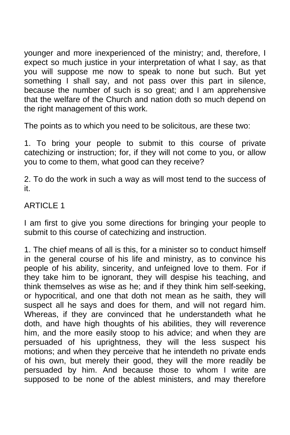younger and more inexperienced of the ministry; and, therefore, I expect so much justice in your interpretation of what I say, as that you will suppose me now to speak to none but such. But yet something I shall say, and not pass over this part in silence, because the number of such is so great; and I am apprehensive that the welfare of the Church and nation doth so much depend on the right management of this work.

The points as to which you need to be solicitous, are these two:

1. To bring your people to submit to this course of private catechizing or instruction; for, if they will not come to you, or allow you to come to them, what good can they receive?

2. To do the work in such a way as will most tend to the success of it.

### ARTICLE 1

I am first to give you some directions for bringing your people to submit to this course of catechizing and instruction.

1. The chief means of all is this, for a minister so to conduct himself in the general course of his life and ministry, as to convince his people of his ability, sincerity, and unfeigned love to them. For if they take him to be ignorant, they will despise his teaching, and think themselves as wise as he; and if they think him self-seeking, or hypocritical, and one that doth not mean as he saith, they will suspect all he says and does for them, and will not regard him. Whereas, if they are convinced that he understandeth what he doth, and have high thoughts of his abilities, they will reverence him, and the more easily stoop to his advice; and when they are persuaded of his uprightness, they will the less suspect his motions; and when they perceive that he intendeth no private ends of his own, but merely their good, they will the more readily be persuaded by him. And because those to whom I write are supposed to be none of the ablest ministers, and may therefore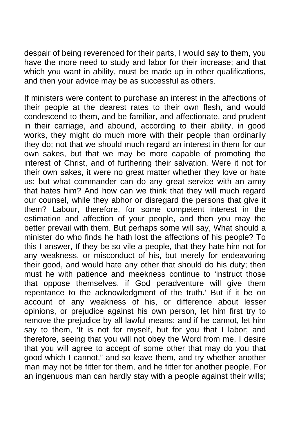despair of being reverenced for their parts, I would say to them, you have the more need to study and labor for their increase; and that which you want in ability, must be made up in other qualifications, and then your advice may be as successful as others.

If ministers were content to purchase an interest in the affections of their people at the dearest rates to their own flesh, and would condescend to them, and be familiar, and affectionate, and prudent in their carriage, and abound, according to their ability, in good works, they might do much more with their people than ordinarily they do; not that we should much regard an interest in them for our own sakes, but that we may be more capable of promoting the interest of Christ, and of furthering their salvation. Were it not for their own sakes, it were no great matter whether they love or hate us; but what commander can do any great service with an army that hates him? And how can we think that they will much regard our counsel, while they abhor or disregard the persons that give it them? Labour, therefore, for some competent interest in the estimation and affection of your people, and then you may the better prevail with them. But perhaps some will say, What should a minister do who finds he hath lost the affections of his people? To this I answer, If they be so vile a people, that they hate him not for any weakness, or misconduct of his, but merely for endeavoring their good, and would hate any other that should do his duty; then must he with patience and meekness continue to 'instruct those that oppose themselves, if God peradventure will give them repentance to the acknowledgment of the truth.' But if it be on account of any weakness of his, or difference about lesser opinions, or prejudice against his own person, let him first try to remove the prejudice by all lawful means; and if he cannot, let him say to them, 'It is not for myself, but for you that I labor; and therefore, seeing that you will not obey the Word from me, I desire that you will agree to accept of some other that may do you that good which I cannot," and so leave them, and try whether another man may not be fitter for them, and he fitter for another people. For an ingenuous man can hardly stay with a people against their wills;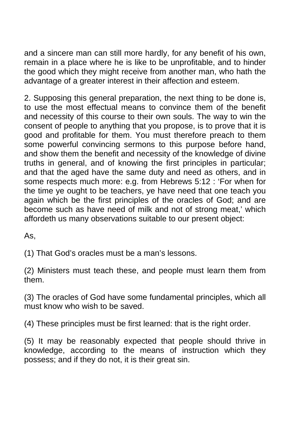and a sincere man can still more hardly, for any benefit of his own, remain in a place where he is like to be unprofitable, and to hinder the good which they might receive from another man, who hath the advantage of a greater interest in their affection and esteem.

2. Supposing this general preparation, the next thing to be done is, to use the most effectual means to convince them of the benefit and necessity of this course to their own souls. The way to win the consent of people to anything that you propose, is to prove that it is good and profitable for them. You must therefore preach to them some powerful convincing sermons to this purpose before hand, and show them the benefit and necessity of the knowledge of divine truths in general, and of knowing the first principles in particular; and that the aged have the same duty and need as others, and in some respects much more: e.g. from Hebrews 5:12 : 'For when for the time ye ought to be teachers, ye have need that one teach you again which be the first principles of the oracles of God; and are become such as have need of milk and not of strong meat,' which affordeth us many observations suitable to our present object:

As,

(1) That God's oracles must be a man's lessons.

(2) Ministers must teach these, and people must learn them from them.

(3) The oracles of God have some fundamental principles, which all must know who wish to be saved.

(4) These principles must be first learned: that is the right order.

(5) It may be reasonably expected that people should thrive in knowledge, according to the means of instruction which they possess; and if they do not, it is their great sin.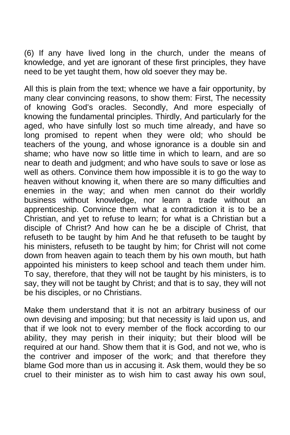(6) If any have lived long in the church, under the means of knowledge, and yet are ignorant of these first principles, they have need to be yet taught them, how old soever they may be.

All this is plain from the text; whence we have a fair opportunity, by many clear convincing reasons, to show them: First, The necessity of knowing God's oracles. Secondly, And more especially of knowing the fundamental principles. Thirdly, And particularly for the aged, who have sinfully lost so much time already, and have so long promised to repent when they were old; who should be teachers of the young, and whose ignorance is a double sin and shame; who have now so little time in which to learn, and are so near to death and judgment; and who have souls to save or lose as well as others. Convince them how impossible it is to go the way to heaven without knowing it, when there are so many difficulties and enemies in the way; and when men cannot do their worldly business without knowledge, nor learn a trade without an apprenticeship. Convince them what a contradiction it is to be a Christian, and yet to refuse to learn; for what is a Christian but a disciple of Christ? And how can he be a disciple of Christ, that refuseth to be taught by him And he that refuseth to be taught by his ministers, refuseth to be taught by him; for Christ will not come down from heaven again to teach them by his own mouth, but hath appointed his ministers to keep school and teach them under him. To say, therefore, that they will not be taught by his ministers, is to say, they will not be taught by Christ; and that is to say, they will not be his disciples, or no Christians.

Make them understand that it is not an arbitrary business of our own devising and imposing; but that necessity is laid upon us, and that if we look not to every member of the flock according to our ability, they may perish in their iniquity; but their blood will be required at our hand. Show them that it is God, and not we, who is the contriver and imposer of the work; and that therefore they blame God more than us in accusing it. Ask them, would they be so cruel to their minister as to wish him to cast away his own soul,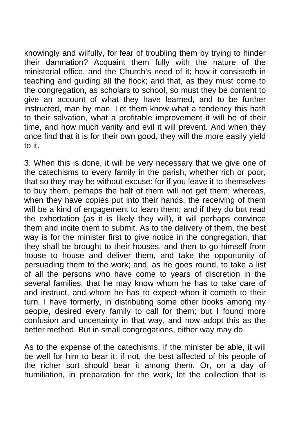knowingly and wilfully, for fear of troubling them by trying to hinder their damnation? Acquaint them fully with the nature of the ministerial office, and the Church's need of it; how it consisteth in teaching and guiding all the flock; and that, as they must come to the congregation, as scholars to school, so must they be content to give an account of what they have learned, and to be further instructed, man by man. Let them know what a tendency this hath to their salvation, what a profitable improvement it will be of their time, and how much vanity and evil it will prevent. And when they once find that it is for their own good, they will the more easily yield to it.

3. When this is done, it will be very necessary that we give one of the catechisms to every family in the parish, whether rich or poor, that so they may be without excuse: for if you leave it to themselves to buy them, perhaps the half of them will not get them; whereas, when they have copies put into their hands, the receiving of them will be a kind of engagement to learn them; and if they do but read the exhortation (as it is likely they will), it will perhaps convince them and incite them to submit. As to the delivery of them, the best way is for the minister first to give notice in the congregation, that they shall be brought to their houses, and then to go himself from house to house and deliver them, and take the opportunity of persuading them to the work; and, as he goes round, to take a list of all the persons who have come to years of discretion in the several families, that he may know whom he has to take care of and instruct, and whom he has to expect when it cometh to their turn. I have formerly, in distributing some other books among my people, desired every family to call for them; but I found more confusion and uncertainty in that way, and now adopt this as the better method. But in small congregations, either way may do.

As to the expense of the catechisms, if the minister be able, it will be well for him to bear it: if not, the best affected of his people of the richer sort should bear it among them. Or, on a day of humiliation, in preparation for the work, let the collection that is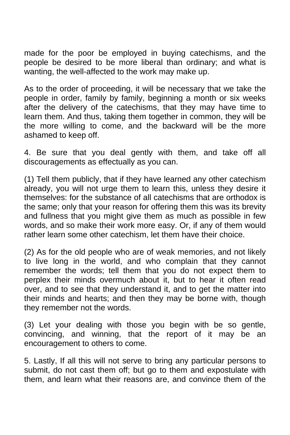made for the poor be employed in buying catechisms, and the people be desired to be more liberal than ordinary; and what is wanting, the well-affected to the work may make up.

As to the order of proceeding, it will be necessary that we take the people in order, family by family, beginning a month or six weeks after the delivery of the catechisms, that they may have time to learn them. And thus, taking them together in common, they will be the more willing to come, and the backward will be the more ashamed to keep off.

4. Be sure that you deal gently with them, and take off all discouragements as effectually as you can.

(1) Tell them publicly, that if they have learned any other catechism already, you will not urge them to learn this, unless they desire it themselves: for the substance of all catechisms that are orthodox is the same; only that your reason for offering them this was its brevity and fullness that you might give them as much as possible in few words, and so make their work more easy. Or, if any of them would rather learn some other catechism, let them have their choice.

(2) As for the old people who are of weak memories, and not likely to live long in the world, and who complain that they cannot remember the words; tell them that you do not expect them to perplex their minds overmuch about it, but to hear it often read over, and to see that they understand it, and to get the matter into their minds and hearts; and then they may be borne with, though they remember not the words.

(3) Let your dealing with those you begin with be so gentle, convincing, and winning, that the report of it may be an encouragement to others to come.

5. Lastly, If all this will not serve to bring any particular persons to submit, do not cast them off; but go to them and expostulate with them, and learn what their reasons are, and convince them of the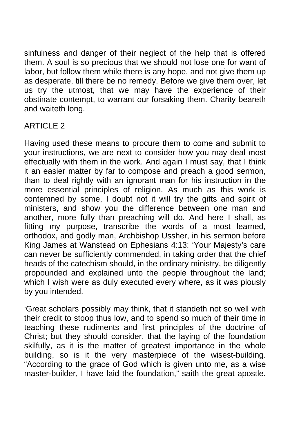sinfulness and danger of their neglect of the help that is offered them. A soul is so precious that we should not lose one for want of labor, but follow them while there is any hope, and not give them up as desperate, till there be no remedy. Before we give them over, let us try the utmost, that we may have the experience of their obstinate contempt, to warrant our forsaking them. Charity beareth and waiteth long.

# ARTICLE 2

Having used these means to procure them to come and submit to your instructions, we are next to consider how you may deal most effectually with them in the work. And again I must say, that I think it an easier matter by far to compose and preach a good sermon, than to deal rightly with an ignorant man for his instruction in the more essential principles of religion. As much as this work is contemned by some, I doubt not it will try the gifts and spirit of ministers, and show you the difference between one man and another, more fully than preaching will do. And here I shall, as fitting my purpose, transcribe the words of a most learned, orthodox, and godly man, Archbishop Ussher, in his sermon before King James at Wanstead on Ephesians 4:13: 'Your Majesty's care can never be sufficiently commended, in taking order that the chief heads of the catechism should, in the ordinary ministry, be diligently propounded and explained unto the people throughout the land; which I wish were as duly executed every where, as it was piously by you intended.

'Great scholars possibly may think, that it standeth not so well with their credit to stoop thus low, and to spend so much of their time in teaching these rudiments and first principles of the doctrine of Christ; but they should consider, that the laying of the foundation skilfully, as it is the matter of greatest importance in the whole building, so is it the very masterpiece of the wisest-building. "According to the grace of God which is given unto me, as a wise master-builder, I have laid the foundation," saith the great apostle.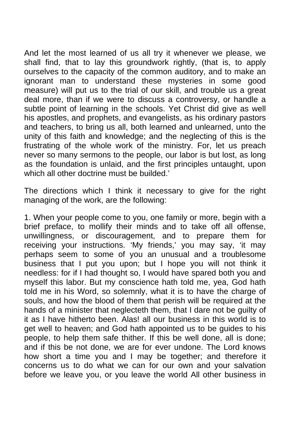And let the most learned of us all try it whenever we please, we shall find, that to lay this groundwork rightly, (that is, to apply ourselves to the capacity of the common auditory, and to make an ignorant man to understand these mysteries in some good measure) will put us to the trial of our skill, and trouble us a great deal more, than if we were to discuss a controversy, or handle a subtle point of learning in the schools. Yet Christ did give as well his apostles, and prophets, and evangelists, as his ordinary pastors and teachers, to bring us all, both learned and unlearned, unto the unity of this faith and knowledge; and the neglecting of this is the frustrating of the whole work of the ministry. For, let us preach never so many sermons to the people, our labor is but lost, as long as the foundation is unlaid, and the first principles untaught, upon which all other doctrine must be builded.'

The directions which I think it necessary to give for the right managing of the work, are the following:

1. When your people come to you, one family or more, begin with a brief preface, to mollify their minds and to take off all offense, unwillingness, or discouragement, and to prepare them for receiving your instructions. 'My friends,' you may say, 'it may perhaps seem to some of you an unusual and a troublesome business that I put you upon; but I hope you will not think it needless: for if I had thought so, I would have spared both you and myself this labor. But my conscience hath told me, yea, God hath told me in his Word, so solemnly, what it is to have the charge of souls, and how the blood of them that perish will be required at the hands of a minister that neglecteth them, that I dare not be guilty of it as I have hitherto been. Alas! all our business in this world is to get well to heaven; and God hath appointed us to be guides to his people, to help them safe thither. If this be well done, all is done; and if this be not done, we are for ever undone. The Lord knows how short a time you and I may be together; and therefore it concerns us to do what we can for our own and your salvation before we leave you, or you leave the world All other business in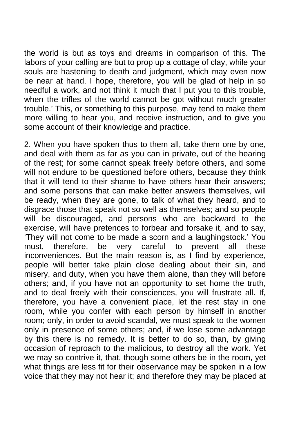the world is but as toys and dreams in comparison of this. The labors of your calling are but to prop up a cottage of clay, while your souls are hastening to death and judgment, which may even now be near at hand. I hope, therefore, you will be glad of help in so needful a work, and not think it much that I put you to this trouble, when the trifles of the world cannot be got without much greater trouble.' This, or something to this purpose, may tend to make them more willing to hear you, and receive instruction, and to give you some account of their knowledge and practice.

2. When you have spoken thus to them all, take them one by one, and deal with them as far as you can in private, out of the hearing of the rest; for some cannot speak freely before others, and some will not endure to be questioned before others, because they think that it will tend to their shame to have others hear their answers; and some persons that can make better answers themselves, will be ready, when they are gone, to talk of what they heard, and to disgrace those that speak not so well as themselves; and so people will be discouraged, and persons who are backward to the exercise, will have pretences to forbear and forsake it, and to say, 'They will not come to be made a scorn and a laughingstock.' You must, therefore, be very careful to prevent all these inconveniences. But the main reason is, as I find by experience, people will better take plain close dealing about their sin, and misery, and duty, when you have them alone, than they will before others; and, if you have not an opportunity to set home the truth, and to deal freely with their consciences, you will frustrate all. If, therefore, you have a convenient place, let the rest stay in one room, while you confer with each person by himself in another room; only, in order to avoid scandal, we must speak to the women only in presence of some others; and, if we lose some advantage by this there is no remedy. It is better to do so, than, by giving occasion of reproach to the malicious, to destroy all the work. Yet we may so contrive it, that, though some others be in the room, yet what things are less fit for their observance may be spoken in a low voice that they may not hear it; and therefore they may be placed at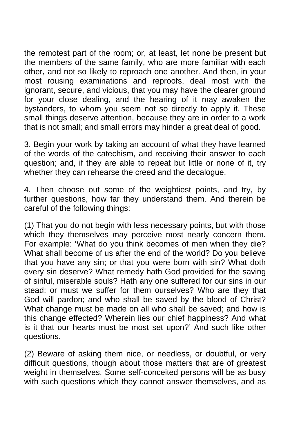the remotest part of the room; or, at least, let none be present but the members of the same family, who are more familiar with each other, and not so likely to reproach one another. And then, in your most rousing examinations and reproofs, deal most with the ignorant, secure, and vicious, that you may have the clearer ground for your close dealing, and the hearing of it may awaken the bystanders, to whom you seem not so directly to apply it. These small things deserve attention, because they are in order to a work that is not small; and small errors may hinder a great deal of good.

3. Begin your work by taking an account of what they have learned of the words of the catechism, and receiving their answer to each question; and, if they are able to repeat but little or none of it, try whether they can rehearse the creed and the decalogue.

4. Then choose out some of the weightiest points, and try, by further questions, how far they understand them. And therein be careful of the following things:

(1) That you do not begin with less necessary points, but with those which they themselves may perceive most nearly concern them. For example: 'What do you think becomes of men when they die? What shall become of us after the end of the world? Do you believe that you have any sin; or that you were born with sin? What doth every sin deserve? What remedy hath God provided for the saving of sinful, miserable souls? Hath any one suffered for our sins in our stead; or must we suffer for them ourselves? Who are they that God will pardon; and who shall be saved by the blood of Christ? What change must be made on all who shall be saved; and how is this change effected? Wherein lies our chief happiness? And what is it that our hearts must be most set upon?' And such like other questions.

(2) Beware of asking them nice, or needless, or doubtful, or very difficult questions, though about those matters that are of greatest weight in themselves. Some self-conceited persons will be as busy with such questions which they cannot answer themselves, and as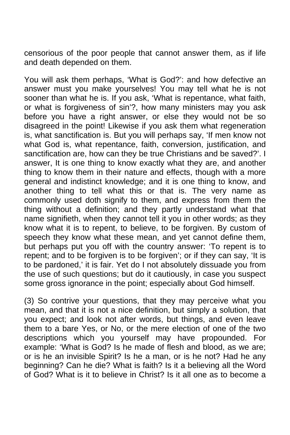censorious of the poor people that cannot answer them, as if life and death depended on them.

You will ask them perhaps, 'What is God?': and how defective an answer must you make yourselves! You may tell what he is not sooner than what he is. If you ask, 'What is repentance, what faith, or what is forgiveness of sin'?, how many ministers may you ask before you have a right answer, or else they would not be so disagreed in the point! Likewise if you ask them what regeneration is, what sanctification is. But you will perhaps say, 'If men know not what God is, what repentance, faith, conversion, justification, and sanctification are, how can they be true Christians and be saved?'. I answer, It is one thing to know exactly what they are, and another thing to know them in their nature and effects, though with a more general and indistinct knowledge; and it is one thing to know, and another thing to tell what this or that is. The very name as commonly used doth signify to them, and express from them the thing without a definition; and they partly understand what that name signifieth, when they cannot tell it you in other words; as they know what it is to repent, to believe, to be forgiven. By custom of speech they know what these mean, and yet cannot define them, but perhaps put you off with the country answer: 'To repent is to repent; and to be forgiven is to be forgiven'; or if they can say, 'It is to be pardoned,' it is fair. Yet do I not absolutely dissuade you from the use of such questions; but do it cautiously, in case you suspect some gross ignorance in the point; especially about God himself.

(3) So contrive your questions, that they may perceive what you mean, and that it is not a nice definition, but simply a solution, that you expect; and look not after words, but things, and even leave them to a bare Yes, or No, or the mere election of one of the two descriptions which you yourself may have propounded. For example: 'What is God? Is he made of flesh and blood, as we are; or is he an invisible Spirit? Is he a man, or is he not? Had he any beginning? Can he die? What is faith? Is it a believing all the Word of God? What is it to believe in Christ? Is it all one as to become a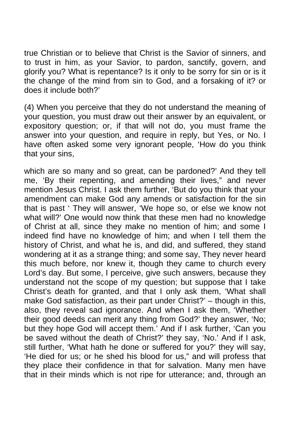true Christian or to believe that Christ is the Savior of sinners, and to trust in him, as your Savior, to pardon, sanctify, govern, and glorify you? What is repentance? Is it only to be sorry for sin or is it the change of the mind from sin to God, and a forsaking of it? or does it include both?'

(4) When you perceive that they do not understand the meaning of your question, you must draw out their answer by an equivalent, or expository question; or, if that will not do, you must frame the answer into your question, and require in reply, but Yes, or No. I have often asked some very ignorant people, 'How do you think that your sins,

which are so many and so great, can be pardoned?' And they tell me, 'By their repenting, and amending their lives," and never mention Jesus Christ. I ask them further, 'But do you think that your amendment can make God any amends or satisfaction for the sin that is past ' They will answer, 'We hope so, or else we know not what will?' One would now think that these men had no knowledge of Christ at all, since they make no mention of him; and some I indeed find have no knowledge of him; and when I tell them the history of Christ, and what he is, and did, and suffered, they stand wondering at it as a strange thing; and some say, They never heard this much before, nor knew it, though they came to church every Lord's day. But some, I perceive, give such answers, because they understand not the scope of my question; but suppose that I take Christ's death for granted, and that I only ask them, 'What shall make God satisfaction, as their part under Christ?' – though in this, also, they reveal sad ignorance. And when I ask them, 'Whether their good deeds can merit any thing from God?' they answer, 'No; but they hope God will accept them.' And if I ask further, 'Can you be saved without the death of Christ?' they say, 'No.' And if I ask, still further, 'What hath he done or suffered for you?' they will say, 'He died for us; or he shed his blood for us," and will profess that they place their confidence in that for salvation. Many men have that in their minds which is not ripe for utterance; and, through an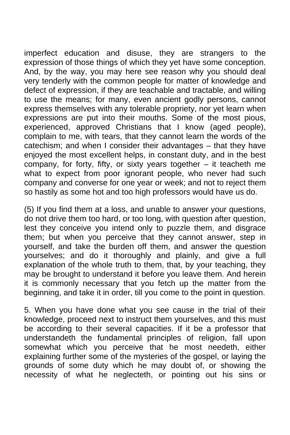imperfect education and disuse, they are strangers to the expression of those things of which they yet have some conception. And, by the way, you may here see reason why you should deal very tenderly with the common people for matter of knowledge and defect of expression, if they are teachable and tractable, and willing to use the means; for many, even ancient godly persons, cannot express themselves with any tolerable propriety, nor yet learn when expressions are put into their mouths. Some of the most pious, experienced, approved Christians that I know (aged people), complain to me, with tears, that they cannot learn the words of the catechism; and when I consider their advantages – that they have enjoyed the most excellent helps, in constant duty, and in the best company, for forty, fifty, or sixty years together – it teacheth me what to expect from poor ignorant people, who never had such company and converse for one year or week; and not to reject them so hastily as some hot and too high professors would have us do.

(5) If you find them at a loss, and unable to answer your questions, do not drive them too hard, or too long, with question after question, lest they conceive you intend only to puzzle them, and disgrace them; but when you perceive that they cannot answer, step in yourself, and take the burden off them, and answer the question yourselves; and do it thoroughly and plainly, and give a full explanation of the whole truth to them, that, by your teaching, they may be brought to understand it before you leave them. And herein it is commonly necessary that you fetch up the matter from the beginning, and take it in order, till you come to the point in question.

5. When you have done what you see cause in the trial of their knowledge, proceed next to instruct them yourselves, and this must be according to their several capacities. If it be a professor that understandeth the fundamental principles of religion, fall upon somewhat which you perceive that he most needeth, either explaining further some of the mysteries of the gospel, or laying the grounds of some duty which he may doubt of, or showing the necessity of what he neglecteth, or pointing out his sins or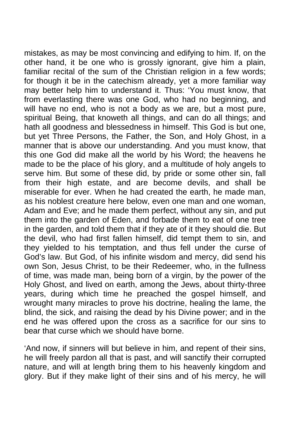mistakes, as may be most convincing and edifying to him. If, on the other hand, it be one who is grossly ignorant, give him a plain, familiar recital of the sum of the Christian religion in a few words; for though it be in the catechism already, yet a more familiar way may better help him to understand it. Thus: 'You must know, that from everlasting there was one God, who had no beginning, and will have no end, who is not a body as we are, but a most pure, spiritual Being, that knoweth all things, and can do all things; and hath all goodness and blessedness in himself. This God is but one, but yet Three Persons, the Father, the Son, and Holy Ghost, in a manner that is above our understanding. And you must know, that this one God did make all the world by his Word; the heavens he made to be the place of his glory, and a multitude of holy angels to serve him. But some of these did, by pride or some other sin, fall from their high estate, and are become devils, and shall be miserable for ever. When he had created the earth, he made man, as his noblest creature here below, even one man and one woman, Adam and Eve; and he made them perfect, without any sin, and put them into the garden of Eden, and forbade them to eat of one tree in the garden, and told them that if they ate of it they should die. But the devil, who had first fallen himself, did tempt them to sin, and they yielded to his temptation, and thus fell under the curse of God's law. But God, of his infinite wisdom and mercy, did send his own Son, Jesus Christ, to be their Redeemer, who, in the fullness of time, was made man, being born of a virgin, by the power of the Holy Ghost, and lived on earth, among the Jews, about thirty-three years, during which time he preached the gospel himself, and wrought many miracles to prove his doctrine, healing the lame, the blind, the sick, and raising the dead by his Divine power; and in the end he was offered upon the cross as a sacrifice for our sins to bear that curse which we should have borne.

'And now, if sinners will but believe in him, and repent of their sins, he will freely pardon all that is past, and will sanctify their corrupted nature, and will at length bring them to his heavenly kingdom and glory. But if they make light of their sins and of his mercy, he will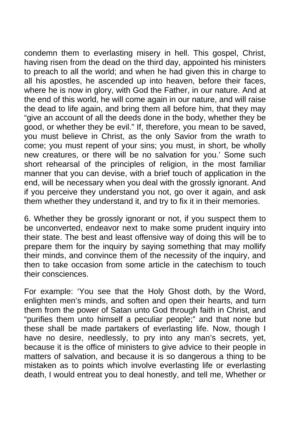condemn them to everlasting misery in hell. This gospel, Christ, having risen from the dead on the third day, appointed his ministers to preach to all the world; and when he had given this in charge to all his apostles, he ascended up into heaven, before their faces, where he is now in glory, with God the Father, in our nature. And at the end of this world, he will come again in our nature, and will raise the dead to life again, and bring them all before him, that they may "give an account of all the deeds done in the body, whether they be good, or whether they be evil." If, therefore, you mean to be saved, you must believe in Christ, as the only Savior from the wrath to come; you must repent of your sins; you must, in short, be wholly new creatures, or there will be no salvation for you.' Some such short rehearsal of the principles of religion, in the most familiar manner that you can devise, with a brief touch of application in the end, will be necessary when you deal with the grossly ignorant. And if you perceive they understand you not, go over it again, and ask them whether they understand it, and try to fix it in their memories.

6. Whether they be grossly ignorant or not, if you suspect them to be unconverted, endeavor next to make some prudent inquiry into their state. The best and least offensive way of doing this will be to prepare them for the inquiry by saying something that may mollify their minds, and convince them of the necessity of the inquiry, and then to take occasion from some article in the catechism to touch their consciences.

For example: 'You see that the Holy Ghost doth, by the Word, enlighten men's minds, and soften and open their hearts, and turn them from the power of Satan unto God through faith in Christ, and "purifies them unto himself a peculiar people;" and that none but these shall be made partakers of everlasting life. Now, though I have no desire, needlessly, to pry into any man's secrets, yet, because it is the office of ministers to give advice to their people in matters of salvation, and because it is so dangerous a thing to be mistaken as to points which involve everlasting life or everlasting death, I would entreat you to deal honestly, and tell me, Whether or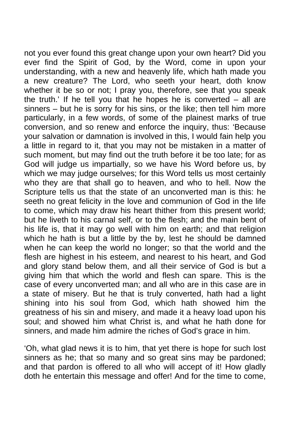not you ever found this great change upon your own heart? Did you ever find the Spirit of God, by the Word, come in upon your understanding, with a new and heavenly life, which hath made you a new creature? The Lord, who seeth your heart, doth know whether it be so or not; I pray you, therefore, see that you speak the truth.' If he tell you that he hopes he is converted – all are sinners – but he is sorry for his sins, or the like; then tell him more particularly, in a few words, of some of the plainest marks of true conversion, and so renew and enforce the inquiry, thus: 'Because your salvation or damnation is involved in this, I would fain help you a little in regard to it, that you may not be mistaken in a matter of such moment, but may find out the truth before it be too late; for as God will judge us impartially, so we have his Word before us, by which we may judge ourselves; for this Word tells us most certainly who they are that shall go to heaven, and who to hell. Now the Scripture tells us that the state of an unconverted man is this: he seeth no great felicity in the love and communion of God in the life to come, which may draw his heart thither from this present world; but he liveth to his carnal self, or to the flesh; and the main bent of his life is, that it may go well with him on earth; and that religion which he hath is but a little by the by, lest he should be damned when he can keep the world no longer; so that the world and the flesh are highest in his esteem, and nearest to his heart, and God and glory stand below them, and all their service of God is but a giving him that which the world and flesh can spare. This is the case of every unconverted man; and all who are in this case are in a state of misery. But he that is truly converted, hath had a light shining into his soul from God, which hath showed him the greatness of his sin and misery, and made it a heavy load upon his soul; and showed him what Christ is, and what he hath done for sinners, and made him admire the riches of God's grace in him.

'Oh, what glad news it is to him, that yet there is hope for such lost sinners as he; that so many and so great sins may be pardoned; and that pardon is offered to all who will accept of it! How gladly doth he entertain this message and offer! And for the time to come,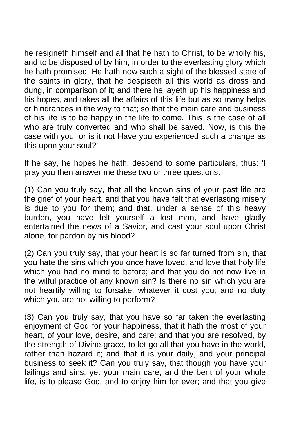he resigneth himself and all that he hath to Christ, to be wholly his, and to be disposed of by him, in order to the everlasting glory which he hath promised. He hath now such a sight of the blessed state of the saints in glory, that he despiseth all this world as dross and dung, in comparison of it; and there he layeth up his happiness and his hopes, and takes all the affairs of this life but as so many helps or hindrances in the way to that; so that the main care and business of his life is to be happy in the life to come. This is the case of all who are truly converted and who shall be saved. Now, is this the case with you, or is it not Have you experienced such a change as this upon your soul?'

If he say, he hopes he hath, descend to some particulars, thus: 'I pray you then answer me these two or three questions.

(1) Can you truly say, that all the known sins of your past life are the grief of your heart, and that you have felt that everlasting misery is due to you for them; and that, under a sense of this heavy burden, you have felt yourself a lost man, and have gladly entertained the news of a Savior, and cast your soul upon Christ alone, for pardon by his blood?

(2) Can you truly say, that your heart is so far turned from sin, that you hate the sins which you once have loved, and love that holy life which you had no mind to before; and that you do not now live in the wilful practice of any known sin? Is there no sin which you are not heartily willing to forsake, whatever it cost you; and no duty which you are not willing to perform?

(3) Can you truly say, that you have so far taken the everlasting enjoyment of God for your happiness, that it hath the most of your heart, of your love, desire, and care; and that you are resolved, by the strength of Divine grace, to let go all that you have in the world, rather than hazard it; and that it is your daily, and your principal business to seek it? Can you truly say, that though you have your failings and sins, yet your main care, and the bent of your whole life, is to please God, and to enjoy him for ever; and that you give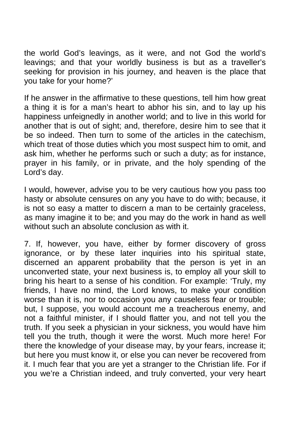the world God's leavings, as it were, and not God the world's leavings; and that your worldly business is but as a traveller's seeking for provision in his journey, and heaven is the place that you take for your home?'

If he answer in the affirmative to these questions, tell him how great a thing it is for a man's heart to abhor his sin, and to lay up his happiness unfeignedly in another world; and to live in this world for another that is out of sight; and, therefore, desire him to see that it be so indeed. Then turn to some of the articles in the catechism, which treat of those duties which you most suspect him to omit, and ask him, whether he performs such or such a duty; as for instance, prayer in his family, or in private, and the holy spending of the Lord's day.

I would, however, advise you to be very cautious how you pass too hasty or absolute censures on any you have to do with; because, it is not so easy a matter to discern a man to be certainly graceless, as many imagine it to be; and you may do the work in hand as well without such an absolute conclusion as with it.

7. If, however, you have, either by former discovery of gross ignorance, or by these later inquiries into his spiritual state, discerned an apparent probability that the person is yet in an unconverted state, your next business is, to employ all your skill to bring his heart to a sense of his condition. For example: 'Truly, my friends, I have no mind, the Lord knows, to make your condition worse than it is, nor to occasion you any causeless fear or trouble; but, I suppose, you would account me a treacherous enemy, and not a faithful minister, if I should flatter you, and not tell you the truth. If you seek a physician in your sickness, you would have him tell you the truth, though it were the worst. Much more here! For there the knowledge of your disease may, by your fears, increase it; but here you must know it, or else you can never be recovered from it. I much fear that you are yet a stranger to the Christian life. For if you we're a Christian indeed, and truly converted, your very heart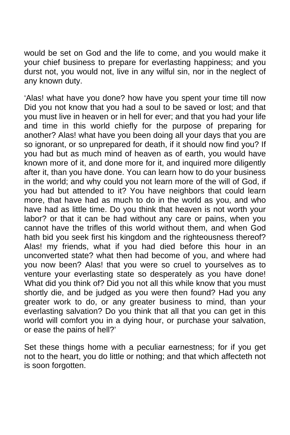would be set on God and the life to come, and you would make it your chief business to prepare for everlasting happiness; and you durst not, you would not, live in any wilful sin, nor in the neglect of any known duty.

'Alas! what have you done? how have you spent your time till now Did you not know that you had a soul to be saved or lost; and that you must live in heaven or in hell for ever; and that you had your life and time in this world chiefly for the purpose of preparing for another? Alas! what have you been doing all your days that you are so ignorant, or so unprepared for death, if it should now find you? If you had but as much mind of heaven as of earth, you would have known more of it, and done more for it, and inquired more diligently after it, than you have done. You can learn how to do your business in the world; and why could you not learn more of the will of God, if you had but attended to it? You have neighbors that could learn more, that have had as much to do in the world as you, and who have had as little time. Do you think that heaven is not worth your labor? or that it can be had without any care or pains, when you cannot have the trifles of this world without them, and when God hath bid you seek first his kingdom and the righteousness thereof? Alas! my friends, what if you had died before this hour in an unconverted state? what then had become of you, and where had you now been? Alas! that you were so cruel to yourselves as to venture your everlasting state so desperately as you have done! What did you think of? Did you not all this while know that you must shortly die, and be judged as you were then found? Had you any greater work to do, or any greater business to mind, than your everlasting salvation? Do you think that all that you can get in this world will comfort you in a dying hour, or purchase your salvation, or ease the pains of hell?'

Set these things home with a peculiar earnestness; for if you get not to the heart, you do little or nothing; and that which affecteth not is soon forgotten.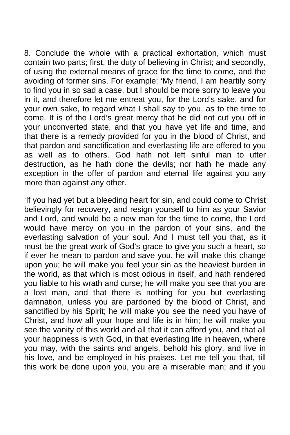8. Conclude the whole with a practical exhortation, which must contain two parts; first, the duty of believing in Christ; and secondly, of using the external means of grace for the time to come, and the avoiding of former sins. For example: 'My friend, I am heartily sorry to find you in so sad a case, but I should be more sorry to leave you in it, and therefore let me entreat you, for the Lord's sake, and for your own sake, to regard what I shall say to you, as to the time to come. It is of the Lord's great mercy that he did not cut you off in your unconverted state, and that you have yet life and time, and that there is a remedy provided for you in the blood of Christ, and that pardon and sanctification and everlasting life are offered to you as well as to others. God hath not left sinful man to utter destruction, as he hath done the devils; nor hath he made any exception in the offer of pardon and eternal life against you any more than against any other.

'If you had yet but a bleeding heart for sin, and could come to Christ believingly for recovery, and resign yourself to him as your Savior and Lord, and would be a new man for the time to come, the Lord would have mercy on you in the pardon of your sins, and the everlasting salvation of your soul. And I must tell you that, as it must be the great work of God's grace to give you such a heart, so if ever he mean to pardon and save you, he will make this change upon you; he will make you feel your sin as the heaviest burden in the world, as that which is most odious in itself, and hath rendered you liable to his wrath and curse; he will make you see that you are a lost man, and that there is nothing for you but everlasting damnation, unless you are pardoned by the blood of Christ, and sanctified by his Spirit; he will make you see the need you have of Christ, and how all your hope and life is in him; he will make you see the vanity of this world and all that it can afford you, and that all your happiness is with God, in that everlasting life in heaven, where you may, with the saints and angels, behold his glory, and live in his love, and be employed in his praises. Let me tell you that, till this work be done upon you, you are a miserable man; and if you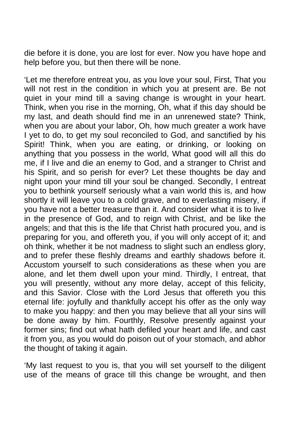die before it is done, you are lost for ever. Now you have hope and help before you, but then there will be none.

'Let me therefore entreat you, as you love your soul, First, That you will not rest in the condition in which you at present are. Be not quiet in your mind till a saving change is wrought in your heart. Think, when you rise in the morning, Oh, what if this day should be my last, and death should find me in an unrenewed state? Think, when you are about your labor, Oh, how much greater a work have I yet to do, to get my soul reconciled to God, and sanctified by his Spirit! Think, when you are eating, or drinking, or looking on anything that you possess in the world, What good will all this do me, if I live and die an enemy to God, and a stranger to Christ and his Spirit, and so perish for ever? Let these thoughts be day and night upon your mind till your soul be changed. Secondly, I entreat you to bethink yourself seriously what a vain world this is, and how shortly it will leave you to a cold grave, and to everlasting misery, if you have not a better treasure than it. And consider what it is to live in the presence of God, and to reign with Christ, and be like the angels; and that this is the life that Christ hath procured you, and is preparing for you, and offereth you, if you will only accept of it; and oh think, whether it be not madness to slight such an endless glory, and to prefer these fleshly dreams and earthly shadows before it. Accustom yourself to such considerations as these when you are alone, and let them dwell upon your mind. Thirdly, I entreat, that you will presently, without any more delay, accept of this felicity, and this Savior. Close with the Lord Jesus that offereth you this eternal life: joyfully and thankfully accept his offer as the only way to make you happy: and then you may believe that all your sins will be done away by him. Fourthly, Resolve presently against your former sins; find out what hath defiled your heart and life, and cast it from you, as you would do poison out of your stomach, and abhor the thought of taking it again.

'My last request to you is, that you will set yourself to the diligent use of the means of grace till this change be wrought, and then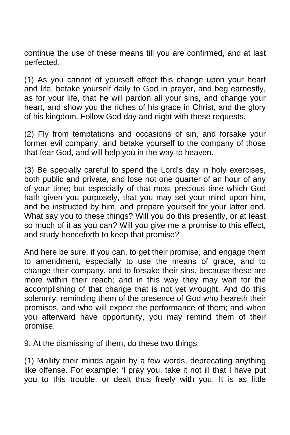continue the use of these means till you are confirmed, and at last perfected.

(1) As you cannot of yourself effect this change upon your heart and life, betake yourself daily to God in prayer, and beg earnestly, as for your life, that he will pardon all your sins, and change your heart, and show you the riches of his grace in Christ, and the glory of his kingdom. Follow God day and night with these requests.

(2) Fly from temptations and occasions of sin, and forsake your former evil company, and betake yourself to the company of those that fear God, and will help you in the way to heaven.

(3) Be specially careful to spend the Lord's day in holy exercises, both public and private, and lose not one quarter of an hour of any of your time; but especially of that most precious time which God hath given you purposely, that you may set your mind upon him, and be instructed by him, and prepare yourself for your latter end. What say you to these things? Will you do this presently, or at least so much of it as you can? Will you give me a promise to this effect, and study henceforth to keep that promise?'

And here be sure, if you can, to get their promise, and engage them to amendment, especially to use the means of grace, and to change their company, and to forsake their sins, because these are more within their reach; and in this way they may wait for the accomplishing of that change that is not yet wrought. And do this solemnly, reminding them of the presence of God who heareth their promises, and who will expect the performance of them; and when you afterward have opportunity, you may remind them of their promise.

9. At the dismissing of them, do these two things:

(1) Mollify their minds again by a few words, deprecating anything like offense. For example: 'I pray you, take it not ill that I have put you to this trouble, or dealt thus freely with you. It is as little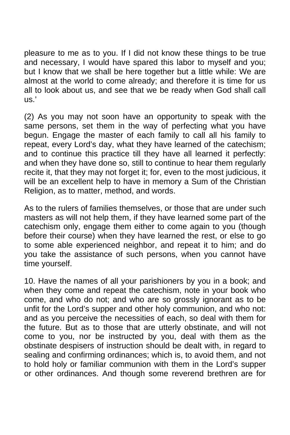pleasure to me as to you. If I did not know these things to be true and necessary, I would have spared this labor to myself and you; but I know that we shall be here together but a little while: We are almost at the world to come already; and therefore it is time for us all to look about us, and see that we be ready when God shall call us.'

(2) As you may not soon have an opportunity to speak with the same persons, set them in the way of perfecting what you have begun. Engage the master of each family to call all his family to repeat, every Lord's day, what they have learned of the catechism; and to continue this practice till they have all learned it perfectly: and when they have done so, still to continue to hear them regularly recite it, that they may not forget it; for, even to the most judicious, it will be an excellent help to have in memory a Sum of the Christian Religion, as to matter, method, and words.

As to the rulers of families themselves, or those that are under such masters as will not help them, if they have learned some part of the catechism only, engage them either to come again to you (though before their course) when they have learned the rest, or else to go to some able experienced neighbor, and repeat it to him; and do you take the assistance of such persons, when you cannot have time yourself.

10. Have the names of all your parishioners by you in a book; and when they come and repeat the catechism, note in your book who come, and who do not; and who are so grossly ignorant as to be unfit for the Lord's supper and other holy communion, and who not: and as you perceive the necessities of each, so deal with them for the future. But as to those that are utterly obstinate, and will not come to you, nor be instructed by you, deal with them as the obstinate despisers of instruction should be dealt with, in regard to sealing and confirming ordinances; which is, to avoid them, and not to hold holy or familiar communion with them in the Lord's supper or other ordinances. And though some reverend brethren are for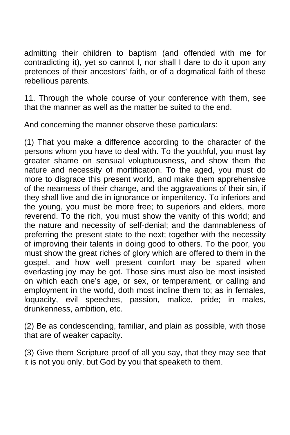admitting their children to baptism (and offended with me for contradicting it), yet so cannot I, nor shall I dare to do it upon any pretences of their ancestors' faith, or of a dogmatical faith of these rebellious parents.

11. Through the whole course of your conference with them, see that the manner as well as the matter be suited to the end.

And concerning the manner observe these particulars:

(1) That you make a difference according to the character of the persons whom you have to deal with. To the youthful, you must lay greater shame on sensual voluptuousness, and show them the nature and necessity of mortification. To the aged, you must do more to disgrace this present world, and make them apprehensive of the nearness of their change, and the aggravations of their sin, if they shall live and die in ignorance or impenitency. To inferiors and the young, you must be more free; to superiors and elders, more reverend. To the rich, you must show the vanity of this world; and the nature and necessity of self-denial; and the damnableness of preferring the present state to the next; together with the necessity of improving their talents in doing good to others. To the poor, you must show the great riches of glory which are offered to them in the gospel, and how well present comfort may be spared when everlasting joy may be got. Those sins must also be most insisted on which each one's age, or sex, or temperament, or calling and employment in the world, doth most incline them to; as in females, loquacity, evil speeches, passion, malice, pride; in males, drunkenness, ambition, etc.

(2) Be as condescending, familiar, and plain as possible, with those that are of weaker capacity.

(3) Give them Scripture proof of all you say, that they may see that it is not you only, but God by you that speaketh to them.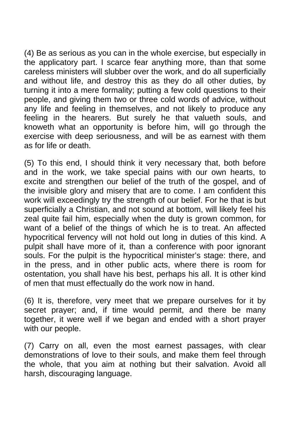(4) Be as serious as you can in the whole exercise, but especially in the applicatory part. I scarce fear anything more, than that some careless ministers will slubber over the work, and do all superficially and without life, and destroy this as they do all other duties, by turning it into a mere formality; putting a few cold questions to their people, and giving them two or three cold words of advice, without any life and feeling in themselves, and not likely to produce any feeling in the hearers. But surely he that valueth souls, and knoweth what an opportunity is before him, will go through the exercise with deep seriousness, and will be as earnest with them as for life or death.

(5) To this end, I should think it very necessary that, both before and in the work, we take special pains with our own hearts, to excite and strengthen our belief of the truth of the gospel, and of the invisible glory and misery that are to come. I am confident this work will exceedingly try the strength of our belief. For he that is but superficially a Christian, and not sound at bottom, will likely feel his zeal quite fail him, especially when the duty is grown common, for want of a belief of the things of which he is to treat. An affected hypocritical fervency will not hold out long in duties of this kind. A pulpit shall have more of it, than a conference with poor ignorant souls. For the pulpit is the hypocritical minister's stage: there, and in the press, and in other public acts, where there is room for ostentation, you shall have his best, perhaps his all. It is other kind of men that must effectually do the work now in hand.

(6) It is, therefore, very meet that we prepare ourselves for it by secret prayer; and, if time would permit, and there be many together, it were well if we began and ended with a short prayer with our people.

(7) Carry on all, even the most earnest passages, with clear demonstrations of love to their souls, and make them feel through the whole, that you aim at nothing but their salvation. Avoid all harsh, discouraging language.